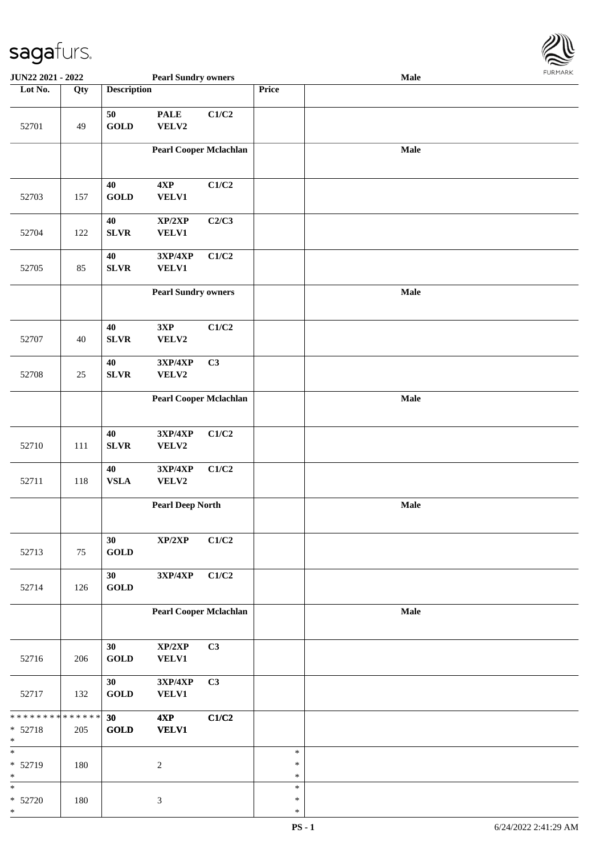

| <b>JUN22 2021 - 2022</b>                                        |     |                       | <b>Pearl Sundry owners</b>        |       |                            | Male |  |
|-----------------------------------------------------------------|-----|-----------------------|-----------------------------------|-------|----------------------------|------|--|
| Lot No.                                                         | Qty | <b>Description</b>    |                                   |       | Price                      |      |  |
| 52701                                                           | 49  | 50<br><b>GOLD</b>     | <b>PALE</b><br>VELV2              | C1/C2 |                            |      |  |
|                                                                 |     |                       | <b>Pearl Cooper Mclachlan</b>     |       |                            | Male |  |
| 52703                                                           | 157 | 40<br><b>GOLD</b>     | 4XP<br>VELV1                      | C1/C2 |                            |      |  |
| 52704                                                           | 122 | 40<br><b>SLVR</b>     | XP/2XP<br>VELV1                   | C2/C3 |                            |      |  |
| 52705                                                           | 85  | 40<br><b>SLVR</b>     | 3XP/4XP<br><b>VELV1</b>           | C1/C2 |                            |      |  |
|                                                                 |     |                       | <b>Pearl Sundry owners</b>        |       |                            | Male |  |
| 52707                                                           | 40  | 40<br><b>SLVR</b>     | 3XP<br>VELV2                      | C1/C2 |                            |      |  |
| 52708                                                           | 25  | $40\,$<br><b>SLVR</b> | 3XP/4XP<br>VELV2                  | C3    |                            |      |  |
|                                                                 |     |                       | <b>Pearl Cooper Mclachlan</b>     |       |                            | Male |  |
| 52710                                                           | 111 | 40<br>${\bf SLVR}$    | 3XP/4XP<br>VELV2                  | C1/C2 |                            |      |  |
| 52711                                                           | 118 | 40<br>${\bf VSLA}$    | 3XP/4XP<br>VELV2                  | C1/C2 |                            |      |  |
|                                                                 |     |                       | <b>Pearl Deep North</b>           |       |                            | Male |  |
| 52713                                                           | 75  | 30<br><b>GOLD</b>     | XP/2XP                            | C1/C2 |                            |      |  |
| 52714                                                           | 126 | 30<br><b>GOLD</b>     | $3{\bf X}{\bf P}/4{\bf X}{\bf P}$ | C1/C2 |                            |      |  |
|                                                                 |     |                       | <b>Pearl Cooper Mclachlan</b>     |       |                            | Male |  |
| 52716                                                           | 206 | 30<br>GOLD            | XP/2XP<br>VELV1                   | C3    |                            |      |  |
| 52717                                                           | 132 | 30<br><b>GOLD</b>     | 3XP/4XP<br><b>VELV1</b>           | C3    |                            |      |  |
| * * * * * * * * <mark>* * * * * * *</mark><br>* 52718<br>$\ast$ | 205 | 30<br><b>GOLD</b>     | 4XP<br><b>VELV1</b>               | C1/C2 |                            |      |  |
| $\ast$<br>* 52719<br>$\ast$                                     | 180 |                       | $\boldsymbol{2}$                  |       | $\ast$<br>$\ast$<br>$\ast$ |      |  |
| $\ast$<br>$* 52720$<br>$\ast$                                   | 180 |                       | $\mathfrak{Z}$                    |       | $\ast$<br>$\ast$<br>$\ast$ |      |  |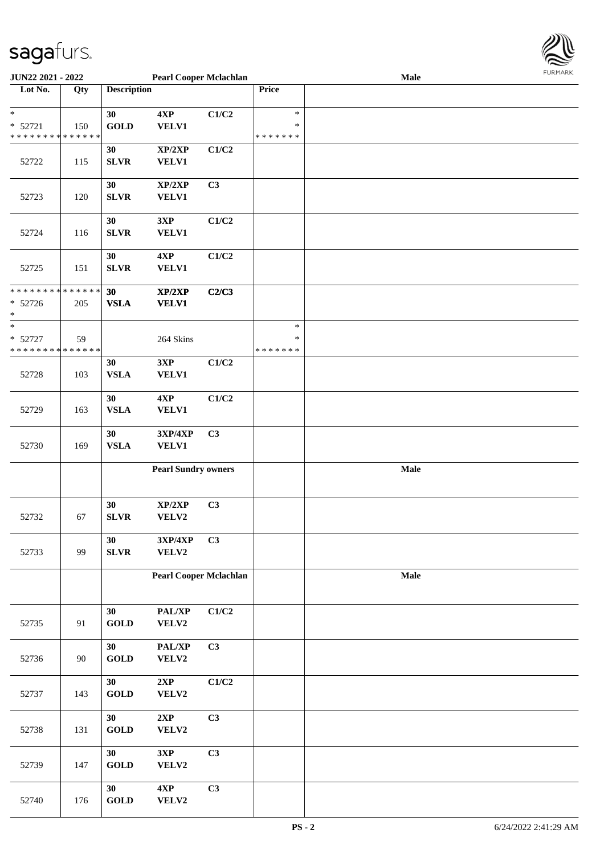

| <b>JUN22 2021 - 2022</b>                   |     |                    | <b>Pearl Cooper Mclachlan</b> |       |               | <b>Male</b> |  |
|--------------------------------------------|-----|--------------------|-------------------------------|-------|---------------|-------------|--|
| Lot No.                                    | Qty | <b>Description</b> |                               |       | Price         |             |  |
|                                            |     |                    |                               |       |               |             |  |
| $\ast$                                     |     | 30                 | 4XP                           | C1/C2 | $\ast$        |             |  |
| $* 52721$                                  | 150 | <b>GOLD</b>        | <b>VELV1</b>                  |       | $\ast$        |             |  |
| * * * * * * * * <mark>* * * * * * *</mark> |     |                    |                               |       | * * * * * * * |             |  |
|                                            |     | 30                 | XP/2XP                        | C1/C2 |               |             |  |
| 52722                                      | 115 | <b>SLVR</b>        | <b>VELV1</b>                  |       |               |             |  |
|                                            |     |                    |                               |       |               |             |  |
|                                            |     | 30                 | XP/2XP                        | C3    |               |             |  |
| 52723                                      | 120 | <b>SLVR</b>        | <b>VELV1</b>                  |       |               |             |  |
|                                            |     |                    |                               |       |               |             |  |
|                                            |     | 30                 |                               | C1/C2 |               |             |  |
|                                            |     |                    | 3XP                           |       |               |             |  |
| 52724                                      | 116 | <b>SLVR</b>        | <b>VELV1</b>                  |       |               |             |  |
|                                            |     |                    |                               |       |               |             |  |
|                                            |     | 30                 | 4XP                           | C1/C2 |               |             |  |
| 52725                                      | 151 | <b>SLVR</b>        | <b>VELV1</b>                  |       |               |             |  |
|                                            |     |                    |                               |       |               |             |  |
| * * * * * * * * <mark>* * * * * * *</mark> |     | 30                 | XP/2XP                        | C2/C3 |               |             |  |
| $* 52726$                                  | 205 | <b>VSLA</b>        | <b>VELV1</b>                  |       |               |             |  |
| *                                          |     |                    |                               |       |               |             |  |
| $\ast$                                     |     |                    |                               |       | $\ast$        |             |  |
| * 52727                                    | 59  |                    | 264 Skins                     |       | $\ast$        |             |  |
| * * * * * * * * <mark>* * * * * * *</mark> |     |                    |                               |       | * * * * * * * |             |  |
|                                            |     | 30                 | 3XP                           | C1/C2 |               |             |  |
| 52728                                      | 103 | ${\bf VSLA}$       | <b>VELV1</b>                  |       |               |             |  |
|                                            |     |                    |                               |       |               |             |  |
|                                            |     | 30                 | 4XP                           | C1/C2 |               |             |  |
| 52729                                      | 163 | ${\bf VSLA}$       | <b>VELV1</b>                  |       |               |             |  |
|                                            |     |                    |                               |       |               |             |  |
|                                            |     | 30                 | 3XP/4XP                       | C3    |               |             |  |
| 52730                                      | 169 | ${\bf VSLA}$       | <b>VELV1</b>                  |       |               |             |  |
|                                            |     |                    |                               |       |               |             |  |
|                                            |     |                    | <b>Pearl Sundry owners</b>    |       |               | Male        |  |
|                                            |     |                    |                               |       |               |             |  |
|                                            |     |                    |                               |       |               |             |  |
|                                            |     | 30                 | XP/2XP                        | C3    |               |             |  |
| 52732                                      | 67  | <b>SLVR</b>        | VELV2                         |       |               |             |  |
|                                            |     |                    |                               |       |               |             |  |
|                                            |     | 30                 | 3XP/4XP                       | C3    |               |             |  |
| 52733                                      | 99  | <b>SLVR</b>        | VELV2                         |       |               |             |  |
|                                            |     |                    |                               |       |               |             |  |
|                                            |     |                    | <b>Pearl Cooper Mclachlan</b> |       |               | Male        |  |
|                                            |     |                    |                               |       |               |             |  |
|                                            |     |                    |                               |       |               |             |  |
|                                            |     | 30                 | PAL/XP                        | C1/C2 |               |             |  |
| 52735                                      | 91  | <b>GOLD</b>        | VELV2                         |       |               |             |  |
|                                            |     |                    |                               |       |               |             |  |
|                                            |     | 30                 | PAL/XP                        | C3    |               |             |  |
| 52736                                      | 90  | <b>GOLD</b>        | VELV2                         |       |               |             |  |
|                                            |     |                    |                               |       |               |             |  |
|                                            |     | 30                 | 2XP                           | C1/C2 |               |             |  |
| 52737                                      | 143 | <b>GOLD</b>        | VELV2                         |       |               |             |  |
|                                            |     |                    |                               |       |               |             |  |
|                                            |     | 30                 | 2XP                           | C3    |               |             |  |
| 52738                                      | 131 | <b>GOLD</b>        | VELV2                         |       |               |             |  |
|                                            |     |                    |                               |       |               |             |  |
|                                            |     |                    |                               |       |               |             |  |
|                                            |     | 30                 | 3XP                           | C3    |               |             |  |
| 52739                                      | 147 | <b>GOLD</b>        | VELV2                         |       |               |             |  |
|                                            |     |                    |                               |       |               |             |  |
|                                            |     | 30                 | 4XP                           | C3    |               |             |  |
| 52740                                      | 176 | <b>GOLD</b>        | VELV2                         |       |               |             |  |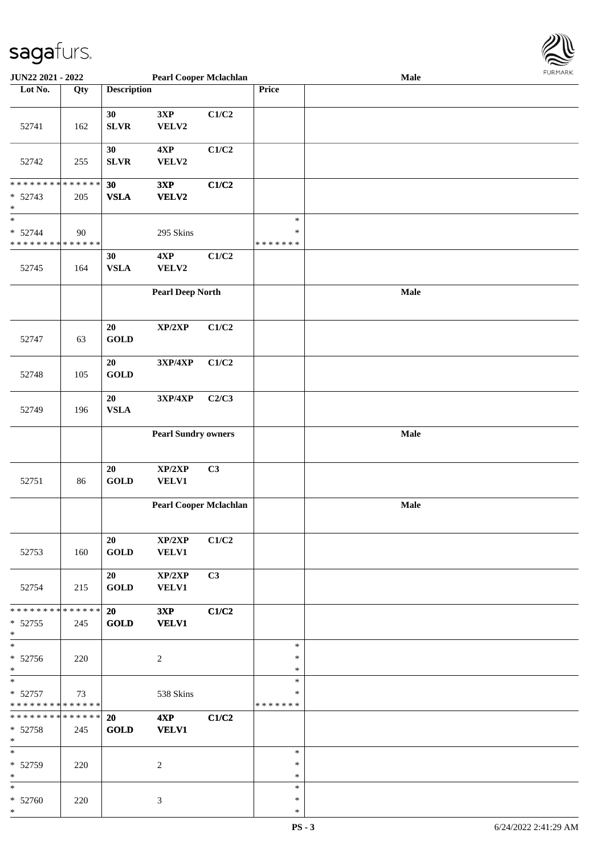

| <b>JUN22 2021 - 2022</b>                   |             |                    | <b>Pearl Cooper Mclachlan</b> |       |               | Male |  |
|--------------------------------------------|-------------|--------------------|-------------------------------|-------|---------------|------|--|
| Lot No.                                    | Qty         | <b>Description</b> |                               |       | Price         |      |  |
|                                            |             |                    |                               |       |               |      |  |
| 52741                                      | 162         | 30<br><b>SLVR</b>  | 3XP<br>VELV2                  | C1/C2 |               |      |  |
|                                            |             |                    |                               |       |               |      |  |
| 52742                                      | 255         | 30<br><b>SLVR</b>  | 4XP<br>VELV2                  | C1/C2 |               |      |  |
| * * * * * * * * * * * * * *                |             |                    |                               |       |               |      |  |
| $* 52743$<br>$\ast$                        | 205         | 30<br><b>VSLA</b>  | 3XP<br>VELV2                  | C1/C2 |               |      |  |
| $\ast$                                     |             |                    |                               |       | $\ast$        |      |  |
| $* 52744$                                  | 90          |                    | 295 Skins                     |       | $\ast$        |      |  |
| * * * * * * * * * * * * * *                |             |                    |                               |       | * * * * * * * |      |  |
|                                            |             | 30                 | 4XP                           | C1/C2 |               |      |  |
| 52745                                      | 164         | ${\bf VSLA}$       | VELV2                         |       |               |      |  |
|                                            |             |                    |                               |       |               |      |  |
|                                            |             |                    | <b>Pearl Deep North</b>       |       |               | Male |  |
|                                            |             | $20\,$             | XP/2XP                        | C1/C2 |               |      |  |
| 52747                                      | 63          | <b>GOLD</b>        |                               |       |               |      |  |
|                                            |             | 20                 | 3XP/4XP                       | C1/C2 |               |      |  |
| 52748                                      | 105         | <b>GOLD</b>        |                               |       |               |      |  |
|                                            |             | 20                 | 3XP/4XP                       | C2/C3 |               |      |  |
| 52749                                      | 196         | ${\bf VSLA}$       |                               |       |               |      |  |
|                                            |             |                    | <b>Pearl Sundry owners</b>    |       |               | Male |  |
|                                            |             |                    |                               |       |               |      |  |
|                                            |             |                    |                               |       |               |      |  |
|                                            |             | 20                 | XP/2XP                        | C3    |               |      |  |
| 52751                                      | 86          | <b>GOLD</b>        | <b>VELV1</b>                  |       |               |      |  |
|                                            |             |                    |                               |       |               |      |  |
|                                            |             |                    | <b>Pearl Cooper Mclachlan</b> |       |               | Male |  |
|                                            |             |                    |                               |       |               |      |  |
|                                            |             |                    |                               |       |               |      |  |
|                                            |             | 20                 | XP/2XP                        | C1/C2 |               |      |  |
| 52753                                      | 160         | <b>GOLD</b>        | <b>VELV1</b>                  |       |               |      |  |
|                                            |             |                    |                               |       |               |      |  |
|                                            |             | 20                 | $\mathbf{XP}/2\mathbf{XP}$    | C3    |               |      |  |
| 52754                                      | 215         | <b>GOLD</b>        | <b>VELV1</b>                  |       |               |      |  |
|                                            |             |                    |                               |       |               |      |  |
| * * * * * * * *                            | * * * * * * | <b>20</b>          | 3XP                           | C1/C2 |               |      |  |
| $* 52755$                                  | 245         | <b>GOLD</b>        | <b>VELV1</b>                  |       |               |      |  |
| $*$                                        |             |                    |                               |       |               |      |  |
| $_{*}$                                     |             |                    |                               |       | $\ast$        |      |  |
| $* 52756$                                  | 220         |                    | 2                             |       | $\ast$        |      |  |
| $*$                                        |             |                    |                               |       | $\ast$        |      |  |
| $*$                                        |             |                    |                               |       | $\ast$        |      |  |
| $* 52757$                                  | 73          |                    | 538 Skins                     |       | $\ast$        |      |  |
| * * * * * * * * * * * * * *                |             |                    |                               |       | *******       |      |  |
| * * * * * * * * <mark>* * * * * * *</mark> |             | <b>20</b>          | 4XP                           | C1/C2 |               |      |  |
| $* 52758$                                  | 245         | <b>GOLD</b>        | <b>VELV1</b>                  |       |               |      |  |
| $*$                                        |             |                    |                               |       |               |      |  |
| $*$                                        |             |                    |                               |       | $\ast$        |      |  |
| * 52759                                    | 220         |                    | 2                             |       | $\ast$        |      |  |
| $*$                                        |             |                    |                               |       | $\ast$        |      |  |
| $*$                                        |             |                    |                               |       | $\ast$        |      |  |
| $* 52760$                                  | 220         |                    | 3                             |       | ∗             |      |  |
| $*$                                        |             |                    |                               |       | $\ast$        |      |  |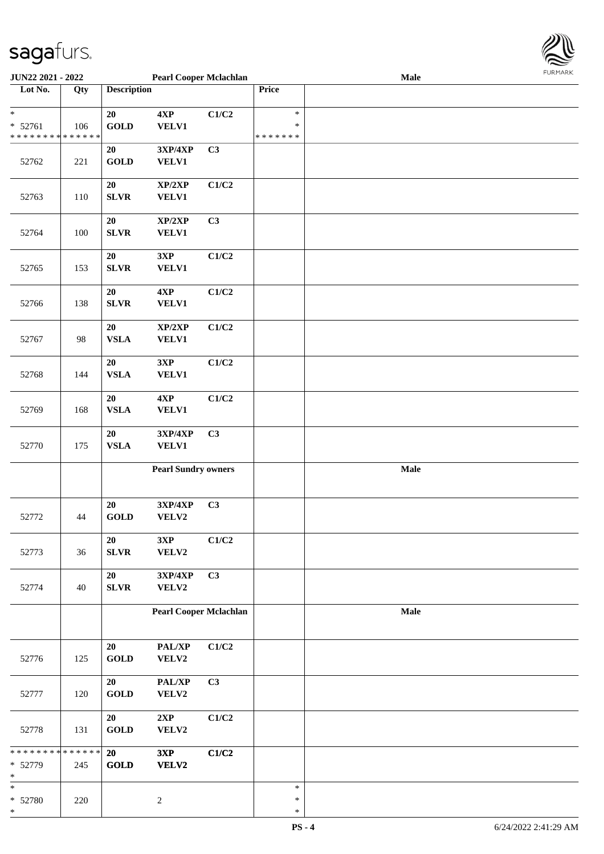

| <b>JUN22 2021 - 2022</b>                   |     |                    | <b>Pearl Cooper Mclachlan</b> |                |               | <b>Male</b> |  |
|--------------------------------------------|-----|--------------------|-------------------------------|----------------|---------------|-------------|--|
| Lot No.                                    | Qty | <b>Description</b> |                               |                | Price         |             |  |
|                                            |     |                    |                               |                |               |             |  |
| $\ast$                                     |     | 20                 | 4XP                           | C1/C2          | $\ast$        |             |  |
| $* 52761$                                  | 106 | <b>GOLD</b>        | <b>VELV1</b>                  |                | $\ast$        |             |  |
| * * * * * * * * * * * * * *                |     |                    |                               |                | * * * * * * * |             |  |
|                                            |     | 20                 | 3XP/4XP                       | C <sub>3</sub> |               |             |  |
| 52762                                      | 221 | <b>GOLD</b>        | <b>VELV1</b>                  |                |               |             |  |
|                                            |     |                    |                               |                |               |             |  |
|                                            |     | 20                 | XP/2XP                        | C1/C2          |               |             |  |
|                                            |     |                    |                               |                |               |             |  |
| 52763                                      | 110 | <b>SLVR</b>        | <b>VELV1</b>                  |                |               |             |  |
|                                            |     |                    |                               |                |               |             |  |
|                                            |     | 20                 | XP/2XP                        | C3             |               |             |  |
| 52764                                      | 100 | SLVR               | <b>VELV1</b>                  |                |               |             |  |
|                                            |     |                    |                               |                |               |             |  |
|                                            |     | 20                 | 3XP                           | C1/C2          |               |             |  |
| 52765                                      | 153 | SLVR               | VELV1                         |                |               |             |  |
|                                            |     |                    |                               |                |               |             |  |
|                                            |     | 20                 | 4XP                           | C1/C2          |               |             |  |
| 52766                                      | 138 | <b>SLVR</b>        | <b>VELV1</b>                  |                |               |             |  |
|                                            |     |                    |                               |                |               |             |  |
|                                            |     | $20\,$             | XP/2XP                        | C1/C2          |               |             |  |
| 52767                                      | 98  | ${\bf VSLA}$       | <b>VELV1</b>                  |                |               |             |  |
|                                            |     |                    |                               |                |               |             |  |
|                                            |     | 20                 | 3XP                           | C1/C2          |               |             |  |
| 52768                                      | 144 | ${\bf VSLA}$       | <b>VELV1</b>                  |                |               |             |  |
|                                            |     |                    |                               |                |               |             |  |
|                                            |     | 20                 | 4XP                           | C1/C2          |               |             |  |
| 52769                                      | 168 | ${\bf VSLA}$       | <b>VELV1</b>                  |                |               |             |  |
|                                            |     |                    |                               |                |               |             |  |
|                                            |     | ${\bf 20}$         | 3XP/4XP                       | C3             |               |             |  |
|                                            | 175 | ${\bf VSLA}$       | <b>VELV1</b>                  |                |               |             |  |
| 52770                                      |     |                    |                               |                |               |             |  |
|                                            |     |                    | <b>Pearl Sundry owners</b>    |                |               | Male        |  |
|                                            |     |                    |                               |                |               |             |  |
|                                            |     |                    |                               |                |               |             |  |
|                                            |     |                    |                               |                |               |             |  |
|                                            |     | 20                 | 3XP/4XP                       | C <sub>3</sub> |               |             |  |
| 52772                                      | 44  | <b>GOLD</b>        | VELV2                         |                |               |             |  |
|                                            |     |                    |                               |                |               |             |  |
|                                            |     | $20\,$             | 3XP                           | C1/C2          |               |             |  |
| 52773                                      | 36  | SLVR               | VELV2                         |                |               |             |  |
|                                            |     |                    |                               |                |               |             |  |
|                                            |     | 20                 | 3XP/4XP                       | C3             |               |             |  |
| 52774                                      | 40  | SLVR               | VELV2                         |                |               |             |  |
|                                            |     |                    |                               |                |               |             |  |
|                                            |     |                    | <b>Pearl Cooper Mclachlan</b> |                |               | Male        |  |
|                                            |     |                    |                               |                |               |             |  |
|                                            |     |                    |                               |                |               |             |  |
|                                            |     | 20                 | PAL/XP                        | C1/C2          |               |             |  |
| 52776                                      | 125 | GOLD               | VELV2                         |                |               |             |  |
|                                            |     |                    |                               |                |               |             |  |
|                                            |     | 20                 | PAL/XP                        | C3             |               |             |  |
| 52777                                      | 120 | <b>GOLD</b>        | VELV2                         |                |               |             |  |
|                                            |     |                    |                               |                |               |             |  |
|                                            |     | 20                 | 2XP                           | C1/C2          |               |             |  |
| 52778                                      | 131 | <b>GOLD</b>        | VELV2                         |                |               |             |  |
|                                            |     |                    |                               |                |               |             |  |
| * * * * * * * * <mark>* * * * * * *</mark> |     | 20                 | 3XP                           | C1/C2          |               |             |  |
| * 52779                                    | 245 | <b>GOLD</b>        | <b>VELV2</b>                  |                |               |             |  |
| *                                          |     |                    |                               |                |               |             |  |
| *                                          |     |                    |                               |                | $\ast$        |             |  |
| * 52780                                    | 220 |                    | $\sqrt{2}$                    |                | $\ast$        |             |  |
| *                                          |     |                    |                               |                | $\ast$        |             |  |
|                                            |     |                    |                               |                |               |             |  |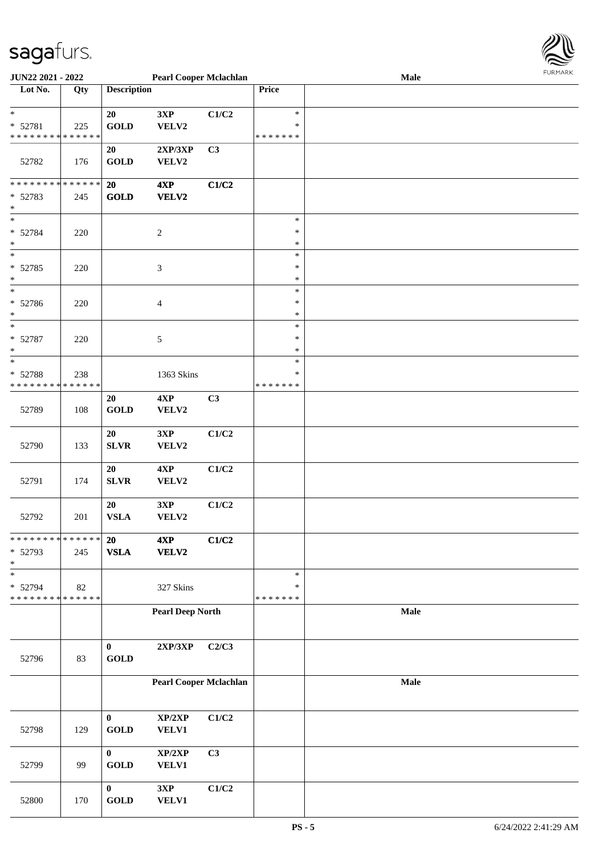

| <b>JUN22 2021 - 2022</b>                   |     |                       | <b>Pearl Cooper Mclachlan</b> |       |               | Male |  |
|--------------------------------------------|-----|-----------------------|-------------------------------|-------|---------------|------|--|
| Lot No.                                    | Qty | <b>Description</b>    |                               |       | Price         |      |  |
|                                            |     |                       |                               |       |               |      |  |
| $\ast$                                     |     | 20                    | 3XP                           | C1/C2 | $\ast$        |      |  |
| * 52781                                    | 225 | <b>GOLD</b>           | VELV2                         |       | $\ast$        |      |  |
| * * * * * * * * * * * * * *                |     |                       |                               |       | * * * * * * * |      |  |
|                                            |     | 20                    | 2XP/3XP                       | C3    |               |      |  |
|                                            |     |                       |                               |       |               |      |  |
| 52782                                      | 176 | <b>GOLD</b>           | VELV2                         |       |               |      |  |
|                                            |     |                       |                               |       |               |      |  |
| * * * * * * * * <mark>* * * * * * *</mark> |     | 20                    | 4XP                           | C1/C2 |               |      |  |
| * 52783                                    | 245 | <b>GOLD</b>           | VELV2                         |       |               |      |  |
| $\ast$                                     |     |                       |                               |       |               |      |  |
| $\ast$                                     |     |                       |                               |       | $\ast$        |      |  |
| * 52784                                    | 220 |                       | $\boldsymbol{2}$              |       | $\ast$        |      |  |
| $\ast$                                     |     |                       |                               |       | $\ast$        |      |  |
| $\ast$                                     |     |                       |                               |       | $\ast$        |      |  |
| * 52785                                    | 220 |                       | 3                             |       | $\ast$        |      |  |
| $\ast$                                     |     |                       |                               |       | $\ast$        |      |  |
| $\ast$                                     |     |                       |                               |       | $\ast$        |      |  |
|                                            |     |                       |                               |       |               |      |  |
| * 52786                                    | 220 |                       | $\overline{4}$                |       | $\ast$        |      |  |
| $\ast$                                     |     |                       |                               |       | $\ast$        |      |  |
| $\ast$                                     |     |                       |                               |       | $\ast$        |      |  |
| * 52787                                    | 220 |                       | 5                             |       | $\ast$        |      |  |
| $\ast$                                     |     |                       |                               |       | $\ast$        |      |  |
| $\ast$                                     |     |                       |                               |       | $\ast$        |      |  |
| * 52788                                    | 238 |                       | 1363 Skins                    |       | $\ast$        |      |  |
| * * * * * * * * <mark>* * * * * * *</mark> |     |                       |                               |       | * * * * * * * |      |  |
|                                            |     | 20                    | 4XP                           | C3    |               |      |  |
|                                            |     |                       |                               |       |               |      |  |
| 52789                                      | 108 | $\operatorname{GOLD}$ | VELV2                         |       |               |      |  |
|                                            |     |                       |                               |       |               |      |  |
|                                            |     | 20                    | 3XP                           | C1/C2 |               |      |  |
| 52790                                      | 133 | SLVR                  | VELV2                         |       |               |      |  |
|                                            |     |                       |                               |       |               |      |  |
|                                            |     | 20                    | $4{\bf XP}$                   | C1/C2 |               |      |  |
| 52791                                      | 174 | <b>SLVR</b>           | VELV2                         |       |               |      |  |
|                                            |     |                       |                               |       |               |      |  |
|                                            |     | 20                    | 3XP                           | C1/C2 |               |      |  |
| 52792                                      | 201 | <b>VSLA</b>           | VELV2                         |       |               |      |  |
|                                            |     |                       |                               |       |               |      |  |
| * * * * * * * * <mark>* * * * * *</mark> * |     | 20                    | 4XP                           | C1/C2 |               |      |  |
|                                            |     |                       |                               |       |               |      |  |
| * 52793                                    | 245 | ${\bf VSLA}$          | VELV2                         |       |               |      |  |
| $\ast$                                     |     |                       |                               |       |               |      |  |
| *                                          |     |                       |                               |       | $\ast$        |      |  |
| * 52794                                    | 82  |                       | 327 Skins                     |       | $\ast$        |      |  |
| * * * * * * * * <mark>* * * * * * *</mark> |     |                       |                               |       | *******       |      |  |
|                                            |     |                       | <b>Pearl Deep North</b>       |       |               | Male |  |
|                                            |     |                       |                               |       |               |      |  |
|                                            |     |                       |                               |       |               |      |  |
|                                            |     | $\bf{0}$              | $2{\bf XP}/3{\bf XP}$         | C2/C3 |               |      |  |
| 52796                                      | 83  | <b>GOLD</b>           |                               |       |               |      |  |
|                                            |     |                       |                               |       |               |      |  |
|                                            |     |                       |                               |       |               |      |  |
|                                            |     |                       | <b>Pearl Cooper Mclachlan</b> |       |               | Male |  |
|                                            |     |                       |                               |       |               |      |  |
|                                            |     |                       |                               |       |               |      |  |
|                                            |     | $\bf{0}$              | XP/2XP                        | C1/C2 |               |      |  |
| 52798                                      | 129 | <b>GOLD</b>           | VELV1                         |       |               |      |  |
|                                            |     |                       |                               |       |               |      |  |
|                                            |     | $\bf{0}$              | XP/2XP                        | C3    |               |      |  |
| 52799                                      | 99  | <b>GOLD</b>           | <b>VELV1</b>                  |       |               |      |  |
|                                            |     |                       |                               |       |               |      |  |
|                                            |     |                       |                               |       |               |      |  |
|                                            |     | $\bf{0}$              | 3XP                           | C1/C2 |               |      |  |
| 52800                                      | 170 | <b>GOLD</b>           | VELV1                         |       |               |      |  |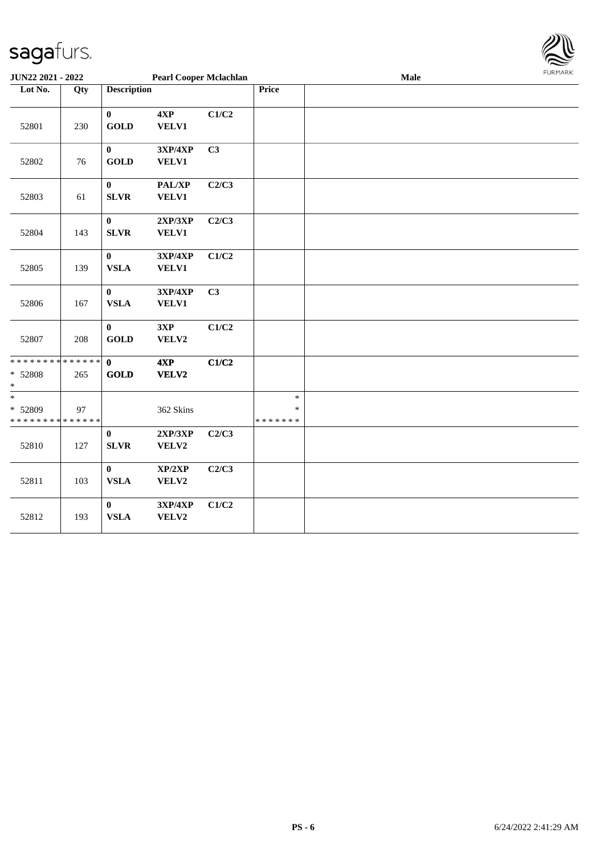

| JUN22 2021 - 2022                                            |     |                             | <b>Pearl Cooper Mclachlan</b> |       |                                   | Male | <b>FURMARK</b> |
|--------------------------------------------------------------|-----|-----------------------------|-------------------------------|-------|-----------------------------------|------|----------------|
| Lot No.                                                      | Qty | <b>Description</b>          |                               |       | Price                             |      |                |
| 52801                                                        | 230 | $\mathbf{0}$<br><b>GOLD</b> | 4XP<br>VELV1                  | C1/C2 |                                   |      |                |
| 52802                                                        | 76  | $\bf{0}$<br><b>GOLD</b>     | 3XP/4XP<br><b>VELV1</b>       | C3    |                                   |      |                |
| 52803                                                        | 61  | $\mathbf{0}$<br><b>SLVR</b> | PAL/XP<br>VELV1               | C2/C3 |                                   |      |                |
| 52804                                                        | 143 | $\pmb{0}$<br><b>SLVR</b>    | 2XP/3XP<br><b>VELV1</b>       | C2/C3 |                                   |      |                |
| 52805                                                        | 139 | $\bf{0}$<br><b>VSLA</b>     | 3XP/4XP<br>VELV1              | C1/C2 |                                   |      |                |
| 52806                                                        | 167 | $\bf{0}$<br><b>VSLA</b>     | 3XP/4XP<br><b>VELV1</b>       | C3    |                                   |      |                |
| 52807                                                        | 208 | $\bf{0}$<br><b>GOLD</b>     | 3XP<br>VELV2                  | C1/C2 |                                   |      |                |
| * * * * * * * * <mark>* * * * * * *</mark><br>* 52808<br>$*$ | 265 | $\mathbf{0}$<br><b>GOLD</b> | 4XP<br>VELV2                  | C1/C2 |                                   |      |                |
| * 52809<br>* * * * * * * * * * * * * *                       | 97  |                             | 362 Skins                     |       | $\ast$<br>$\ast$<br>* * * * * * * |      |                |
| 52810                                                        | 127 | $\pmb{0}$<br><b>SLVR</b>    | 2XP/3XP<br>VELV2              | C2/C3 |                                   |      |                |
| 52811                                                        | 103 | $\bf{0}$<br><b>VSLA</b>     | XP/2XP<br>VELV2               | C2/C3 |                                   |      |                |
| 52812                                                        | 193 | $\mathbf{0}$<br><b>VSLA</b> | 3XP/4XP<br>VELV2              | C1/C2 |                                   |      |                |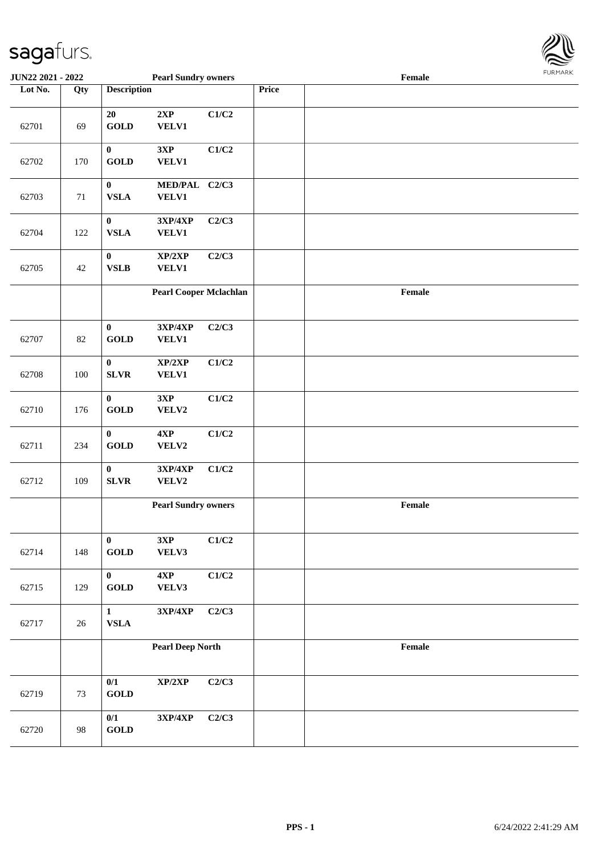

| <b>JUN22 2021 - 2022</b> |                   |                                   | <b>Pearl Sundry owners</b>        |       |       | Female |  |
|--------------------------|-------------------|-----------------------------------|-----------------------------------|-------|-------|--------|--|
| Lot No.                  | $\overline{Q}$ ty | <b>Description</b>                |                                   |       | Price |        |  |
| 62701                    | 69                | 20<br><b>GOLD</b>                 | 2XP<br><b>VELV1</b>               | C1/C2 |       |        |  |
| 62702                    | 170               | $\pmb{0}$<br><b>GOLD</b>          | 3XP<br><b>VELV1</b>               | C1/C2 |       |        |  |
| 62703                    | $71\,$            | $\pmb{0}$<br><b>VSLA</b>          | MED/PAL C2/C3<br>VELV1            |       |       |        |  |
| 62704                    | 122               | $\pmb{0}$<br><b>VSLA</b>          | 3XP/4XP<br><b>VELV1</b>           | C2/C3 |       |        |  |
| 62705                    | 42                | $\pmb{0}$<br><b>VSLB</b>          | XP/2XP<br><b>VELV1</b>            | C2/C3 |       |        |  |
|                          |                   |                                   | <b>Pearl Cooper Mclachlan</b>     |       |       | Female |  |
| 62707                    | 82                | $\pmb{0}$<br><b>GOLD</b>          | 3XP/4XP<br><b>VELV1</b>           | C2/C3 |       |        |  |
| 62708                    | 100               | $\pmb{0}$<br><b>SLVR</b>          | XP/2XP<br><b>VELV1</b>            | C1/C2 |       |        |  |
| 62710                    | 176               | $\pmb{0}$<br><b>GOLD</b>          | 3XP<br>VELV2                      | C1/C2 |       |        |  |
| 62711                    | 234               | $\bf{0}$<br><b>GOLD</b>           | $4{\bf XP}$<br>VELV2              | C1/C2 |       |        |  |
| 62712                    | 109               | $\pmb{0}$<br>${\bf SLVR}$         | 3XP/4XP<br>VELV2                  | C1/C2 |       |        |  |
|                          |                   |                                   | <b>Pearl Sundry owners</b>        |       |       | Female |  |
| 62714                    | 148               | $\bf{0}$<br>$\operatorname{GOLD}$ | 3XP<br>VELV3                      | C1/C2 |       |        |  |
| 62715                    | 129               | $\bf{0}$<br>$\operatorname{GOLD}$ | 4XP<br>VELV3                      | C1/C2 |       |        |  |
| 62717                    | 26                | $\mathbf{1}$<br>${\bf VSLA}$      | $3{\bf X}{\bf P}/4{\bf X}{\bf P}$ | C2/C3 |       |        |  |
|                          |                   |                                   | <b>Pearl Deep North</b>           |       |       | Female |  |
| 62719                    | 73                | 0/1<br><b>GOLD</b>                | XP/2XP                            | C2/C3 |       |        |  |
| 62720                    | 98                | 0/1<br><b>GOLD</b>                | 3XP/4XP                           | C2/C3 |       |        |  |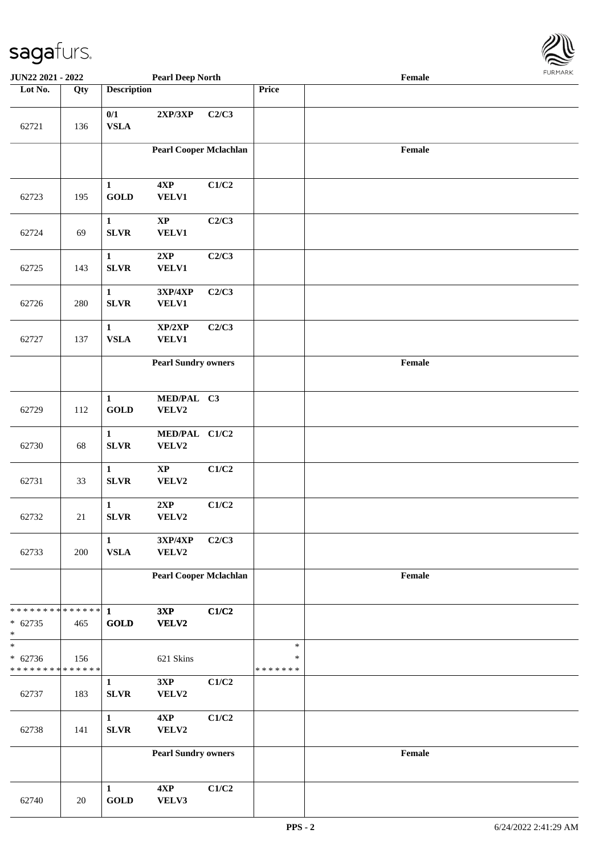

| <b>JUN22 2021 - 2022</b>                                          |        |                             | <b>Pearl Deep North</b>       |       |                             | Female                                      |  |
|-------------------------------------------------------------------|--------|-----------------------------|-------------------------------|-------|-----------------------------|---------------------------------------------|--|
| Lot No.                                                           | Qty    | <b>Description</b>          |                               |       | Price                       |                                             |  |
| 62721                                                             | 136    | 0/1<br><b>VSLA</b>          | 2XP/3XP                       | C2/C3 |                             |                                             |  |
|                                                                   |        |                             | <b>Pearl Cooper Mclachlan</b> |       |                             | Female                                      |  |
| 62723                                                             | 195    | $\mathbf{1}$<br><b>GOLD</b> | 4XP<br><b>VELV1</b>           | C1/C2 |                             |                                             |  |
| 62724                                                             | 69     | $\mathbf{1}$<br><b>SLVR</b> | $\bold{XP}$<br>VELV1          | C2/C3 |                             |                                             |  |
| 62725                                                             | 143    | $\mathbf{1}$<br><b>SLVR</b> | 2XP<br><b>VELV1</b>           | C2/C3 |                             |                                             |  |
| 62726                                                             | 280    | $\mathbf{1}$<br><b>SLVR</b> | 3XP/4XP<br><b>VELV1</b>       | C2/C3 |                             |                                             |  |
| 62727                                                             | 137    | $\mathbf{1}$<br><b>VSLA</b> | XP/2XP<br>VELV1               | C2/C3 |                             |                                             |  |
|                                                                   |        |                             | <b>Pearl Sundry owners</b>    |       |                             | $\ensuremath{\textnormal{\textbf{Female}}}$ |  |
| 62729                                                             | 112    | $\mathbf{1}$<br><b>GOLD</b> | MED/PAL C3<br>VELV2           |       |                             |                                             |  |
| 62730                                                             | 68     | $\mathbf{1}$<br><b>SLVR</b> | MED/PAL C1/C2<br>VELV2        |       |                             |                                             |  |
| 62731                                                             | 33     | $\mathbf{1}$<br><b>SLVR</b> | $\bold{XP}$<br>VELV2          | C1/C2 |                             |                                             |  |
| 62732                                                             | $21\,$ | $\mathbf{1}$<br><b>SLVR</b> | $2{\bf XP}$<br>VELV2          | C1/C2 |                             |                                             |  |
| 62733                                                             | 200    | $\mathbf{1}$<br><b>VSLA</b> | 3XP/4XP<br>VELV2              | C2/C3 |                             |                                             |  |
|                                                                   |        |                             | <b>Pearl Cooper Mclachlan</b> |       |                             | $\ensuremath{\textnormal{\textbf{Female}}}$ |  |
| * * * * * * * * <mark>* * * * * * *</mark><br>$* 62735$<br>$\ast$ | 465    | $\mathbf{1}$<br><b>GOLD</b> | 3XP<br>VELV2                  | C1/C2 |                             |                                             |  |
| $\ast$<br>$* 62736$<br>* * * * * * * * <mark>* * * * * * *</mark> | 156    |                             | 621 Skins                     |       | $\ast$<br>$\ast$<br>******* |                                             |  |
| 62737                                                             | 183    | $\mathbf{1}$<br><b>SLVR</b> | 3XP<br>VELV2                  | C1/C2 |                             |                                             |  |
| 62738                                                             | 141    | $\mathbf{1}$<br><b>SLVR</b> | 4XP<br>VELV2                  | C1/C2 |                             |                                             |  |
|                                                                   |        |                             | <b>Pearl Sundry owners</b>    |       |                             | $\ensuremath{\textnormal{\textbf{Female}}}$ |  |
| 62740                                                             | 20     | $\mathbf{1}$<br><b>GOLD</b> | 4XP<br>VELV3                  | C1/C2 |                             |                                             |  |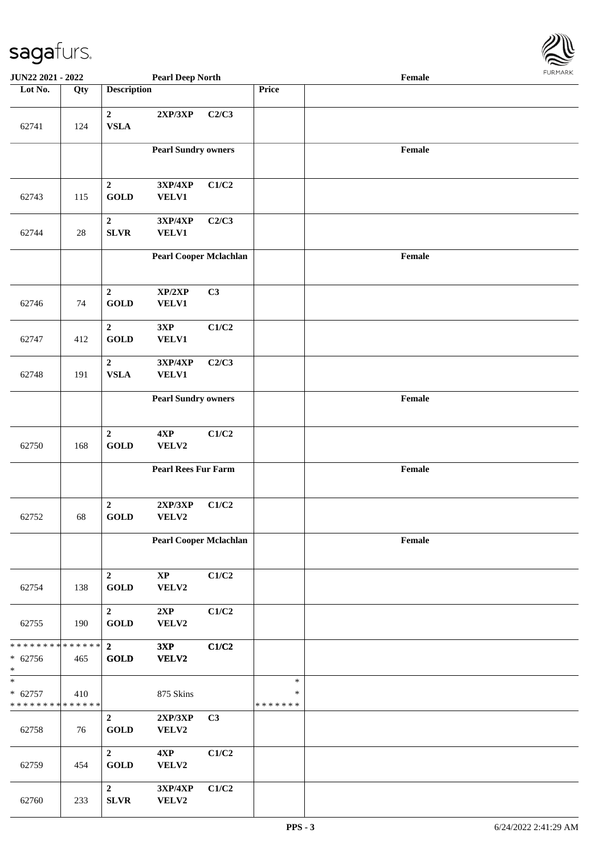

| <b>JUN22 2021 - 2022</b>                             |        |                                 | <b>Pearl Deep North</b>       |       |                                   | Female |  |
|------------------------------------------------------|--------|---------------------------------|-------------------------------|-------|-----------------------------------|--------|--|
| Lot No.                                              | Qty    | <b>Description</b>              |                               |       | Price                             |        |  |
| 62741                                                | 124    | $\mathbf{2}$<br><b>VSLA</b>     | 2XP/3XP                       | C2/C3 |                                   |        |  |
|                                                      |        |                                 | <b>Pearl Sundry owners</b>    |       |                                   | Female |  |
| 62743                                                | 115    | $\boldsymbol{2}$<br><b>GOLD</b> | 3XP/4XP<br><b>VELV1</b>       | C1/C2 |                                   |        |  |
| 62744                                                | $28\,$ | $\boldsymbol{2}$<br><b>SLVR</b> | 3XP/4XP<br><b>VELV1</b>       | C2/C3 |                                   |        |  |
|                                                      |        |                                 | <b>Pearl Cooper Mclachlan</b> |       |                                   | Female |  |
| 62746                                                | 74     | $\overline{2}$<br><b>GOLD</b>   | XP/2XP<br>VELV1               | C3    |                                   |        |  |
| 62747                                                | 412    | $\mathbf 2$<br><b>GOLD</b>      | 3XP<br>VELV1                  | C1/C2 |                                   |        |  |
| 62748                                                | 191    | $\mathbf 2$<br><b>VSLA</b>      | 3XP/4XP<br><b>VELV1</b>       | C2/C3 |                                   |        |  |
|                                                      |        |                                 | <b>Pearl Sundry owners</b>    |       |                                   | Female |  |
| 62750                                                | 168    | $\boldsymbol{2}$<br><b>GOLD</b> | $4{\bf XP}$<br>VELV2          | C1/C2 |                                   |        |  |
|                                                      |        |                                 | <b>Pearl Rees Fur Farm</b>    |       |                                   | Female |  |
| 62752                                                | 68     | $\overline{2}$<br><b>GOLD</b>   | 2XP/3XP<br>VELV2              | C1/C2 |                                   |        |  |
|                                                      |        |                                 | <b>Pearl Cooper Mclachlan</b> |       |                                   | Female |  |
| 62754                                                | 138    | $\mathbf 2$<br><b>GOLD</b>      | $\mathbf{XP}$<br>VELV2        | C1/C2 |                                   |        |  |
| 62755                                                | 190    | $\overline{2}$<br><b>GOLD</b>   | 2XP<br>VELV2                  | C1/C2 |                                   |        |  |
| * * * * * * * * * * * * * * *<br>$* 62756$<br>$\ast$ | 465    | $\overline{2}$<br><b>GOLD</b>   | 3XP<br>VELV2                  | C1/C2 |                                   |        |  |
| $\ast$<br>$* 62757$<br>* * * * * * * * * * * * * *   | 410    |                                 | 875 Skins                     |       | $\ast$<br>$\ast$<br>* * * * * * * |        |  |
| 62758                                                | 76     | $\overline{2}$<br><b>GOLD</b>   | 2XP/3XP<br>VELV2              | C3    |                                   |        |  |
| 62759                                                | 454    | $\mathbf{2}$<br><b>GOLD</b>     | 4XP<br>VELV2                  | C1/C2 |                                   |        |  |
| 62760                                                | 233    | $\mathbf 2$<br>${\bf SLVR}$     | 3XP/4XP<br>VELV2              | C1/C2 |                                   |        |  |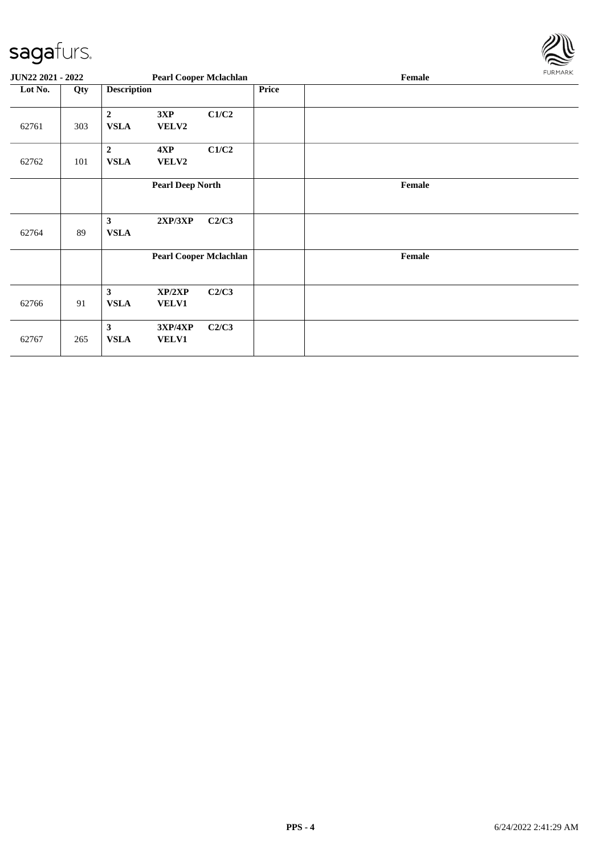

| <b>JUN22 2021 - 2022</b> |     |                                        | <b>Pearl Cooper Mclachlan</b> |       |       | Female | FURMARK |
|--------------------------|-----|----------------------------------------|-------------------------------|-------|-------|--------|---------|
| Lot No.                  | Qty | <b>Description</b>                     |                               |       | Price |        |         |
| 62761                    | 303 | $\boldsymbol{2}$<br><b>VSLA</b>        | 3XP<br>VELV2                  | C1/C2 |       |        |         |
| 62762                    | 101 | $\overline{2}$<br><b>VSLA</b>          | 4XP<br>VELV2                  | C1/C2 |       |        |         |
|                          |     |                                        | <b>Pearl Deep North</b>       |       |       | Female |         |
| 62764                    | 89  | $\mathbf{3}$<br><b>VSLA</b>            | 2XP/3XP                       | C2/C3 |       |        |         |
|                          |     |                                        | <b>Pearl Cooper Mclachlan</b> |       |       | Female |         |
| 62766                    | 91  | $\mathbf{3}$<br><b>VSLA</b>            | XP/2XP<br><b>VELV1</b>        | C2/C3 |       |        |         |
| 62767                    | 265 | $\overline{\mathbf{3}}$<br><b>VSLA</b> | 3XP/4XP<br><b>VELV1</b>       | C2/C3 |       |        |         |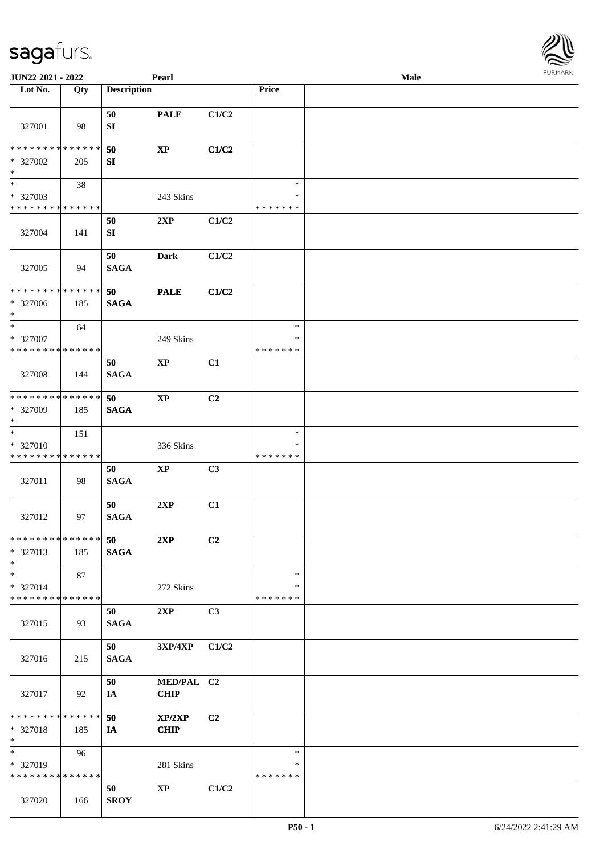| JUN22 2021 - 2022                          |     |                    | Pearl                  |       |                    | Male | $1 \times 1$ |
|--------------------------------------------|-----|--------------------|------------------------|-------|--------------------|------|--------------|
| Lot No.                                    | Qty | <b>Description</b> |                        |       | Price              |      |              |
|                                            |     |                    |                        |       |                    |      |              |
|                                            |     | 50                 | <b>PALE</b>            | C1/C2 |                    |      |              |
| 327001                                     | 98  | SI                 |                        |       |                    |      |              |
| * * * * * * * * <mark>* * * * * * *</mark> |     | 50                 | $\mathbf{X}\mathbf{P}$ | C1/C2 |                    |      |              |
| $* 327002$                                 | 205 | SI                 |                        |       |                    |      |              |
| $*$                                        |     |                    |                        |       |                    |      |              |
| $*$                                        | 38  |                    |                        |       | $\ast$             |      |              |
| * 327003                                   |     |                    | 243 Skins              |       | $\ast$             |      |              |
| * * * * * * * * * * * * * *                |     |                    |                        |       | * * * * * * *      |      |              |
|                                            |     | 50                 | 2XP                    | C1/C2 |                    |      |              |
| 327004                                     | 141 | ${\bf SI}$         |                        |       |                    |      |              |
|                                            |     | 50                 | <b>Dark</b>            | C1/C2 |                    |      |              |
| 327005                                     | 94  | <b>SAGA</b>        |                        |       |                    |      |              |
|                                            |     |                    |                        |       |                    |      |              |
| * * * * * * * * * * * * * *                |     | 50                 | <b>PALE</b>            | C1/C2 |                    |      |              |
| $* 327006$                                 | 185 | <b>SAGA</b>        |                        |       |                    |      |              |
| $*$                                        |     |                    |                        |       |                    |      |              |
| $*$                                        | 64  |                    |                        |       | $\ast$             |      |              |
| * 327007<br>* * * * * * * * * * * * * *    |     |                    | 249 Skins              |       | $\ast$             |      |              |
|                                            |     |                    |                        |       | * * * * * * *      |      |              |
| 327008                                     | 144 | 50<br><b>SAGA</b>  | $\bold{XP}$            | C1    |                    |      |              |
|                                            |     |                    |                        |       |                    |      |              |
| * * * * * * * * * * * * * *                |     | 50                 | $\mathbf{X}\mathbf{P}$ | C2    |                    |      |              |
| * 327009                                   | 185 | <b>SAGA</b>        |                        |       |                    |      |              |
| $*$                                        |     |                    |                        |       |                    |      |              |
| $*$                                        | 151 |                    |                        |       | $\ast$             |      |              |
| * 327010                                   |     |                    | 336 Skins              |       | $\ast$             |      |              |
| * * * * * * * * * * * * * *                |     |                    |                        |       | * * * * * * *      |      |              |
| 327011                                     | 98  | 50<br><b>SAGA</b>  | $\mathbf{XP}$          | C3    |                    |      |              |
|                                            |     |                    |                        |       |                    |      |              |
|                                            |     | 50                 | 2XP                    | C1    |                    |      |              |
| 327012                                     | 97  | <b>SAGA</b>        |                        |       |                    |      |              |
|                                            |     |                    |                        |       |                    |      |              |
| * * * * * * * * * * * * * *                |     | 50                 | 2XP                    | C2    |                    |      |              |
| * 327013<br>$*$                            | 185 | <b>SAGA</b>        |                        |       |                    |      |              |
| $*$                                        | 87  |                    |                        |       | $\ast$             |      |              |
| * 327014                                   |     |                    | 272 Skins              |       | ∗                  |      |              |
| * * * * * * * * * * * * * *                |     |                    |                        |       | * * * * * * *      |      |              |
|                                            |     | 50                 | 2XP                    | C3    |                    |      |              |
| 327015                                     | 93  | <b>SAGA</b>        |                        |       |                    |      |              |
|                                            |     |                    |                        |       |                    |      |              |
|                                            |     | 50                 | <b>3XP/4XP</b>         | C1/C2 |                    |      |              |
| 327016                                     | 215 | <b>SAGA</b>        |                        |       |                    |      |              |
|                                            |     | 50                 | MED/PAL C2             |       |                    |      |              |
| 327017                                     | 92  | IA                 | <b>CHIP</b>            |       |                    |      |              |
|                                            |     |                    |                        |       |                    |      |              |
| * * * * * * * * * * * * * * *              |     | 50                 | XP/2XP                 | C2    |                    |      |              |
| * 327018                                   | 185 | IA                 | <b>CHIP</b>            |       |                    |      |              |
| $*$                                        |     |                    |                        |       |                    |      |              |
| $*$                                        | 96  |                    |                        |       | $\ast$             |      |              |
| * 327019<br>* * * * * * * * * * * * * *    |     |                    | 281 Skins              |       | ∗<br>* * * * * * * |      |              |
|                                            |     | 50                 | $\mathbf{X}\mathbf{P}$ | C1/C2 |                    |      |              |
| 327020                                     | 166 | <b>SROY</b>        |                        |       |                    |      |              |
|                                            |     |                    |                        |       |                    |      |              |

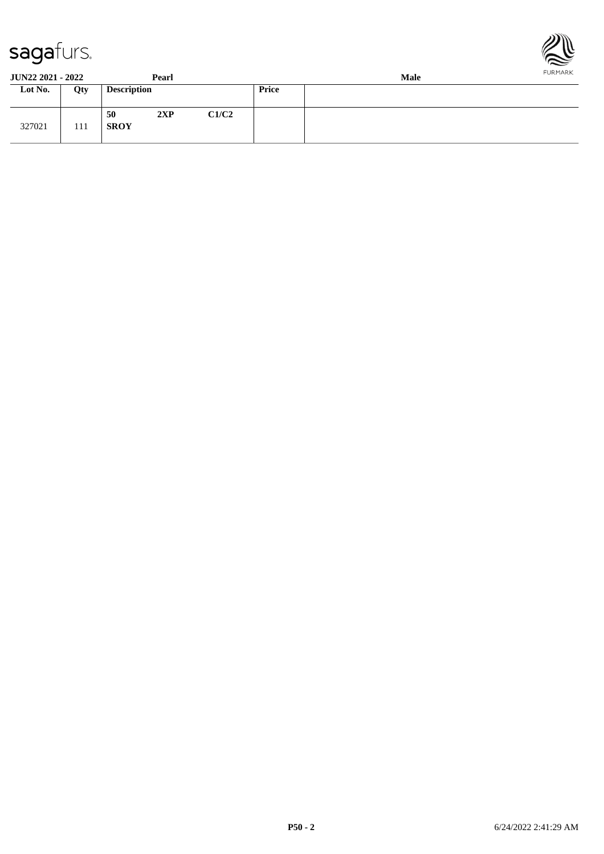



**JUN22 2021 - 2022 Pearl Male**

| JUI <i>naa A</i> ual - <i>Auaa</i> |     |                    | 1 cai i |       |              | wan |
|------------------------------------|-----|--------------------|---------|-------|--------------|-----|
| Lot No.                            | Qty | <b>Description</b> |         |       | <b>Price</b> |     |
| 327021                             | 111 | 50<br><b>SROY</b>  | 2XP     | C1/C2 |              |     |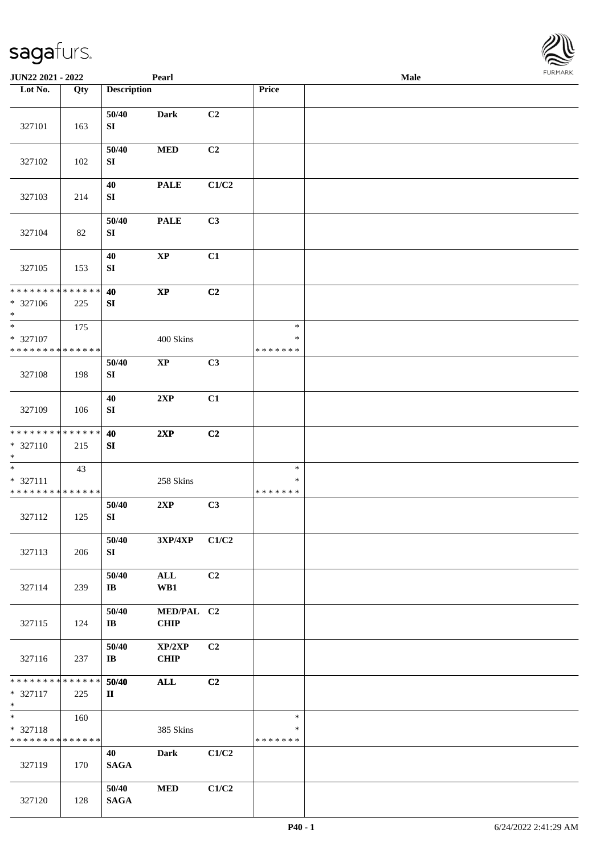| <b>JUN22 2021 - 2022</b>                               |             |                           | Pearl                             |                |                         | <b>Male</b> |  |
|--------------------------------------------------------|-------------|---------------------------|-----------------------------------|----------------|-------------------------|-------------|--|
| Lot No.                                                | Qty         | <b>Description</b>        |                                   |                | Price                   |             |  |
|                                                        |             |                           |                                   |                |                         |             |  |
| 327101                                                 | 163         | 50/40<br>${\bf S}{\bf I}$ | Dark                              | C <sub>2</sub> |                         |             |  |
|                                                        |             | 50/40                     | <b>MED</b>                        | C <sub>2</sub> |                         |             |  |
| 327102                                                 | 102         | ${\bf SI}$                |                                   |                |                         |             |  |
|                                                        |             | 40                        | <b>PALE</b>                       | C1/C2          |                         |             |  |
| 327103                                                 | 214         | ${\bf SI}$                |                                   |                |                         |             |  |
|                                                        |             | 50/40                     | <b>PALE</b>                       | C3             |                         |             |  |
| 327104                                                 | 82          | ${\bf S}{\bf I}$          |                                   |                |                         |             |  |
|                                                        |             |                           |                                   |                |                         |             |  |
| 327105                                                 | 153         | 40<br>${\bf SI}$          | $\mathbf{X}\mathbf{P}$            | C1             |                         |             |  |
|                                                        |             |                           |                                   |                |                         |             |  |
| * * * * * * * * <mark>*</mark>                         | * * * * * * | 40                        | $\mathbf{XP}$                     | C2             |                         |             |  |
| * 327106<br>$\ast$                                     | 225         | ${\bf S}{\bf I}$          |                                   |                |                         |             |  |
| $*$                                                    | 175         |                           |                                   |                | $\ast$                  |             |  |
| * 327107                                               |             |                           | 400 Skins                         |                | ∗                       |             |  |
| * * * * * * * * <mark>* * * * * * *</mark>             |             |                           |                                   |                | * * * * * * *           |             |  |
|                                                        |             | 50/40                     | $\mathbf{XP}$                     | C3             |                         |             |  |
| 327108                                                 | 198         | ${\bf SI}$                |                                   |                |                         |             |  |
|                                                        |             | $40\,$                    | 2XP                               | C1             |                         |             |  |
| 327109                                                 | 106         | ${\bf S}{\bf I}$          |                                   |                |                         |             |  |
| * * * * * * * * <mark>* * * * * * *</mark>             |             | 40                        | 2XP                               | C2             |                         |             |  |
| * 327110                                               | 215         | SI                        |                                   |                |                         |             |  |
| $*$                                                    |             |                           |                                   |                |                         |             |  |
|                                                        | 43          |                           |                                   |                | $\ast$                  |             |  |
| * 327111<br>* * * * * * * * <mark>* * * * * * *</mark> |             |                           | 258 Skins                         |                | $\ast$<br>* * * * * * * |             |  |
|                                                        |             | 50/40                     | 2XP                               | C3             |                         |             |  |
| 327112                                                 | 125         | ${\bf SI}$                |                                   |                |                         |             |  |
|                                                        |             | 50/40                     | $3{\bf X}{\bf P}/4{\bf X}{\bf P}$ | C1/C2          |                         |             |  |
| 327113                                                 | 206         | SI                        |                                   |                |                         |             |  |
|                                                        |             |                           |                                   |                |                         |             |  |
|                                                        |             | 50/40                     | ALL                               | C2             |                         |             |  |
| 327114                                                 | 239         | $\bf{IB}$                 | WB1                               |                |                         |             |  |
|                                                        |             | 50/40                     | MED/PAL C2                        |                |                         |             |  |
| 327115                                                 | 124         | IB                        | <b>CHIP</b>                       |                |                         |             |  |
|                                                        |             | 50/40                     | XP/2XP                            | C2             |                         |             |  |
| 327116                                                 | 237         | $\mathbf{I}\mathbf{B}$    | <b>CHIP</b>                       |                |                         |             |  |
|                                                        |             |                           |                                   |                |                         |             |  |
| * * * * * * * *                                        | * * * * * * | 50/40                     | <b>ALL</b>                        | C2             |                         |             |  |
| * 327117<br>$\ast$                                     | 225         | $\mathbf{I}$              |                                   |                |                         |             |  |
| $\overline{\phantom{0}}$                               | 160         |                           |                                   |                | $\ast$                  |             |  |
| * 327118<br>* * * * * * * * <mark>* * * * * * *</mark> |             |                           | 385 Skins                         |                | $\ast$<br>* * * * * * * |             |  |
|                                                        |             | 40                        | <b>Dark</b>                       | C1/C2          |                         |             |  |
| 327119                                                 | 170         | <b>SAGA</b>               |                                   |                |                         |             |  |
|                                                        |             |                           |                                   |                |                         |             |  |
| 327120                                                 | 128         | 50/40<br><b>SAGA</b>      | <b>MED</b>                        | C1/C2          |                         |             |  |
|                                                        |             |                           |                                   |                |                         |             |  |

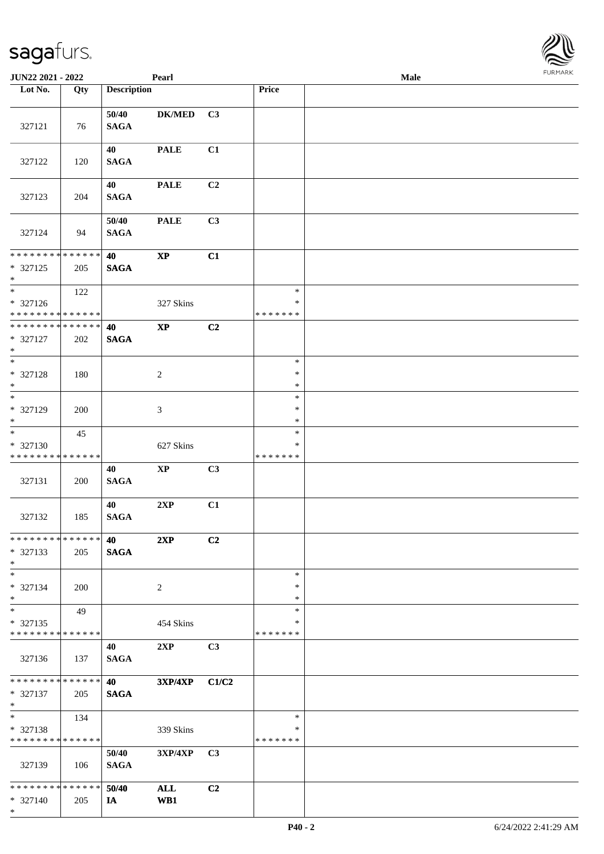\*

| <b>JUN22 2021 - 2022</b>                                             |                    |                          | Pearl         |                |                                   | Male | $1 \times 1 \times 1 \times 1 \times 1$ |
|----------------------------------------------------------------------|--------------------|--------------------------|---------------|----------------|-----------------------------------|------|-----------------------------------------|
| Lot No.                                                              | Qty                | <b>Description</b>       |               |                | Price                             |      |                                         |
| 327121                                                               | 76                 | 50/40<br><b>SAGA</b>     | <b>DK/MED</b> | C3             |                                   |      |                                         |
| 327122                                                               | 120                | 40<br><b>SAGA</b>        | <b>PALE</b>   | C1             |                                   |      |                                         |
| 327123                                                               | 204                | 40<br><b>SAGA</b>        | <b>PALE</b>   | C2             |                                   |      |                                         |
| 327124                                                               | 94                 | 50/40<br><b>SAGA</b>     | <b>PALE</b>   | C3             |                                   |      |                                         |
| * * * * * * * * * * * * * *<br>* 327125<br>$*$                       | 205                | 40<br><b>SAGA</b>        | $\bold{XP}$   | C1             |                                   |      |                                         |
| $*$<br>* 327126<br>* * * * * * * * <mark>* * * * * *</mark> *        | 122                |                          | 327 Skins     |                | $\ast$<br>$\ast$<br>* * * * * * * |      |                                         |
| * * * * * * * * * * * * * *<br>* 327127<br>$\ast$                    | 202                | 40<br><b>SAGA</b>        | $\bold{XP}$   | C2             |                                   |      |                                         |
| $\overline{\ast}$<br>* 327128<br>$*$                                 | 180                |                          | 2             |                | $\ast$<br>$\ast$<br>$\ast$        |      |                                         |
| $\overline{\ast}$<br>* 327129<br>$\ast$                              | 200                |                          | 3             |                | $\ast$<br>$\ast$<br>$\ast$        |      |                                         |
| $\overline{\ast}$<br>* 327130<br>* * * * * * * * * * * * * *         | 45                 |                          | 627 Skins     |                | $\ast$<br>∗<br>* * * * * * *      |      |                                         |
| 327131                                                               | 200                | 40<br>$\mathbf{SAGA}$    | $\mathbf{XP}$ | C3             |                                   |      |                                         |
| 327132                                                               | 185                | 40<br><b>SAGA</b>        | 2XP           | C1             |                                   |      |                                         |
| * * * * * * * * <mark>* * * * * * *</mark><br>* 327133<br>$*$        | 205                | 40<br><b>SAGA</b>        | 2XP           | C2             |                                   |      |                                         |
| $\ast$<br>$* 327134$<br>$*$                                          | 200                |                          | 2             |                | $\ast$<br>∗<br>$\ast$             |      |                                         |
| $\ddot{x}$<br>* 327135<br>* * * * * * * * <mark>* * * * * * *</mark> | 49                 |                          | 454 Skins     |                | $\ast$<br>∗<br>* * * * * * *      |      |                                         |
| 327136                                                               | 137                | 40<br><b>SAGA</b>        | 2XP           | C3             |                                   |      |                                         |
| * * * * * * * *<br>* 327137<br>$*$                                   | * * * * * *<br>205 | <b>40</b><br><b>SAGA</b> | 3XP/4XP C1/C2 |                |                                   |      |                                         |
| $*$ $-$<br>* 327138<br>* * * * * * * * <mark>* * * * * *</mark>      | 134                |                          | 339 Skins     |                | $\ast$<br>∗<br>*******            |      |                                         |
| 327139                                                               | - 106              | 50/40<br><b>SAGA</b>     | $3XP/4XP$ C3  |                |                                   |      |                                         |
| * * * * * * * * <mark>* * * * * *</mark> *<br>* 327140               | 205                | 50/40<br>IA              | ALL<br>WB1    | C <sub>2</sub> |                                   |      |                                         |

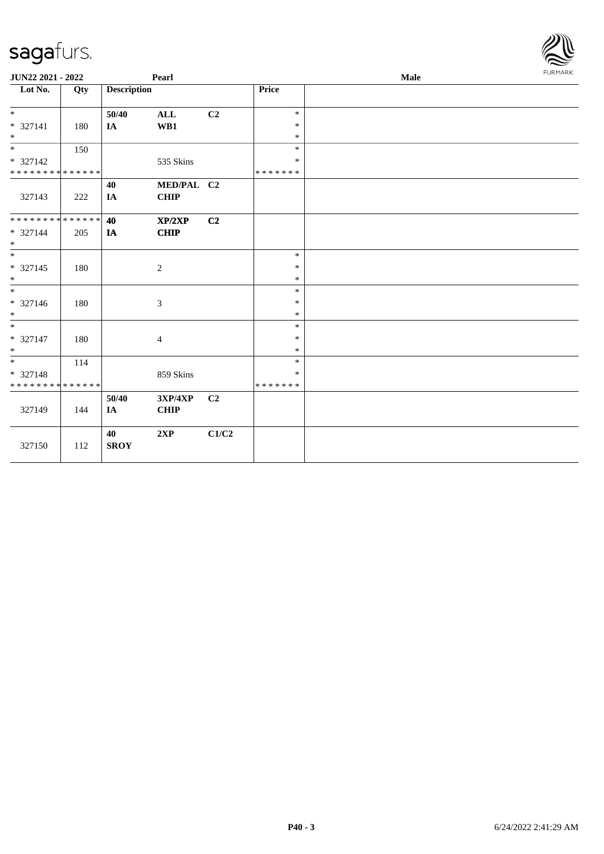| <b>JUN22 2021 - 2022</b>      |     |                    | Pearl                     |       |                  | Male | <b>FURMARK</b> |
|-------------------------------|-----|--------------------|---------------------------|-------|------------------|------|----------------|
| Lot No.                       | Qty | <b>Description</b> |                           |       | Price            |      |                |
| $*$                           |     | 50/40              | $\mathbf{ALL}$            | C2    | $\ast$           |      |                |
| * 327141<br>$*$               | 180 | $I\!\!A$           | WB1                       |       | $\ast$<br>$\ast$ |      |                |
|                               | 150 |                    |                           |       | $\ast$           |      |                |
| * 327142                      |     |                    | 535 Skins                 |       | $\ast$           |      |                |
| * * * * * * * * * * * * * *   |     |                    |                           |       | * * * * * * *    |      |                |
| 327143                        | 222 | 40<br>IA           | MED/PAL C2<br><b>CHIP</b> |       |                  |      |                |
| * * * * * * * * * * * * * * * |     | 40                 | XP/2XP                    | C2    |                  |      |                |
| * 327144<br>$*$               | 205 | IA                 | <b>CHIP</b>               |       |                  |      |                |
|                               |     |                    |                           |       | $\ast$           |      |                |
| $* 327145$                    | 180 |                    | 2                         |       | $\ast$           |      |                |
| $\ast$                        |     |                    |                           |       | $\ast$           |      |                |
| * 327146                      | 180 |                    | $\mathfrak{Z}$            |       | $\ast$<br>$\ast$ |      |                |
| $*$                           |     |                    |                           |       | $\ast$           |      |                |
| $*$                           |     |                    |                           |       | $\ast$           |      |                |
| * 327147                      | 180 |                    | $\overline{4}$            |       | $\ast$           |      |                |
| $*$                           |     |                    |                           |       | $\ast$           |      |                |
| $*$                           | 114 |                    |                           |       | $\ast$           |      |                |
| * 327148                      |     |                    | 859 Skins                 |       | ∗                |      |                |
| * * * * * * * * * * * * * *   |     |                    |                           |       | * * * * * * *    |      |                |
| 327149                        | 144 | 50/40<br>$I\!\!A$  | 3XP/4XP<br><b>CHIP</b>    | C2    |                  |      |                |
| 327150                        | 112 | 40<br><b>SROY</b>  | 2XP                       | C1/C2 |                  |      |                |

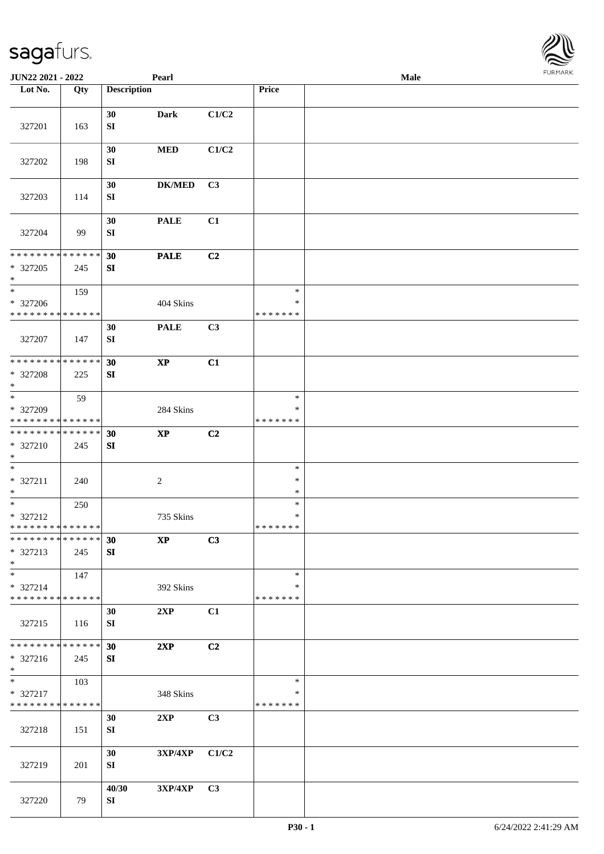| JUN22 2021 - 2022                       |     |                    | Pearl                  |                |                  | Male |  |
|-----------------------------------------|-----|--------------------|------------------------|----------------|------------------|------|--|
| Lot No.                                 | Qty | <b>Description</b> |                        |                | Price            |      |  |
|                                         |     |                    |                        |                |                  |      |  |
|                                         |     | 30                 | <b>Dark</b>            | C1/C2          |                  |      |  |
| 327201                                  | 163 | SI                 |                        |                |                  |      |  |
|                                         |     |                    |                        |                |                  |      |  |
|                                         |     | 30                 | $\bf MED$              | C1/C2          |                  |      |  |
| 327202                                  | 198 | SI                 |                        |                |                  |      |  |
|                                         |     | 30                 | <b>DK/MED</b>          | C3             |                  |      |  |
| 327203                                  | 114 | ${\bf S}{\bf I}$   |                        |                |                  |      |  |
|                                         |     |                    |                        |                |                  |      |  |
|                                         |     | 30                 | <b>PALE</b>            | C1             |                  |      |  |
| 327204                                  | 99  | SI                 |                        |                |                  |      |  |
|                                         |     |                    |                        |                |                  |      |  |
| * * * * * * * * * * * * * *             |     | 30                 | <b>PALE</b>            | C <sub>2</sub> |                  |      |  |
| * 327205                                | 245 | SI                 |                        |                |                  |      |  |
| $\ast$<br>$\ast$                        | 159 |                    |                        |                | $\ast$           |      |  |
| * 327206                                |     |                    | 404 Skins              |                | $\ast$           |      |  |
| * * * * * * * * * * * * * *             |     |                    |                        |                | * * * * * * *    |      |  |
|                                         |     | 30                 | <b>PALE</b>            | C3             |                  |      |  |
| 327207                                  | 147 | SI                 |                        |                |                  |      |  |
|                                         |     |                    |                        |                |                  |      |  |
| **************                          |     | 30                 | $\bold{XP}$            | C1             |                  |      |  |
| * 327208                                | 225 | SI                 |                        |                |                  |      |  |
| $\ast$<br>$_{\ast}$                     |     |                    |                        |                |                  |      |  |
| * 327209                                | 59  |                    | 284 Skins              |                | $\ast$<br>$\ast$ |      |  |
| * * * * * * * * * * * * * *             |     |                    |                        |                | * * * * * * *    |      |  |
| **************                          |     | 30                 | $\bold{XP}$            | C2             |                  |      |  |
| $* 327210$                              | 245 | SI                 |                        |                |                  |      |  |
| $\ast$                                  |     |                    |                        |                |                  |      |  |
| $\ast$                                  |     |                    |                        |                | $\ast$           |      |  |
| * 327211                                | 240 |                    | $\overline{c}$         |                | $\ast$           |      |  |
| $\ast$                                  |     |                    |                        |                | $\ast$           |      |  |
| $\ast$                                  | 250 |                    |                        |                | $\ast$<br>$\ast$ |      |  |
| * 327212<br>* * * * * * * * * * * * * * |     |                    | 735 Skins              |                | *******          |      |  |
| * * * * * * * * * * * * * * *           |     | 30                 | $\mathbf{X}\mathbf{P}$ | C3             |                  |      |  |
| $* 327213$                              | 245 | SI                 |                        |                |                  |      |  |
| $*$                                     |     |                    |                        |                |                  |      |  |
| $\ast$                                  | 147 |                    |                        |                | $\ast$           |      |  |
| * 327214                                |     |                    | 392 Skins              |                | *                |      |  |
| * * * * * * * * * * * * * *             |     |                    |                        |                | * * * * * * *    |      |  |
|                                         |     | 30                 | 2XP                    | C1             |                  |      |  |
| 327215                                  | 116 | SI                 |                        |                |                  |      |  |
| * * * * * * * * * * * * * *             |     | 30                 | 2XP                    | C2             |                  |      |  |
| * 327216                                | 245 | SI                 |                        |                |                  |      |  |
| $*$                                     |     |                    |                        |                |                  |      |  |
| $*$                                     | 103 |                    |                        |                | $\ast$           |      |  |
| * 327217                                |     |                    | 348 Skins              |                | $\ast$           |      |  |
| * * * * * * * * * * * * * *             |     |                    |                        |                | * * * * * * *    |      |  |
|                                         |     | 30                 | 2XP                    | C3             |                  |      |  |
| 327218                                  | 151 | SI                 |                        |                |                  |      |  |
|                                         |     | 30                 | 3XP/4XP                | C1/C2          |                  |      |  |
| 327219                                  | 201 | SI                 |                        |                |                  |      |  |
|                                         |     |                    |                        |                |                  |      |  |
|                                         |     | 40/30              | 3XP/4XP                | C3             |                  |      |  |
| 327220                                  | 79  | SI                 |                        |                |                  |      |  |

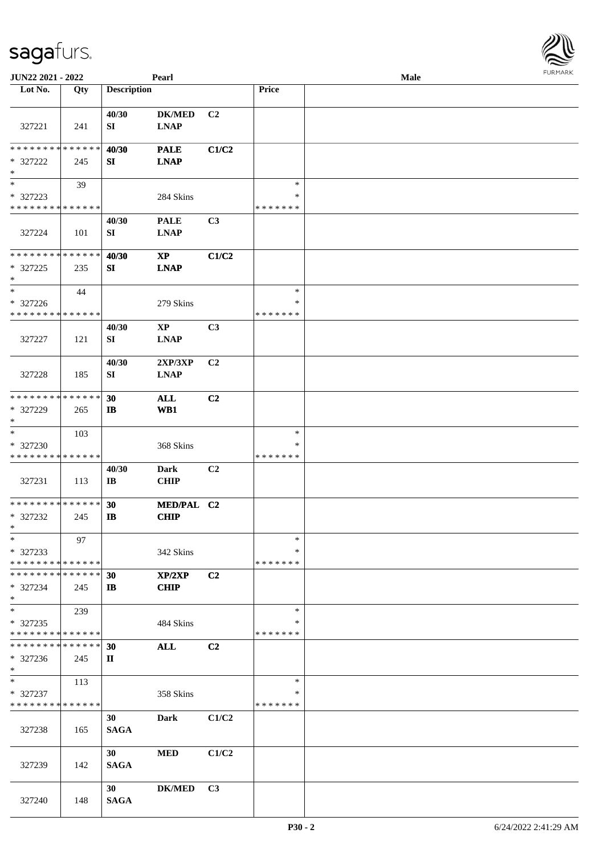| JUN22 2021 - 2022                                   |                    |                                 | Pearl                                                       |                |                                   | Male | <b>FUNITANN</b> |
|-----------------------------------------------------|--------------------|---------------------------------|-------------------------------------------------------------|----------------|-----------------------------------|------|-----------------|
| Lot No.                                             | Qty                | <b>Description</b>              |                                                             |                | Price                             |      |                 |
| 327221                                              | 241                | 40/30<br>SI                     | <b>DK/MED</b><br>$\mathbf{L}\mathbf{N}\mathbf{A}\mathbf{P}$ | C2             |                                   |      |                 |
| * * * * * * * *<br>* 327222<br>$\ast$               | * * * * * *<br>245 | 40/30<br>SI                     | <b>PALE</b><br><b>LNAP</b>                                  | C1/C2          |                                   |      |                 |
| $\ast$<br>* 327223                                  | 39                 |                                 | 284 Skins                                                   |                | $\ast$<br>∗                       |      |                 |
| * * * * * * * * * * * * * *<br>327224               | 101                | 40/30<br>SI                     | <b>PALE</b><br><b>LNAP</b>                                  | C3             | * * * * * * *                     |      |                 |
| * * * * * * * * * * * * * *<br>* 327225<br>$*$      | 235                | 40/30<br>SI                     | $\mathbf{X}\mathbf{P}$<br><b>LNAP</b>                       | C1/C2          |                                   |      |                 |
| $\ast$<br>* 327226<br>* * * * * * * * * * * * * *   | 44                 |                                 | 279 Skins                                                   |                | $\ast$<br>$\ast$<br>* * * * * * * |      |                 |
| 327227                                              | 121                | 40/30<br>SI                     | $\mathbf{X}\mathbf{P}$<br><b>LNAP</b>                       | C3             |                                   |      |                 |
| 327228                                              | 185                | 40/30<br>SI                     | 2XP/3XP<br><b>LNAP</b>                                      | C2             |                                   |      |                 |
| * * * * * * * * * * * * * *<br>$* 327229$<br>$\ast$ | 265                | 30<br>IB                        | <b>ALL</b><br>WB1                                           | C2             |                                   |      |                 |
| $*$<br>* 327230<br>* * * * * * * * * * * * * *      | 103                |                                 | 368 Skins                                                   |                | $\ast$<br>∗<br>* * * * * * *      |      |                 |
| 327231                                              | 113                | 40/30<br>$\mathbf{I}\mathbf{B}$ | <b>Dark</b><br><b>CHIP</b>                                  | C2             |                                   |      |                 |
| * * * * * * * * * * * * * *<br>* 327232<br>$\ast$   | 245                | 30<br>$\mathbf{I}$              | MED/PAL C2<br><b>CHIP</b>                                   |                |                                   |      |                 |
| $\ast$<br>* 327233<br>* * * * * * * * * * * * * *   | 97                 |                                 | 342 Skins                                                   |                | $\ast$<br>∗<br>* * * * * * *      |      |                 |
| * * * * * * * * * * * * * *<br>* 327234<br>$*$      | 245                | 30<br>$\mathbf{I}$              | XP/2XP<br><b>CHIP</b>                                       | C2             |                                   |      |                 |
| $*$<br>* 327235<br>* * * * * * * * * * * * * *      | 239                |                                 | 484 Skins                                                   |                | $\ast$<br>∗<br>* * * * * * *      |      |                 |
| * * * * * * * * * * * * * *<br>$*327236$<br>$*$     | 245                | 30<br>П                         | <b>ALL</b>                                                  | C <sub>2</sub> |                                   |      |                 |
| $*$<br>* 327237<br>* * * * * * * * * * * * * *      | 113                |                                 | 358 Skins                                                   |                | $\ast$<br>∗<br>* * * * * * *      |      |                 |
| 327238                                              | 165                | 30<br><b>SAGA</b>               | <b>Dark</b>                                                 | C1/C2          |                                   |      |                 |
| 327239                                              | 142                | 30<br><b>SAGA</b>               | <b>MED</b>                                                  | C1/C2          |                                   |      |                 |
| 327240                                              | 148                | 30<br><b>SAGA</b>               | <b>DK/MED</b>                                               | C3             |                                   |      |                 |

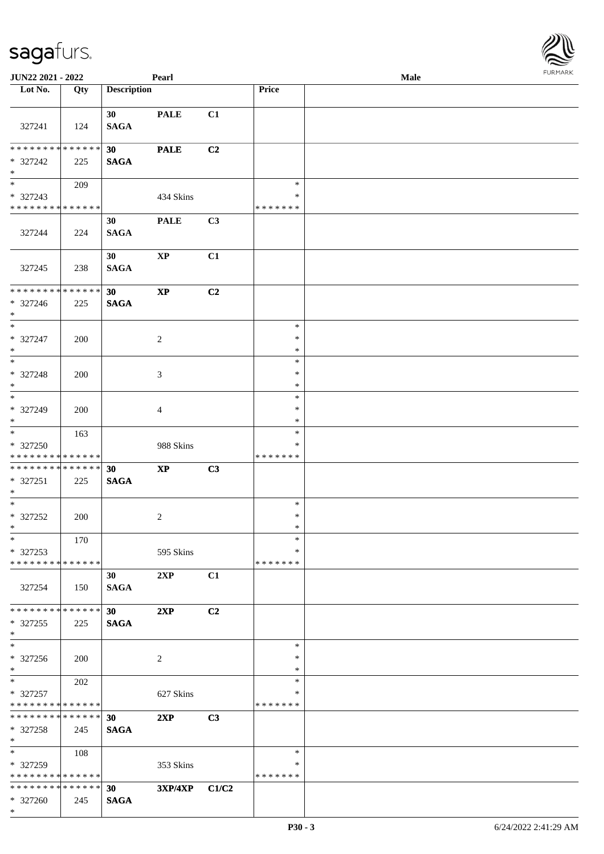| JUN22 2021 - 2022                                                |     |                                | Pearl                  |                |                                   | Male | $1 \cup 1$ , $1 \cup 1$ |
|------------------------------------------------------------------|-----|--------------------------------|------------------------|----------------|-----------------------------------|------|-------------------------|
| Lot No.                                                          | Qty | <b>Description</b>             |                        |                | Price                             |      |                         |
| 327241                                                           | 124 | 30<br><b>SAGA</b>              | <b>PALE</b>            | C1             |                                   |      |                         |
| * * * * * * * * * * * * * *<br>* 327242<br>$*$                   | 225 | 30<br><b>SAGA</b>              | <b>PALE</b>            | C <sub>2</sub> |                                   |      |                         |
| * 327243<br>* * * * * * * * * * * * * *                          | 209 |                                | 434 Skins              |                | $\ast$<br>$\ast$<br>* * * * * * * |      |                         |
| 327244                                                           | 224 | 30<br><b>SAGA</b>              | <b>PALE</b>            | C3             |                                   |      |                         |
| 327245                                                           | 238 | 30<br><b>SAGA</b>              | $\bold{XP}$            | C1             |                                   |      |                         |
| * * * * * * * * * * * * * *<br>* 327246<br>$*$                   | 225 | 30<br><b>SAGA</b>              | $\bold{XP}$            | C2             |                                   |      |                         |
| $*$<br>* 327247<br>$*$                                           | 200 |                                | 2                      |                | $\ast$<br>$\ast$<br>$\ast$        |      |                         |
| $\overline{\phantom{0}}$<br>* 327248<br>$*$<br>$\overline{\ast}$ | 200 |                                | 3                      |                | $\ast$<br>$\ast$<br>$\ast$        |      |                         |
| * 327249<br>$*$                                                  | 200 |                                | 4                      |                | $\ast$<br>$\ast$<br>$\ast$        |      |                         |
| * 327250<br>* * * * * * * * * * * * * *                          | 163 |                                | 988 Skins              |                | $\ast$<br>∗<br>* * * * * * *      |      |                         |
| ******** <mark>******</mark><br>* 327251<br>$*$                  | 225 | 30<br><b>SAGA</b>              | $\mathbf{X}\mathbf{P}$ | C3             |                                   |      |                         |
| $*$<br>$* 327252$<br>$*$ $-$                                     | 200 |                                | $\overline{c}$         |                | $\ast$<br>$\ast$<br>$\ast$        |      |                         |
| $*$<br>* 327253<br>* * * * * * * * * * * * * *                   | 170 |                                | 595 Skins              |                | $\ast$<br>$\ast$<br>* * * * * * * |      |                         |
| 327254                                                           | 150 | 30<br><b>SAGA</b>              | 2XP                    | C1             |                                   |      |                         |
| * * * * * * * * * * * * * * *<br>* 327255<br>$*$                 | 225 | 30<br><b>SAGA</b>              | 2XP                    | C2             |                                   |      |                         |
| $*$<br>* 327256<br>$*$                                           | 200 |                                | 2                      |                | $\ast$<br>$\ast$<br>$\ast$        |      |                         |
| $*$<br>* 327257<br>* * * * * * * * * * * * * *                   | 202 |                                | 627 Skins              |                | $\ast$<br>∗<br>* * * * * * *      |      |                         |
| * * * * * * * * * * * * * * *<br>* 327258<br>$*$                 | 245 | 30<br><b>SAGA</b>              | 2XP                    | C3             |                                   |      |                         |
| $*$<br>* 327259<br>* * * * * * * * * * * * * *                   | 108 |                                | 353 Skins              |                | $\ast$<br>∗<br>* * * * * * *      |      |                         |
| * * * * * * * * * * * * * *<br>* 327260<br>$*$                   | 245 | 30 <sup>°</sup><br><b>SAGA</b> | 3XP/4XP C1/C2          |                |                                   |      |                         |

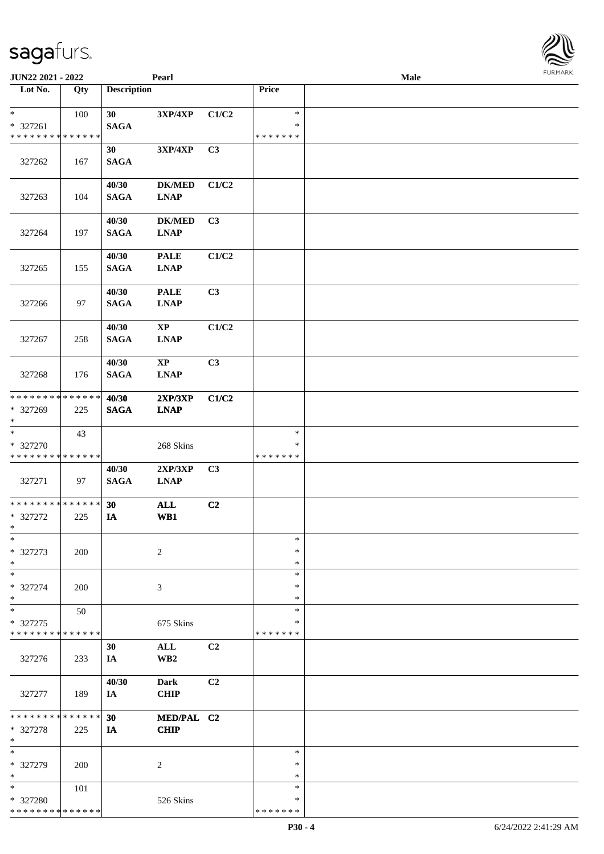| JUN22 2021 - 2022                                 |                    |                      | Pearl                                                       |       |                              | Male |  |
|---------------------------------------------------|--------------------|----------------------|-------------------------------------------------------------|-------|------------------------------|------|--|
| Lot No.                                           | Qty                | <b>Description</b>   |                                                             |       | Price                        |      |  |
| $*$                                               | 100                | 30                   | 3XP/4XP                                                     | C1/C2 | $\ast$                       |      |  |
| * 327261<br>* * * * * * * * * * * * * *           |                    | <b>SAGA</b>          |                                                             |       | $\ast$<br>* * * * * * *      |      |  |
| 327262                                            | 167                | 30<br><b>SAGA</b>    | 3XP/4XP                                                     | C3    |                              |      |  |
| 327263                                            | 104                | 40/30<br><b>SAGA</b> | <b>DK/MED</b><br>$\mathbf{L}\mathbf{N}\mathbf{A}\mathbf{P}$ | C1/C2 |                              |      |  |
| 327264                                            | 197                | 40/30<br><b>SAGA</b> | <b>DK/MED</b><br><b>LNAP</b>                                | C3    |                              |      |  |
| 327265                                            | 155                | 40/30<br><b>SAGA</b> | <b>PALE</b><br><b>LNAP</b>                                  | C1/C2 |                              |      |  |
| 327266                                            | 97                 | 40/30<br><b>SAGA</b> | <b>PALE</b><br><b>LNAP</b>                                  | C3    |                              |      |  |
| 327267                                            | 258                | 40/30<br><b>SAGA</b> | $\mathbf{X}\mathbf{P}$<br><b>LNAP</b>                       | C1/C2 |                              |      |  |
| 327268                                            | 176                | 40/30<br><b>SAGA</b> | $\mathbf{X}\mathbf{P}$<br><b>LNAP</b>                       | C3    |                              |      |  |
| * * * * * * * * * * * * * *<br>* 327269<br>$*$    | 225                | 40/30<br><b>SAGA</b> | 2XP/3XP<br><b>LNAP</b>                                      | C1/C2 |                              |      |  |
| $*$<br>* 327270<br>* * * * * * * * * * * * * *    | 43                 |                      | 268 Skins                                                   |       | $\ast$<br>∗<br>* * * * * * * |      |  |
| 327271                                            | 97                 | 40/30<br><b>SAGA</b> | 2XP/3XP<br><b>LNAP</b>                                      | C3    |                              |      |  |
| * * * * * * * * * * * * * *<br>* 327272<br>$*$    | 225                | 30<br>IA             | <b>ALL</b><br>WB1                                           | C2    |                              |      |  |
| $\ast$<br>* 327273<br>$*$                         | 200                |                      | $\overline{c}$                                              |       | $\ast$<br>$\ast$<br>$\ast$   |      |  |
| $\ast$<br>* 327274<br>$*$                         | 200                |                      | 3                                                           |       | $\ast$<br>∗<br>$\ast$        |      |  |
| $\ast$<br>* 327275<br>* * * * * * * * * * * * * * | 50                 |                      | 675 Skins                                                   |       | $\ast$<br>∗<br>* * * * * * * |      |  |
| 327276                                            | 233                | 30<br>IA             | $\mathbf{ALL}$<br>WB <sub>2</sub>                           | C2    |                              |      |  |
| 327277                                            | 189                | 40/30<br>IA          | <b>Dark</b><br><b>CHIP</b>                                  | C2    |                              |      |  |
| * * * * * * * *<br>* 327278<br>$\ast$             | * * * * * *<br>225 | 30<br>IA             | MED/PAL C2<br><b>CHIP</b>                                   |       |                              |      |  |
| $\ast$<br>* 327279<br>$*$                         | 200                |                      | 2                                                           |       | $\ast$<br>∗<br>$\ast$        |      |  |
| $*$<br>* 327280<br>* * * * * * * * * * * * * *    | 101                |                      | 526 Skins                                                   |       | $\ast$<br>∗<br>* * * * * * * |      |  |

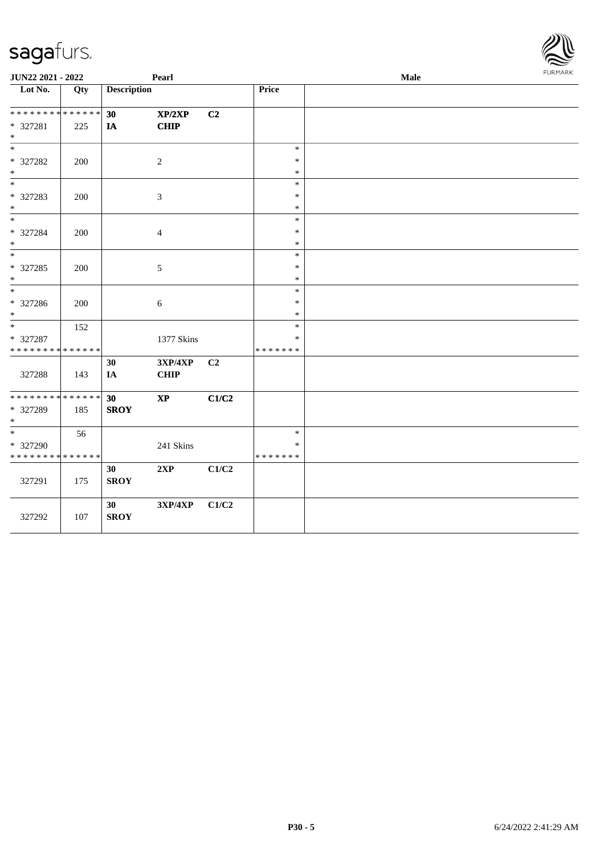| JUN22 2021 - 2022                                |     |                    | Pearl                  |                |                                   | Male | FURMARK |
|--------------------------------------------------|-----|--------------------|------------------------|----------------|-----------------------------------|------|---------|
| Lot No.                                          | Qty | <b>Description</b> |                        |                | Price                             |      |         |
| * * * * * * * * * * * * * * *<br>* 327281<br>$*$ | 225 | 30<br>IA           | XP/2XP<br><b>CHIP</b>  | C <sub>2</sub> |                                   |      |         |
| $\ast$<br>* 327282<br>$*$                        | 200 |                    | $\sqrt{2}$             |                | $\ast$<br>$\ast$<br>$\ast$        |      |         |
| $*$<br>* 327283<br>$*$                           | 200 |                    | $\mathfrak{Z}$         |                | $\ast$<br>$\ast$<br>$\ast$        |      |         |
| $*$<br>* 327284<br>$*$                           | 200 |                    | $\overline{4}$         |                | $\ast$<br>$\ast$<br>$\ast$        |      |         |
| $* 327285$<br>$*$                                | 200 |                    | $\mathfrak{S}$         |                | $\ast$<br>$\ast$<br>$\ast$        |      |         |
| * 327286<br>$*$                                  | 200 |                    | 6                      |                | $\ast$<br>$\ast$<br>$\ast$        |      |         |
| $*$<br>* 327287<br>* * * * * * * * * * * * * *   | 152 |                    | 1377 Skins             |                | $\ast$<br>*<br>* * * * * * *      |      |         |
| 327288                                           | 143 | 30<br>IA           | 3XP/4XP<br><b>CHIP</b> | C2             |                                   |      |         |
| * * * * * * * * * * * * * *<br>* 327289<br>$*$   | 185 | 30<br><b>SROY</b>  | $\bold{XP}$            | C1/C2          |                                   |      |         |
| $*$<br>* 327290<br>* * * * * * * * * * * * * *   | 56  |                    | 241 Skins              |                | $\ast$<br>$\ast$<br>* * * * * * * |      |         |
| 327291                                           | 175 | 30<br><b>SROY</b>  | 2XP                    | C1/C2          |                                   |      |         |
| 327292                                           | 107 | 30<br><b>SROY</b>  | 3XP/4XP                | C1/C2          |                                   |      |         |

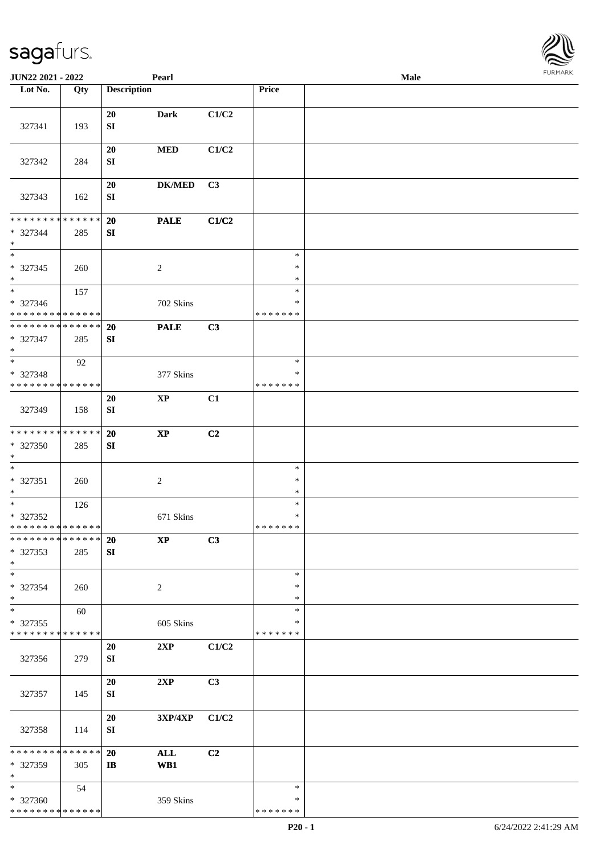| JUN22 2021 - 2022                                                             |     |                    | Pearl             |       |                                   | Male |  |
|-------------------------------------------------------------------------------|-----|--------------------|-------------------|-------|-----------------------------------|------|--|
| Lot No.                                                                       | Qty | <b>Description</b> |                   |       | Price                             |      |  |
| 327341                                                                        | 193 | 20<br>SI           | <b>Dark</b>       | C1/C2 |                                   |      |  |
| 327342                                                                        | 284 | 20<br>SI           | $\bf MED$         | C1/C2 |                                   |      |  |
| 327343                                                                        | 162 | 20<br>SI           | <b>DK/MED</b>     | C3    |                                   |      |  |
| * * * * * * * * * * * * * *<br>* 327344<br>$\ast$                             | 285 | 20<br>SI           | <b>PALE</b>       | C1/C2 |                                   |      |  |
| $\overline{\phantom{1}}$<br>$* 327345$<br>$\ast$                              | 260 |                    | $\sqrt{2}$        |       | $\ast$<br>$\ast$<br>$\ast$        |      |  |
| $\overline{\ast}$<br>$* 327346$<br>* * * * * * * * <mark>* * * * * * *</mark> | 157 |                    | 702 Skins         |       | $\ast$<br>$\ast$<br>*******       |      |  |
| ******** <mark>******</mark><br>* 327347<br>$*$                               | 285 | 20<br>SI           | <b>PALE</b>       | C3    |                                   |      |  |
| $\ast$<br>* 327348<br>******** <mark>******</mark>                            | 92  |                    | 377 Skins         |       | $\ast$<br>$\ast$<br>* * * * * * * |      |  |
| 327349                                                                        | 158 | 20<br>${\bf SI}$   | $\mathbf{XP}$     | C1    |                                   |      |  |
| ******** <mark>******</mark><br>* 327350<br>$\ast$                            | 285 | 20<br>SI           | $\bold{XP}$       | C2    |                                   |      |  |
| $\ast$<br>$* 327351$<br>$*$                                                   | 260 |                    | $\sqrt{2}$        |       | $\ast$<br>$\ast$<br>$\ast$        |      |  |
| $\overline{\phantom{0}}$<br>* 327352<br>**************                        | 126 |                    | 671 Skins         |       | $\ast$<br>$\ast$<br>*******       |      |  |
| * * * * * * * * * * * * * * *<br>* 327353<br>$*$                              | 285 | <b>20</b><br>SI    | $\mathbf{XP}$     | C3    |                                   |      |  |
| $\ast$<br>* 327354<br>$\ast$                                                  | 260 |                    | $\overline{2}$    |       | $\ast$<br>$\ast$<br>$\ast$        |      |  |
| $\ast$<br>$*327355$<br>* * * * * * * * * * * * * *                            | 60  |                    | 605 Skins         |       | $\ast$<br>∗<br>* * * * * * *      |      |  |
| 327356                                                                        | 279 | 20<br>SI           | 2XP               | C1/C2 |                                   |      |  |
| 327357                                                                        | 145 | 20<br>SI           | 2XP               | C3    |                                   |      |  |
| 327358                                                                        | 114 | 20<br>SI           | 3XP/4XP           | C1/C2 |                                   |      |  |
| * * * * * * * * * * * * * *<br>* 327359<br>$\ast$                             | 305 | 20<br>$\mathbf{I}$ | <b>ALL</b><br>WB1 | C2    |                                   |      |  |
| $*$<br>* 327360<br>* * * * * * * * * * * * * * *                              | 54  |                    | 359 Skins         |       | $\ast$<br>*<br>* * * * * * *      |      |  |

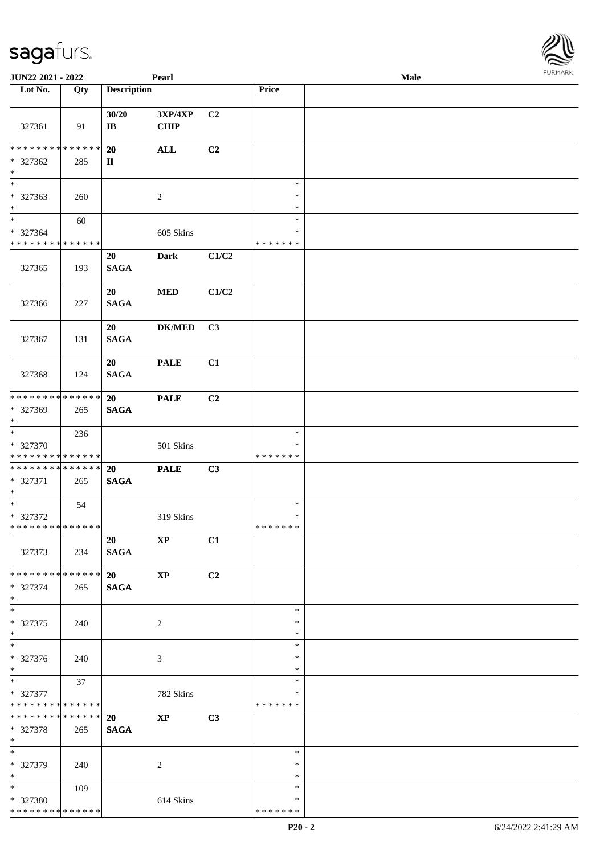| JUN22 2021 - 2022                                                     |     |                                     | Pearl                  |                |                                   | Male | 101111111111 |
|-----------------------------------------------------------------------|-----|-------------------------------------|------------------------|----------------|-----------------------------------|------|--------------|
| Lot No.                                                               | Qty | <b>Description</b>                  |                        |                | <b>Price</b>                      |      |              |
| 327361                                                                | 91  | 30/20<br>$\mathbf{I}\mathbf{B}$     | 3XP/4XP<br><b>CHIP</b> | C2             |                                   |      |              |
| ******** <mark>******</mark><br>* 327362<br>$\ast$                    | 285 | <b>20</b><br>$\mathbf{I}\mathbf{I}$ | $\mathbf{ALL}$         | C2             |                                   |      |              |
| $\overline{\phantom{a}^*}$<br>* 327363<br>$\ast$                      | 260 |                                     | $\overline{c}$         |                | $\ast$<br>$\ast$<br>$\ast$        |      |              |
| $\overline{\phantom{a}^*}$<br>* 327364<br>* * * * * * * * * * * * * * | 60  |                                     | 605 Skins              |                | $\ast$<br>$\ast$<br>* * * * * * * |      |              |
| 327365                                                                | 193 | 20<br><b>SAGA</b>                   | Dark                   | C1/C2          |                                   |      |              |
| 327366                                                                | 227 | 20<br><b>SAGA</b>                   | <b>MED</b>             | C1/C2          |                                   |      |              |
| 327367                                                                | 131 | 20<br><b>SAGA</b>                   | <b>DK/MED</b>          | C3             |                                   |      |              |
| 327368                                                                | 124 | 20<br><b>SAGA</b>                   | <b>PALE</b>            | C1             |                                   |      |              |
| * * * * * * * * * * * * * *<br>* 327369<br>$\ast$                     | 265 | 20<br><b>SAGA</b>                   | <b>PALE</b>            | C2             |                                   |      |              |
| $\overline{\ast}$<br>* 327370<br>* * * * * * * * * * * * * *          | 236 |                                     | 501 Skins              |                | $\ast$<br>∗<br>* * * * * * *      |      |              |
| **************<br>$* 327371$<br>$*$                                   | 265 | 20<br><b>SAGA</b>                   | <b>PALE</b>            | C3             |                                   |      |              |
| $\overline{\phantom{0}}$<br>* 327372<br>**************                | 54  |                                     | 319 Skins              |                | $\ast$<br>$\ast$<br>*******       |      |              |
| 327373                                                                | 234 | 20<br><b>SAGA</b>                   | $\bold{XP}$            | C1             |                                   |      |              |
| * * * * * * * * * * * * * *<br>* 327374<br>$*$                        | 265 | 20<br><b>SAGA</b>                   | $\mathbf{XP}$          | C <sub>2</sub> |                                   |      |              |
| $\overline{\ast}$<br>* 327375<br>$*$                                  | 240 |                                     | 2                      |                | $\ast$<br>∗<br>$\ast$             |      |              |
| $\overline{\ast}$<br>* 327376<br>$*$                                  | 240 |                                     | $\mathfrak{Z}$         |                | $\ast$<br>$\ast$<br>$\ast$        |      |              |
| $*$<br>* 327377<br>* * * * * * * * * * * * * *                        | 37  |                                     | 782 Skins              |                | $\ast$<br>∗<br>* * * * * * *      |      |              |
| **************<br>* 327378<br>$*$                                     | 265 | 20<br><b>SAGA</b>                   | $\bold{XP}$            | C3             |                                   |      |              |
| $*$<br>* 327379<br>$*$                                                | 240 |                                     | $\overline{2}$         |                | $\ast$<br>$\ast$<br>$\ast$        |      |              |
| $*$<br>* 327380<br>* * * * * * * * * * * * * *                        | 109 |                                     | 614 Skins              |                | $\ast$<br>∗<br>* * * * * * *      |      |              |

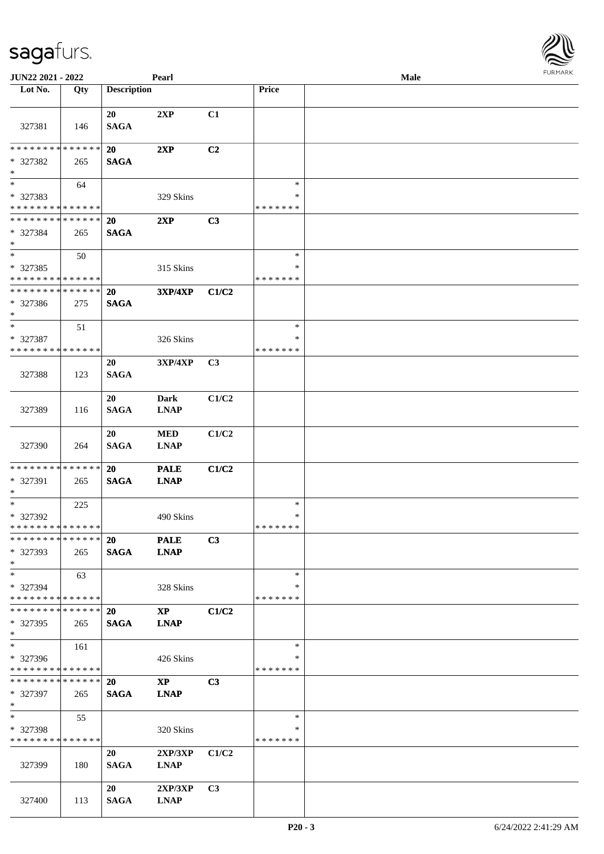| JUN22 2021 - 2022                          |     |                    | Pearl                      |                |                    | Male | $1 \times 1$ |
|--------------------------------------------|-----|--------------------|----------------------------|----------------|--------------------|------|--------------|
| Lot No.                                    | Qty | <b>Description</b> |                            |                | Price              |      |              |
|                                            |     |                    |                            |                |                    |      |              |
| 327381                                     | 146 | 20<br><b>SAGA</b>  | 2XP                        | C1             |                    |      |              |
| * * * * * * * * * * * * * *                |     | 20                 | 2XP                        | C2             |                    |      |              |
| * 327382<br>$*$                            | 265 | <b>SAGA</b>        |                            |                |                    |      |              |
| $*$                                        | 64  |                    |                            |                | $\ast$             |      |              |
| * 327383                                   |     |                    | 329 Skins                  |                | *                  |      |              |
| * * * * * * * * <mark>* * * * * * *</mark> |     |                    |                            |                | * * * * * * *      |      |              |
| * * * * * * * * * * * * * * *              |     | <b>20</b>          | 2XP                        | C <sub>3</sub> |                    |      |              |
| * 327384<br>$*$                            | 265 | <b>SAGA</b>        |                            |                |                    |      |              |
| $*$                                        | 50  |                    |                            |                | $\ast$             |      |              |
| * 327385                                   |     |                    | 315 Skins                  |                | *                  |      |              |
| * * * * * * * * * * * * * *                |     |                    |                            |                | * * * * * * *      |      |              |
| * * * * * * * * * * * * * *                |     | 20                 | <b>3XP/4XP</b>             | C1/C2          |                    |      |              |
| * 327386                                   | 275 | <b>SAGA</b>        |                            |                |                    |      |              |
| $*$                                        |     |                    |                            |                |                    |      |              |
| $\ast$                                     | 51  |                    |                            |                | $\ast$             |      |              |
| * 327387                                   |     |                    | 326 Skins                  |                | $\ast$             |      |              |
| * * * * * * * * * * * * * *                |     |                    |                            |                | * * * * * * *      |      |              |
| 327388                                     | 123 | 20<br><b>SAGA</b>  | 3XP/4XP                    | C3             |                    |      |              |
|                                            |     | 20                 | Dark                       | C1/C2          |                    |      |              |
| 327389                                     | 116 | <b>SAGA</b>        | <b>LNAP</b>                |                |                    |      |              |
|                                            |     |                    |                            |                |                    |      |              |
|                                            |     | 20                 | <b>MED</b>                 | C1/C2          |                    |      |              |
| 327390                                     | 264 | <b>SAGA</b>        | <b>LNAP</b>                |                |                    |      |              |
| * * * * * * * * * * * * * *                |     |                    |                            |                |                    |      |              |
| * 327391                                   |     | 20<br><b>SAGA</b>  | <b>PALE</b><br><b>LNAP</b> | C1/C2          |                    |      |              |
| $*$                                        | 265 |                    |                            |                |                    |      |              |
|                                            | 225 |                    |                            |                | $\ast$             |      |              |
| * 327392                                   |     |                    | 490 Skins                  |                | $\ast$             |      |              |
| * * * * * * * * * * * * * * *              |     |                    |                            |                | *******            |      |              |
| * * * * * * * * * * * * * * *              |     | <b>20</b>          | <b>PALE</b>                | C3             |                    |      |              |
| * 327393                                   | 265 | <b>SAGA</b>        | <b>LNAP</b>                |                |                    |      |              |
| $*$                                        |     |                    |                            |                |                    |      |              |
| $*$                                        | 63  |                    |                            |                | $\ast$             |      |              |
| * 327394<br>* * * * * * * * * * * * * * *  |     |                    | 328 Skins                  |                | *<br>* * * * * * * |      |              |
| * * * * * * * * * * * * * * *              |     | <b>20</b>          | $\mathbf{X}\mathbf{P}$     | C1/C2          |                    |      |              |
| $*327395$                                  | 265 | <b>SAGA</b>        | <b>LNAP</b>                |                |                    |      |              |
| $*$                                        |     |                    |                            |                |                    |      |              |
| $*$                                        | 161 |                    |                            |                | $\ast$             |      |              |
| * 327396                                   |     |                    | 426 Skins                  |                | *                  |      |              |
| * * * * * * * * * * * * * *                |     |                    |                            |                | * * * * * * *      |      |              |
| * * * * * * * * * * * * * * *              |     | <b>20</b>          | $\mathbf{X}\mathbf{P}$     | C <sub>3</sub> |                    |      |              |
| * 327397                                   | 265 | <b>SAGA</b>        | <b>LNAP</b>                |                |                    |      |              |
| $*$                                        |     |                    |                            |                |                    |      |              |
| $*$                                        | 55  |                    |                            |                | $\ast$<br>*        |      |              |
| * 327398<br>* * * * * * * * * * * * * *    |     |                    | 320 Skins                  |                | *******            |      |              |
|                                            |     | 20                 | 2XP/3XP                    | C1/C2          |                    |      |              |
| 327399                                     | 180 | <b>SAGA</b>        | <b>LNAP</b>                |                |                    |      |              |
|                                            |     |                    |                            |                |                    |      |              |
|                                            |     | 20                 | 2XP/3XP                    | C3             |                    |      |              |
| 327400                                     | 113 | <b>SAGA</b>        | <b>LNAP</b>                |                |                    |      |              |

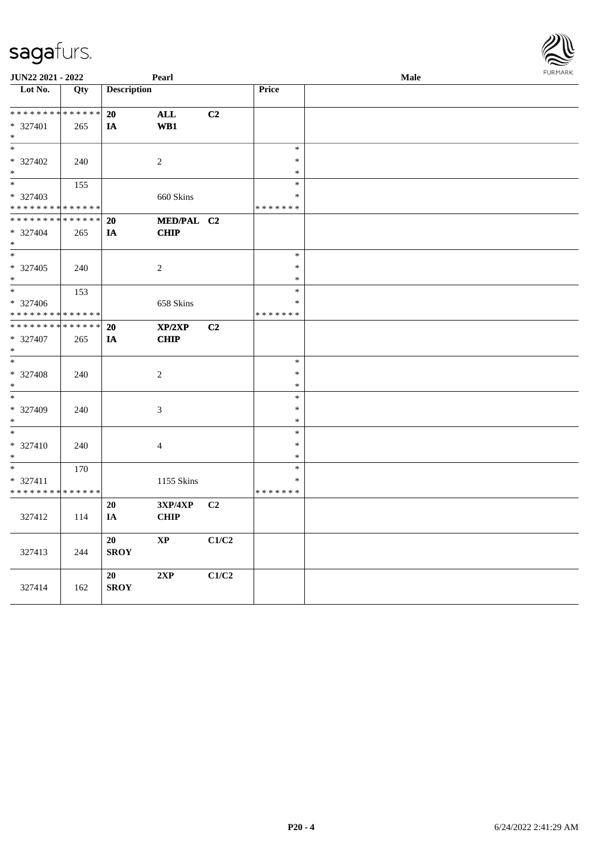| JUN22 2021 - 2022                       |             |                    | Pearl          |                |                  | <b>Male</b> | FURMARK |
|-----------------------------------------|-------------|--------------------|----------------|----------------|------------------|-------------|---------|
| Lot No.                                 | Qty         | <b>Description</b> |                |                | <b>Price</b>     |             |         |
|                                         |             |                    |                |                |                  |             |         |
| * * * * * * * * * * * * * *             |             | 20                 | $\mathbf{ALL}$ | C2             |                  |             |         |
| * 327401                                | 265         | IA                 | WB1            |                |                  |             |         |
| $*$                                     |             |                    |                |                |                  |             |         |
| $*$                                     |             |                    |                |                | $\ast$           |             |         |
| $* 327402$                              | 240         |                    | 2              |                | $\ast$           |             |         |
| $\ast$<br>$*$                           |             |                    |                |                | $\ast$<br>$\ast$ |             |         |
|                                         | 155         |                    |                |                | $\ast$           |             |         |
| * 327403<br>* * * * * * * * * * * * * * |             |                    | 660 Skins      |                | * * * * * * *    |             |         |
| * * * * * * * *                         | * * * * * * | <b>20</b>          | MED/PAL C2     |                |                  |             |         |
| * 327404                                | 265         | IA                 | <b>CHIP</b>    |                |                  |             |         |
| $\ast$                                  |             |                    |                |                |                  |             |         |
| $*$                                     |             |                    |                |                | $\ast$           |             |         |
| $* 327405$                              | 240         |                    | 2              |                | $\ast$           |             |         |
| $*$                                     |             |                    |                |                | $\ast$           |             |         |
| $*$                                     | 153         |                    |                |                | $\ast$           |             |         |
| * 327406                                |             |                    | 658 Skins      |                | $\ast$           |             |         |
| * * * * * * * * * * * * * *             |             |                    |                |                | * * * * * * *    |             |         |
| * * * * * * * * * * * * * * *           |             | <b>20</b>          | XP/2XP         | C2             |                  |             |         |
| * 327407                                | 265         | IA                 | <b>CHIP</b>    |                |                  |             |         |
| $\ast$                                  |             |                    |                |                |                  |             |         |
| $*$                                     |             |                    |                |                | $\ast$           |             |         |
| * 327408                                | 240         |                    | $\sqrt{2}$     |                | $\ast$           |             |         |
| $\ast$                                  |             |                    |                |                | $\ast$           |             |         |
| $*$                                     |             |                    |                |                | $\ast$           |             |         |
| * 327409<br>$\ast$                      | 240         |                    | $\mathfrak{Z}$ |                | $\ast$<br>$\ast$ |             |         |
| $*$                                     |             |                    |                |                | $\ast$           |             |         |
| * 327410                                | 240         |                    | $\overline{4}$ |                | $\ast$           |             |         |
| $\ast$                                  |             |                    |                |                | $\ast$           |             |         |
| $*$                                     | 170         |                    |                |                | $\ast$           |             |         |
| * 327411                                |             |                    | 1155 Skins     |                | $\ast$           |             |         |
| * * * * * * * * * * * * * *             |             |                    |                |                | * * * * * * *    |             |         |
|                                         |             | <b>20</b>          | 3XP/4XP        | C <sub>2</sub> |                  |             |         |
| 327412                                  | 114         | IA                 | <b>CHIP</b>    |                |                  |             |         |
|                                         |             |                    |                |                |                  |             |         |
|                                         |             | 20                 | <b>XP</b>      | C1/C2          |                  |             |         |
| 327413                                  | 244         | <b>SROY</b>        |                |                |                  |             |         |
|                                         |             |                    |                |                |                  |             |         |
|                                         |             | 20                 | 2XP            | C1/C2          |                  |             |         |
| 327414                                  | 162         | <b>SROY</b>        |                |                |                  |             |         |
|                                         |             |                    |                |                |                  |             |         |

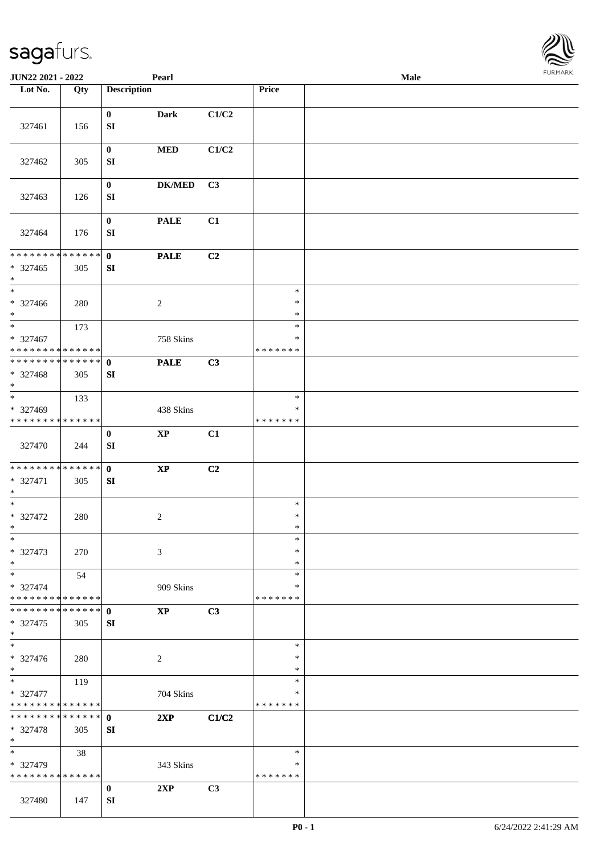| <b>JUN22 2021 - 2022</b>                   |     |                              | Pearl                  |       |                    | Male |  |
|--------------------------------------------|-----|------------------------------|------------------------|-------|--------------------|------|--|
| Lot No.                                    | Qty | <b>Description</b>           |                        |       | Price              |      |  |
|                                            |     |                              |                        |       |                    |      |  |
|                                            |     | $\mathbf{0}$                 | <b>Dark</b>            | C1/C2 |                    |      |  |
| 327461                                     | 156 | ${\bf S}{\bf I}$             |                        |       |                    |      |  |
|                                            |     | $\bf{0}$                     | <b>MED</b>             | C1/C2 |                    |      |  |
| 327462                                     | 305 | SI                           |                        |       |                    |      |  |
|                                            |     |                              |                        |       |                    |      |  |
|                                            |     | $\bf{0}$                     | <b>DK/MED</b>          | C3    |                    |      |  |
| 327463                                     | 126 | ${\bf SI}$                   |                        |       |                    |      |  |
|                                            |     |                              |                        |       |                    |      |  |
| 327464                                     | 176 | $\bf{0}$<br>${\bf S}{\bf I}$ | <b>PALE</b>            | C1    |                    |      |  |
|                                            |     |                              |                        |       |                    |      |  |
| * * * * * * * * * * * * * * *              |     | $\mathbf{0}$                 | <b>PALE</b>            | C2    |                    |      |  |
| $* 327465$                                 | 305 | SI                           |                        |       |                    |      |  |
| $\ast$                                     |     |                              |                        |       |                    |      |  |
| $\ast$                                     |     |                              |                        |       | $\ast$             |      |  |
| $* 327466$                                 | 280 |                              | $\overline{c}$         |       | $\ast$             |      |  |
| $*$<br>$*$                                 |     |                              |                        |       | $\ast$<br>$\ast$   |      |  |
| * 327467                                   | 173 |                              | 758 Skins              |       | $\ast$             |      |  |
| * * * * * * * * * * * * * *                |     |                              |                        |       | * * * * * * *      |      |  |
| * * * * * * * * * * * * * * *              |     | $\mathbf{0}$                 | <b>PALE</b>            | C3    |                    |      |  |
| * 327468                                   | 305 | SI                           |                        |       |                    |      |  |
| $\ast$                                     |     |                              |                        |       |                    |      |  |
| $\overline{\phantom{0}}$                   | 133 |                              |                        |       | $\ast$             |      |  |
| * 327469                                   |     |                              | 438 Skins              |       | ∗                  |      |  |
| * * * * * * * * * * * * * *                |     |                              |                        |       | * * * * * * *      |      |  |
|                                            |     | $\bf{0}$                     | $\bold{XP}$            | C1    |                    |      |  |
| 327470                                     | 244 | ${\bf S}{\bf I}$             |                        |       |                    |      |  |
| * * * * * * * * * * * * * * <mark>*</mark> |     | $\mathbf{0}$                 | $\mathbf{X}\mathbf{P}$ | C2    |                    |      |  |
| * 327471                                   | 305 | SI                           |                        |       |                    |      |  |
| $\ast$                                     |     |                              |                        |       |                    |      |  |
| $*$                                        |     |                              |                        |       | $\ast$             |      |  |
| * 327472                                   | 280 |                              | $\overline{c}$         |       | $\ast$             |      |  |
| $*$<br>$\ast$                              |     |                              |                        |       | $\ast$<br>$\ast$   |      |  |
| * 327473                                   | 270 |                              | 3                      |       | $\ast$             |      |  |
| $*$                                        |     |                              |                        |       | $\ast$             |      |  |
| $*$                                        | 54  |                              |                        |       | $\ast$             |      |  |
| * 327474                                   |     |                              | 909 Skins              |       | *                  |      |  |
| * * * * * * * * * * * * * *                |     |                              |                        |       | * * * * * * *      |      |  |
| * * * * * * * * * * * * * * <mark>*</mark> |     | $\mathbf{0}$                 | <b>XP</b>              | C3    |                    |      |  |
| * 327475                                   | 305 | SI                           |                        |       |                    |      |  |
| $\ast$<br>$*$                              |     |                              |                        |       | $\ast$             |      |  |
| * 327476                                   |     |                              |                        |       | $\ast$             |      |  |
| $*$                                        | 280 |                              | 2                      |       | $\ast$             |      |  |
| $*$                                        | 119 |                              |                        |       | $\ast$             |      |  |
| * 327477                                   |     |                              | 704 Skins              |       | ∗                  |      |  |
| * * * * * * * * <mark>* * * * * *</mark>   |     |                              |                        |       | * * * * * * *      |      |  |
| * * * * * * * * <mark>* * * * * * *</mark> |     | $\mathbf{0}$                 | 2XP                    | C1/C2 |                    |      |  |
| * 327478                                   | 305 | SI                           |                        |       |                    |      |  |
| $\ast$                                     |     |                              |                        |       |                    |      |  |
| $*$                                        | 38  |                              |                        |       | $\ast$             |      |  |
| * 327479<br>* * * * * * * * * * * * * *    |     |                              | 343 Skins              |       | ∗<br>* * * * * * * |      |  |
|                                            |     | $\bf{0}$                     | 2XP                    | C3    |                    |      |  |
| 327480                                     | 147 | SI                           |                        |       |                    |      |  |
|                                            |     |                              |                        |       |                    |      |  |

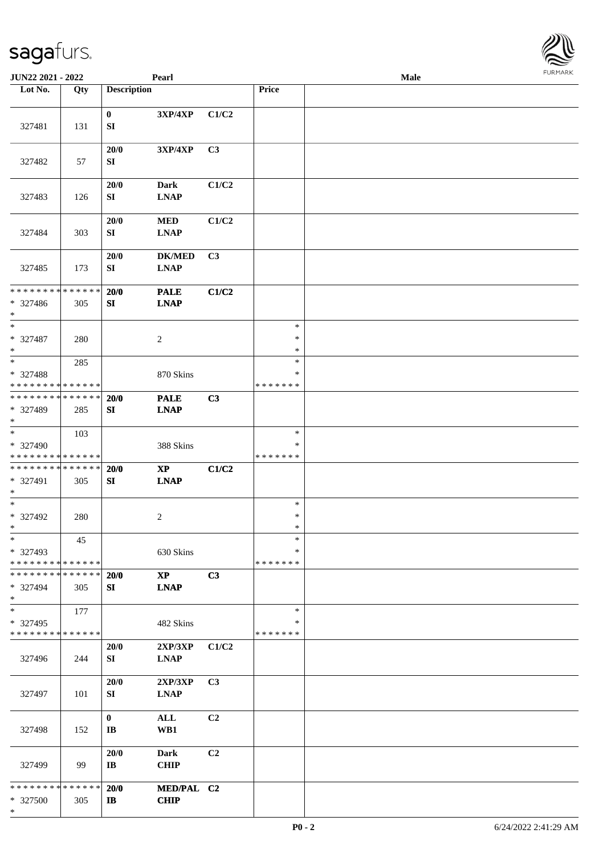| <b>JUN22 2021 - 2022</b>                                                    |                    |                                        | Pearl                                 |       |                                   | Male | $1 \cup 1$ , $1 \cup 1$ |
|-----------------------------------------------------------------------------|--------------------|----------------------------------------|---------------------------------------|-------|-----------------------------------|------|-------------------------|
| Lot No.                                                                     | Qty                | <b>Description</b>                     |                                       |       | Price                             |      |                         |
| 327481                                                                      | 131                | $\mathbf{0}$<br>SI                     | 3XP/4XP                               | C1/C2 |                                   |      |                         |
| 327482                                                                      | 57                 | 20/0<br>SI                             | 3XP/4XP                               | C3    |                                   |      |                         |
| 327483                                                                      | 126                | 20/0<br>SI                             | <b>Dark</b><br><b>LNAP</b>            | C1/C2 |                                   |      |                         |
| 327484                                                                      | 303                | 20/0<br>SI                             | <b>MED</b><br><b>LNAP</b>             | C1/C2 |                                   |      |                         |
| 327485                                                                      | 173                | 20/0<br>SI                             | <b>DK/MED</b><br><b>LNAP</b>          | C3    |                                   |      |                         |
| * * * * * * * * * * * * * *<br>* 327486<br>$\ast$                           | 305                | 20/0<br>SI                             | <b>PALE</b><br><b>LNAP</b>            | C1/C2 |                                   |      |                         |
| $\ast$<br>* 327487<br>$\ast$                                                | 280                |                                        | $\overline{c}$                        |       | $\ast$<br>$\ast$<br>$\ast$        |      |                         |
| $\overline{\ast}$<br>* 327488<br>* * * * * * * * <mark>* * * * * * *</mark> | 285                |                                        | 870 Skins                             |       | $\ast$<br>∗<br>* * * * * * *      |      |                         |
| * * * * * * * * <mark>* * * * * * *</mark><br>* 327489<br>$\ast$            | 285                | 20/0<br>SI                             | <b>PALE</b><br><b>LNAP</b>            | C3    |                                   |      |                         |
| $*$<br>* 327490<br>* * * * * * * * <mark>* * * * * * *</mark>               | 103                |                                        | 388 Skins                             |       | $\ast$<br>∗<br>* * * * * * *      |      |                         |
| * * * * * * * *<br>* 327491<br>$\ast$                                       | * * * * * *<br>305 | 20/0<br>SI                             | $\bold{X}\bold{P}$<br><b>LNAP</b>     | C1/C2 |                                   |      |                         |
| $\ast$<br>* 327492<br>$\ddot{x}$                                            | 280                |                                        | 2                                     |       | $\ast$<br>$\ast$<br>$\ast$        |      |                         |
| $\ast$<br>* 327493<br>* * * * * * * * <mark>* * * * * * *</mark>            | 45                 |                                        | 630 Skins                             |       | $\ast$<br>$\ast$<br>* * * * * * * |      |                         |
| * * * * * * * *<br>* 327494<br>$\ast$                                       | * * * * * *<br>305 | 20/0<br>SI                             | $\mathbf{X}\mathbf{P}$<br><b>LNAP</b> | C3    |                                   |      |                         |
| $\ast$<br>* 327495<br>* * * * * * * * * * * * * *                           | 177                |                                        | 482 Skins                             |       | $\ast$<br>*<br>* * * * * * *      |      |                         |
| 327496                                                                      | 244                | 20/0<br>SI                             | $2{\bf XP}/3{\bf XP}$<br><b>LNAP</b>  | C1/C2 |                                   |      |                         |
| 327497                                                                      | 101                | 20/0<br>SI                             | 2XP/3XP<br><b>LNAP</b>                | C3    |                                   |      |                         |
| 327498                                                                      | 152                | $\mathbf{0}$<br>$\mathbf{I}\mathbf{B}$ | $\mathbf{ALL}$<br>WB1                 | C2    |                                   |      |                         |
| 327499                                                                      | 99                 | 20/0<br>$\bf{IB}$                      | <b>Dark</b><br><b>CHIP</b>            | C2    |                                   |      |                         |
| * * * * * * * *<br>* 327500<br>*                                            | * * * * * *<br>305 | 20/0<br>$\mathbf{I}$                   | MED/PAL C2<br><b>CHIP</b>             |       |                                   |      |                         |

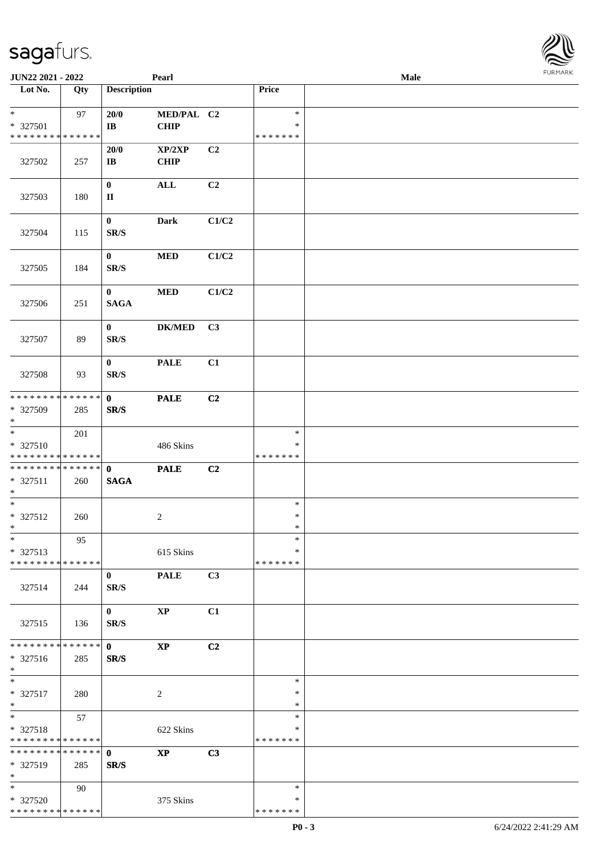| JUN22 2021 - 2022                                                           |     |                                | Pearl                      |       |                                   | Male |  |
|-----------------------------------------------------------------------------|-----|--------------------------------|----------------------------|-------|-----------------------------------|------|--|
| Lot No.                                                                     | Qty | <b>Description</b>             |                            |       | Price                             |      |  |
| $\ast$<br>* 327501<br>* * * * * * * * * * * * * *                           | 97  | 20/0<br>$\mathbf{I}\mathbf{B}$ | MED/PAL C2<br>CHIP         |       | $\ast$<br>$\ast$<br>* * * * * * * |      |  |
| 327502                                                                      | 257 | 20/0<br>$\mathbf{I}\mathbf{B}$ | XP/2XP<br><b>CHIP</b>      | C2    |                                   |      |  |
| 327503                                                                      | 180 | $\bf{0}$<br>$\mathbf{I}$       | $\mathbf{ALL}$             | C2    |                                   |      |  |
| 327504                                                                      | 115 | $\bf{0}$<br>SR/S               | <b>Dark</b>                | C1/C2 |                                   |      |  |
| 327505                                                                      | 184 | $\mathbf{0}$<br>SR/S           | $\bf MED$                  | C1/C2 |                                   |      |  |
| 327506                                                                      | 251 | $\mathbf{0}$<br><b>SAGA</b>    | $\bf MED$                  | C1/C2 |                                   |      |  |
| 327507                                                                      | 89  | $\bf{0}$<br>SR/S               | $\mathbf{DK}/\mathbf{MED}$ | C3    |                                   |      |  |
| 327508                                                                      | 93  | $\bf{0}$<br>SR/S               | <b>PALE</b>                | C1    |                                   |      |  |
| * * * * * * * * * * * * * *<br>* 327509<br>$*$                              | 285 | $\mathbf{0}$<br>SR/S           | <b>PALE</b>                | C2    |                                   |      |  |
| $\overline{\ast}$<br>* 327510<br>* * * * * * * * <mark>* * * * * * *</mark> | 201 |                                | 486 Skins                  |       | $\ast$<br>∗<br>* * * * * * *      |      |  |
| * * * * * * * * * * * * * * *<br>* 327511<br>$*$                            | 260 | $\mathbf{0}$<br><b>SAGA</b>    | <b>PALE</b>                | C2    |                                   |      |  |
| $*$<br>* 327512<br>$*$                                                      | 260 |                                | $\overline{c}$             |       | $\ast$<br>$\ast$<br>$\ast$        |      |  |
| $\ast$<br>* 327513<br>* * * * * * * * * * * * * *                           | 95  |                                | 615 Skins                  |       | $\ast$<br>∗<br>* * * * * * *      |      |  |
| 327514                                                                      | 244 | $\bf{0}$<br>SR/S               | <b>PALE</b>                | C3    |                                   |      |  |
| 327515                                                                      | 136 | $\bf{0}$<br>SR/S               | <b>XP</b>                  | C1    |                                   |      |  |
| * * * * * * * * * * * * * *<br>* 327516<br>$*$                              | 285 | $\mathbf{0}$<br>SR/S           | $\mathbf{X}\mathbf{P}$     | C2    |                                   |      |  |
| $*$<br>* 327517<br>$*$                                                      | 280 |                                | $\overline{c}$             |       | $\ast$<br>$\ast$<br>$\ast$        |      |  |
| $*$<br>* 327518<br>* * * * * * * * * * * * * *                              | 57  |                                | 622 Skins                  |       | $\ast$<br>$\ast$<br>* * * * * * * |      |  |
| * * * * * * * * * * * * * * *<br>* 327519<br>$*$                            | 285 | $\mathbf{0}$<br>SR/S           | <b>XP</b>                  | C3    |                                   |      |  |
| $*$<br>* 327520<br>* * * * * * * * * * * * * *                              | 90  |                                | 375 Skins                  |       | $\ast$<br>∗<br>* * * * * * *      |      |  |

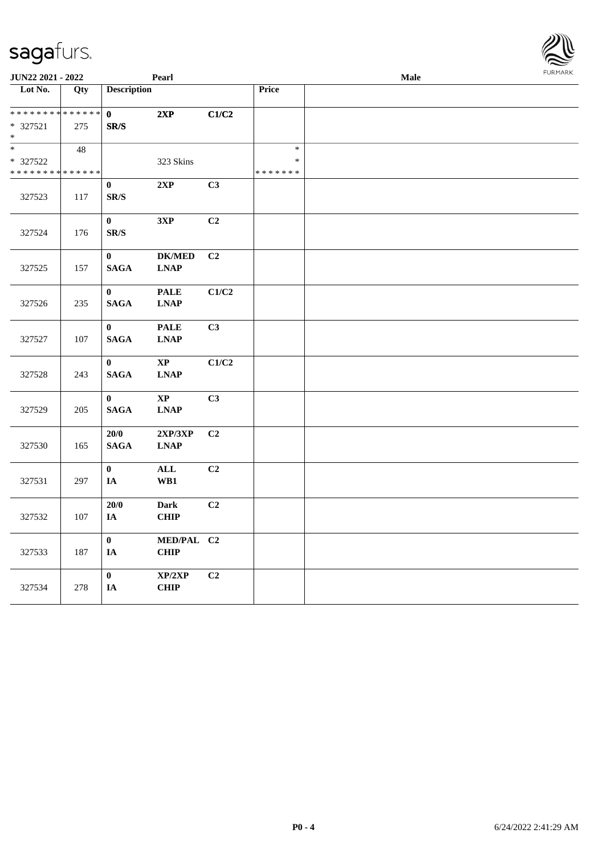| <b>JUN22 2021 - 2022</b>                   |     |                          | Pearl          |                |               | Male | FURMARK |
|--------------------------------------------|-----|--------------------------|----------------|----------------|---------------|------|---------|
| Lot No.                                    | Qty | <b>Description</b>       |                |                | Price         |      |         |
|                                            |     |                          |                |                |               |      |         |
| ******** <mark>******</mark>               |     | $\mathbf{0}$             | 2XP            | C1/C2          |               |      |         |
| * 327521                                   | 275 | SR/S                     |                |                |               |      |         |
| $*$                                        |     |                          |                |                |               |      |         |
| $\ast$                                     | 48  |                          |                |                | $\ast$        |      |         |
| * 327522                                   |     |                          | 323 Skins      |                | $\ast$        |      |         |
| * * * * * * * * <mark>* * * * * * *</mark> |     |                          |                |                | * * * * * * * |      |         |
|                                            |     | $\bf{0}$                 | 2XP            | C3             |               |      |         |
| 327523                                     | 117 | $\mathbf{SR}/\mathbf{S}$ |                |                |               |      |         |
|                                            |     |                          |                |                |               |      |         |
|                                            |     | $\bf{0}$                 | 3XP            | C2             |               |      |         |
| 327524                                     | 176 | $\mathbf{SR}/\mathbf{S}$ |                |                |               |      |         |
|                                            |     | $\bf{0}$                 | <b>DK/MED</b>  | C <sub>2</sub> |               |      |         |
| 327525                                     | 157 | <b>SAGA</b>              | <b>LNAP</b>    |                |               |      |         |
|                                            |     |                          |                |                |               |      |         |
|                                            |     | $\mathbf{0}$             | <b>PALE</b>    | C1/C2          |               |      |         |
| 327526                                     | 235 | <b>SAGA</b>              | <b>LNAP</b>    |                |               |      |         |
|                                            |     |                          |                |                |               |      |         |
|                                            |     | $\bf{0}$                 | <b>PALE</b>    | C3             |               |      |         |
| 327527                                     | 107 | <b>SAGA</b>              | <b>LNAP</b>    |                |               |      |         |
|                                            |     |                          |                |                |               |      |         |
|                                            |     | $\mathbf{0}$             | $\bold{XP}$    | C1/C2          |               |      |         |
| 327528                                     | 243 | <b>SAGA</b>              | <b>LNAP</b>    |                |               |      |         |
|                                            |     |                          |                |                |               |      |         |
|                                            |     | $\mathbf{0}$             | $\mathbf{XP}$  | C3             |               |      |         |
| 327529                                     | 205 | <b>SAGA</b>              | <b>LNAP</b>    |                |               |      |         |
|                                            |     |                          |                |                |               |      |         |
|                                            |     | 20/0                     | 2XP/3XP        | C <sub>2</sub> |               |      |         |
| 327530                                     | 165 | <b>SAGA</b>              | <b>LNAP</b>    |                |               |      |         |
|                                            |     |                          |                |                |               |      |         |
|                                            |     | $\mathbf{0}$             | $\mathbf{ALL}$ | C <sub>2</sub> |               |      |         |
| 327531                                     | 297 | IA                       | WB1            |                |               |      |         |
|                                            |     | $20/0$                   | <b>Dark</b>    | C2             |               |      |         |
| 327532                                     | 107 | IA                       | <b>CHIP</b>    |                |               |      |         |
|                                            |     |                          |                |                |               |      |         |
|                                            |     | $\bf{0}$                 | MED/PAL C2     |                |               |      |         |
| 327533                                     | 187 | $I\!\!A$                 | CHIP           |                |               |      |         |
|                                            |     |                          |                |                |               |      |         |
|                                            |     | $\bf{0}$                 | XP/2XP         | C2             |               |      |         |
| 327534                                     | 278 | $I\!\!A$                 | CHIP           |                |               |      |         |
|                                            |     |                          |                |                |               |      |         |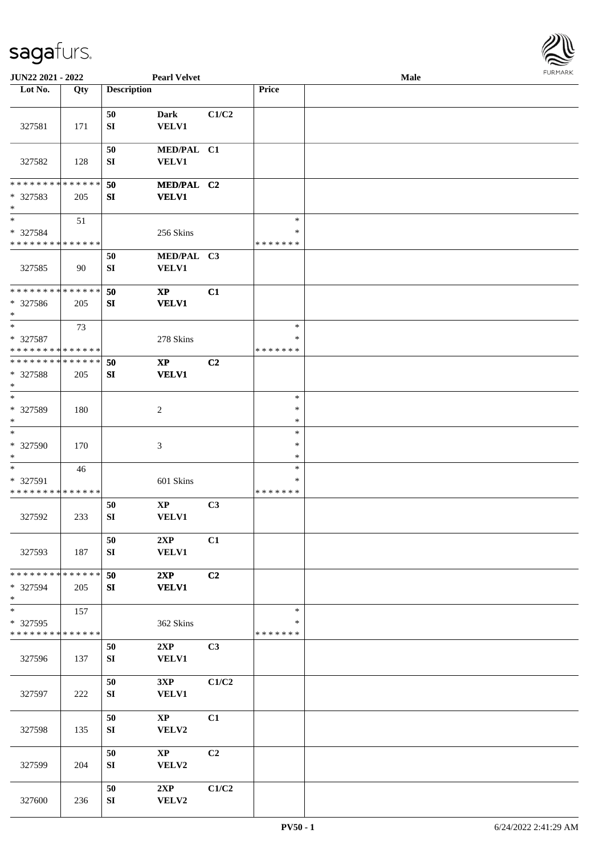

| JUN22 2021 - 2022                                   |     |                        | <b>Pearl Velvet</b>                    |       |                                   | <b>Male</b> |  |
|-----------------------------------------------------|-----|------------------------|----------------------------------------|-------|-----------------------------------|-------------|--|
| Lot No.                                             | Qty | <b>Description</b>     |                                        |       | Price                             |             |  |
| 327581                                              | 171 | 50<br>SI               | Dark<br><b>VELV1</b>                   | C1/C2 |                                   |             |  |
| 327582                                              | 128 | 50<br>SI               | MED/PAL C1<br>VELV1                    |       |                                   |             |  |
| * * * * * * * * * * * * * *<br>* 327583<br>$*$      | 205 | 50<br>${\bf SI}$       | MED/PAL C2<br><b>VELV1</b>             |       |                                   |             |  |
| $*$<br>$* 327584$<br>* * * * * * * * * * * * * *    | 51  |                        | 256 Skins                              |       | $\ast$<br>$\ast$<br>*******       |             |  |
| 327585                                              | 90  | 50<br>SI               | MED/PAL C3<br>VELV1                    |       |                                   |             |  |
| * * * * * * * * * * * * * *<br>* 327586<br>$*$      | 205 | 50<br>SI               | $\bold{XP}$<br><b>VELV1</b>            | C1    |                                   |             |  |
| $\ast$<br>* 327587<br>* * * * * * * * * * * * * *   | 73  |                        | 278 Skins                              |       | $\ast$<br>$\ast$<br>* * * * * * * |             |  |
| * * * * * * * * * * * * * * *<br>* 327588<br>$\ast$ | 205 | 50<br>SI               | $\mathbf{X}\mathbf{P}$<br><b>VELV1</b> | C2    |                                   |             |  |
| $*$<br>* 327589<br>$*$                              | 180 |                        | $\overline{c}$                         |       | $\ast$<br>$\ast$<br>$\ast$        |             |  |
| $\ast$<br>* 327590<br>$*$                           | 170 |                        | $\mathfrak{Z}$                         |       | $\ast$<br>$\ast$<br>$\ast$        |             |  |
| $*$<br>* 327591<br>* * * * * * * * * * * * * *      | 46  |                        | 601 Skins                              |       | $\ast$<br>$\ast$<br>*******       |             |  |
| 327592                                              | 233 | 50<br>SI               | $\bold{XP}$<br>VELV1                   | C3    |                                   |             |  |
| 327593                                              | 187 | 50<br>SI               | 2XP<br><b>VELV1</b>                    | C1    |                                   |             |  |
| * * * * * * * * * * * * * *<br>* 327594<br>$*$      | 205 | 50<br>SI               | 2XP<br><b>VELV1</b>                    | C2    |                                   |             |  |
| $*$<br>* 327595<br>* * * * * * * * * * * * * *      | 157 |                        | 362 Skins                              |       | $\ast$<br>$\ast$<br>*******       |             |  |
| 327596                                              | 137 | 50<br>${\bf S}{\bf I}$ | 2XP<br><b>VELV1</b>                    | C3    |                                   |             |  |
| 327597                                              | 222 | 50<br>SI               | 3XP<br><b>VELV1</b>                    | C1/C2 |                                   |             |  |
| 327598                                              | 135 | 50<br>SI               | $\mathbf{XP}$<br>VELV2                 | C1    |                                   |             |  |
| 327599                                              | 204 | 50<br>SI               | $\mathbf{X}\mathbf{P}$<br>VELV2        | C2    |                                   |             |  |
| 327600                                              | 236 | 50<br>${\bf S}{\bf I}$ | 2XP<br>VELV2                           | C1/C2 |                                   |             |  |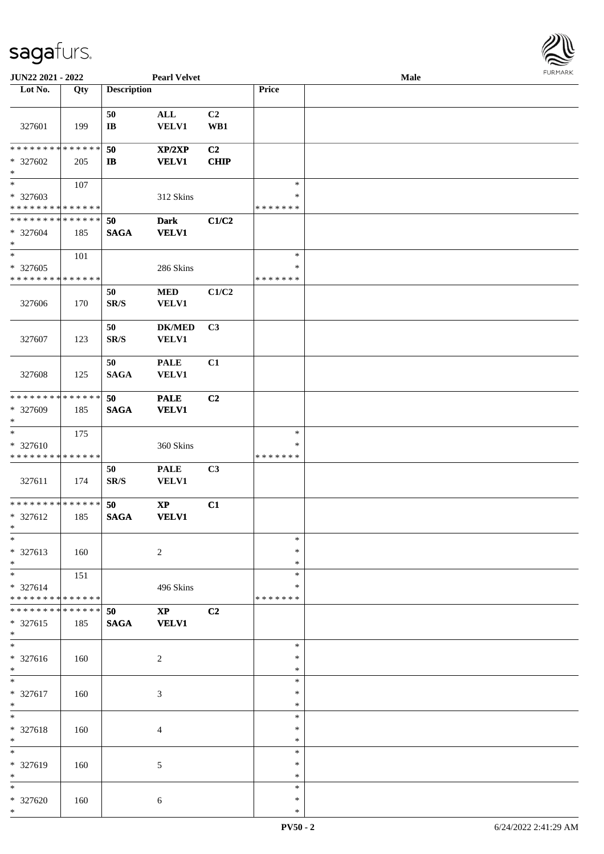

| JUN22 2021 - 2022             |     |                          | <b>Pearl Velvet</b>    |       |               | <b>Male</b> |  |
|-------------------------------|-----|--------------------------|------------------------|-------|---------------|-------------|--|
| Lot No.                       | Qty | <b>Description</b>       |                        |       | Price         |             |  |
|                               |     |                          |                        |       |               |             |  |
|                               |     | 50                       | <b>ALL</b>             | C2    |               |             |  |
| 327601                        | 199 | $\mathbf{I}\mathbf{B}$   | <b>VELV1</b>           | WB1   |               |             |  |
|                               |     |                          |                        |       |               |             |  |
| * * * * * * * * * * * * * *   |     | 50                       | XP/2XP                 | C2    |               |             |  |
| * 327602                      | 205 | $\mathbf{I}$             | <b>VELV1</b>           | CHIP  |               |             |  |
| $\ast$                        |     |                          |                        |       |               |             |  |
| $\overline{\phantom{0}}$      | 107 |                          |                        |       | $\ast$        |             |  |
| * 327603                      |     |                          | 312 Skins              |       | $\ast$        |             |  |
| * * * * * * * * * * * * * *   |     |                          |                        |       | * * * * * * * |             |  |
| * * * * * * * * * * * * * *   |     | 50                       | <b>Dark</b>            | C1/C2 |               |             |  |
| * 327604                      | 185 | <b>SAGA</b>              | <b>VELV1</b>           |       |               |             |  |
| $*$                           |     |                          |                        |       |               |             |  |
| $*$                           | 101 |                          |                        |       | $\ast$        |             |  |
| $* 327605$                    |     |                          | 286 Skins              |       | $\ast$        |             |  |
| * * * * * * * * * * * * * *   |     |                          |                        |       | * * * * * * * |             |  |
|                               |     | 50                       | <b>MED</b>             | C1/C2 |               |             |  |
| 327606                        | 170 | SR/S                     | <b>VELV1</b>           |       |               |             |  |
|                               |     |                          |                        |       |               |             |  |
|                               |     | 50                       | <b>DK/MED</b>          | C3    |               |             |  |
| 327607                        | 123 | $\mathbf{SR}/\mathbf{S}$ | <b>VELV1</b>           |       |               |             |  |
|                               |     |                          |                        |       |               |             |  |
|                               |     | 50                       | <b>PALE</b>            | C1    |               |             |  |
| 327608                        | 125 | <b>SAGA</b>              | <b>VELV1</b>           |       |               |             |  |
|                               |     |                          |                        |       |               |             |  |
| * * * * * * * * * * * * * *   |     | 50                       | <b>PALE</b>            | C2    |               |             |  |
| * 327609                      | 185 | <b>SAGA</b>              | <b>VELV1</b>           |       |               |             |  |
| $*$                           |     |                          |                        |       |               |             |  |
| $\ast$                        | 175 |                          |                        |       | $\ast$        |             |  |
| * 327610                      |     |                          | 360 Skins              |       | $\ast$        |             |  |
| * * * * * * * * * * * * * *   |     |                          |                        |       | * * * * * * * |             |  |
|                               |     | 50                       | <b>PALE</b>            | C3    |               |             |  |
| 327611                        | 174 | $\mathbf{SR}/\mathbf{S}$ | <b>VELV1</b>           |       |               |             |  |
|                               |     |                          |                        |       |               |             |  |
| * * * * * * * * * * * * * *   |     | 50                       | $\bold{XP}$            | C1    |               |             |  |
| * 327612                      | 185 | <b>SAGA</b>              | <b>VELV1</b>           |       |               |             |  |
| $*$                           |     |                          |                        |       |               |             |  |
| $\ast$                        |     |                          |                        |       | $\ast$        |             |  |
| * 327613                      | 160 |                          | $\overline{c}$         |       | $\ast$        |             |  |
| $*$                           |     |                          |                        |       | $\ast$        |             |  |
| $*$                           | 151 |                          |                        |       | $\ast$        |             |  |
| * 327614                      |     |                          | 496 Skins              |       | ∗             |             |  |
| * * * * * * * * * * * * * *   |     |                          |                        |       | * * * * * * * |             |  |
| * * * * * * * * * * * * * * * |     | 50                       | $\mathbf{X}\mathbf{P}$ | C2    |               |             |  |
| * 327615                      | 185 | <b>SAGA</b>              | <b>VELV1</b>           |       |               |             |  |
| $*$                           |     |                          |                        |       |               |             |  |
| $\overline{\ast}$             |     |                          |                        |       | $\ast$        |             |  |
| * 327616                      | 160 |                          | $\overline{c}$         |       | $\ast$        |             |  |
| $*$                           |     |                          |                        |       | $\ast$        |             |  |
| $*$                           |     |                          |                        |       | $\ast$        |             |  |
| * 327617                      | 160 |                          | 3                      |       | $\ast$        |             |  |
| $*$                           |     |                          |                        |       | $\ast$        |             |  |
| $*$                           |     |                          |                        |       | $\ast$        |             |  |
| * 327618                      | 160 |                          | $\overline{4}$         |       | $\ast$        |             |  |
| $*$                           |     |                          |                        |       | $\ast$        |             |  |
| $\ast$                        |     |                          |                        |       | $\ast$        |             |  |
| * 327619                      | 160 |                          | 5                      |       | $\ast$        |             |  |
| $*$                           |     |                          |                        |       | $\ast$        |             |  |
| $*$                           |     |                          |                        |       | $\ast$        |             |  |
| * 327620                      | 160 |                          | $\sqrt{6}$             |       | $\ast$        |             |  |
| $\ast$                        |     |                          |                        |       | $\ast$        |             |  |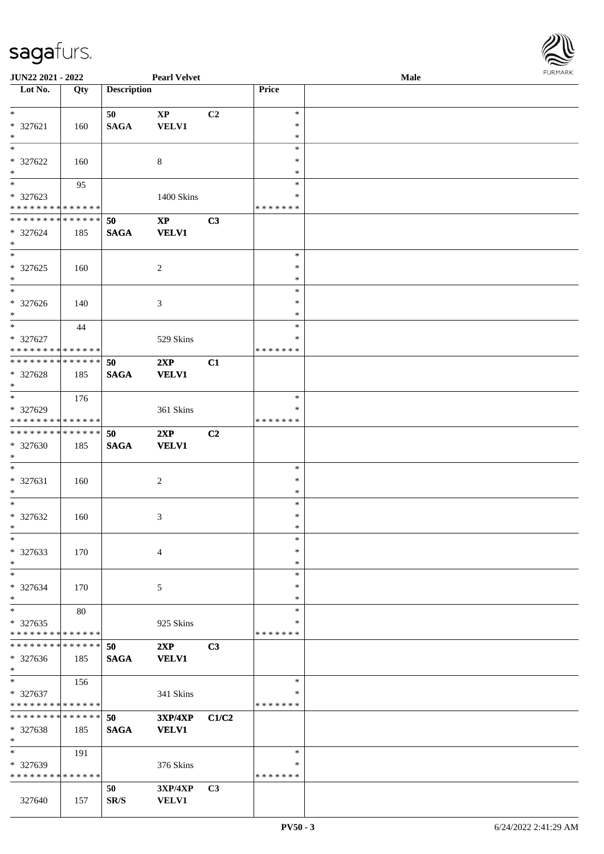

| JUN22 2021 - 2022                  |     |                    | <b>Pearl Velvet</b> |                |               | <b>Male</b> |  |
|------------------------------------|-----|--------------------|---------------------|----------------|---------------|-------------|--|
| Lot No.                            | Qty | <b>Description</b> |                     |                | Price         |             |  |
|                                    |     |                    |                     |                |               |             |  |
| $\ast$                             |     | 50                 | $\bold{XP}$         | C <sub>2</sub> | $\ast$        |             |  |
| * 327621                           | 160 | <b>SAGA</b>        | <b>VELV1</b>        |                | $\ast$        |             |  |
| $\ast$                             |     |                    |                     |                | $\ast$        |             |  |
| $\ast$                             |     |                    |                     |                | $\ast$        |             |  |
|                                    |     |                    |                     |                |               |             |  |
| * 327622                           | 160 |                    | $\,8\,$             |                | ∗             |             |  |
| $\ast$                             |     |                    |                     |                | $\ast$        |             |  |
| $\overline{\phantom{0}}$           | 95  |                    |                     |                | $\ast$        |             |  |
| * 327623                           |     |                    | 1400 Skins          |                | $\ast$        |             |  |
| * * * * * * * * * * * * * *        |     |                    |                     |                | * * * * * * * |             |  |
| **************                     |     | 50                 | $\bold{XP}$         | C3             |               |             |  |
| * 327624                           | 185 | <b>SAGA</b>        | <b>VELV1</b>        |                |               |             |  |
| $\ast$                             |     |                    |                     |                |               |             |  |
| $\ast$                             |     |                    |                     |                | $\ast$        |             |  |
| $* 327625$                         |     |                    |                     |                | $\ast$        |             |  |
|                                    | 160 |                    | 2                   |                |               |             |  |
| $\ast$<br>$\overline{\phantom{1}}$ |     |                    |                     |                | $\ast$        |             |  |
|                                    |     |                    |                     |                | $\ast$        |             |  |
| * 327626                           | 140 |                    | 3                   |                | $\ast$        |             |  |
| $\ast$                             |     |                    |                     |                | $\ast$        |             |  |
| $\ast$                             | 44  |                    |                     |                | $\ast$        |             |  |
| * 327627                           |     |                    | 529 Skins           |                | ∗             |             |  |
| * * * * * * * * * * * * * *        |     |                    |                     |                | * * * * * * * |             |  |
| * * * * * * * * * * * * * *        |     | 50                 | 2XP                 | C1             |               |             |  |
| * 327628                           | 185 | <b>SAGA</b>        | <b>VELV1</b>        |                |               |             |  |
| $\ast$                             |     |                    |                     |                |               |             |  |
| $\ast$                             |     |                    |                     |                | $\ast$        |             |  |
|                                    | 176 |                    |                     |                |               |             |  |
| * 327629                           |     |                    | 361 Skins           |                | $\ast$        |             |  |
| * * * * * * * * * * * * * *        |     |                    |                     |                | * * * * * * * |             |  |
| **************                     |     | 50                 | 2XP                 | C <sub>2</sub> |               |             |  |
| * 327630                           | 185 | $\mathbf{SAGA}$    | <b>VELV1</b>        |                |               |             |  |
| $\ast$                             |     |                    |                     |                |               |             |  |
| $\ast$                             |     |                    |                     |                | $\ast$        |             |  |
| $* 327631$                         | 160 |                    | $\overline{c}$      |                | $\ast$        |             |  |
| $\ast$                             |     |                    |                     |                | $\ast$        |             |  |
| $\ast$                             |     |                    |                     |                | $\ast$        |             |  |
| $* 327632$                         |     |                    |                     |                | $\ast$        |             |  |
| $*$                                | 160 |                    | 3                   |                | $\ast$        |             |  |
|                                    |     |                    |                     |                |               |             |  |
| $\ast$                             |     |                    |                     |                | $\ast$        |             |  |
| * 327633                           | 170 |                    | $\overline{4}$      |                | $\ast$        |             |  |
| $\ast$                             |     |                    |                     |                | $\ast$        |             |  |
| $\ast$                             |     |                    |                     |                | $\ast$        |             |  |
| * 327634                           | 170 |                    | 5                   |                | ∗             |             |  |
| $\ast$                             |     |                    |                     |                | ∗             |             |  |
| $\ast$                             | 80  |                    |                     |                | $\ast$        |             |  |
| $*327635$                          |     |                    | 925 Skins           |                | $\ast$        |             |  |
| * * * * * * * * * * * * * *        |     |                    |                     |                | * * * * * * * |             |  |
| * * * * * * * * * * * * * *        |     | 50                 |                     |                |               |             |  |
|                                    |     |                    | 2XP                 | C3             |               |             |  |
| * 327636                           | 185 | <b>SAGA</b>        | <b>VELV1</b>        |                |               |             |  |
| $*$                                |     |                    |                     |                |               |             |  |
| $\ast$                             | 156 |                    |                     |                | $\ast$        |             |  |
| $* 327637$                         |     |                    | 341 Skins           |                | ∗             |             |  |
| * * * * * * * * * * * * * *        |     |                    |                     |                | * * * * * * * |             |  |
| * * * * * * * * * * * * * *        |     | 50                 | <b>3XP/4XP</b>      | C1/C2          |               |             |  |
| * 327638                           | 185 | <b>SAGA</b>        | <b>VELV1</b>        |                |               |             |  |
| $\ast$                             |     |                    |                     |                |               |             |  |
| $\ast$                             | 191 |                    |                     |                | $\ast$        |             |  |
|                                    |     |                    |                     |                | ∗             |             |  |
| * 327639                           |     |                    | 376 Skins           |                |               |             |  |
| * * * * * * * * * * * * * *        |     |                    |                     |                | * * * * * * * |             |  |
|                                    |     | 50                 | 3XP/4XP             | C <sub>3</sub> |               |             |  |
| 327640                             | 157 | SR/S               | <b>VELV1</b>        |                |               |             |  |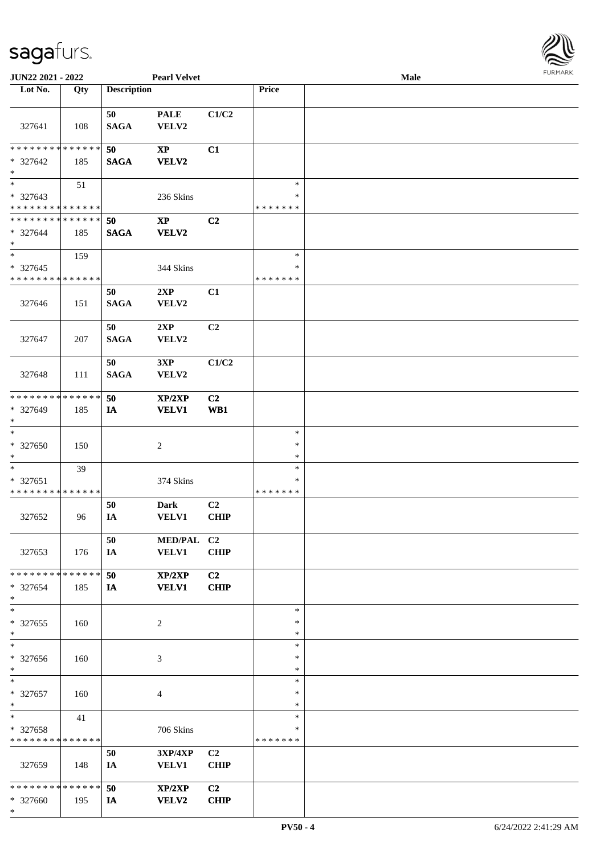| JRMARK<br>F |
|-------------|

| JUN22 2021 - 2022            |             |                    | <b>Pearl Velvet</b>               |                |               | Male | 10111111111 |
|------------------------------|-------------|--------------------|-----------------------------------|----------------|---------------|------|-------------|
| Lot No.                      | Qty         | <b>Description</b> |                                   |                | Price         |      |             |
|                              |             |                    |                                   |                |               |      |             |
|                              |             | 50                 | <b>PALE</b>                       | C1/C2          |               |      |             |
| 327641                       | 108         | <b>SAGA</b>        | VELV2                             |                |               |      |             |
|                              |             |                    |                                   |                |               |      |             |
| ******** <mark>******</mark> |             | 50                 | $\bold{XP}$                       | C1             |               |      |             |
| * 327642                     | 185         | <b>SAGA</b>        | <b>VELV2</b>                      |                |               |      |             |
| $\ast$                       |             |                    |                                   |                |               |      |             |
| $\overline{\phantom{1}}$     |             |                    |                                   |                | $\ast$        |      |             |
|                              | 51          |                    |                                   |                |               |      |             |
| * 327643                     |             |                    | 236 Skins                         |                | ∗             |      |             |
| * * * * * * * * * * * * * *  |             |                    |                                   |                | * * * * * * * |      |             |
| * * * * * * * * * * * * * *  |             | 50                 | $\bold{XP}$                       | C2             |               |      |             |
| * 327644                     | 185         | <b>SAGA</b>        | <b>VELV2</b>                      |                |               |      |             |
| $\ast$                       |             |                    |                                   |                |               |      |             |
| $\overline{\ast}$            | 159         |                    |                                   |                | $\ast$        |      |             |
| * 327645                     |             |                    | 344 Skins                         |                | $\ast$        |      |             |
| * * * * * * * * * * * * * *  |             |                    |                                   |                | * * * * * * * |      |             |
|                              |             | 50                 | 2XP                               | C1             |               |      |             |
| 327646                       | 151         | <b>SAGA</b>        | VELV2                             |                |               |      |             |
|                              |             |                    |                                   |                |               |      |             |
|                              |             | 50                 | 2XP                               | C2             |               |      |             |
| 327647                       | 207         | <b>SAGA</b>        | VELV2                             |                |               |      |             |
|                              |             |                    |                                   |                |               |      |             |
|                              |             |                    |                                   |                |               |      |             |
|                              |             | 50                 | 3XP                               | C1/C2          |               |      |             |
| 327648                       | 111         | <b>SAGA</b>        | VELV2                             |                |               |      |             |
|                              |             |                    |                                   |                |               |      |             |
| ********                     | * * * * * * | 50                 | XP/2XP                            | C2             |               |      |             |
| * 327649                     | 185         | <b>IA</b>          | <b>VELV1</b>                      | WB1            |               |      |             |
| $\ast$                       |             |                    |                                   |                |               |      |             |
| $\ast$                       |             |                    |                                   |                | $\ast$        |      |             |
| * 327650                     | 150         |                    | $\boldsymbol{2}$                  |                | $\ast$        |      |             |
| $\ast$                       |             |                    |                                   |                | $\ast$        |      |             |
| $\ast$                       | 39          |                    |                                   |                | $\ast$        |      |             |
| * 327651                     |             |                    | 374 Skins                         |                | ∗             |      |             |
| * * * * * * * * * * * * * *  |             |                    |                                   |                | * * * * * * * |      |             |
|                              |             | 50                 | <b>Dark</b>                       | C <sub>2</sub> |               |      |             |
| 327652                       | 96          | IA                 | <b>VELV1</b>                      | CHIP           |               |      |             |
|                              |             |                    |                                   |                |               |      |             |
|                              |             | 50                 | MED/PAL C2                        |                |               |      |             |
|                              |             |                    |                                   |                |               |      |             |
| 327653                       | 176         | IA                 | <b>VELV1</b>                      | <b>CHIP</b>    |               |      |             |
| * * * * * * * * * * * * * *  |             |                    |                                   |                |               |      |             |
|                              |             | 50                 | XP/2XP                            | C <sub>2</sub> |               |      |             |
| * 327654                     | 185         | <b>IA</b>          | <b>VELV1</b>                      | <b>CHIP</b>    |               |      |             |
| $\ast$                       |             |                    |                                   |                |               |      |             |
| $\ast$                       |             |                    |                                   |                | $\ast$        |      |             |
| * 327655                     | 160         |                    | 2                                 |                | ∗             |      |             |
| $\ast$                       |             |                    |                                   |                | $\ast$        |      |             |
| $\overline{\phantom{a}^*}$   |             |                    |                                   |                | $\ast$        |      |             |
| * 327656                     | 160         |                    | 3                                 |                | $\ast$        |      |             |
| $\ast$                       |             |                    |                                   |                | $\ast$        |      |             |
| $\ast$                       |             |                    |                                   |                | $\ast$        |      |             |
| * 327657                     | 160         |                    | 4                                 |                | ∗             |      |             |
| $\ast$                       |             |                    |                                   |                | $\ast$        |      |             |
| $\ast$                       | 41          |                    |                                   |                | $\ast$        |      |             |
|                              |             |                    |                                   |                | *             |      |             |
| * 327658                     |             |                    | 706 Skins                         |                |               |      |             |
| * * * * * * * * * * * * * *  |             |                    |                                   |                | * * * * * * * |      |             |
|                              |             | 50                 | $3{\bf X}{\bf P}/4{\bf X}{\bf P}$ | C <sub>2</sub> |               |      |             |
| 327659                       | 148         | IA                 | <b>VELV1</b>                      | <b>CHIP</b>    |               |      |             |
|                              |             |                    |                                   |                |               |      |             |
| ******** <mark>******</mark> |             | 50                 | XP/2XP                            | C <sub>2</sub> |               |      |             |
| * 327660                     | 195         | IA                 | <b>VELV2</b>                      | <b>CHIP</b>    |               |      |             |
| $\ast$                       |             |                    |                                   |                |               |      |             |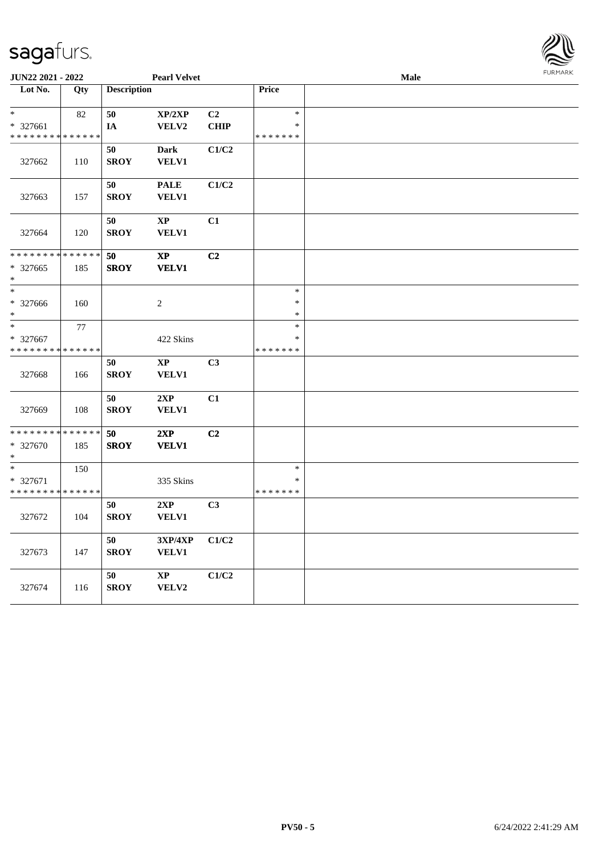

|                             | <b>JUN22 2021 - 2022</b><br><b>Pearl Velvet</b> |                    |                      |                |               | Male |  |
|-----------------------------|-------------------------------------------------|--------------------|----------------------|----------------|---------------|------|--|
| Lot No.                     | Qty                                             | <b>Description</b> |                      |                | Price         |      |  |
|                             |                                                 |                    |                      |                |               |      |  |
| $\ast$                      | 82                                              | ${\bf 50}$         | XP/2XP               | C2             | $\ast$        |      |  |
| * 327661                    |                                                 | IA                 | <b>VELV2</b>         | <b>CHIP</b>    | $\ast$        |      |  |
| * * * * * * * * * * * * * * |                                                 |                    |                      |                | * * * * * * * |      |  |
|                             |                                                 | 50                 | <b>Dark</b>          | C1/C2          |               |      |  |
| 327662                      | 110                                             | <b>SROY</b>        | VELV1                |                |               |      |  |
|                             |                                                 |                    |                      |                |               |      |  |
|                             |                                                 | 50                 | <b>PALE</b>          | C1/C2          |               |      |  |
| 327663                      | 157                                             | <b>SROY</b>        | VELV1                |                |               |      |  |
|                             |                                                 |                    |                      |                |               |      |  |
|                             |                                                 | 50<br><b>SROY</b>  | $\bold{XP}$<br>VELV1 | C1             |               |      |  |
| 327664                      | 120                                             |                    |                      |                |               |      |  |
| * * * * * * * * * * * * * * |                                                 | 50                 | $\bold{XP}$          | C2             |               |      |  |
| * 327665                    | 185                                             | <b>SROY</b>        | <b>VELV1</b>         |                |               |      |  |
| $\ast$                      |                                                 |                    |                      |                |               |      |  |
| $\ast$                      |                                                 |                    |                      |                | $\ast$        |      |  |
| * 327666                    | 160                                             |                    | $\overline{2}$       |                | $\ast$        |      |  |
| *                           |                                                 |                    |                      |                | $\ast$        |      |  |
| $*$                         | 77                                              |                    |                      |                | $\ast$        |      |  |
| * 327667                    |                                                 |                    | 422 Skins            |                | $\ast$        |      |  |
| * * * * * * * *             | * * * * * *                                     |                    |                      |                | * * * * * * * |      |  |
|                             |                                                 | 50                 | $\bold{XP}$          | C3             |               |      |  |
| 327668                      | 166                                             | <b>SROY</b>        | VELV1                |                |               |      |  |
|                             |                                                 |                    |                      |                |               |      |  |
|                             |                                                 | 50                 | 2XP                  | C1             |               |      |  |
| 327669                      | 108                                             | <b>SROY</b>        | VELV1                |                |               |      |  |
| * * * * * * * *             | * * * * * *                                     |                    |                      |                |               |      |  |
| * 327670                    |                                                 | 50                 | 2XP                  | C2             |               |      |  |
| $\ast$                      | 185                                             | <b>SROY</b>        | <b>VELV1</b>         |                |               |      |  |
| $\ast$                      | 150                                             |                    |                      |                | $\ast$        |      |  |
| * 327671                    |                                                 |                    | 335 Skins            |                | $\ast$        |      |  |
| * * * * * * * * * * * * * * |                                                 |                    |                      |                | * * * * * * * |      |  |
|                             |                                                 | 50                 | 2XP                  | C <sub>3</sub> |               |      |  |
| 327672                      | 104                                             | <b>SROY</b>        | <b>VELV1</b>         |                |               |      |  |
|                             |                                                 |                    |                      |                |               |      |  |
|                             |                                                 | 50                 | 3XP/4XP              | C1/C2          |               |      |  |
| 327673                      | 147                                             | <b>SROY</b>        | <b>VELV1</b>         |                |               |      |  |
|                             |                                                 |                    |                      |                |               |      |  |
|                             |                                                 | 50                 | $\bold{XP}$          | C1/C2          |               |      |  |
| 327674                      | 116                                             | <b>SROY</b>        | VELV2                |                |               |      |  |
|                             |                                                 |                    |                      |                |               |      |  |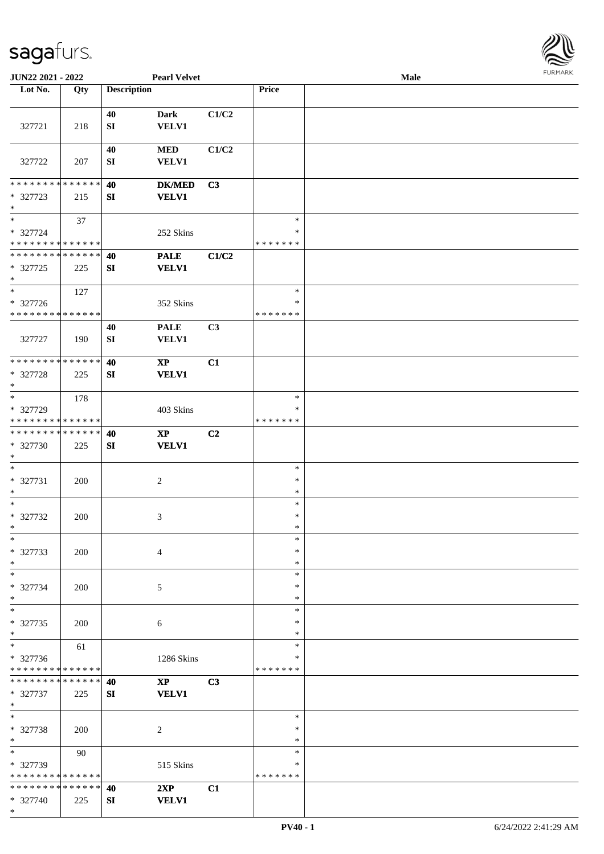

| JUN22 2021 - 2022                                                   |                    |                    | <b>Pearl Velvet</b>                    |                |                              | Male | <b>FURMARK</b> |
|---------------------------------------------------------------------|--------------------|--------------------|----------------------------------------|----------------|------------------------------|------|----------------|
| Lot No.                                                             | Qty                | <b>Description</b> |                                        |                | Price                        |      |                |
| 327721                                                              | 218                | 40<br>SI           | <b>Dark</b><br><b>VELV1</b>            | C1/C2          |                              |      |                |
| 327722                                                              | 207                | 40<br>SI           | $\bf MED$<br><b>VELV1</b>              | C1/C2          |                              |      |                |
| * * * * * * * * * * * * * *<br>* 327723<br>$\ast$                   | 215                | 40<br>SI           | <b>DK/MED</b><br><b>VELV1</b>          | C3             |                              |      |                |
| $\ast$<br>* 327724<br>* * * * * * * * * * * * * *                   | 37                 |                    | 252 Skins                              |                | $\ast$<br>*<br>* * * * * * * |      |                |
| **************<br>* 327725<br>$\ast$                                | 225                | 40<br>SI           | <b>PALE</b><br><b>VELV1</b>            | C1/C2          |                              |      |                |
| $_{\ast}^{-}$<br>* 327726<br>* * * * * * * * * * * * * *            | 127                |                    | 352 Skins                              |                | $\ast$<br>∗<br>* * * * * * * |      |                |
| 327727                                                              | 190                | 40<br>SI           | <b>PALE</b><br><b>VELV1</b>            | C3             |                              |      |                |
| * * * * * * * * * * * * * * *<br>* 327728<br>$\ast$                 | 225                | 40<br>SI           | $\mathbf{X}\mathbf{P}$<br><b>VELV1</b> | C1             |                              |      |                |
| $\overline{\phantom{0}}$<br>* 327729<br>* * * * * * * * * * * * * * | 178                |                    | 403 Skins                              |                | $\ast$<br>∗<br>* * * * * * * |      |                |
| **************<br>* 327730<br>$\ast$                                | 225                | 40<br>SI           | $\bold{XP}$<br><b>VELV1</b>            | C <sub>2</sub> |                              |      |                |
| $\ast$<br>* 327731<br>$\ast$                                        | 200                |                    | $\overline{c}$                         |                | $\ast$<br>$\ast$<br>$\ast$   |      |                |
| $\overline{\phantom{0}}$<br>* 327732<br>$\ast$                      | 200                |                    | 3                                      |                | $\ast$<br>$\ast$<br>∗        |      |                |
| $\ast$<br>* 327733<br>$\ast$                                        | 200                |                    | $\overline{4}$                         |                | $\ast$<br>$\ast$<br>$\ast$   |      |                |
| $\ast$<br>* 327734<br>$\ast$<br>$\overline{\phantom{1}}$            | 200                |                    | 5                                      |                | $\ast$<br>$\ast$<br>$\ast$   |      |                |
| * 327735<br>$\ast$                                                  | 200                |                    | 6                                      |                | $\ast$<br>∗<br>$\ast$        |      |                |
| $_{\ast}$<br>* 327736<br>* * * * * * * * * * * * * *                | 61                 |                    | 1286 Skins                             |                | $\ast$<br>*<br>* * * * * * * |      |                |
| * * * * * * * *<br>* 327737<br>$\ast$                               | * * * * * *<br>225 | 40<br>SI           | $\mathbf{X}\mathbf{P}$<br><b>VELV1</b> | C3             |                              |      |                |
| $_{\ast}^{-}$<br>* 327738<br>$\ast$                                 | 200                |                    | 2                                      |                | $\ast$<br>∗<br>*             |      |                |
| $\ast$<br>* 327739<br>* * * * * * * * * * * * * *                   | 90                 |                    | 515 Skins                              |                | $\ast$<br>*<br>* * * * * * * |      |                |
| * * * * * * * * * * * * * * *<br>* 327740<br>$*$                    | 225                | 40<br>SI           | 2XP<br><b>VELV1</b>                    | C1             |                              |      |                |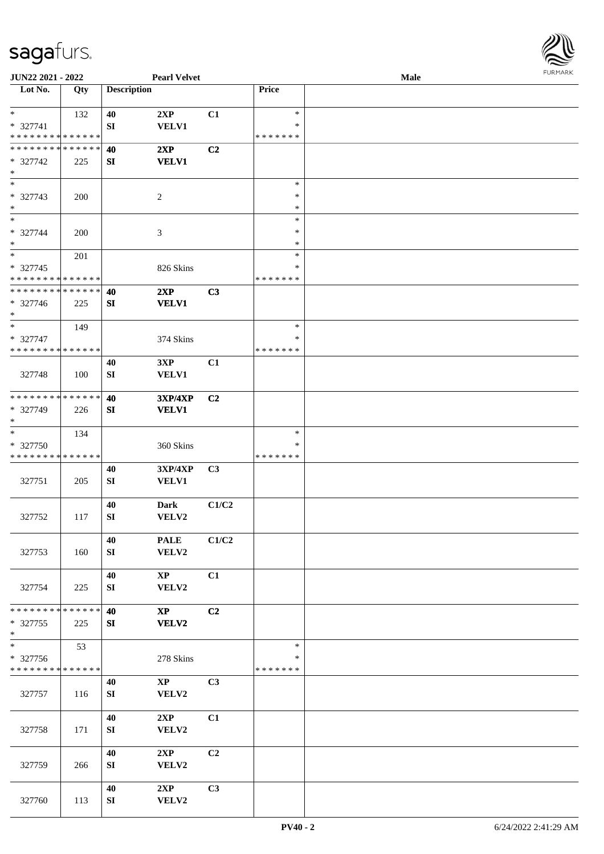

| <b>JUN22 2021 - 2022</b>                |     |                    | <b>Pearl Velvet</b>             |       |                    | <b>Male</b> |  |
|-----------------------------------------|-----|--------------------|---------------------------------|-------|--------------------|-------------|--|
| Lot No.                                 | Qty | <b>Description</b> |                                 |       | Price              |             |  |
| $\ast$                                  |     |                    |                                 |       | $\ast$             |             |  |
| * 327741                                | 132 | 40<br>${\bf SI}$   | 2XP<br><b>VELV1</b>             | C1    | $\ast$             |             |  |
| * * * * * * * * * * * * * *             |     |                    |                                 |       | * * * * * * *      |             |  |
| * * * * * * * * * * * * * * *           |     | 40                 | 2XP                             | C2    |                    |             |  |
| * 327742                                | 225 | SI                 | <b>VELV1</b>                    |       |                    |             |  |
| $\ast$                                  |     |                    |                                 |       |                    |             |  |
| $\ast$                                  |     |                    |                                 |       | $\ast$             |             |  |
| * 327743                                | 200 |                    | $\overline{c}$                  |       | $\ast$             |             |  |
| $\ast$                                  |     |                    |                                 |       | $\ast$             |             |  |
| $*$                                     |     |                    |                                 |       | $\ast$             |             |  |
| * 327744                                | 200 |                    | 3                               |       | $\ast$             |             |  |
| $*$                                     |     |                    |                                 |       | $\ast$             |             |  |
| $*$                                     | 201 |                    |                                 |       | $\ast$             |             |  |
| * 327745                                |     |                    | 826 Skins                       |       | $\ast$             |             |  |
| * * * * * * * * * * * * * *             |     |                    |                                 |       | * * * * * * *      |             |  |
| * * * * * * * * * * * * * *             |     | 40                 | 2XP                             | C3    |                    |             |  |
| * 327746<br>$*$                         | 225 | SI                 | <b>VELV1</b>                    |       |                    |             |  |
| $*$                                     | 149 |                    |                                 |       | $\ast$             |             |  |
| * 327747                                |     |                    | 374 Skins                       |       | ∗                  |             |  |
| * * * * * * * * * * * * * * *           |     |                    |                                 |       | * * * * * * *      |             |  |
|                                         |     | 40                 | 3XP                             | C1    |                    |             |  |
| 327748                                  | 100 | SI                 | VELV1                           |       |                    |             |  |
|                                         |     |                    |                                 |       |                    |             |  |
| * * * * * * * * * * * * * *             |     | 40                 | <b>3XP/4XP</b>                  | C2    |                    |             |  |
| * 327749                                | 226 | SI                 | <b>VELV1</b>                    |       |                    |             |  |
| $*$                                     |     |                    |                                 |       |                    |             |  |
| $*$                                     | 134 |                    |                                 |       | $\ast$             |             |  |
| * 327750                                |     |                    | 360 Skins                       |       | ∗                  |             |  |
| * * * * * * * * * * * * * *             |     |                    |                                 |       | * * * * * * *      |             |  |
|                                         |     | 40                 | 3XP/4XP                         | C3    |                    |             |  |
| 327751                                  | 205 | ${\bf SI}$         | VELV1                           |       |                    |             |  |
|                                         |     |                    |                                 |       |                    |             |  |
| 327752                                  | 117 | 40<br>${\bf SI}$   | <b>Dark</b><br>VELV2            | C1/C2 |                    |             |  |
|                                         |     |                    |                                 |       |                    |             |  |
|                                         |     | 40                 | <b>PALE</b>                     | C1/C2 |                    |             |  |
| 327753                                  | 160 | SI                 | VELV2                           |       |                    |             |  |
|                                         |     |                    |                                 |       |                    |             |  |
|                                         |     | 40                 | $\mathbf{X}\mathbf{P}$          | C1    |                    |             |  |
| 327754                                  | 225 | SI                 | VELV2                           |       |                    |             |  |
|                                         |     |                    |                                 |       |                    |             |  |
| * * * * * * * * * * * * * * *           |     | 40                 | $\mathbf{X}\mathbf{P}$          | C2    |                    |             |  |
| * 327755                                | 225 | SI                 | VELV2                           |       |                    |             |  |
| $*$                                     |     |                    |                                 |       |                    |             |  |
| $\ast$                                  | 53  |                    |                                 |       | $\ast$             |             |  |
| * 327756<br>* * * * * * * * * * * * * * |     |                    | 278 Skins                       |       | ∗<br>* * * * * * * |             |  |
|                                         |     |                    |                                 | C3    |                    |             |  |
| 327757                                  | 116 | 40<br>SI           | $\mathbf{X}\mathbf{P}$<br>VELV2 |       |                    |             |  |
|                                         |     |                    |                                 |       |                    |             |  |
|                                         |     | 40                 | 2XP                             | C1    |                    |             |  |
| 327758                                  | 171 | ${\bf SI}$         | VELV2                           |       |                    |             |  |
|                                         |     |                    |                                 |       |                    |             |  |
|                                         |     | 40                 | 2XP                             | C2    |                    |             |  |
| 327759                                  | 266 | ${\bf SI}$         | VELV2                           |       |                    |             |  |
|                                         |     |                    |                                 |       |                    |             |  |
|                                         |     | 40                 | 2XP                             | C3    |                    |             |  |
| 327760                                  | 113 | SI                 | VELV2                           |       |                    |             |  |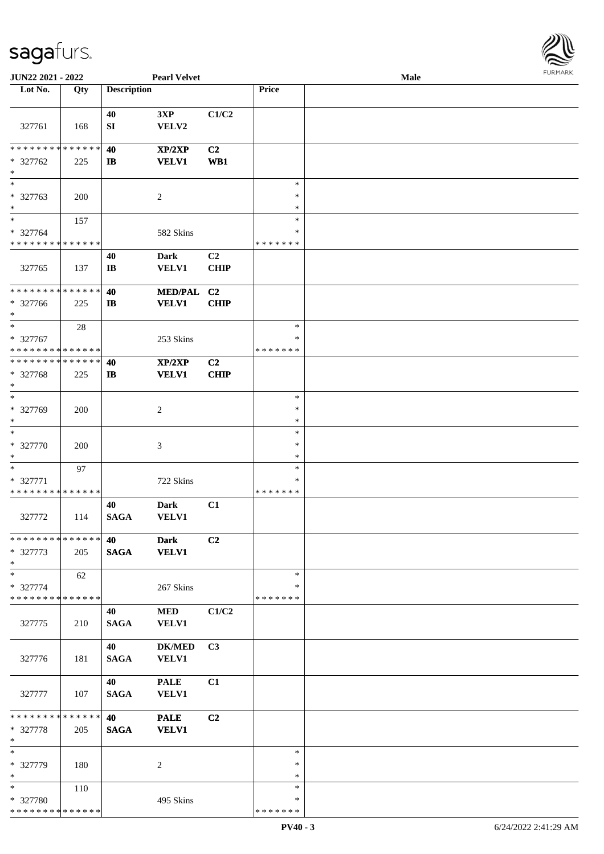

| JUN22 2021 - 2022             |        |                        | <b>Pearl Velvet</b> |                |               | Male |  |
|-------------------------------|--------|------------------------|---------------------|----------------|---------------|------|--|
| Lot No.                       | Qty    | <b>Description</b>     |                     |                | Price         |      |  |
|                               |        |                        |                     |                |               |      |  |
|                               |        | 40                     | 3XP                 | C1/C2          |               |      |  |
| 327761                        | 168    | SI                     | VELV2               |                |               |      |  |
|                               |        |                        |                     |                |               |      |  |
| * * * * * * * * * * * * * *   |        | 40                     | XP/2XP              | C <sub>2</sub> |               |      |  |
| * 327762                      | 225    | $\mathbf{I}$           | <b>VELV1</b>        | WB1            |               |      |  |
| $\ast$                        |        |                        |                     |                |               |      |  |
| $_{*}$                        |        |                        |                     |                |               |      |  |
|                               |        |                        |                     |                | $\ast$        |      |  |
| * 327763                      | 200    |                        | $\overline{c}$      |                | $\ast$        |      |  |
| $\ast$                        |        |                        |                     |                | $\ast$        |      |  |
| $\ast$                        | 157    |                        |                     |                | $\ast$        |      |  |
| * 327764                      |        |                        | 582 Skins           |                | $\ast$        |      |  |
| * * * * * * * * * * * * * *   |        |                        |                     |                | *******       |      |  |
|                               |        | 40                     | <b>Dark</b>         | C <sub>2</sub> |               |      |  |
| 327765                        | 137    | $\mathbf{I}\mathbf{B}$ | VELV1               | <b>CHIP</b>    |               |      |  |
|                               |        |                        |                     |                |               |      |  |
| ******** <mark>******</mark>  |        | 40                     | <b>MED/PAL</b>      | C <sub>2</sub> |               |      |  |
| * 327766                      | 225    | $\bf I\bf B$           | <b>VELV1</b>        | <b>CHIP</b>    |               |      |  |
| $\ast$                        |        |                        |                     |                |               |      |  |
| $\ast$                        |        |                        |                     |                | $\ast$        |      |  |
|                               | $28\,$ |                        |                     |                |               |      |  |
| * 327767                      |        |                        | 253 Skins           |                | ∗             |      |  |
| * * * * * * * * * * * * * *   |        |                        |                     |                | * * * * * * * |      |  |
| * * * * * * * * * * * * * *   |        | 40                     | XP/2XP              | C <sub>2</sub> |               |      |  |
| * 327768                      | 225    | $\mathbf{I}$           | <b>VELV1</b>        | <b>CHIP</b>    |               |      |  |
| $\ast$                        |        |                        |                     |                |               |      |  |
| $\ast$                        |        |                        |                     |                | $\ast$        |      |  |
| * 327769                      | 200    |                        | $\overline{c}$      |                | $\ast$        |      |  |
| $\ast$                        |        |                        |                     |                | $\ast$        |      |  |
| $\ast$                        |        |                        |                     |                | $\ast$        |      |  |
| * 327770                      | 200    |                        | 3                   |                | $\ast$        |      |  |
| $\ast$                        |        |                        |                     |                | $\ast$        |      |  |
| $\ast$                        |        |                        |                     |                | $\ast$        |      |  |
|                               | 97     |                        |                     |                | *             |      |  |
| * 327771                      |        |                        | 722 Skins           |                |               |      |  |
| * * * * * * * * * * * * * *   |        |                        |                     |                | * * * * * * * |      |  |
|                               |        | 40                     | <b>Dark</b>         | C1             |               |      |  |
| 327772                        | 114    | <b>SAGA</b>            | VELV1               |                |               |      |  |
|                               |        |                        |                     |                |               |      |  |
| * * * * * * * * * * * * * * * |        | 40                     | <b>Dark</b>         | C2             |               |      |  |
| * 327773                      | 205    | <b>SAGA</b>            | <b>VELV1</b>        |                |               |      |  |
| $*$                           |        |                        |                     |                |               |      |  |
| $*$                           | 62     |                        |                     |                | $\ast$        |      |  |
| * 327774                      |        |                        | 267 Skins           |                | *             |      |  |
| * * * * * * * * * * * * * *   |        |                        |                     |                | * * * * * * * |      |  |
|                               |        | 40                     | $\bf MED$           | C1/C2          |               |      |  |
| 327775                        | 210    | <b>SAGA</b>            | <b>VELV1</b>        |                |               |      |  |
|                               |        |                        |                     |                |               |      |  |
|                               |        |                        |                     |                |               |      |  |
|                               |        | 40                     | <b>DK/MED</b>       | C <sub>3</sub> |               |      |  |
| 327776                        | 181    | <b>SAGA</b>            | VELV1               |                |               |      |  |
|                               |        |                        |                     |                |               |      |  |
|                               |        | 40                     | <b>PALE</b>         | C1             |               |      |  |
| 327777                        | 107    | <b>SAGA</b>            | VELV1               |                |               |      |  |
|                               |        |                        |                     |                |               |      |  |
| ******** <mark>******</mark>  |        | 40                     | <b>PALE</b>         | C2             |               |      |  |
| * 327778                      | 205    | <b>SAGA</b>            | <b>VELV1</b>        |                |               |      |  |
| $\ast$                        |        |                        |                     |                |               |      |  |
| $\ast$                        |        |                        |                     |                | $\ast$        |      |  |
| * 327779                      | 180    |                        | 2                   |                | ∗             |      |  |
| $*$                           |        |                        |                     |                | $\ast$        |      |  |
| $*$                           |        |                        |                     |                | $\ast$        |      |  |
|                               | 110    |                        |                     |                | *             |      |  |
| * 327780                      |        |                        | 495 Skins           |                |               |      |  |
| * * * * * * * * * * * * * *   |        |                        |                     |                | * * * * * * * |      |  |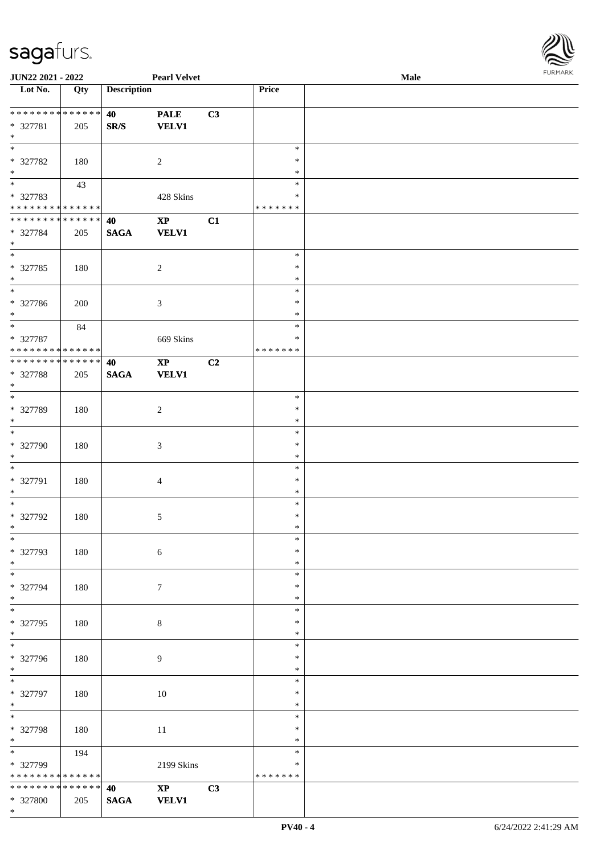

| JUN22 2021 - 2022           |             |                    | <b>Pearl Velvet</b>    |    |               | Male |
|-----------------------------|-------------|--------------------|------------------------|----|---------------|------|
| Lot No.                     | Qty         | <b>Description</b> |                        |    | Price         |      |
|                             |             |                    |                        |    |               |      |
| **************              |             | 40                 | <b>PALE</b>            | C3 |               |      |
|                             |             |                    |                        |    |               |      |
| * 327781                    | 205         | SR/S               | <b>VELV1</b>           |    |               |      |
| $\ast$                      |             |                    |                        |    |               |      |
| $\ast$                      |             |                    |                        |    | $\ast$        |      |
| * 327782                    | 180         |                    | $\overline{c}$         |    | $\ast$        |      |
| $\ast$                      |             |                    |                        |    | $\ast$        |      |
| $\overline{\phantom{1}}$    | 43          |                    |                        |    | $\ast$        |      |
| * 327783                    |             |                    | 428 Skins              |    | $\ast$        |      |
| * * * * * * * * * * * * * * |             |                    |                        |    |               |      |
|                             |             |                    |                        |    | * * * * * * * |      |
| * * * * * * * * * * * * * * |             | 40                 | $\bold{XP}$            | C1 |               |      |
| * 327784                    | 205         | <b>SAGA</b>        | <b>VELV1</b>           |    |               |      |
| $\ast$                      |             |                    |                        |    |               |      |
| $\overline{\ast}$           |             |                    |                        |    | $\ast$        |      |
| $* 327785$                  | 180         |                    | $\sqrt{2}$             |    | $\ast$        |      |
| $\ast$                      |             |                    |                        |    | $\ast$        |      |
| $\overline{\phantom{0}}$    |             |                    |                        |    |               |      |
|                             |             |                    |                        |    | $\ast$        |      |
| $* 327786$                  | 200         |                    | $\mathfrak{Z}$         |    | $\ast$        |      |
| $*$                         |             |                    |                        |    | $\ast$        |      |
| $_{\ast}$                   | 84          |                    |                        |    | $\ast$        |      |
| * 327787                    |             |                    | 669 Skins              |    | ∗             |      |
| * * * * * * * * * * * * * * |             |                    |                        |    | * * * * * * * |      |
| **************              |             |                    |                        |    |               |      |
|                             |             | 40                 | $\mathbf{X}\mathbf{P}$ | C2 |               |      |
| * 327788                    | 205         | <b>SAGA</b>        | <b>VELV1</b>           |    |               |      |
| $\ast$                      |             |                    |                        |    |               |      |
| $\ast$                      |             |                    |                        |    | $\ast$        |      |
| * 327789                    | 180         |                    | $\overline{c}$         |    | $\ast$        |      |
| $\ast$                      |             |                    |                        |    | $\ast$        |      |
| $\overline{\phantom{1}}$    |             |                    |                        |    | $\ast$        |      |
|                             |             |                    |                        |    |               |      |
| * 327790                    | 180         |                    | $\mathfrak{Z}$         |    | $\ast$        |      |
| $\ast$                      |             |                    |                        |    | $\ast$        |      |
| $\ast$                      |             |                    |                        |    | $\ast$        |      |
| * 327791                    | 180         |                    | 4                      |    | $\ast$        |      |
| $\ast$                      |             |                    |                        |    | $\ast$        |      |
| $\ast$                      |             |                    |                        |    | $\ast$        |      |
|                             |             |                    |                        |    |               |      |
| * 327792                    | 180         |                    | $\sqrt{5}$             |    | $\ast$        |      |
| $*$                         |             |                    |                        |    | $\ast$        |      |
| $*$                         |             |                    |                        |    | $\ast$        |      |
| * 327793                    | 180         |                    | $6\,$                  |    | $\ast$        |      |
| $*$                         |             |                    |                        |    | $\ast$        |      |
| $\overline{\phantom{0}}$    |             |                    |                        |    | $\ast$        |      |
|                             |             |                    |                        |    |               |      |
| * 327794                    | 180         |                    | $\tau$                 |    | $\ast$        |      |
| $\ast$                      |             |                    |                        |    | $\ast$        |      |
| $\overline{\phantom{1}}$    |             |                    |                        |    | $\ast$        |      |
| * 327795                    | 180         |                    | 8                      |    | $\ast$        |      |
| $*$                         |             |                    |                        |    | $\ast$        |      |
| $\overline{\phantom{1}}$    |             |                    |                        |    | $\ast$        |      |
|                             |             |                    |                        |    |               |      |
| * 327796                    | 180         |                    | $\overline{9}$         |    | ∗             |      |
| $*$                         |             |                    |                        |    | $\ast$        |      |
| $\overline{\phantom{0}}$    |             |                    |                        |    | $\ast$        |      |
| * 327797                    | 180         |                    | 10                     |    | $\ast$        |      |
| $\ast$                      |             |                    |                        |    | $\ast$        |      |
| $\ast$                      |             |                    |                        |    | $\ast$        |      |
|                             |             |                    |                        |    |               |      |
| * 327798                    | 180         |                    | 11                     |    | $\ast$        |      |
| $*$                         |             |                    |                        |    | $\ast$        |      |
| $\overline{\phantom{0}}$    | 194         |                    |                        |    | $\ast$        |      |
| * 327799                    |             |                    | 2199 Skins             |    | ∗             |      |
| * * * * * * * *             | * * * * * * |                    |                        |    | * * * * * * * |      |
| * * * * * * * * * * * * * * |             | 40                 | $\mathbf{X}\mathbf{P}$ | C3 |               |      |
|                             |             |                    |                        |    |               |      |
| * 327800                    | 205         | <b>SAGA</b>        | <b>VELV1</b>           |    |               |      |
| $*$                         |             |                    |                        |    |               |      |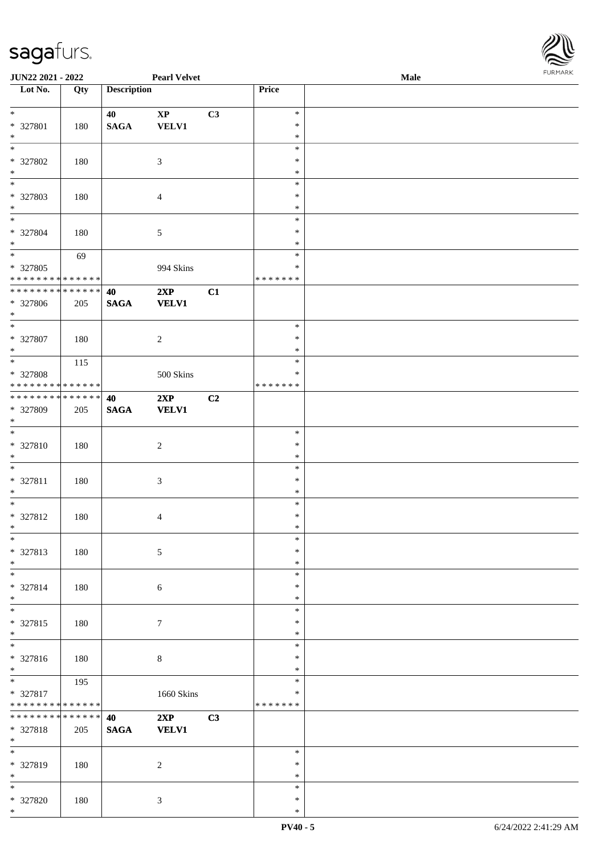

| <b>JUN22 2021 - 2022</b>                               |     |                    | <b>Pearl Velvet</b>    |    |                  | Male |  |
|--------------------------------------------------------|-----|--------------------|------------------------|----|------------------|------|--|
| Lot No.                                                | Qty | <b>Description</b> |                        |    | Price            |      |  |
|                                                        |     |                    |                        |    |                  |      |  |
| $*$                                                    |     | 40                 | $\mathbf{X}\mathbf{P}$ | C3 | $\ast$           |      |  |
| * 327801                                               | 180 | <b>SAGA</b>        | <b>VELV1</b>           |    | $\ast$           |      |  |
| $*$                                                    |     |                    |                        |    | $\ast$           |      |  |
|                                                        |     |                    |                        |    | $\ast$           |      |  |
| * 327802                                               | 180 |                    | $\mathbf{3}$           |    | $\ast$           |      |  |
| $\ast$                                                 |     |                    |                        |    | $\ast$           |      |  |
|                                                        |     |                    |                        |    | $\ast$           |      |  |
| * 327803                                               | 180 |                    | $\overline{4}$         |    | $\ast$           |      |  |
| $*$                                                    |     |                    |                        |    | $\ast$           |      |  |
| $*$                                                    |     |                    |                        |    | $\ast$           |      |  |
| * 327804                                               | 180 |                    | $\mathfrak{S}$         |    | $\ast$           |      |  |
| $*$                                                    |     |                    |                        |    | $\ast$           |      |  |
|                                                        | 69  |                    |                        |    | $\ast$           |      |  |
| * 327805                                               |     |                    | 994 Skins              |    | $\ast$           |      |  |
| * * * * * * * * <mark>* * * * * * *</mark>             |     |                    |                        |    | *******          |      |  |
| * * * * * * * * <mark>* * * * * * *</mark>             |     | 40                 | 2XP                    | C1 |                  |      |  |
| * 327806                                               | 205 | <b>SAGA</b>        | <b>VELV1</b>           |    |                  |      |  |
| $*$                                                    |     |                    |                        |    |                  |      |  |
|                                                        |     |                    |                        |    | $\ast$           |      |  |
| * 327807                                               | 180 |                    | $\overline{2}$         |    | $\ast$           |      |  |
| $*$                                                    |     |                    |                        |    | $\ast$           |      |  |
|                                                        | 115 |                    |                        |    | $\ast$           |      |  |
| * 327808                                               |     |                    | 500 Skins              |    | $\ast$           |      |  |
| * * * * * * * * * * * * * *                            |     |                    |                        |    | * * * * * * *    |      |  |
| * * * * * * * * <mark>* * * * * * *</mark>             |     | 40                 | 2XP                    | C2 |                  |      |  |
| * 327809                                               | 205 | $\mathbf{SAGA}$    | <b>VELV1</b>           |    |                  |      |  |
| $*$                                                    |     |                    |                        |    |                  |      |  |
| $\overline{\phantom{0}}$                               |     |                    |                        |    | $\ast$           |      |  |
| * 327810                                               | 180 |                    | $\overline{2}$         |    | $\ast$           |      |  |
| $*$                                                    |     |                    |                        |    | $\ast$           |      |  |
| $*$                                                    |     |                    |                        |    | $\ast$           |      |  |
| * 327811                                               | 180 |                    | $\sqrt{3}$             |    | $\ast$           |      |  |
| $*$                                                    |     |                    |                        |    | $\ast$           |      |  |
| $*$                                                    |     |                    |                        |    | $\ast$           |      |  |
| * 327812                                               | 180 |                    | $\overline{4}$         |    | $\ast$           |      |  |
| $*$                                                    |     |                    |                        |    | $\ast$           |      |  |
| $*$                                                    |     |                    |                        |    | $\ast$           |      |  |
| * 327813                                               | 180 |                    | $\mathfrak{S}$         |    | $\ast$           |      |  |
| $*$                                                    |     |                    |                        |    | $\ast$           |      |  |
| $*$                                                    |     |                    |                        |    | $\ast$           |      |  |
| * 327814                                               | 180 |                    | $\boldsymbol{6}$       |    | $\ast$           |      |  |
| $*$<br>$\overline{\phantom{0}}$                        |     |                    |                        |    | $\ast$           |      |  |
|                                                        |     |                    |                        |    | $\ast$           |      |  |
| * 327815                                               | 180 |                    | $\tau$                 |    | $\ast$           |      |  |
| $*$<br>$_{*}$                                          |     |                    |                        |    | $\ast$           |      |  |
|                                                        |     |                    |                        |    | $\ast$           |      |  |
| * 327816                                               | 180 |                    | $\,8\,$                |    | $\ast$           |      |  |
| $*$                                                    |     |                    |                        |    | $\ast$           |      |  |
|                                                        | 195 |                    |                        |    | $\ast$<br>$\ast$ |      |  |
| * 327817<br>* * * * * * * * <mark>* * * * * * *</mark> |     |                    | 1660 Skins             |    | *******          |      |  |
| * * * * * * * * * * * * * *                            |     |                    |                        |    |                  |      |  |
|                                                        |     | 40                 | 2XP                    | C3 |                  |      |  |
| * 327818<br>$*$                                        | 205 | <b>SAGA</b>        | <b>VELV1</b>           |    |                  |      |  |
| $\ast$                                                 |     |                    |                        |    | $\ast$           |      |  |
|                                                        |     |                    |                        |    | $\ast$           |      |  |
| * 327819<br>$*$                                        | 180 |                    | 2                      |    | $\ast$           |      |  |
| $*$                                                    |     |                    |                        |    | $\ast$           |      |  |
|                                                        |     |                    |                        |    | $\ast$           |      |  |
| * 327820<br>$\ast$                                     | 180 |                    | $\mathbf{3}$           |    | $\ast$           |      |  |
|                                                        |     |                    |                        |    |                  |      |  |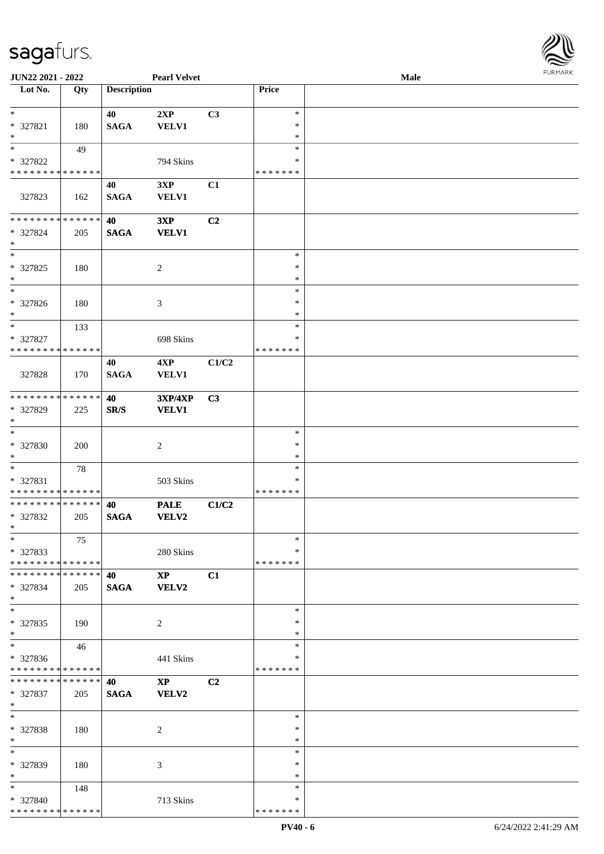

| JUN22 2021 - 2022             |     |                    | <b>Pearl Velvet</b>    |       |               | Male |
|-------------------------------|-----|--------------------|------------------------|-------|---------------|------|
| Lot No.                       | Qty | <b>Description</b> |                        |       | Price         |      |
|                               |     |                    |                        |       |               |      |
| $*$                           |     | 40                 | 2XP                    | C3    | $\ast$        |      |
| * 327821                      | 180 | <b>SAGA</b>        | <b>VELV1</b>           |       | $\ast$        |      |
| $\ast$                        |     |                    |                        |       | $\ast$        |      |
| $*$                           |     |                    |                        |       | $\ast$        |      |
|                               | 49  |                    |                        |       | ∗             |      |
| * 327822                      |     |                    | 794 Skins              |       |               |      |
| * * * * * * * * * * * * * *   |     |                    |                        |       | * * * * * * * |      |
|                               |     | 40                 | 3XP                    | C1    |               |      |
| 327823                        | 162 | <b>SAGA</b>        | <b>VELV1</b>           |       |               |      |
|                               |     |                    |                        |       |               |      |
| * * * * * * * * * * * * * *   |     | 40                 | 3XP                    | C2    |               |      |
| * 327824                      | 205 | <b>SAGA</b>        | <b>VELV1</b>           |       |               |      |
| $*$                           |     |                    |                        |       |               |      |
| $\ast$                        |     |                    |                        |       | $\ast$        |      |
| $* 327825$                    | 180 |                    | $\overline{c}$         |       | $\ast$        |      |
| $*$                           |     |                    |                        |       | $\ast$        |      |
| $\ast$                        |     |                    |                        |       | $\ast$        |      |
| $* 327826$                    | 180 |                    | 3                      |       | $\ast$        |      |
| $*$                           |     |                    |                        |       | $\ast$        |      |
| $\ast$                        | 133 |                    |                        |       | $\ast$        |      |
|                               |     |                    |                        |       | ∗             |      |
| * 327827                      |     |                    | 698 Skins              |       |               |      |
| * * * * * * * * * * * * * *   |     |                    |                        |       | * * * * * * * |      |
|                               |     | 40                 | 4XP                    | C1/C2 |               |      |
| 327828                        | 170 | <b>SAGA</b>        | <b>VELV1</b>           |       |               |      |
|                               |     |                    |                        |       |               |      |
| * * * * * * * * * * * * * *   |     | 40                 | <b>3XP/4XP</b>         | C3    |               |      |
| * 327829                      | 225 | SR/S               | <b>VELV1</b>           |       |               |      |
| $*$                           |     |                    |                        |       |               |      |
| $\ast$                        |     |                    |                        |       | $\ast$        |      |
| * 327830                      | 200 |                    | $\overline{c}$         |       | $\ast$        |      |
| $*$                           |     |                    |                        |       | $\ast$        |      |
| $*$                           | 78  |                    |                        |       | $\ast$        |      |
| * 327831                      |     |                    | 503 Skins              |       | $\ast$        |      |
| * * * * * * * * * * * * * *   |     |                    |                        |       | * * * * * * * |      |
| * * * * * * * * * * * * * *   |     | 40                 | <b>PALE</b>            | C1/C2 |               |      |
|                               |     |                    |                        |       |               |      |
| * 327832                      | 205 | <b>SAGA</b>        | VELV2                  |       |               |      |
| $*$                           |     |                    |                        |       |               |      |
| $\ast$                        | 75  |                    |                        |       | $\ast$        |      |
| * 327833                      |     |                    | 280 Skins              |       | ∗             |      |
| * * * * * * * * * * * * * *   |     |                    |                        |       | * * * * * * * |      |
| * * * * * * * * * * * * * * * |     | 40                 | $\mathbf{X}\mathbf{P}$ | C1    |               |      |
| * 327834                      | 205 | <b>SAGA</b>        | VELV2                  |       |               |      |
| $*$                           |     |                    |                        |       |               |      |
| $\ast$                        |     |                    |                        |       | $\ast$        |      |
| * 327835                      | 190 |                    | 2                      |       | $\ast$        |      |
| $*$                           |     |                    |                        |       | $\ast$        |      |
| $\overline{\phantom{0}}$      | 46  |                    |                        |       | $\ast$        |      |
| * 327836                      |     |                    | 441 Skins              |       | ∗             |      |
| * * * * * * * * * * * * * *   |     |                    |                        |       | * * * * * * * |      |
| **************                |     | 40                 | $\mathbf{XP}$          | C2    |               |      |
| * 327837                      | 205 | <b>SAGA</b>        | VELV2                  |       |               |      |
| $*$                           |     |                    |                        |       |               |      |
| $*$                           |     |                    |                        |       | $\ast$        |      |
|                               |     |                    |                        |       | $\ast$        |      |
| * 327838                      | 180 |                    | 2                      |       |               |      |
| $*$                           |     |                    |                        |       | $\ast$        |      |
| $\ast$                        |     |                    |                        |       | $\ast$        |      |
| * 327839                      | 180 |                    | 3                      |       | ∗             |      |
| $*$                           |     |                    |                        |       | $\ast$        |      |
| $*$ $*$                       | 148 |                    |                        |       | $\ast$        |      |
| * 327840                      |     |                    | 713 Skins              |       | ∗             |      |
| * * * * * * * * * * * * * *   |     |                    |                        |       | * * * * * * * |      |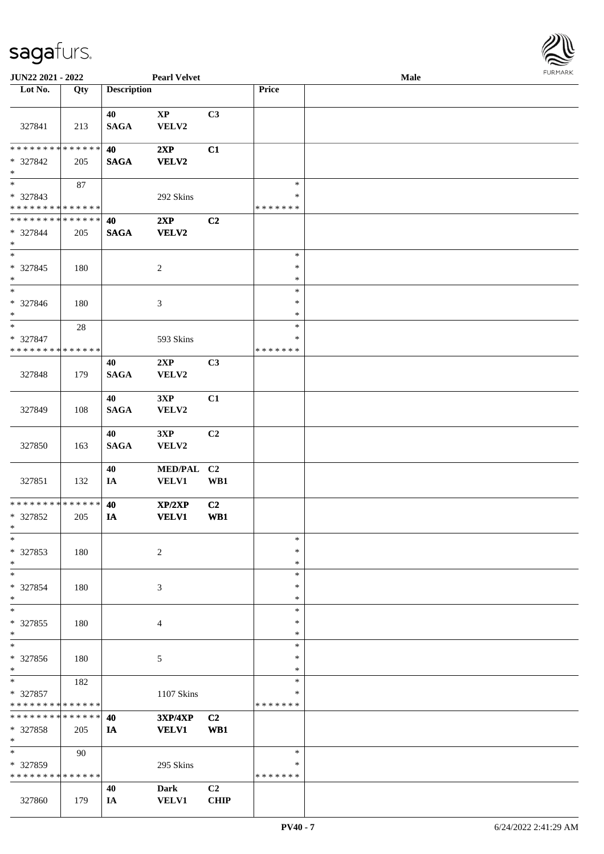

| JUN22 2021 - 2022                                      |        |                       | <b>Pearl Velvet</b>  |                |                    | <b>Male</b> |  |
|--------------------------------------------------------|--------|-----------------------|----------------------|----------------|--------------------|-------------|--|
| Lot No.                                                | Qty    | <b>Description</b>    |                      |                | Price              |             |  |
|                                                        |        |                       |                      |                |                    |             |  |
| 327841                                                 | 213    | 40<br>$\mathbf{SAGA}$ | $\bold{XP}$<br>VELV2 | C <sub>3</sub> |                    |             |  |
| * * * * * * * * * * * * * *                            |        | 40                    | 2XP                  | C1             |                    |             |  |
| * 327842<br>$\ast$                                     | 205    | <b>SAGA</b>           | <b>VELV2</b>         |                |                    |             |  |
| $\overline{\phantom{0}}$                               | $87\,$ |                       |                      |                | $\ast$             |             |  |
| * 327843                                               |        |                       | 292 Skins            |                | $\ast$             |             |  |
| * * * * * * * * * * * * * *                            |        |                       |                      |                | * * * * * * *      |             |  |
| ******** <mark>*****</mark> *                          |        | 40                    | 2XP                  | C <sub>2</sub> |                    |             |  |
| * 327844<br>$\ast$                                     | 205    | <b>SAGA</b>           | <b>VELV2</b>         |                |                    |             |  |
| $\ast$                                                 |        |                       |                      |                | $\ast$             |             |  |
| $* 327845$<br>$\ast$                                   | 180    |                       | $\overline{c}$       |                | $\ast$<br>$\ast$   |             |  |
| $\overline{\phantom{a}^*}$                             |        |                       |                      |                | $\ast$             |             |  |
| * 327846<br>$\ast$                                     | 180    |                       | 3                    |                | $\ast$<br>$\ast$   |             |  |
| $\ast$                                                 | $28\,$ |                       |                      |                | $\ast$             |             |  |
| * 327847<br>* * * * * * * * <mark>* * * * * * *</mark> |        |                       | 593 Skins            |                | ∗<br>* * * * * * * |             |  |
|                                                        |        | 40                    | 2XP                  | C3             |                    |             |  |
| 327848                                                 | 179    | <b>SAGA</b>           | VELV2                |                |                    |             |  |
| 327849                                                 | 108    | 40<br><b>SAGA</b>     | 3XP<br>VELV2         | C1             |                    |             |  |
|                                                        |        |                       |                      |                |                    |             |  |
| 327850                                                 | 163    | 40<br><b>SAGA</b>     | 3XP<br>VELV2         | C <sub>2</sub> |                    |             |  |
|                                                        |        | 40                    | MED/PAL C2           |                |                    |             |  |
| 327851                                                 | 132    | IA                    | <b>VELV1</b>         | WB1            |                    |             |  |
| ******** <mark>******</mark>                           |        | 40                    | XP/2XP               | C2             |                    |             |  |
| * 327852<br>$*$                                        | 205    | IA                    | <b>VELV1</b>         | WB1            |                    |             |  |
| $*$                                                    |        |                       |                      |                | $\ast$             |             |  |
| * 327853                                               | 180    |                       | $\overline{c}$       |                | $\ast$             |             |  |
| $\ast$                                                 |        |                       |                      |                | $\ast$             |             |  |
| $\ast$                                                 |        |                       |                      |                | $\ast$             |             |  |
| * 327854                                               | 180    |                       | 3                    |                | ∗                  |             |  |
| $\ast$<br>$\overline{\phantom{a}^*}$                   |        |                       |                      |                | $\ast$<br>$\ast$   |             |  |
|                                                        |        |                       |                      |                |                    |             |  |
| * 327855<br>$\ast$                                     | 180    |                       | 4                    |                | $\ast$<br>$\ast$   |             |  |
| $\overline{\phantom{a}^*}$                             |        |                       |                      |                | $\ast$             |             |  |
| * 327856                                               |        |                       |                      |                | ∗                  |             |  |
| $*$                                                    | 180    |                       | 5                    |                | $\ast$             |             |  |
| $\ast$                                                 | 182    |                       |                      |                | $\ast$             |             |  |
| * 327857                                               |        |                       | 1107 Skins           |                | $\ast$             |             |  |
| * * * * * * * * * * * * * *                            |        |                       |                      |                | * * * * * * *      |             |  |
| * * * * * * * * * * * * * *                            |        | 40                    | <b>3XP/4XP</b>       | C <sub>2</sub> |                    |             |  |
| * 327858<br>$*$                                        | 205    | IA                    | <b>VELV1</b>         | WB1            |                    |             |  |
| $\overline{\phantom{0}}$                               | 90     |                       |                      |                | $\ast$             |             |  |
| * 327859                                               |        |                       | 295 Skins            |                | ∗                  |             |  |
| * * * * * * * * * * * * * *                            |        |                       |                      |                | * * * * * * *      |             |  |
|                                                        |        | 40                    | Dark                 | C <sub>2</sub> |                    |             |  |
| 327860                                                 | 179    | IA                    | <b>VELV1</b>         | <b>CHIP</b>    |                    |             |  |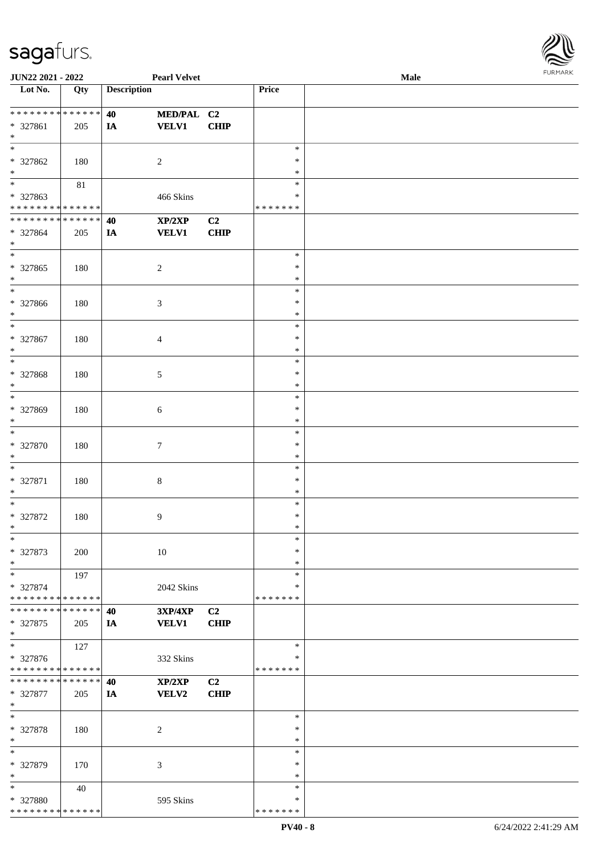

| JUN22 2021 - 2022                                          |        |                    | <b>Pearl Velvet</b>        |                               |                    | Male | FURMARK |
|------------------------------------------------------------|--------|--------------------|----------------------------|-------------------------------|--------------------|------|---------|
| $\overline{\phantom{1}}$ Lot No.                           | Qty    | <b>Description</b> |                            |                               | Price              |      |         |
|                                                            |        |                    |                            |                               |                    |      |         |
| * * * * * * * * * * * * * *<br>* 327861                    | 205    | 40<br>IA           | MED/PAL C2<br><b>VELV1</b> | <b>CHIP</b>                   |                    |      |         |
| $\ast$                                                     |        |                    |                            |                               |                    |      |         |
| $\ast$                                                     |        |                    |                            |                               | $\ast$             |      |         |
| * 327862                                                   | 180    |                    | $\overline{c}$             |                               | $\ast$             |      |         |
| $\ast$                                                     |        |                    |                            |                               | $\ast$             |      |         |
| $_{\ast}^{-}$                                              | $81\,$ |                    |                            |                               | $\ast$             |      |         |
| * 327863<br>* * * * * * * * * * * * * *                    |        |                    | 466 Skins                  |                               | ∗<br>* * * * * * * |      |         |
| * * * * * * * * * * * * * *                                |        | 40                 | XP/2XP                     | C2                            |                    |      |         |
| * 327864                                                   | 205    | IA                 | <b>VELV1</b>               | <b>CHIP</b>                   |                    |      |         |
| $*$                                                        |        |                    |                            |                               |                    |      |         |
| $\ast$                                                     |        |                    |                            |                               | $\ast$             |      |         |
| $* 327865$                                                 | 180    |                    | $\boldsymbol{2}$           |                               | $\ast$             |      |         |
| $\ast$<br>$\overline{\phantom{0}}$                         |        |                    |                            |                               | $\ast$<br>$\ast$   |      |         |
| * 327866                                                   | 180    |                    | 3                          |                               | $\ast$             |      |         |
| $\ast$                                                     |        |                    |                            |                               | $\ast$             |      |         |
| $\ast$                                                     |        |                    |                            |                               | $\ast$             |      |         |
| * 327867                                                   | 180    |                    | 4                          |                               | $\ast$             |      |         |
| $\ast$                                                     |        |                    |                            |                               | $\ast$             |      |         |
| $\overline{\phantom{0}}$                                   |        |                    |                            |                               | $\ast$             |      |         |
| * 327868<br>$\ast$                                         | 180    |                    | 5                          |                               | $\ast$<br>$\ast$   |      |         |
| $\overline{\phantom{0}}$                                   |        |                    |                            |                               | $\ast$             |      |         |
| * 327869                                                   | 180    |                    | 6                          |                               | $\ast$             |      |         |
| $\ast$                                                     |        |                    |                            |                               | $\ast$             |      |         |
| $\ast$                                                     |        |                    |                            |                               | $\ast$             |      |         |
| * 327870                                                   | 180    |                    | $\tau$                     |                               | $\ast$             |      |         |
| $\ast$<br>$\ast$                                           |        |                    |                            |                               | $\ast$<br>$\ast$   |      |         |
| $* 327871$                                                 | 180    |                    | $8\,$                      |                               | $\ast$             |      |         |
| $\ast$                                                     |        |                    |                            |                               | $\ast$             |      |         |
| $\overline{\phantom{0}}$                                   |        |                    |                            |                               | $\ast$             |      |         |
| $* 327872$                                                 | 180    |                    | 9                          |                               | $\ast$             |      |         |
| $\ast$<br>$\ast$                                           |        |                    |                            |                               | $\ast$<br>$\ast$   |      |         |
| * 327873                                                   | 200    |                    | 10                         |                               | ∗                  |      |         |
| $\ast$                                                     |        |                    |                            |                               | $\ast$             |      |         |
| $\ast$                                                     | 197    |                    |                            |                               | $\ast$             |      |         |
| * 327874                                                   |        |                    | 2042 Skins                 |                               | $\ast$             |      |         |
| * * * * * * * * * * * * * *<br>* * * * * * * * * * * * * * |        |                    |                            |                               | * * * * * * *      |      |         |
| * 327875                                                   |        | 40                 | 3XP/4XP<br><b>VELV1</b>    | C <sub>2</sub><br><b>CHIP</b> |                    |      |         |
| $\ast$                                                     | 205    | IA                 |                            |                               |                    |      |         |
| $\overline{\ast}$                                          | 127    |                    |                            |                               | $\ast$             |      |         |
| * 327876                                                   |        |                    | 332 Skins                  |                               | $\ast$             |      |         |
| * * * * * * * * * * * * * *                                |        |                    |                            |                               | * * * * * * *      |      |         |
| * * * * * * * * * * * * * *                                |        | 40                 | XP/2XP                     | C2                            |                    |      |         |
| * 327877<br>$\ast$                                         | 205    | IA                 | <b>VELV2</b>               | <b>CHIP</b>                   |                    |      |         |
| $\ast$                                                     |        |                    |                            |                               | $\ast$             |      |         |
| * 327878                                                   | 180    |                    | 2                          |                               | ∗                  |      |         |
| $\ast$                                                     |        |                    |                            |                               | $\ast$             |      |         |
| $\ast$                                                     |        |                    |                            |                               | $\ast$             |      |         |
| * 327879<br>$\ast$                                         | 170    |                    | 3                          |                               | $\ast$<br>$\ast$   |      |         |
| $\ast$                                                     | 40     |                    |                            |                               | $\ast$             |      |         |
| * 327880                                                   |        |                    | 595 Skins                  |                               | ∗                  |      |         |
| * * * * * * * * * * * * * *                                |        |                    |                            |                               | * * * * * * *      |      |         |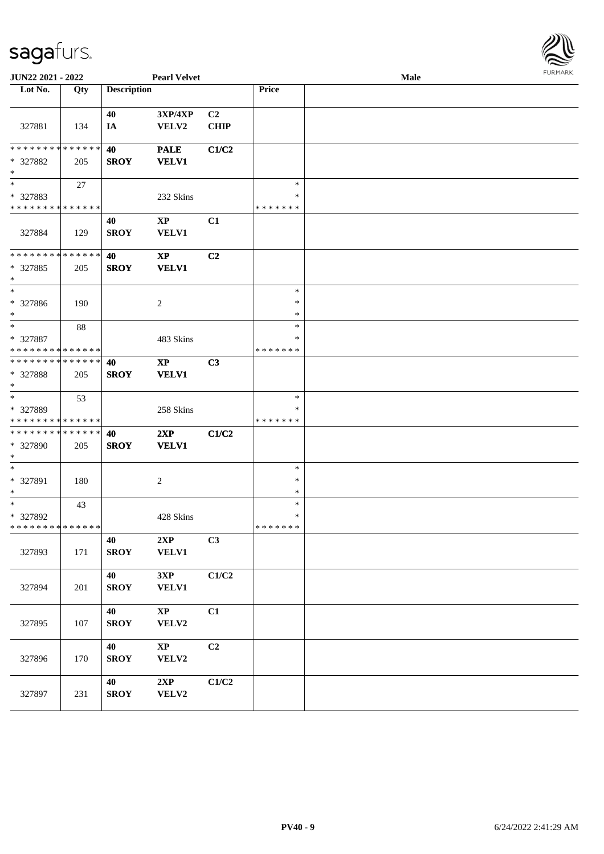

| <b>JUN22 2021 - 2022</b>                                                           |               |                    | <b>Pearl Velvet</b>             |                               |                                   | <b>Male</b> |  |
|------------------------------------------------------------------------------------|---------------|--------------------|---------------------------------|-------------------------------|-----------------------------------|-------------|--|
| Lot No.                                                                            | Qty           | <b>Description</b> |                                 |                               | Price                             |             |  |
| 327881                                                                             | 134           | 40<br>IA           | 3XP/4XP<br>VELV2                | C <sub>2</sub><br><b>CHIP</b> |                                   |             |  |
| * * * * * * * *<br>* 327882<br>$\ast$                                              | ******<br>205 | 40<br><b>SROY</b>  | <b>PALE</b><br><b>VELV1</b>     | C1/C2                         |                                   |             |  |
| $\overline{\phantom{0}}$<br>* 327883<br>* * * * * * * * <mark>* * * * * * *</mark> | 27            |                    | 232 Skins                       |                               | $\ast$<br>$\ast$<br>* * * * * * * |             |  |
| 327884                                                                             | 129           | 40<br><b>SROY</b>  | $\mathbf{XP}$<br><b>VELV1</b>   | C1                            |                                   |             |  |
| * * * * * * * * * * * * * * *<br>* 327885<br>$\ast$                                | 205           | 40<br><b>SROY</b>  | $\mathbf{XP}$<br><b>VELV1</b>   | C <sub>2</sub>                |                                   |             |  |
| $*$<br>* 327886<br>$*$                                                             | 190           |                    | $\overline{c}$                  |                               | $\ast$<br>$\ast$<br>$\ast$        |             |  |
| $*$<br>* 327887<br>* * * * * * * * * * * * * *                                     | 88            |                    | 483 Skins                       |                               | $\ast$<br>*<br>* * * * * * *      |             |  |
| * * * * * * * * * * * * * * *<br>* 327888<br>$\ast$                                | 205           | 40<br><b>SROY</b>  | $\mathbf{XP}$<br><b>VELV1</b>   | C3                            |                                   |             |  |
| $\overline{\phantom{0}}$<br>* 327889<br>* * * * * * * * * * * * * *                | 53            |                    | 258 Skins                       |                               | $\ast$<br>∗<br>* * * * * * *      |             |  |
| * * * * * * * * * * * * * *<br>* 327890<br>$*$                                     | 205           | 40<br><b>SROY</b>  | 2XP<br><b>VELV1</b>             | C1/C2                         |                                   |             |  |
| $*$<br>* 327891<br>$\ast$                                                          | 180           |                    | 2                               |                               | $\ast$<br>$\ast$<br>$\ast$        |             |  |
| $*$<br>* 327892<br>* * * * * * * * <mark>* * * * * * *</mark>                      | 43            |                    | 428 Skins                       |                               | $\ast$<br>$\ast$<br>*******       |             |  |
| 327893                                                                             | 171           | 40<br><b>SROY</b>  | 2XP<br><b>VELV1</b>             | C3                            |                                   |             |  |
| 327894                                                                             | 201           | 40<br><b>SROY</b>  | 3XP<br><b>VELV1</b>             | C1/C2                         |                                   |             |  |
| 327895                                                                             | 107           | 40<br><b>SROY</b>  | $\mathbf{X}\mathbf{P}$<br>VELV2 | C1                            |                                   |             |  |
| 327896                                                                             | 170           | 40<br><b>SROY</b>  | $\mathbf{XP}$<br>VELV2          | C2                            |                                   |             |  |
| 327897                                                                             | 231           | 40<br><b>SROY</b>  | 2XP<br>VELV2                    | C1/C2                         |                                   |             |  |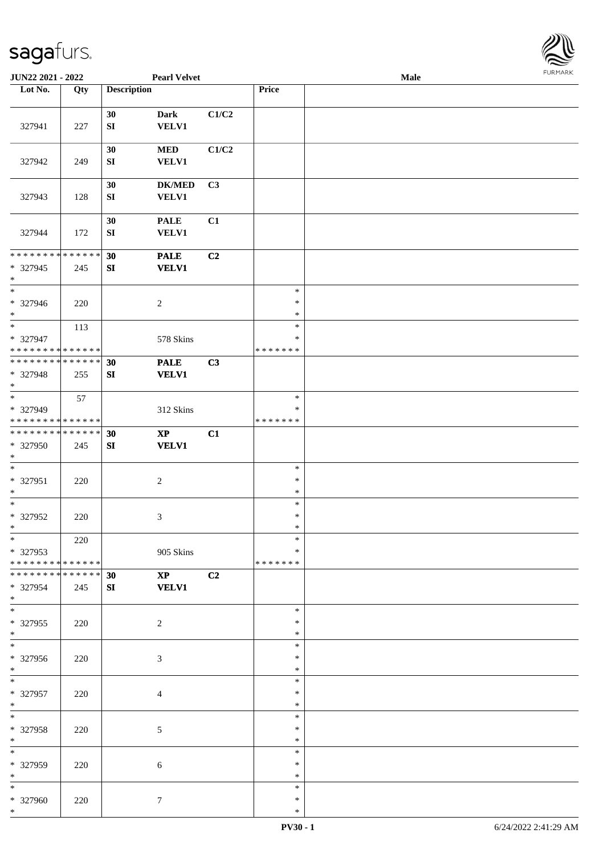

| JUN22 2021 - 2022                                                   |     |                        | <b>Pearl Velvet</b>                          |                |                                   | Male | <b>FURMARK</b> |
|---------------------------------------------------------------------|-----|------------------------|----------------------------------------------|----------------|-----------------------------------|------|----------------|
| Lot No.                                                             | Qty | <b>Description</b>     |                                              |                | Price                             |      |                |
| 327941                                                              | 227 | 30<br>${\bf S}{\bf I}$ | <b>Dark</b><br><b>VELV1</b>                  | C1/C2          |                                   |      |                |
| 327942                                                              | 249 | 30<br>${\bf S}{\bf I}$ | $\bf MED$<br><b>VELV1</b>                    | $\rm C1/C2$    |                                   |      |                |
| 327943                                                              | 128 | 30<br>${\bf S}{\bf I}$ | $DK/MED$<br><b>VELV1</b>                     | C3             |                                   |      |                |
| 327944                                                              | 172 | 30<br>${\bf S}{\bf I}$ | $\ensuremath{\mathsf{PALE}}$<br><b>VELV1</b> | C1             |                                   |      |                |
| **************<br>* 327945<br>$\ast$                                | 245 | 30<br>${\bf S}{\bf I}$ | <b>PALE</b><br>VELV1                         | C2             |                                   |      |                |
| $\overline{\phantom{0}}$<br>* 327946<br>$\ast$                      | 220 |                        | $\overline{c}$                               |                | $\ast$<br>$\ast$<br>$\ast$        |      |                |
| $\ast$<br>* 327947<br>* * * * * * * * * * * * * *                   | 113 |                        | 578 Skins                                    |                | $\ast$<br>$\ast$<br>* * * * * * * |      |                |
| * * * * * * * * * * * * * *<br>* 327948<br>$\ast$                   | 255 | 30<br>SI               | <b>PALE</b><br><b>VELV1</b>                  | C3             |                                   |      |                |
| $\overline{\phantom{0}}$<br>* 327949<br>* * * * * * * * * * * * * * | 57  |                        | 312 Skins                                    |                | $\ast$<br>∗<br>* * * * * * *      |      |                |
| **************<br>* 327950<br>$\ast$                                | 245 | 30<br>SI               | $\bold{XP}$<br><b>VELV1</b>                  | C1             |                                   |      |                |
| $\ast$<br>$* 327951$<br>$\ast$                                      | 220 |                        | $\sqrt{2}$                                   |                | $\ast$<br>$\ast$<br>$\ast$        |      |                |
| $_{\ast}^{-}$<br>* 327952<br>$\ast$                                 | 220 |                        | $\mathfrak{Z}$                               |                | $\ast$<br>$\ast$<br>$\ast$        |      |                |
| $\ast$<br>* 327953<br>* * * * * * * * * * * * * *                   | 220 |                        | 905 Skins                                    |                | $\ast$<br>*<br>* * * * * * *      |      |                |
| * * * * * * * * * * * * * * *<br>* 327954<br>$*$                    | 245 | 30<br>SI               | $\mathbf{XP}$<br><b>VELV1</b>                | C <sub>2</sub> |                                   |      |                |
| $\overline{\phantom{0}}$<br>* 327955<br>$*$                         | 220 |                        | $\overline{c}$                               |                | $\ast$<br>*<br>∗                  |      |                |
| $\overline{\phantom{0}}$<br>* 327956<br>$*$                         | 220 |                        | $\mathfrak{Z}$                               |                | $\ast$<br>$\ast$<br>$\ast$        |      |                |
| $*$<br>* 327957<br>$*$                                              | 220 |                        | 4                                            |                | $\ast$<br>$\ast$<br>$\ast$        |      |                |
| $\overline{\phantom{0}}$<br>* 327958<br>$*$                         | 220 |                        | 5                                            |                | $\ast$<br>*<br>$\ast$             |      |                |
| $\overline{\phantom{0}}$<br>* 327959<br>$\ast$                      | 220 |                        | 6                                            |                | $\ast$<br>∗<br>$\ast$             |      |                |
| $*$<br>* 327960<br>$*$                                              | 220 |                        | $\tau$                                       |                | $\ast$<br>$\ast$<br>$\ast$        |      |                |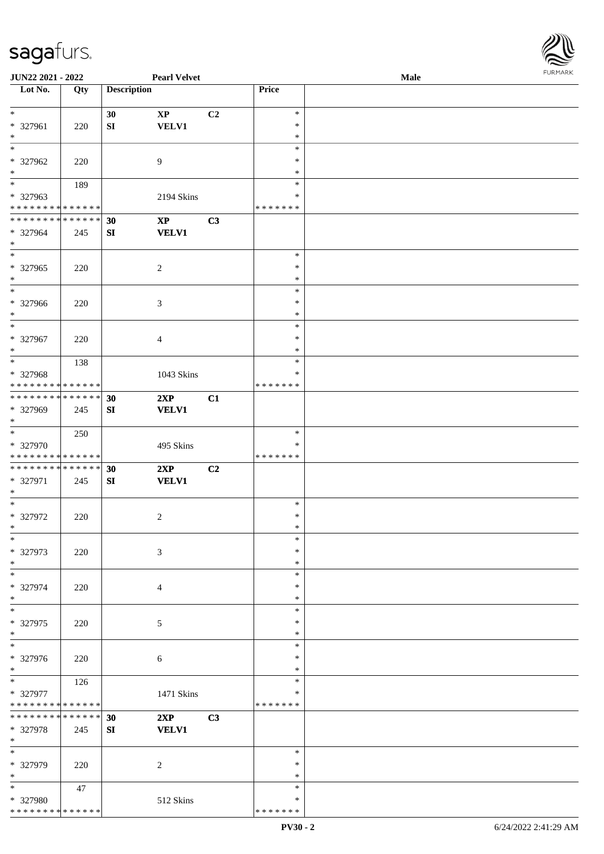

| JUN22 2021 - 2022                  |     |                    | <b>Pearl Velvet</b> |    |               | <b>Male</b> |  |
|------------------------------------|-----|--------------------|---------------------|----|---------------|-------------|--|
| Lot No.                            | Qty | <b>Description</b> |                     |    | Price         |             |  |
|                                    |     |                    |                     |    |               |             |  |
| $\ast$                             |     | 30                 | $\mathbf{XP}$       | C2 | $\ast$        |             |  |
| * 327961                           | 220 | ${\bf S}{\bf I}$   | <b>VELV1</b>        |    | $\ast$        |             |  |
| $\ast$                             |     |                    |                     |    | $\ast$        |             |  |
| $\overline{\phantom{0}}$           |     |                    |                     |    | $\ast$        |             |  |
|                                    |     |                    |                     |    |               |             |  |
| * 327962                           | 220 |                    | 9                   |    | ∗             |             |  |
| $\ast$<br>$\overline{\phantom{0}}$ |     |                    |                     |    | $\ast$        |             |  |
|                                    | 189 |                    |                     |    | $\ast$        |             |  |
| * 327963                           |     |                    | 2194 Skins          |    | $\ast$        |             |  |
| * * * * * * * * * * * * * *        |     |                    |                     |    | * * * * * * * |             |  |
| **************                     |     | 30                 | $\bold{XP}$         | C3 |               |             |  |
| * 327964                           | 245 | SI                 | <b>VELV1</b>        |    |               |             |  |
| $\ast$                             |     |                    |                     |    |               |             |  |
| $\overline{\phantom{a}^*}$         |     |                    |                     |    | $\ast$        |             |  |
| $* 327965$                         | 220 |                    | $\sqrt{2}$          |    | $\ast$        |             |  |
| $\ast$                             |     |                    |                     |    | $\ast$        |             |  |
| $\overline{\phantom{1}}$           |     |                    |                     |    |               |             |  |
|                                    |     |                    |                     |    | $\ast$        |             |  |
| * 327966                           | 220 |                    | 3                   |    | $\ast$        |             |  |
| $\ast$                             |     |                    |                     |    | $\ast$        |             |  |
| $\ast$                             |     |                    |                     |    | $\ast$        |             |  |
| * 327967                           | 220 |                    | $\overline{4}$      |    | $\ast$        |             |  |
| $\ast$                             |     |                    |                     |    | $\ast$        |             |  |
| $\ast$                             | 138 |                    |                     |    | $\ast$        |             |  |
| * 327968                           |     |                    | 1043 Skins          |    | ∗             |             |  |
| * * * * * * * * * * * * * *        |     |                    |                     |    | * * * * * * * |             |  |
| **************                     |     |                    |                     |    |               |             |  |
|                                    |     | 30                 | 2XP                 | C1 |               |             |  |
| * 327969                           | 245 | SI                 | <b>VELV1</b>        |    |               |             |  |
| $*$                                |     |                    |                     |    |               |             |  |
| $*$                                | 250 |                    |                     |    | $\ast$        |             |  |
| * 327970                           |     |                    | 495 Skins           |    | ∗             |             |  |
| * * * * * * * * * * * * * * *      |     |                    |                     |    | * * * * * * * |             |  |
| **************                     |     | 30                 | 2XP                 | C2 |               |             |  |
| * 327971                           | 245 | SI                 | <b>VELV1</b>        |    |               |             |  |
| $*$                                |     |                    |                     |    |               |             |  |
| $*$                                |     |                    |                     |    | $\ast$        |             |  |
| * 327972                           | 220 |                    | $\overline{c}$      |    | $\ast$        |             |  |
| $*$                                |     |                    |                     |    | $\ast$        |             |  |
| $\ast$                             |     |                    |                     |    | $\ast$        |             |  |
|                                    |     |                    |                     |    |               |             |  |
| * 327973                           | 220 |                    | 3                   |    | $\ast$        |             |  |
| $\ast$                             |     |                    |                     |    | $\ast$        |             |  |
| $\ast$                             |     |                    |                     |    | $\ast$        |             |  |
| * 327974                           | 220 |                    | $\overline{4}$      |    | ∗             |             |  |
| $\ast$                             |     |                    |                     |    | ∗             |             |  |
| $\ast$                             |     |                    |                     |    | $\ast$        |             |  |
| * 327975                           | 220 |                    | $\mathfrak{S}$      |    | $\ast$        |             |  |
| $*$                                |     |                    |                     |    | $\ast$        |             |  |
| $\overline{\phantom{a}^*}$         |     |                    |                     |    | $\ast$        |             |  |
| * 327976                           | 220 |                    |                     |    | ∗             |             |  |
| $*$                                |     |                    | 6                   |    | $\ast$        |             |  |
| $\ast$                             |     |                    |                     |    | $\ast$        |             |  |
|                                    | 126 |                    |                     |    |               |             |  |
| * 327977                           |     |                    | 1471 Skins          |    | $\ast$        |             |  |
| * * * * * * * * * * * * * *        |     |                    |                     |    | * * * * * * * |             |  |
| ******** <mark>******</mark>       |     | 30                 | 2XP                 | C3 |               |             |  |
| * 327978                           | 245 | SI                 | <b>VELV1</b>        |    |               |             |  |
| $*$                                |     |                    |                     |    |               |             |  |
| $\overline{\phantom{a}^*}$         |     |                    |                     |    | $\ast$        |             |  |
| * 327979                           | 220 |                    | 2                   |    | ∗             |             |  |
| $\ast$                             |     |                    |                     |    | $\ast$        |             |  |
| $\ast$                             |     |                    |                     |    | $\ast$        |             |  |
|                                    | 47  |                    |                     |    |               |             |  |
| * 327980                           |     |                    | 512 Skins           |    | ∗             |             |  |
| * * * * * * * * * * * * * *        |     |                    |                     |    | * * * * * * * |             |  |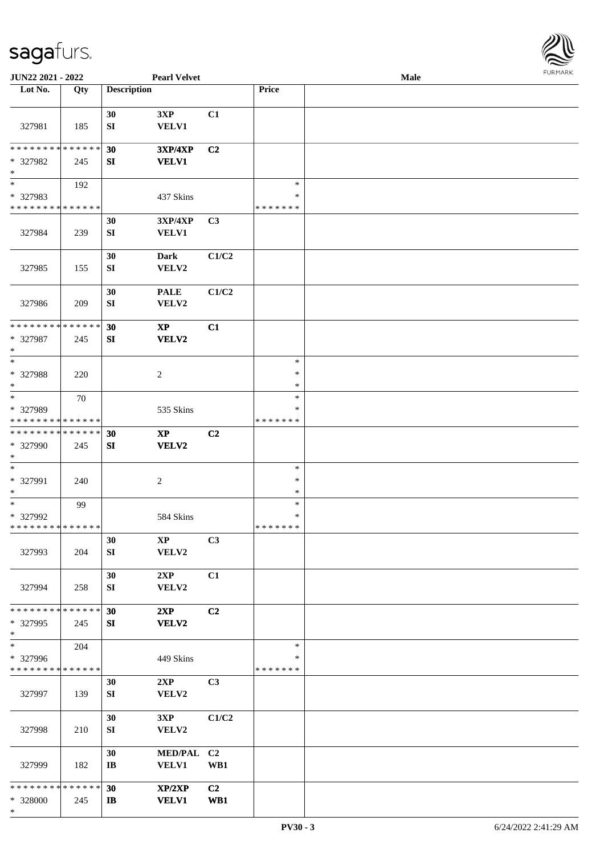

| JUN22 2021 - 2022                       |     |                        | <b>Pearl Velvet</b> |       |                         | Male |  |
|-----------------------------------------|-----|------------------------|---------------------|-------|-------------------------|------|--|
| Lot No.                                 | Qty | <b>Description</b>     |                     |       | Price                   |      |  |
|                                         |     |                        |                     |       |                         |      |  |
|                                         |     | 30                     | 3XP                 | C1    |                         |      |  |
| 327981                                  | 185 | ${\bf S}{\bf I}$       | VELV1               |       |                         |      |  |
|                                         |     |                        |                     |       |                         |      |  |
| * * * * * * * * * * * * * *             |     | 30                     | <b>3XP/4XP</b>      | C2    |                         |      |  |
| * 327982                                | 245 | SI                     | <b>VELV1</b>        |       |                         |      |  |
| $\ast$                                  |     |                        |                     |       |                         |      |  |
| $\overline{\ast}$                       | 192 |                        |                     |       | $\ast$                  |      |  |
| * 327983                                |     |                        | 437 Skins           |       | $\ast$                  |      |  |
| * * * * * * * * * * * * * *             |     |                        |                     |       | * * * * * * *           |      |  |
|                                         |     | 30                     | 3XP/4XP             | C3    |                         |      |  |
| 327984                                  | 239 | ${\bf SI}$             | <b>VELV1</b>        |       |                         |      |  |
|                                         |     | 30                     |                     | C1/C2 |                         |      |  |
| 327985                                  |     | SI                     | Dark<br>VELV2       |       |                         |      |  |
|                                         | 155 |                        |                     |       |                         |      |  |
|                                         |     | 30                     | <b>PALE</b>         | C1/C2 |                         |      |  |
| 327986                                  | 209 | SI                     | VELV2               |       |                         |      |  |
|                                         |     |                        |                     |       |                         |      |  |
| * * * * * * * * * * * * * *             |     | 30                     | $\bold{XP}$         | C1    |                         |      |  |
| * 327987                                | 245 | SI                     | VELV2               |       |                         |      |  |
| $\ast$                                  |     |                        |                     |       |                         |      |  |
| $\ast$                                  |     |                        |                     |       | $\ast$                  |      |  |
| * 327988                                | 220 |                        | $\overline{c}$      |       | $\ast$                  |      |  |
| $\ast$                                  |     |                        |                     |       | $\ast$                  |      |  |
| $\ast$                                  | 70  |                        |                     |       | $\ast$                  |      |  |
| * 327989<br>* * * * * * * * * * * * * * |     |                        | 535 Skins           |       | $\ast$<br>* * * * * * * |      |  |
| * * * * * * * * * * * * * *             |     | 30                     | $\bold{XP}$         | C2    |                         |      |  |
| * 327990                                | 245 | ${\bf S}{\bf I}$       | VELV2               |       |                         |      |  |
| $*$                                     |     |                        |                     |       |                         |      |  |
| $\ast$                                  |     |                        |                     |       | $\ast$                  |      |  |
| * 327991                                | 240 |                        | $\overline{c}$      |       | $\ast$                  |      |  |
| $*$                                     |     |                        |                     |       | $\ast$                  |      |  |
| $\ast$                                  | 99  |                        |                     |       | $\ast$                  |      |  |
| * 327992                                |     |                        | 584 Skins           |       | $\ast$                  |      |  |
| * * * * * * * * * * * * * *             |     |                        |                     |       | * * * * * * *           |      |  |
|                                         |     | 30                     | $\mathbf{XP}$       | C3    |                         |      |  |
| 327993                                  | 204 | SI                     | VELV2               |       |                         |      |  |
|                                         |     | 30                     | 2XP                 | C1    |                         |      |  |
| 327994                                  | 258 | SI                     | VELV2               |       |                         |      |  |
|                                         |     |                        |                     |       |                         |      |  |
| * * * * * * * * * * * * * *             |     | 30                     | 2XP                 | C2    |                         |      |  |
| * 327995                                | 245 | SI                     | VELV2               |       |                         |      |  |
| $*$                                     |     |                        |                     |       |                         |      |  |
| $\ast$                                  | 204 |                        |                     |       | $\ast$                  |      |  |
| * 327996                                |     |                        | 449 Skins           |       | ∗                       |      |  |
| * * * * * * * * * * * * * *             |     |                        |                     |       | *******                 |      |  |
|                                         |     | 30                     | 2XP                 | C3    |                         |      |  |
| 327997                                  | 139 | SI                     | VELV2               |       |                         |      |  |
|                                         |     | 30                     | 3XP                 | C1/C2 |                         |      |  |
| 327998                                  | 210 | SI                     | VELV2               |       |                         |      |  |
|                                         |     |                        |                     |       |                         |      |  |
|                                         |     | 30                     | MED/PAL C2          |       |                         |      |  |
| 327999                                  | 182 | $\mathbf{I}\mathbf{B}$ | <b>VELV1</b>        | WB1   |                         |      |  |
|                                         |     |                        |                     |       |                         |      |  |
| * * * * * * * * * * * * * *             |     | 30                     | XP/2XP              | C2    |                         |      |  |
| * 328000                                | 245 | $\mathbf{I}$           | <b>VELV1</b>        | WB1   |                         |      |  |
| $\ast$                                  |     |                        |                     |       |                         |      |  |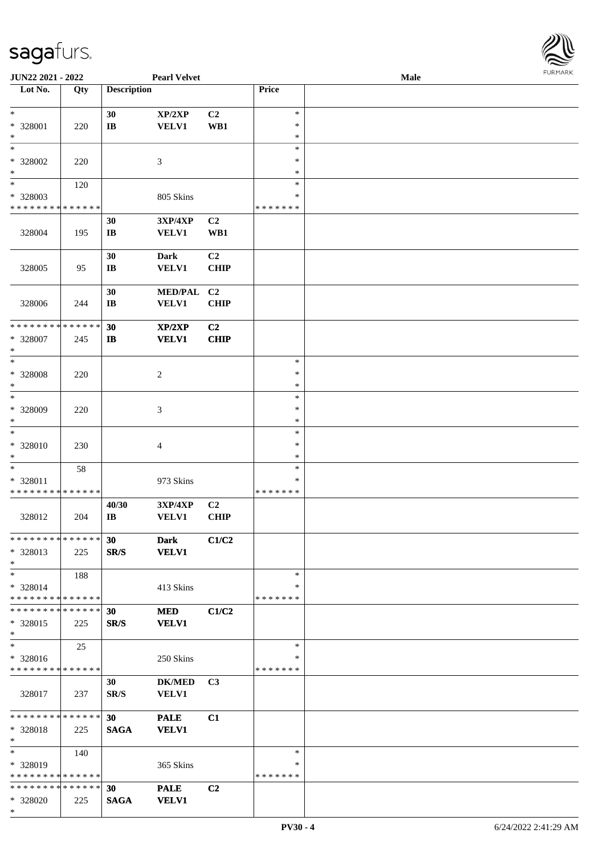

| JUN22 2021 - 2022           |             |                        | <b>Pearl Velvet</b> |                |               | <b>Male</b> |  |
|-----------------------------|-------------|------------------------|---------------------|----------------|---------------|-------------|--|
| Lot No.                     | Qty         | <b>Description</b>     |                     |                | Price         |             |  |
|                             |             |                        |                     |                |               |             |  |
| $\ast$                      |             | 30                     | XP/2XP              | C <sub>2</sub> | $\ast$        |             |  |
|                             |             |                        |                     |                | $\ast$        |             |  |
| * 328001                    | 220         | $\bf I\bf B$           | <b>VELV1</b>        | WB1            |               |             |  |
| $\ast$                      |             |                        |                     |                | $\ast$        |             |  |
| $\ast$                      |             |                        |                     |                | $\ast$        |             |  |
| * 328002                    | 220         |                        | 3                   |                | ∗             |             |  |
| $\ast$                      |             |                        |                     |                | $\ast$        |             |  |
| $\overline{\phantom{a}^*}$  | 120         |                        |                     |                | $\ast$        |             |  |
| * 328003                    |             |                        | 805 Skins           |                | $\ast$        |             |  |
|                             |             |                        |                     |                |               |             |  |
| * * * * * * * * * * * * * * |             |                        |                     |                | * * * * * * * |             |  |
|                             |             | 30                     | 3XP/4XP             | C2             |               |             |  |
| 328004                      | 195         | $\mathbf{I}\mathbf{B}$ | <b>VELV1</b>        | WB1            |               |             |  |
|                             |             |                        |                     |                |               |             |  |
|                             |             | 30                     | <b>Dark</b>         | C <sub>2</sub> |               |             |  |
| 328005                      |             |                        | VELV1               | <b>CHIP</b>    |               |             |  |
|                             | 95          | $\mathbf{I}\mathbf{B}$ |                     |                |               |             |  |
|                             |             |                        |                     |                |               |             |  |
|                             |             | 30                     | <b>MED/PAL</b>      | C <sub>2</sub> |               |             |  |
| 328006                      | 244         | $\bf IB$               | VELV1               | <b>CHIP</b>    |               |             |  |
|                             |             |                        |                     |                |               |             |  |
| * * * * * * * *             | * * * * * * | 30                     | XP/2XP              | C <sub>2</sub> |               |             |  |
| * 328007                    |             | $\bf I\bf B$           | <b>VELV1</b>        | <b>CHIP</b>    |               |             |  |
|                             | 245         |                        |                     |                |               |             |  |
| $\ast$                      |             |                        |                     |                |               |             |  |
| $\ast$                      |             |                        |                     |                | $\ast$        |             |  |
| * 328008                    | 220         |                        | $\overline{c}$      |                | $\ast$        |             |  |
| $\ast$                      |             |                        |                     |                | $\ast$        |             |  |
| $\ast$                      |             |                        |                     |                | $\ast$        |             |  |
| * 328009                    | 220         |                        | 3                   |                | $\ast$        |             |  |
|                             |             |                        |                     |                |               |             |  |
| $\ast$                      |             |                        |                     |                | $\ast$        |             |  |
| $\ast$                      |             |                        |                     |                | $\ast$        |             |  |
| * 328010                    | 230         |                        | $\overline{4}$      |                | $\ast$        |             |  |
| $\ast$                      |             |                        |                     |                | $\ast$        |             |  |
| $\ast$                      | 58          |                        |                     |                | $\ast$        |             |  |
| * 328011                    |             |                        | 973 Skins           |                | $\ast$        |             |  |
|                             |             |                        |                     |                |               |             |  |
| * * * * * * * * * * * * * * |             |                        |                     |                | * * * * * * * |             |  |
|                             |             | 40/30                  | 3XP/4XP             | C2             |               |             |  |
| 328012                      | 204         | $\bf IB$               | <b>VELV1</b>        | <b>CHIP</b>    |               |             |  |
|                             |             |                        |                     |                |               |             |  |
| * * * * * * * * * * * * * * |             | 30                     | <b>Dark</b>         | C1/C2          |               |             |  |
| * 328013                    | 225         | SR/S                   | <b>VELV1</b>        |                |               |             |  |
|                             |             |                        |                     |                |               |             |  |
| $*$                         |             |                        |                     |                |               |             |  |
| $\ast$                      | 188         |                        |                     |                | $\ast$        |             |  |
| * 328014                    |             |                        | 413 Skins           |                | ∗             |             |  |
| * * * * * * * * * * * * * * |             |                        |                     |                | * * * * * * * |             |  |
| * * * * * * * * * * * * * * |             | 30                     | <b>MED</b>          | C1/C2          |               |             |  |
| * 328015                    | 225         | SR/S                   | <b>VELV1</b>        |                |               |             |  |
| $\ast$                      |             |                        |                     |                |               |             |  |
|                             |             |                        |                     |                |               |             |  |
| $\ast$                      | 25          |                        |                     |                | $\ast$        |             |  |
| * 328016                    |             |                        | 250 Skins           |                | ∗             |             |  |
| * * * * * * * * * * * * * * |             |                        |                     |                | * * * * * * * |             |  |
|                             |             | 30                     | <b>DK/MED</b>       | C <sub>3</sub> |               |             |  |
|                             |             |                        | <b>VELV1</b>        |                |               |             |  |
| 328017                      | 237         | SR/S                   |                     |                |               |             |  |
|                             |             |                        |                     |                |               |             |  |
| * * * * * * * * * * * * * * |             | 30 <sup>°</sup>        | <b>PALE</b>         | C1             |               |             |  |
| * 328018                    | 225         | <b>SAGA</b>            | <b>VELV1</b>        |                |               |             |  |
| $\ast$                      |             |                        |                     |                |               |             |  |
| $\ast$                      | 140         |                        |                     |                | $\ast$        |             |  |
| * 328019                    |             |                        | 365 Skins           |                | ∗             |             |  |
|                             |             |                        |                     |                |               |             |  |
| * * * * * * * * * * * * * * |             |                        |                     |                | * * * * * * * |             |  |
| * * * * * * * * * * * * * * |             | 30                     | <b>PALE</b>         | C <sub>2</sub> |               |             |  |
| * 328020                    | 225         | <b>SAGA</b>            | <b>VELV1</b>        |                |               |             |  |
| $\ast$                      |             |                        |                     |                |               |             |  |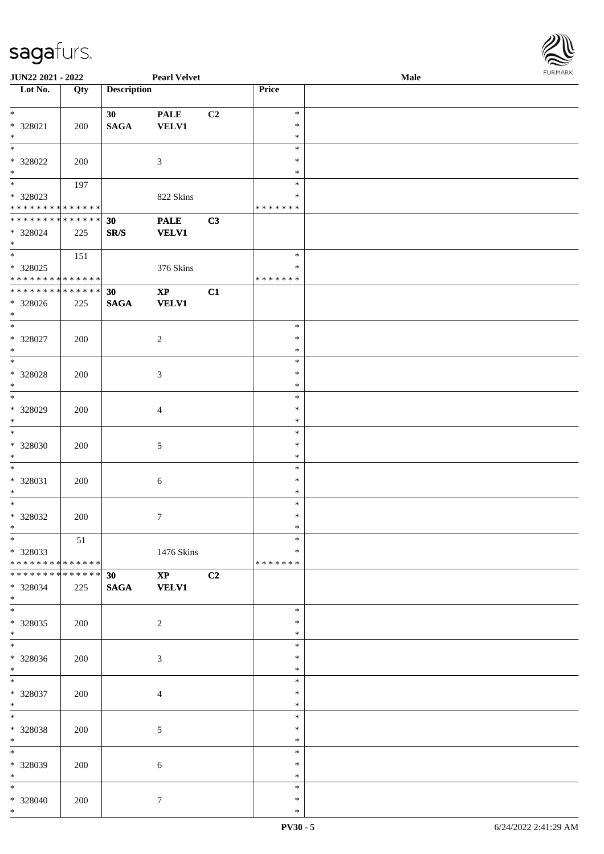| URMARK<br>F |
|-------------|

| <b>JUN22 2021 - 2022</b>                   |     |                    | <b>Pearl Velvet</b>    |    |               | <b>Male</b> |
|--------------------------------------------|-----|--------------------|------------------------|----|---------------|-------------|
| Lot No.                                    | Qty | <b>Description</b> |                        |    | Price         |             |
|                                            |     |                    |                        |    |               |             |
| $\ast$                                     |     | 30                 | <b>PALE</b>            | C2 | $\ast$        |             |
| * 328021                                   | 200 | <b>SAGA</b>        | <b>VELV1</b>           |    | $\ast$        |             |
| $*$                                        |     |                    |                        |    | $\ast$        |             |
|                                            |     |                    |                        |    | $\ast$        |             |
|                                            |     |                    |                        |    |               |             |
| * 328022                                   | 200 |                    | 3                      |    | $\ast$        |             |
| $*$                                        |     |                    |                        |    | $\ast$        |             |
|                                            | 197 |                    |                        |    | $\ast$        |             |
| * 328023                                   |     |                    | 822 Skins              |    | $\ast$        |             |
| * * * * * * * * * * * * * * *              |     |                    |                        |    | *******       |             |
| * * * * * * * * <mark>* * * * * * *</mark> |     | 30                 | <b>PALE</b>            | C3 |               |             |
| * 328024                                   | 225 | SR/S               | <b>VELV1</b>           |    |               |             |
| $*$                                        |     |                    |                        |    |               |             |
|                                            | 151 |                    |                        |    | $\ast$        |             |
|                                            |     |                    |                        |    | $\ast$        |             |
| * 328025                                   |     |                    | 376 Skins              |    |               |             |
| * * * * * * * * <mark>* * * * * * *</mark> |     |                    |                        |    | * * * * * * * |             |
| * * * * * * * * <mark>* * * * * * *</mark> |     | 30                 | $\bold{XP}$            | C1 |               |             |
| * 328026                                   | 225 | <b>SAGA</b>        | <b>VELV1</b>           |    |               |             |
| $*$                                        |     |                    |                        |    |               |             |
|                                            |     |                    |                        |    | $\ast$        |             |
| * 328027                                   | 200 |                    | $\overline{c}$         |    | $\ast$        |             |
| $*$                                        |     |                    |                        |    | $\ast$        |             |
| $\overline{\ }$                            |     |                    |                        |    | $\ast$        |             |
| * 328028                                   | 200 |                    | $\mathfrak{Z}$         |    | $\ast$        |             |
| $\ast$                                     |     |                    |                        |    | $\ast$        |             |
|                                            |     |                    |                        |    |               |             |
|                                            |     |                    |                        |    | $\ast$        |             |
| * 328029                                   | 200 |                    | $\overline{4}$         |    | $\ast$        |             |
| $*$                                        |     |                    |                        |    | $\ast$        |             |
| $\overline{\ }$                            |     |                    |                        |    | $\ast$        |             |
| * 328030                                   | 200 |                    | $\mathfrak{S}$         |    | $\ast$        |             |
| $*$                                        |     |                    |                        |    | $\ast$        |             |
| $*$                                        |     |                    |                        |    | $\ast$        |             |
| * 328031                                   | 200 |                    | $\boldsymbol{6}$       |    | $\ast$        |             |
| $*$                                        |     |                    |                        |    | $\ast$        |             |
| $*$                                        |     |                    |                        |    | $\ast$        |             |
|                                            |     |                    |                        |    |               |             |
| * 328032                                   | 200 |                    | $\tau$                 |    | $\ast$        |             |
| $*$                                        |     |                    |                        |    | $\ast$        |             |
| $*$                                        | 51  |                    |                        |    | $\ast$        |             |
| * 328033                                   |     |                    | 1476 Skins             |    | ∗             |             |
| * * * * * * * * * * * * * * <mark>*</mark> |     |                    |                        |    | *******       |             |
| * * * * * * * * * * * * * * <mark>*</mark> |     | 30                 | $\mathbf{X}\mathbf{P}$ | C2 |               |             |
| * 328034                                   | 225 | <b>SAGA</b>        | <b>VELV1</b>           |    |               |             |
| $\ast$                                     |     |                    |                        |    |               |             |
| $\overline{\mathbf{r}}$                    |     |                    |                        |    | $\ast$        |             |
| * 328035                                   | 200 |                    | $\overline{c}$         |    | ∗             |             |
| $*$                                        |     |                    |                        |    | $\ast$        |             |
| $*$                                        |     |                    |                        |    |               |             |
|                                            |     |                    |                        |    | $\ast$        |             |
| * 328036                                   | 200 |                    | $\mathfrak{Z}$         |    | $\ast$        |             |
| $*$                                        |     |                    |                        |    | $\ast$        |             |
| $*$                                        |     |                    |                        |    | $\ast$        |             |
| * 328037                                   | 200 |                    | $\overline{4}$         |    | $\ast$        |             |
| $*$                                        |     |                    |                        |    | $\ast$        |             |
| $*$ $-$                                    |     |                    |                        |    | $\ast$        |             |
| * 328038                                   | 200 |                    | $\mathfrak{S}$         |    | $\ast$        |             |
| $*$                                        |     |                    |                        |    | $\ast$        |             |
| $*$                                        |     |                    |                        |    | $\ast$        |             |
|                                            |     |                    |                        |    | $\ast$        |             |
| * 328039<br>$*$                            | 200 |                    | $\sqrt{6}$             |    | $\ast$        |             |
|                                            |     |                    |                        |    |               |             |
| $*$                                        |     |                    |                        |    | $\ast$        |             |
| * 328040                                   | 200 |                    | $\tau$                 |    | $\ast$        |             |
| $*$                                        |     |                    |                        |    | $\ast$        |             |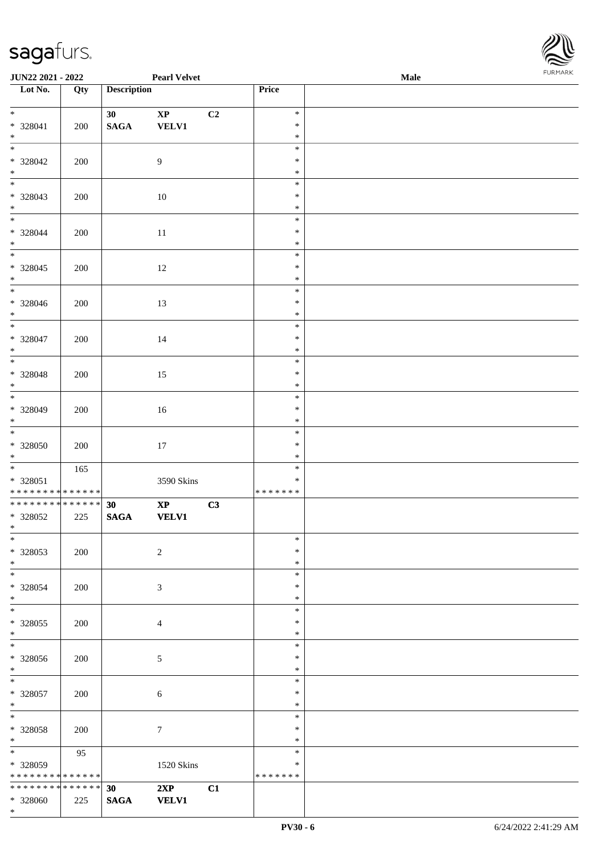

| JUN22 2021 - 2022                                      |     |                       | <b>Pearl Velvet</b>                    |                |                                   | Male | 1.9151111515 |
|--------------------------------------------------------|-----|-----------------------|----------------------------------------|----------------|-----------------------------------|------|--------------|
| $\overline{\phantom{1}}$ Lot No.                       | Qty | <b>Description</b>    |                                        |                | Price                             |      |              |
| $*$<br>$* 328041$<br>$\ast$                            | 200 | 30<br>$\mathbf{SAGA}$ | $\bold{XP}$<br>VELV1                   | C <sub>2</sub> | $\ast$<br>$\ast$<br>$\ast$        |      |              |
| $\ast$<br>* 328042<br>$\ast$                           | 200 |                       | 9                                      |                | $\ast$<br>$\ast$<br>$\ast$        |      |              |
| * 328043<br>$\ast$                                     | 200 |                       | $10\,$                                 |                | $\ast$<br>$\ast$<br>$\ast$        |      |              |
| $* 328044$<br>$*$                                      | 200 |                       | 11                                     |                | $\ast$<br>$\ast$<br>$\ast$        |      |              |
| $* 328045$<br>$*$                                      | 200 |                       | 12                                     |                | $\ast$<br>$\ast$<br>$\ast$        |      |              |
| $\overline{\phantom{0}}$<br>$* 328046$<br>$*$          | 200 |                       | 13                                     |                | $\ast$<br>$\ast$<br>$\ast$        |      |              |
| $\overline{\ }$<br>$* 328047$<br>$*$                   | 200 |                       | 14                                     |                | $\ast$<br>$\ast$<br>$\ast$        |      |              |
| $\overline{\ast}$<br>$* 328048$<br>$*$                 | 200 |                       | 15                                     |                | $\ast$<br>$\ast$<br>$\ast$        |      |              |
| * 328049<br>$*$                                        | 200 |                       | 16                                     |                | $\ast$<br>$\ast$<br>$\ast$        |      |              |
| $\overline{\phantom{0}}$<br>$* 328050$<br>$*$          | 200 |                       | $17\,$                                 |                | $\ast$<br>$\ast$<br>$\ast$        |      |              |
| $* 328051$<br>* * * * * * * * * * * * * *              | 165 |                       | 3590 Skins                             |                | $\ast$<br>$\ast$<br>*******       |      |              |
| ******** <mark>******</mark><br>* 328052<br>$*$ $-$    | 225 | 30<br>$\mathbf{SAGA}$ | $\mathbf{X}\mathbf{P}$<br><b>VELV1</b> | C3             |                                   |      |              |
| $*$<br>* 328053<br>$*$                                 | 200 |                       | $\sqrt{2}$                             |                | $\ast$<br>$\ast$<br>$\ast$        |      |              |
| $\ast$<br>* 328054<br>$*$                              | 200 |                       | 3                                      |                | $\ast$<br>$\ast$<br>$\ast$        |      |              |
| $*$<br>* 328055<br>$*$                                 | 200 |                       | $\overline{4}$                         |                | $\ast$<br>$\ast$<br>$\ast$        |      |              |
| $\overline{\phantom{0}}$<br>$* 328056$<br>$*$          | 200 |                       | $\sqrt{5}$                             |                | $\ast$<br>$\ast$<br>$\ast$        |      |              |
| $*$<br>$* 328057$<br>$*$                               | 200 |                       | 6                                      |                | $\ast$<br>$\ast$<br>$\ast$        |      |              |
| $*$<br>$* 328058$<br>$*$                               | 200 |                       | $\tau$                                 |                | $\ast$<br>$\ast$<br>$\ast$        |      |              |
| $*$ and $*$<br>* 328059<br>* * * * * * * * * * * * * * | 95  |                       | 1520 Skins                             |                | $\ast$<br>$\ast$<br>* * * * * * * |      |              |
| * * * * * * * * * * * * * * *<br>* 328060<br>$*$       | 225 | 30<br><b>SAGA</b>     | 2XP<br><b>VELV1</b>                    | C1             |                                   |      |              |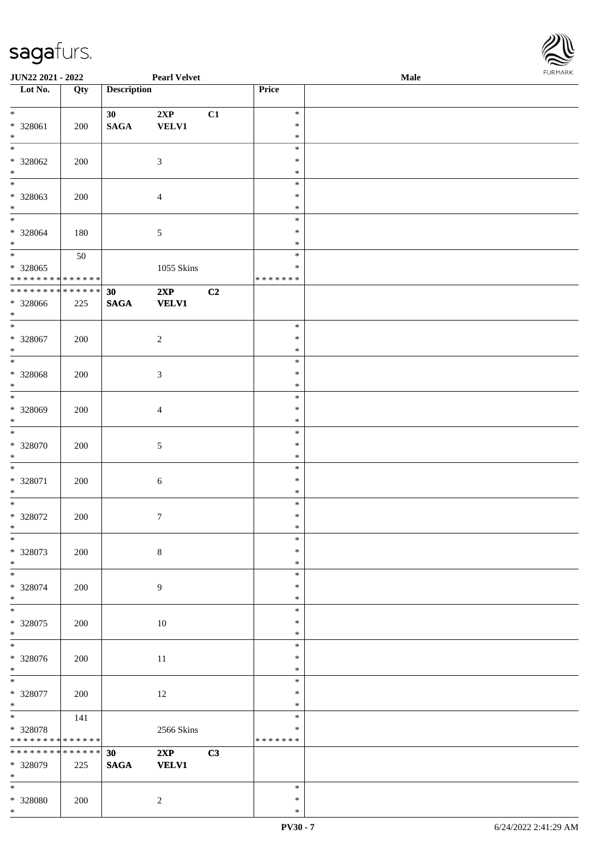\*



| JUN22 2021 - 2022               |     |                    | <b>Pearl Velvet</b> |    |                  | Male |  |
|---------------------------------|-----|--------------------|---------------------|----|------------------|------|--|
| Lot No.                         | Qty | <b>Description</b> |                     |    | Price            |      |  |
|                                 |     |                    |                     |    |                  |      |  |
| $\ast$                          |     | 30                 | 2XP                 | C1 | $\ast$           |      |  |
| * 328061                        | 200 | $\mathbf{SAGA}$    | <b>VELV1</b>        |    | $\ast$           |      |  |
| $\ast$                          |     |                    |                     |    | $\ast$           |      |  |
| $\overline{\ast}$               |     |                    |                     |    | $\ast$           |      |  |
| $* 328062$                      | 200 |                    | $\mathfrak{Z}$      |    | $\ast$           |      |  |
| $\ast$                          |     |                    |                     |    | $\ast$           |      |  |
| $\overline{\phantom{0}}$        |     |                    |                     |    | $\ast$           |      |  |
| * 328063                        | 200 |                    | $\overline{4}$      |    | $\ast$           |      |  |
| $\ast$                          |     |                    |                     |    | $\ast$           |      |  |
| $*$                             |     |                    |                     |    | $\ast$           |      |  |
| $* 328064$                      | 180 |                    | 5                   |    | $\ast$           |      |  |
| $*$                             |     |                    |                     |    | $\ast$           |      |  |
| $\overline{\ast}$               | 50  |                    |                     |    | $\ast$           |      |  |
| * 328065                        |     |                    | 1055 Skins          |    | $\ast$           |      |  |
| * * * * * * * * * * * * * *     |     |                    |                     |    | *******          |      |  |
| * * * * * * * * * * * * * *     |     | 30                 | 2XP                 | C2 |                  |      |  |
| * 328066                        | 225 | $\mathbf{SAGA}$    | <b>VELV1</b>        |    |                  |      |  |
| $*$                             |     |                    |                     |    |                  |      |  |
| $\ast$                          |     |                    |                     |    | $\ast$           |      |  |
| $* 328067$                      | 200 |                    | $\sqrt{2}$          |    | $\ast$           |      |  |
| $\ast$                          |     |                    |                     |    | $\ast$           |      |  |
| $\ast$                          |     |                    |                     |    | $\ast$           |      |  |
| $* 328068$                      | 200 |                    | $\mathfrak{Z}$      |    | $\ast$           |      |  |
| $\ast$                          |     |                    |                     |    | $\ast$           |      |  |
| $*$                             |     |                    |                     |    | $\ast$           |      |  |
| * 328069                        | 200 |                    |                     |    | $\ast$           |      |  |
| $*$                             |     |                    | $\overline{4}$      |    | $\ast$           |      |  |
| $*$                             |     |                    |                     |    | $\ast$           |      |  |
|                                 |     |                    |                     |    | $\ast$           |      |  |
| $* 328070$<br>$*$               | 200 |                    | 5                   |    | $\ast$           |      |  |
| $\ast$                          |     |                    |                     |    | $\ast$           |      |  |
|                                 |     |                    |                     |    |                  |      |  |
| $* 328071$                      | 200 |                    | $\sqrt{6}$          |    | $\ast$           |      |  |
| $\ast$<br>$*$                   |     |                    |                     |    | $\ast$<br>$\ast$ |      |  |
|                                 |     |                    |                     |    |                  |      |  |
| * 328072                        | 200 |                    | $\boldsymbol{7}$    |    | $\ast$           |      |  |
| $*$                             |     |                    |                     |    | $\ast$           |      |  |
| $\ast$                          |     |                    |                     |    | $\ast$           |      |  |
| * 328073                        | 200 |                    | $\,8\,$             |    | $\ast$           |      |  |
| $*$<br>$\overline{\phantom{0}}$ |     |                    |                     |    | $\ast$           |      |  |
|                                 |     |                    |                     |    | $\ast$           |      |  |
| * 328074                        | 200 |                    | 9                   |    | $\ast$           |      |  |
| $*$                             |     |                    |                     |    | $\ast$           |      |  |
| $*$                             |     |                    |                     |    | $\ast$           |      |  |
| $* 328075$                      | 200 |                    | $10\,$              |    | $\ast$           |      |  |
| $*$                             |     |                    |                     |    | $\ast$           |      |  |
| $\overline{\phantom{1}}$        |     |                    |                     |    | $\ast$           |      |  |
| $* 328076$                      | 200 |                    | $11\,$              |    | $\ast$           |      |  |
| $*$                             |     |                    |                     |    | $\ast$           |      |  |
| $*$                             |     |                    |                     |    | $\ast$           |      |  |
| $* 328077$                      | 200 |                    | $12\,$              |    | $\ast$           |      |  |
| $*$                             |     |                    |                     |    | $\ast$           |      |  |
| $*$                             | 141 |                    |                     |    | $\ast$           |      |  |
| * 328078                        |     |                    | 2566 Skins          |    | $\ast$           |      |  |
| * * * * * * * * * * * * * *     |     |                    |                     |    | * * * * * * *    |      |  |
| ******** <mark>******</mark>    |     | 30                 | 2XP                 | C3 |                  |      |  |
| * 328079                        | 225 | $\mathbf{SAGA}$    | <b>VELV1</b>        |    |                  |      |  |
| $*$                             |     |                    |                     |    |                  |      |  |
| $*$                             |     |                    |                     |    | $\ast$           |      |  |
| * 328080                        | 200 |                    | $\overline{c}$      |    | $\ast$           |      |  |
| $*$                             |     |                    |                     |    | $\ast$           |      |  |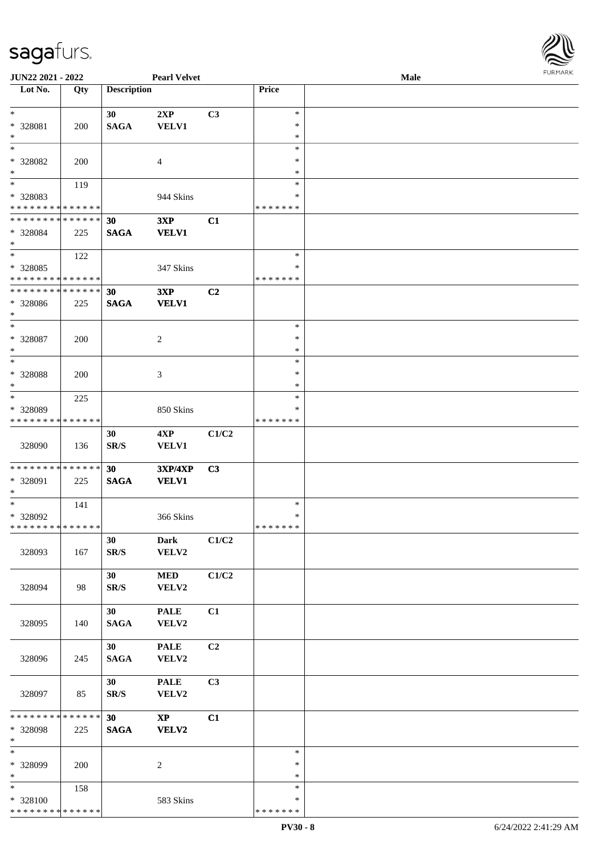

| JUN22 2021 - 2022           |     |                    | <b>Pearl Velvet</b> |       |               | Male |  |
|-----------------------------|-----|--------------------|---------------------|-------|---------------|------|--|
| Lot No.                     | Qty | <b>Description</b> |                     |       | Price         |      |  |
|                             |     |                    |                     |       |               |      |  |
| $\ast$                      |     | 30                 | 2XP                 | C3    | $\ast$        |      |  |
| * 328081                    | 200 | <b>SAGA</b>        | <b>VELV1</b>        |       | $\ast$        |      |  |
| $\ast$                      |     |                    |                     |       | $\ast$        |      |  |
| $*$                         |     |                    |                     |       | $\ast$        |      |  |
|                             |     |                    |                     |       |               |      |  |
| * 328082                    | 200 |                    | 4                   |       | ∗             |      |  |
| $\ast$                      |     |                    |                     |       | $\ast$        |      |  |
| $\overline{\ast}$           | 119 |                    |                     |       | $\ast$        |      |  |
| * 328083                    |     |                    | 944 Skins           |       | $\ast$        |      |  |
| * * * * * * * * * * * * * * |     |                    |                     |       | * * * * * * * |      |  |
| * * * * * * * * * * * * * * |     | 30                 | 3XP                 | C1    |               |      |  |
| * 328084                    | 225 | <b>SAGA</b>        | <b>VELV1</b>        |       |               |      |  |
| $*$                         |     |                    |                     |       |               |      |  |
| $\ast$                      | 122 |                    |                     |       | $\ast$        |      |  |
| * 328085                    |     |                    |                     |       | $\ast$        |      |  |
| * * * * * * * * * * * * * * |     |                    | 347 Skins           |       | * * * * * * * |      |  |
|                             |     |                    |                     |       |               |      |  |
| * * * * * * * * * * * * * * |     | 30                 | 3XP                 | C2    |               |      |  |
| * 328086                    | 225 | <b>SAGA</b>        | <b>VELV1</b>        |       |               |      |  |
| $*$                         |     |                    |                     |       |               |      |  |
| $\ast$                      |     |                    |                     |       | $\ast$        |      |  |
| $* 328087$                  | 200 |                    | 2                   |       | $\ast$        |      |  |
| $\ast$                      |     |                    |                     |       | $\ast$        |      |  |
| $\ast$                      |     |                    |                     |       | $\ast$        |      |  |
| $* 328088$                  | 200 |                    | 3                   |       | $\ast$        |      |  |
| $\ast$                      |     |                    |                     |       | $\ast$        |      |  |
| $\ast$                      |     |                    |                     |       | $\ast$        |      |  |
|                             | 225 |                    |                     |       |               |      |  |
| * 328089                    |     |                    | 850 Skins           |       | $\ast$        |      |  |
| * * * * * * * * * * * * * * |     |                    |                     |       | * * * * * * * |      |  |
|                             |     | 30                 | 4XP                 | C1/C2 |               |      |  |
| 328090                      | 136 | SR/S               | <b>VELV1</b>        |       |               |      |  |
|                             |     |                    |                     |       |               |      |  |
| * * * * * * * * * * * * * * |     | 30                 | 3XP/4XP             | C3    |               |      |  |
| * 328091                    | 225 | <b>SAGA</b>        | <b>VELV1</b>        |       |               |      |  |
| $*$                         |     |                    |                     |       |               |      |  |
| $*$                         | 141 |                    |                     |       | $\ast$        |      |  |
| * 328092                    |     |                    | 366 Skins           |       | $\ast$        |      |  |
| **************              |     |                    |                     |       | *******       |      |  |
|                             |     |                    |                     |       |               |      |  |
|                             |     | 30                 | Dark                | C1/C2 |               |      |  |
| 328093                      | 167 | SR/S               | VELV2               |       |               |      |  |
|                             |     |                    |                     |       |               |      |  |
|                             |     | 30                 | <b>MED</b>          | C1/C2 |               |      |  |
| 328094                      | 98  | SR/S               | VELV2               |       |               |      |  |
|                             |     |                    |                     |       |               |      |  |
|                             |     | 30 <sup>°</sup>    | <b>PALE</b>         | C1    |               |      |  |
| 328095                      | 140 | <b>SAGA</b>        | VELV2               |       |               |      |  |
|                             |     |                    |                     |       |               |      |  |
|                             |     | 30 <sup>2</sup>    | <b>PALE</b>         | C2    |               |      |  |
|                             |     | <b>SAGA</b>        | VELV2               |       |               |      |  |
| 328096                      | 245 |                    |                     |       |               |      |  |
|                             |     |                    |                     |       |               |      |  |
|                             |     | 30                 | <b>PALE</b>         | C3    |               |      |  |
| 328097                      | 85  | SR/S               | VELV2               |       |               |      |  |
|                             |     |                    |                     |       |               |      |  |
| * * * * * * * * * * * * * * |     | 30                 | $\mathbf{XP}$       | C1    |               |      |  |
| * 328098                    | 225 | <b>SAGA</b>        | VELV2               |       |               |      |  |
| $*$                         |     |                    |                     |       |               |      |  |
| $\ast$                      |     |                    |                     |       | $\ast$        |      |  |
| * 328099                    | 200 |                    | 2                   |       | $\ast$        |      |  |
| $*$                         |     |                    |                     |       | $\ast$        |      |  |
| $*$                         | 158 |                    |                     |       | $\ast$        |      |  |
| * 328100                    |     |                    | 583 Skins           |       | $\ast$        |      |  |
| * * * * * * * * * * * * * * |     |                    |                     |       | * * * * * * * |      |  |
|                             |     |                    |                     |       |               |      |  |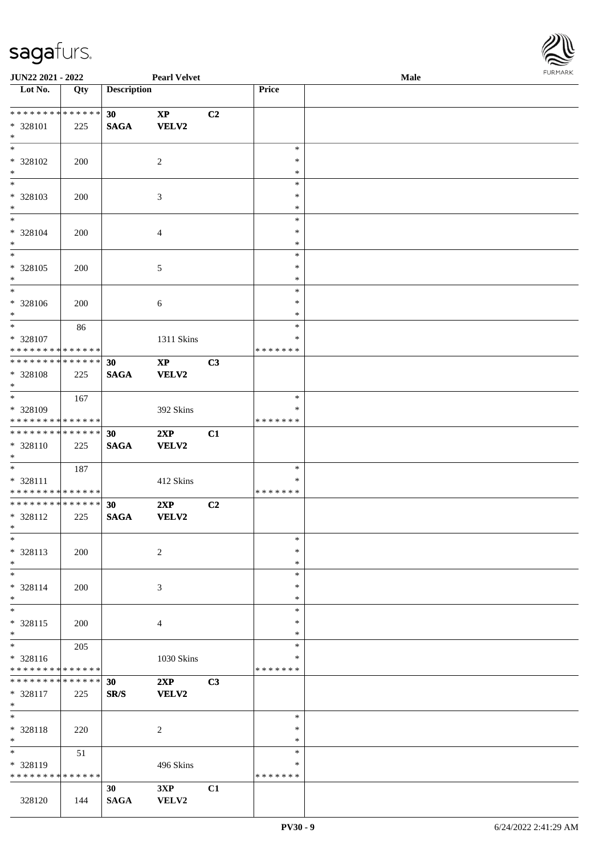

| JUN22 2021 - 2022               |     |                    | <b>Pearl Velvet</b>    |    |                  | Male | 10111111111 |
|---------------------------------|-----|--------------------|------------------------|----|------------------|------|-------------|
| Lot No.                         | Qty | <b>Description</b> |                        |    | Price            |      |             |
|                                 |     |                    |                        |    |                  |      |             |
| * * * * * * * * * * * * * * *   |     | 30                 | $\mathbf{X}\mathbf{P}$ | C2 |                  |      |             |
| * 328101                        | 225 | <b>SAGA</b>        | <b>VELV2</b>           |    |                  |      |             |
| $*$                             |     |                    |                        |    |                  |      |             |
| $*$                             |     |                    |                        |    | $\ast$           |      |             |
| * 328102                        | 200 |                    | $\sqrt{2}$             |    | $\ast$           |      |             |
| $*$<br>$\overline{\phantom{0}}$ |     |                    |                        |    | $\ast$           |      |             |
|                                 |     |                    |                        |    | $\ast$           |      |             |
| * 328103                        | 200 |                    | 3                      |    | $\ast$           |      |             |
| $\ast$<br>$*$                   |     |                    |                        |    | $\ast$           |      |             |
|                                 |     |                    |                        |    | $\ast$           |      |             |
| * 328104<br>$*$                 | 200 |                    | $\overline{4}$         |    | $\ast$<br>$\ast$ |      |             |
| $\overline{\phantom{0}}$        |     |                    |                        |    | $\ast$           |      |             |
| * 328105                        | 200 |                    |                        |    | $\ast$           |      |             |
| $*$                             |     |                    | 5                      |    | $\ast$           |      |             |
| $\overline{\phantom{0}}$        |     |                    |                        |    | $\ast$           |      |             |
| $* 328106$                      | 200 |                    | 6                      |    | $\ast$           |      |             |
| $*$                             |     |                    |                        |    | $\ast$           |      |             |
| $*$                             | 86  |                    |                        |    | $\ast$           |      |             |
| * 328107                        |     |                    | 1311 Skins             |    | $\ast$           |      |             |
| * * * * * * * * * * * * * *     |     |                    |                        |    | *******          |      |             |
| * * * * * * * * * * * * * * *   |     | 30                 | $\bold{XP}$            | C3 |                  |      |             |
| * 328108                        | 225 | <b>SAGA</b>        | VELV2                  |    |                  |      |             |
| $*$                             |     |                    |                        |    |                  |      |             |
|                                 | 167 |                    |                        |    | $\ast$           |      |             |
| * 328109                        |     |                    | 392 Skins              |    | ∗                |      |             |
| * * * * * * * * * * * * * *     |     |                    |                        |    | *******          |      |             |
| * * * * * * * * * * * * * * *   |     | 30                 | 2XP                    | C1 |                  |      |             |
| * 328110<br>$*$                 | 225 | <b>SAGA</b>        | VELV2                  |    |                  |      |             |
| $*$                             | 187 |                    |                        |    | $\ast$           |      |             |
| * 328111                        |     |                    | 412 Skins              |    | $\ast$           |      |             |
| * * * * * * * * * * * * * *     |     |                    |                        |    | *******          |      |             |
| * * * * * * * * * * * * * * *   |     | 30                 | 2XP                    | C2 |                  |      |             |
| * 328112                        | 225 | <b>SAGA</b>        | <b>VELV2</b>           |    |                  |      |             |
| $*$ $*$                         |     |                    |                        |    |                  |      |             |
| $*$                             |     |                    |                        |    | $\ast$           |      |             |
| * 328113                        | 200 |                    | $\sqrt{2}$             |    | $\ast$           |      |             |
| $*$                             |     |                    |                        |    | $\ast$           |      |             |
| $\ast$                          |     |                    |                        |    | $\ast$           |      |             |
| * 328114                        | 200 |                    | 3                      |    | $\ast$           |      |             |
| $*$                             |     |                    |                        |    | $\ast$           |      |             |
| $*$<br>* 328115                 |     |                    |                        |    | $\ast$<br>$\ast$ |      |             |
| $*$                             | 200 |                    | 4                      |    | $\ast$           |      |             |
| $*$                             | 205 |                    |                        |    | $\ast$           |      |             |
| * 328116                        |     |                    | 1030 Skins             |    | $\ast$           |      |             |
| * * * * * * * * * * * * * *     |     |                    |                        |    | * * * * * * *    |      |             |
| * * * * * * * * * * * * * * *   |     | 30                 | 2XP                    | C3 |                  |      |             |
| * 328117                        | 225 | SR/S               | VELV2                  |    |                  |      |             |
| $*$                             |     |                    |                        |    |                  |      |             |
| $*$                             |     |                    |                        |    | $\ast$           |      |             |
| * 328118                        | 220 |                    | $\overline{c}$         |    | $\ast$           |      |             |
| $*$                             |     |                    |                        |    | $\ast$           |      |             |
| $*$                             | 51  |                    |                        |    | $\ast$           |      |             |
| * 328119                        |     |                    | 496 Skins              |    | $\ast$           |      |             |
| * * * * * * * * * * * * * *     |     |                    |                        |    | * * * * * * *    |      |             |
|                                 |     | 30                 | 3XP                    | C1 |                  |      |             |
| 328120                          | 144 | <b>SAGA</b>        | VELV2                  |    |                  |      |             |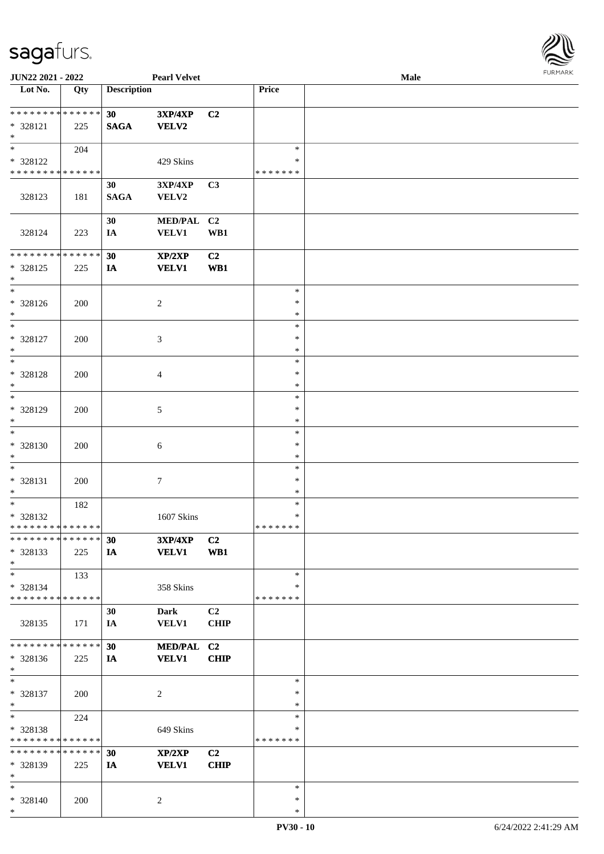

| JUN22 2021 - 2022            |     |                    | <b>Pearl Velvet</b> |                |               | <b>Male</b> |
|------------------------------|-----|--------------------|---------------------|----------------|---------------|-------------|
| Lot No.                      | Qty | <b>Description</b> |                     |                | Price         |             |
|                              |     |                    |                     |                |               |             |
| **************               |     | 30                 | 3XP/4XP             | C <sub>2</sub> |               |             |
| * 328121                     | 225 | <b>SAGA</b>        | <b>VELV2</b>        |                |               |             |
| $\ast$                       |     |                    |                     |                |               |             |
| $\ast$                       | 204 |                    |                     |                | $\ast$        |             |
| * 328122                     |     |                    | 429 Skins           |                | *             |             |
| ******** <mark>******</mark> |     |                    |                     |                | * * * * * * * |             |
|                              |     |                    |                     |                |               |             |
|                              |     | 30                 | 3XP/4XP             | C3             |               |             |
| 328123                       | 181 | <b>SAGA</b>        | VELV2               |                |               |             |
|                              |     |                    |                     |                |               |             |
|                              |     | 30                 | MED/PAL C2          |                |               |             |
| 328124                       | 223 | IA                 | <b>VELV1</b>        | WB1            |               |             |
|                              |     |                    |                     |                |               |             |
| **************               |     | 30                 | XP/2XP              | C2             |               |             |
| * 328125                     | 225 | IA                 | <b>VELV1</b>        | WB1            |               |             |
| $\ast$                       |     |                    |                     |                |               |             |
| $_{\ast}^{-}$                |     |                    |                     |                | $\ast$        |             |
| * 328126                     | 200 |                    | $\sqrt{2}$          |                | $\ast$        |             |
| $\ast$                       |     |                    |                     |                | $\ast$        |             |
| $\frac{1}{*}$                |     |                    |                     |                | $\ast$        |             |
|                              |     |                    |                     |                |               |             |
| * 328127                     | 200 |                    | 3                   |                | $\ast$        |             |
| $\ast$                       |     |                    |                     |                | $\ast$        |             |
| $\ast$                       |     |                    |                     |                | $\ast$        |             |
| * 328128                     | 200 |                    | $\overline{4}$      |                | $\ast$        |             |
| $\ast$                       |     |                    |                     |                | *             |             |
| $_{\ast}^{-}$                |     |                    |                     |                | $\ast$        |             |
| * 328129                     | 200 |                    | $\mathfrak{S}$      |                | $\ast$        |             |
| $\ast$                       |     |                    |                     |                | $\ast$        |             |
| $\ast$                       |     |                    |                     |                | $\ast$        |             |
|                              |     |                    |                     |                |               |             |
| $* 328130$                   | 200 |                    | $\sqrt{6}$          |                | $\ast$        |             |
| $\ast$                       |     |                    |                     |                | $\ast$        |             |
| $\ast$                       |     |                    |                     |                | $\ast$        |             |
| * 328131                     | 200 |                    | $\boldsymbol{7}$    |                | $\ast$        |             |
| $\ast$                       |     |                    |                     |                | $\ast$        |             |
| $\ast$                       | 182 |                    |                     |                | $\ast$        |             |
| * 328132                     |     |                    | 1607 Skins          |                | $\ast$        |             |
| **************               |     |                    |                     |                | * * * * * * * |             |
| **************               |     | 30                 | <b>3XP/4XP</b>      | C <sub>2</sub> |               |             |
| $*328133$                    | 225 | IA                 | <b>VELV1</b>        | WB1            |               |             |
| $\ast$                       |     |                    |                     |                |               |             |
| $\ast$                       | 133 |                    |                     |                | $\ast$        |             |
|                              |     |                    |                     |                |               |             |
| * 328134                     |     |                    | 358 Skins           |                | *             |             |
| * * * * * * * * * * * * * *  |     |                    |                     |                | * * * * * * * |             |
|                              |     | 30                 | Dark                | C2             |               |             |
| 328135                       | 171 | IA                 | <b>VELV1</b>        | <b>CHIP</b>    |               |             |
|                              |     |                    |                     |                |               |             |
| **************               |     | 30                 | MED/PAL C2          |                |               |             |
| * 328136                     | 225 | IA                 | <b>VELV1</b>        | <b>CHIP</b>    |               |             |
| $\ast$                       |     |                    |                     |                |               |             |
| $\ast$                       |     |                    |                     |                | $\ast$        |             |
| * 328137                     | 200 |                    | $\sqrt{2}$          |                | $\ast$        |             |
| $\ast$                       |     |                    |                     |                | $\ast$        |             |
| $\ast$                       |     |                    |                     |                | $\ast$        |             |
|                              | 224 |                    |                     |                |               |             |
| * 328138                     |     |                    | 649 Skins           |                | $\ast$        |             |
| * * * * * * * * * * * * * *  |     |                    |                     |                | * * * * * * * |             |
| **************               |     | 30                 | XP/2XP              | C <sub>2</sub> |               |             |
| * 328139                     | 225 | IA                 | <b>VELV1</b>        | <b>CHIP</b>    |               |             |
| $\ast$                       |     |                    |                     |                |               |             |
| $\ast$                       |     |                    |                     |                | $\ast$        |             |
| * 328140                     | 200 |                    | $\overline{c}$      |                | $\ast$        |             |
| $\ast$                       |     |                    |                     |                | $\ast$        |             |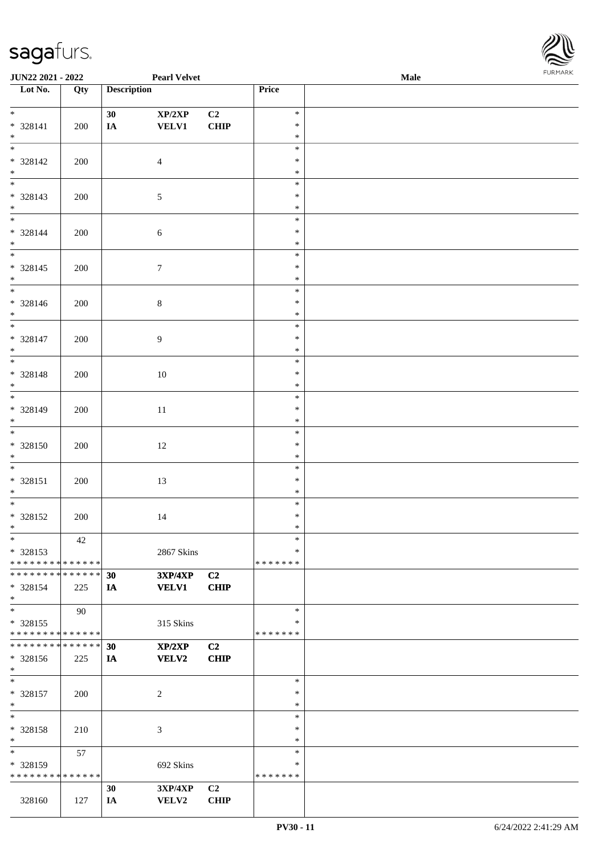

| <b>JUN22 2021 - 2022</b>                  |         |                    | <b>Pearl Velvet</b> |                |                         | <b>Male</b> |  |
|-------------------------------------------|---------|--------------------|---------------------|----------------|-------------------------|-------------|--|
| Lot No.                                   | Qty     | <b>Description</b> |                     |                | Price                   |             |  |
|                                           |         |                    |                     |                |                         |             |  |
| $*$                                       |         | 30                 | XP/2XP              | C2             | $\ast$                  |             |  |
| * 328141                                  | 200     | $I\!\!A$           | <b>VELV1</b>        | <b>CHIP</b>    | $\ast$                  |             |  |
| $*$                                       |         |                    |                     |                | $\ast$                  |             |  |
|                                           |         |                    |                     |                | $\ast$                  |             |  |
| $* 328142$                                | 200     |                    | $\overline{4}$      |                | $\ast$                  |             |  |
| $*$                                       |         |                    |                     |                | $\ast$                  |             |  |
|                                           |         |                    |                     |                | $\ast$                  |             |  |
| * 328143                                  | 200     |                    | $\sqrt{5}$          |                | $\ast$                  |             |  |
| $*$<br>$*$                                |         |                    |                     |                | $\ast$                  |             |  |
|                                           |         |                    |                     |                | $\ast$                  |             |  |
| * 328144                                  | 200     |                    | 6                   |                | $\ast$<br>$\ast$        |             |  |
| $*$<br>$\overline{\phantom{0}}$           |         |                    |                     |                | $\ast$                  |             |  |
|                                           |         |                    |                     |                | $\ast$                  |             |  |
| $* 328145$<br>$*$                         | 200     |                    | $\tau$              |                | $\ast$                  |             |  |
| $\overline{\ast}$                         |         |                    |                     |                | $\ast$                  |             |  |
| $* 328146$                                | 200     |                    |                     |                | $\ast$                  |             |  |
| $*$                                       |         |                    | $8\,$               |                | $\ast$                  |             |  |
| $\overline{\phantom{0}}$                  |         |                    |                     |                | $\ast$                  |             |  |
| $* 328147$                                | 200     |                    | 9                   |                | $\ast$                  |             |  |
| $*$                                       |         |                    |                     |                | $\ast$                  |             |  |
|                                           |         |                    |                     |                | $\ast$                  |             |  |
| $* 328148$                                | $200\,$ |                    | 10                  |                | $\ast$                  |             |  |
| $*$                                       |         |                    |                     |                | $\ast$                  |             |  |
|                                           |         |                    |                     |                | $\ast$                  |             |  |
| $* 328149$                                | 200     |                    | $11\,$              |                | $\ast$                  |             |  |
| $*$                                       |         |                    |                     |                | $\ast$                  |             |  |
|                                           |         |                    |                     |                | $\ast$                  |             |  |
| * 328150                                  | 200     |                    | 12                  |                | $\ast$                  |             |  |
| $*$                                       |         |                    |                     |                | $\ast$                  |             |  |
| $*$                                       |         |                    |                     |                | $\ast$                  |             |  |
| $* 328151$                                | $200\,$ |                    | 13                  |                | $\ast$                  |             |  |
| $*$                                       |         |                    |                     |                | $\ast$                  |             |  |
| $*$                                       |         |                    |                     |                | $\ast$                  |             |  |
| $* 328152$                                | 200     |                    | 14                  |                | $\ast$                  |             |  |
| $*$                                       |         |                    |                     |                | $\ast$                  |             |  |
| $\ast$                                    | 42      |                    |                     |                | $\ast$                  |             |  |
| * 328153                                  |         |                    | 2867 Skins          |                | ∗                       |             |  |
| * * * * * * * * * * * * * * *             |         |                    |                     |                | * * * * * * *           |             |  |
| * * * * * * * * * * * * * * *             |         | 30                 | <b>3XP/4XP</b>      | C <sub>2</sub> |                         |             |  |
| * 328154                                  | 225     | IA                 | <b>VELV1</b>        | <b>CHIP</b>    |                         |             |  |
| $*$                                       |         |                    |                     |                |                         |             |  |
| $*$                                       | 90      |                    |                     |                | $\ast$                  |             |  |
| $* 328155$<br>* * * * * * * * * * * * * * |         |                    | 315 Skins           |                | $\ast$<br>* * * * * * * |             |  |
| * * * * * * * * * * * * * * *             |         |                    |                     |                |                         |             |  |
|                                           |         | 30                 | XP/2XP              | C2             |                         |             |  |
| * 328156<br>$*$                           | 225     | IA                 | VELV2               | <b>CHIP</b>    |                         |             |  |
| $*$                                       |         |                    |                     |                | $\ast$                  |             |  |
| * 328157                                  | 200     |                    | $\overline{c}$      |                | $\ast$                  |             |  |
| $*$                                       |         |                    |                     |                | $\ast$                  |             |  |
| $*$                                       |         |                    |                     |                | $\ast$                  |             |  |
| * 328158                                  | 210     |                    | 3                   |                | $\ast$                  |             |  |
| $*$                                       |         |                    |                     |                | $\ast$                  |             |  |
| $\ast$                                    | 57      |                    |                     |                | $\ast$                  |             |  |
| * 328159                                  |         |                    | 692 Skins           |                | ∗                       |             |  |
| * * * * * * * * * * * * * *               |         |                    |                     |                | * * * * * * *           |             |  |
|                                           |         | 30                 | <b>3XP/4XP</b>      | C2             |                         |             |  |
| 328160                                    | 127     | IA                 | VELV2               | <b>CHIP</b>    |                         |             |  |
|                                           |         |                    |                     |                |                         |             |  |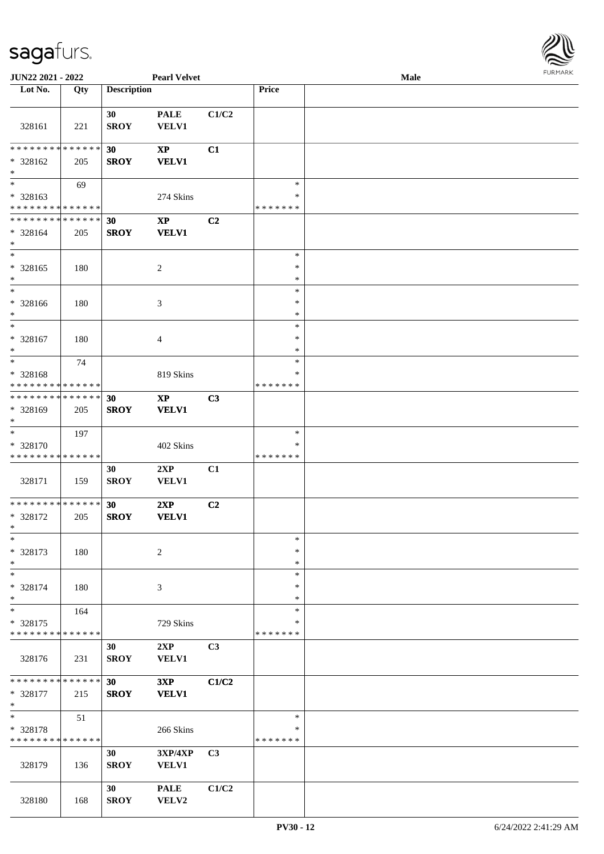

| JUN22 2021 - 2022             |     |                    | <b>Pearl Velvet</b>    |                |               | <b>Male</b> |  |
|-------------------------------|-----|--------------------|------------------------|----------------|---------------|-------------|--|
| Lot No.                       | Qty | <b>Description</b> |                        |                | Price         |             |  |
|                               |     |                    |                        |                |               |             |  |
|                               |     | 30                 | <b>PALE</b>            | C1/C2          |               |             |  |
| 328161                        | 221 | <b>SROY</b>        | VELV1                  |                |               |             |  |
|                               |     |                    |                        |                |               |             |  |
| * * * * * * * * * * * * * *   |     |                    |                        |                |               |             |  |
|                               |     | 30                 | $\mathbf{X}\mathbf{P}$ | C1             |               |             |  |
| * 328162                      | 205 | <b>SROY</b>        | <b>VELV1</b>           |                |               |             |  |
| $\ast$                        |     |                    |                        |                |               |             |  |
| $\overline{\phantom{0}}$      | 69  |                    |                        |                | $\ast$        |             |  |
| * 328163                      |     |                    | 274 Skins              |                | $\ast$        |             |  |
| * * * * * * * * * * * * * *   |     |                    |                        |                | * * * * * * * |             |  |
| * * * * * * * * * * * * * *   |     | 30                 | $\bold{XP}$            | C2             |               |             |  |
| $* 328164$                    | 205 | <b>SROY</b>        | <b>VELV1</b>           |                |               |             |  |
| $*$                           |     |                    |                        |                |               |             |  |
| $*$                           |     |                    |                        |                | $\ast$        |             |  |
| * 328165                      | 180 |                    | $\boldsymbol{2}$       |                | $\ast$        |             |  |
| $*$                           |     |                    |                        |                | $\ast$        |             |  |
| $\ast$                        |     |                    |                        |                | $\ast$        |             |  |
|                               |     |                    |                        |                |               |             |  |
| * 328166                      | 180 |                    | 3                      |                | $\ast$        |             |  |
| $*$                           |     |                    |                        |                | $\ast$        |             |  |
| $\ast$                        |     |                    |                        |                | $\ast$        |             |  |
| * 328167                      | 180 |                    | 4                      |                | $\ast$        |             |  |
| $*$                           |     |                    |                        |                | $\ast$        |             |  |
| $*$                           | 74  |                    |                        |                | $\ast$        |             |  |
| * 328168                      |     |                    | 819 Skins              |                | ∗             |             |  |
| * * * * * * * * * * * * * *   |     |                    |                        |                | * * * * * * * |             |  |
| * * * * * * * * * * * * * * * |     | 30                 | $\mathbf{XP}$          | C <sub>3</sub> |               |             |  |
|                               |     |                    |                        |                |               |             |  |
| * 328169                      | 205 | <b>SROY</b>        | <b>VELV1</b>           |                |               |             |  |
| $*$                           |     |                    |                        |                |               |             |  |
| $*$                           | 197 |                    |                        |                | $\ast$        |             |  |
| * 328170                      |     |                    | 402 Skins              |                | ∗             |             |  |
| * * * * * * * * * * * * * *   |     |                    |                        |                | * * * * * * * |             |  |
|                               |     | 30                 | 2XP                    | C1             |               |             |  |
| 328171                        | 159 | <b>SROY</b>        | VELV1                  |                |               |             |  |
|                               |     |                    |                        |                |               |             |  |
| * * * * * * * * * * * * * * * |     | 30                 | 2XP                    | C2             |               |             |  |
| $* 328172$                    | 205 | <b>SROY</b>        | <b>VELV1</b>           |                |               |             |  |
| $*$                           |     |                    |                        |                |               |             |  |
| $*$                           |     |                    |                        |                |               |             |  |
|                               |     |                    |                        |                | $\ast$        |             |  |
| * 328173                      | 180 |                    | 2                      |                | $\ast$        |             |  |
| $*$                           |     |                    |                        |                | $\ast$        |             |  |
| $*$                           |     |                    |                        |                | $\ast$        |             |  |
| * 328174                      | 180 |                    | 3                      |                | $\ast$        |             |  |
| $*$                           |     |                    |                        |                | $\ast$        |             |  |
| $*$                           | 164 |                    |                        |                | $\ast$        |             |  |
| * 328175                      |     |                    | 729 Skins              |                | $\ast$        |             |  |
| * * * * * * * * * * * * * *   |     |                    |                        |                | * * * * * * * |             |  |
|                               |     | 30                 | 2XP                    | C3             |               |             |  |
|                               |     |                    |                        |                |               |             |  |
| 328176                        | 231 | <b>SROY</b>        | <b>VELV1</b>           |                |               |             |  |
|                               |     |                    |                        |                |               |             |  |
| * * * * * * * * * * * * * * * |     | 30                 | 3XP                    | C1/C2          |               |             |  |
| * 328177                      | 215 | <b>SROY</b>        | <b>VELV1</b>           |                |               |             |  |
| $*$                           |     |                    |                        |                |               |             |  |
| $*$                           | 51  |                    |                        |                | $\ast$        |             |  |
| * 328178                      |     |                    | 266 Skins              |                | $\ast$        |             |  |
| * * * * * * * * * * * * * *   |     |                    |                        |                | * * * * * * * |             |  |
|                               |     | 30                 | 3XP/4XP                | C <sub>3</sub> |               |             |  |
| 328179                        | 136 | <b>SROY</b>        | <b>VELV1</b>           |                |               |             |  |
|                               |     |                    |                        |                |               |             |  |
|                               |     |                    |                        |                |               |             |  |
|                               |     | 30                 | <b>PALE</b>            | C1/C2          |               |             |  |
| 328180                        | 168 | <b>SROY</b>        | VELV2                  |                |               |             |  |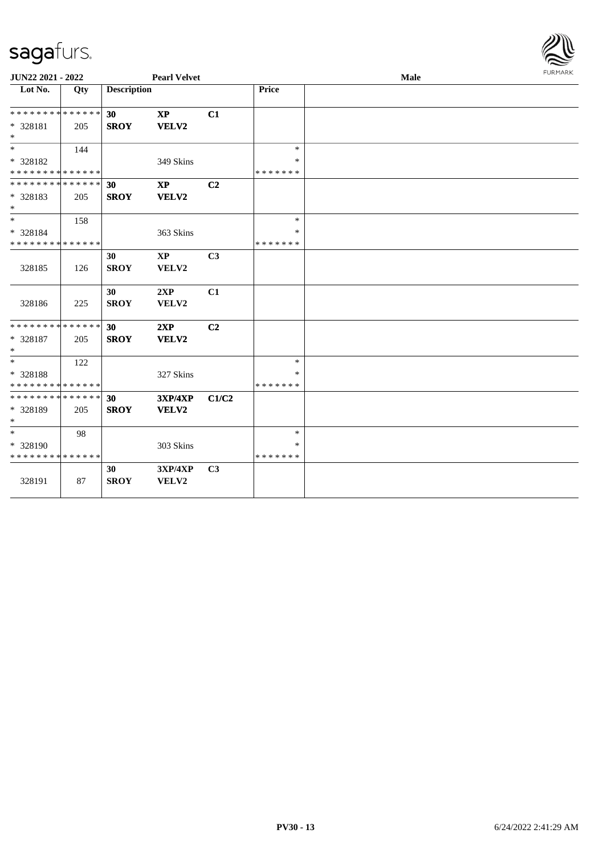

| JUN22 2021 - 2022                       |     |                    | <b>Pearl Velvet</b>    |                |                         | Male | <b>FURMARK</b> |
|-----------------------------------------|-----|--------------------|------------------------|----------------|-------------------------|------|----------------|
| Lot No.                                 | Qty | <b>Description</b> |                        |                | Price                   |      |                |
| * * * * * * * * * * * * * *             |     | 30                 | $\bold{XP}$            | C1             |                         |      |                |
| * 328181<br>$\ast$                      | 205 | <b>SROY</b>        | VELV2                  |                |                         |      |                |
| $\ast$                                  | 144 |                    |                        |                | $\ast$                  |      |                |
| * 328182<br>* * * * * * * * * * * * * * |     |                    | 349 Skins              |                | $\ast$<br>* * * * * * * |      |                |
| * * * * * * * * * * * * * *             |     | 30                 | <b>XP</b>              | C <sub>2</sub> |                         |      |                |
| * 328183<br>$\ast$                      | 205 | <b>SROY</b>        | VELV2                  |                |                         |      |                |
| $*$                                     | 158 |                    |                        |                | $\ast$                  |      |                |
| * 328184                                |     |                    | 363 Skins              |                | $\ast$                  |      |                |
| * * * * * * * * * * * * * *             |     |                    |                        |                | * * * * * * *           |      |                |
|                                         |     | 30                 | $\mathbf{X}\mathbf{P}$ | C <sub>3</sub> |                         |      |                |
| 328185                                  | 126 | <b>SROY</b>        | VELV2                  |                |                         |      |                |
| 328186                                  | 225 | 30<br><b>SROY</b>  | 2XP<br>VELV2           | C1             |                         |      |                |
| * * * * * * * * * * * * * *             |     | 30                 | 2XP                    | C <sub>2</sub> |                         |      |                |
| * 328187<br>$\ast$                      | 205 | <b>SROY</b>        | VELV2                  |                |                         |      |                |
| $\ast$                                  | 122 |                    |                        |                | $\ast$                  |      |                |
| * 328188<br>* * * * * * * * * * * * * * |     |                    | 327 Skins              |                | *<br>* * * * * * *      |      |                |
| * * * * * * * * * * * * * *             |     | 30                 | 3XP/4XP                | C1/C2          |                         |      |                |
| * 328189<br>$\ast$                      | 205 | <b>SROY</b>        | VELV2                  |                |                         |      |                |
| $\ast$                                  | 98  |                    |                        |                | $\ast$                  |      |                |
| $* 328190$                              |     |                    | 303 Skins              |                | $\ast$                  |      |                |
| * * * * * * * * * * * * * *             |     |                    |                        |                | * * * * * * *           |      |                |
| 328191                                  | 87  | 30<br><b>SROY</b>  | 3XP/4XP<br>VELV2       | C3             |                         |      |                |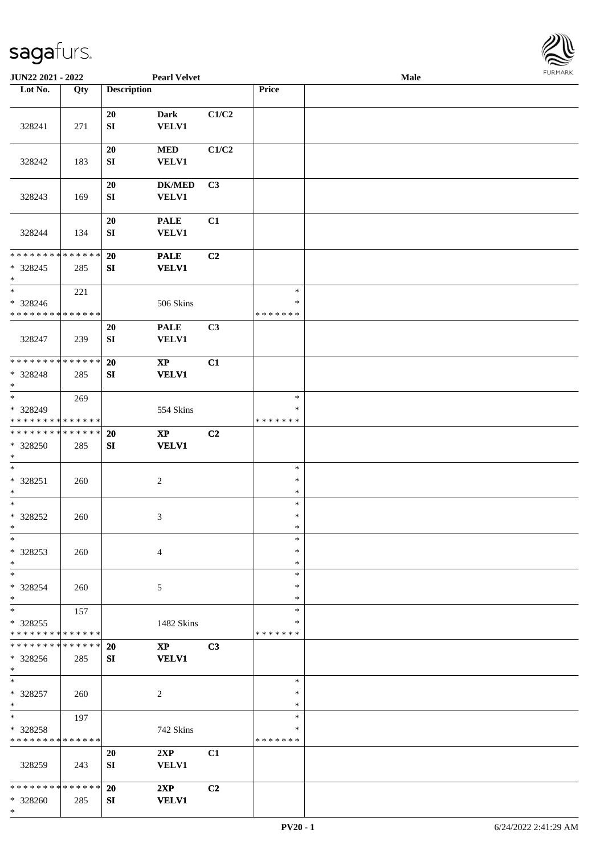

| JUN22 2021 - 2022                                                   |     |                                | <b>Pearl Velvet</b>                    |                |                              | Male | <b>FURMARK</b> |
|---------------------------------------------------------------------|-----|--------------------------------|----------------------------------------|----------------|------------------------------|------|----------------|
| Lot No.                                                             | Qty | <b>Description</b>             |                                        |                | Price                        |      |                |
| 328241                                                              | 271 | 20<br>SI                       | <b>Dark</b><br><b>VELV1</b>            | C1/C2          |                              |      |                |
| 328242                                                              | 183 | 20<br>${\bf S}{\bf I}$         | $\bf MED$<br><b>VELV1</b>              | C1/C2          |                              |      |                |
| 328243                                                              | 169 | 20<br>${\bf S}{\bf I}$         | $DK/MED$<br><b>VELV1</b>               | C3             |                              |      |                |
| 328244                                                              | 134 | ${\bf 20}$<br>${\bf S}{\bf I}$ | <b>PALE</b><br><b>VELV1</b>            | C1             |                              |      |                |
| * * * * * * * * * * * * * *<br>$*328245$<br>$\ast$                  | 285 | 20<br>SI                       | <b>PALE</b><br><b>VELV1</b>            | C2             |                              |      |                |
| $_{\ast}^{-}$<br>* 328246<br>* * * * * * * * * * * * * *            | 221 |                                | 506 Skins                              |                | $\ast$<br>∗<br>* * * * * * * |      |                |
| 328247                                                              | 239 | 20<br>SI                       | <b>PALE</b><br><b>VELV1</b>            | C3             |                              |      |                |
| * * * * * * * * * * * * * *<br>* 328248<br>$\ast$                   | 285 | 20<br>SI                       | $\mathbf{XP}$<br><b>VELV1</b>          | C1             |                              |      |                |
| $\overline{\phantom{0}}$<br>* 328249<br>* * * * * * * * * * * * * * | 269 |                                | 554 Skins                              |                | $\ast$<br>∗<br>* * * * * * * |      |                |
| **************<br>* 328250<br>$\ast$                                | 285 | 20<br>${\bf S}{\bf I}$         | $\bold{XP}$<br><b>VELV1</b>            | C2             |                              |      |                |
| $\ast$<br>$* 328251$<br>$\ast$                                      | 260 |                                | $\sqrt{2}$                             |                | $\ast$<br>$\ast$<br>$\ast$   |      |                |
| $_{\ast}^{-}$<br>* 328252<br>$\ast$                                 | 260 |                                | 3                                      |                | $\ast$<br>$\ast$<br>$\ast$   |      |                |
| $\ast$<br>* 328253<br>$\ast$                                        | 260 |                                | $\overline{4}$                         |                | $\ast$<br>*<br>$\ast$        |      |                |
| $\ast$<br>* 328254<br>$\ast$                                        | 260 |                                | 5                                      |                | $\ast$<br>$\ast$<br>$\ast$   |      |                |
| $_{\ast}^{-}$<br>$*328255$<br>* * * * * * * * * * * * * *           | 157 |                                | 1482 Skins                             |                | $\ast$<br>∗<br>* * * * * * * |      |                |
| * * * * * * * * * * * * * *<br>* 328256<br>$\ast$                   | 285 | 20<br>SI                       | $\mathbf{X}\mathbf{P}$<br><b>VELV1</b> | C3             |                              |      |                |
| $\ast$<br>$* 328257$<br>$\ast$                                      | 260 |                                | 2                                      |                | $\ast$<br>$\ast$<br>$\ast$   |      |                |
| $\ast$<br>* 328258<br>* * * * * * * * * * * * * *                   | 197 |                                | 742 Skins                              |                | $\ast$<br>∗<br>* * * * * * * |      |                |
| 328259                                                              | 243 | 20<br>SI                       | 2XP<br><b>VELV1</b>                    | C1             |                              |      |                |
| * * * * * * * * * * * * * *<br>* 328260<br>$*$                      | 285 | 20<br>SI                       | 2XP<br><b>VELV1</b>                    | C <sub>2</sub> |                              |      |                |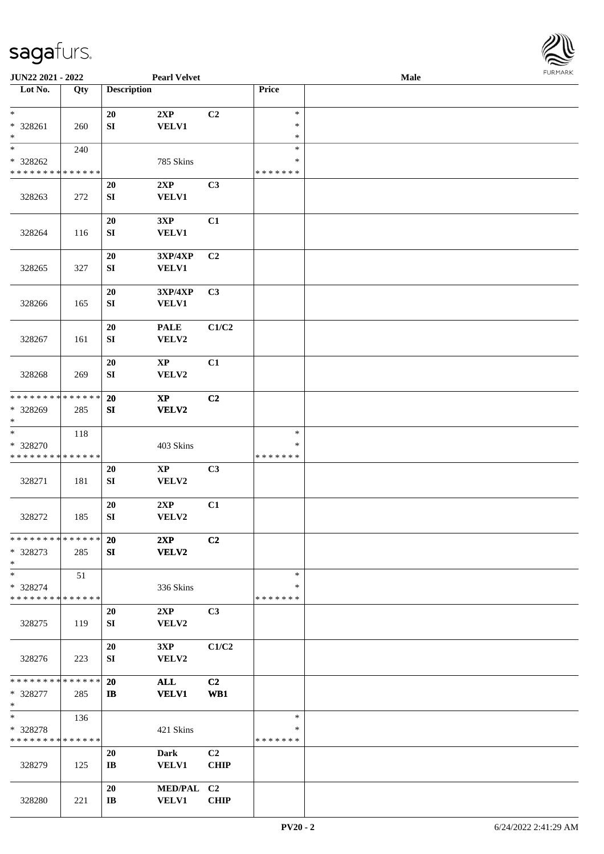

| <b>JUN22 2021 - 2022</b>                |     |                        | <b>Pearl Velvet</b>    |                |                  | <b>Male</b> |  |
|-----------------------------------------|-----|------------------------|------------------------|----------------|------------------|-------------|--|
| Lot No.                                 | Qty | <b>Description</b>     |                        |                | Price            |             |  |
|                                         |     |                        |                        |                |                  |             |  |
| $\ast$                                  |     | 20                     | 2XP                    | C2             | $\ast$           |             |  |
| * 328261                                | 260 | ${\bf SI}$             | <b>VELV1</b>           |                | $\ast$           |             |  |
| $\ast$<br>$*$                           |     |                        |                        |                | $\ast$           |             |  |
|                                         | 240 |                        |                        |                | $\ast$<br>$\ast$ |             |  |
| * 328262<br>* * * * * * * * * * * * * * |     |                        | 785 Skins              |                | * * * * * * *    |             |  |
|                                         |     |                        |                        |                |                  |             |  |
|                                         |     | 20                     | 2XP                    | C3             |                  |             |  |
| 328263                                  | 272 | ${\bf S}{\bf I}$       | <b>VELV1</b>           |                |                  |             |  |
|                                         |     | 20                     | 3XP                    | C1             |                  |             |  |
| 328264                                  | 116 | ${\bf S}{\bf I}$       | <b>VELV1</b>           |                |                  |             |  |
|                                         |     |                        |                        |                |                  |             |  |
|                                         |     | 20                     | 3XP/4XP                | C <sub>2</sub> |                  |             |  |
| 328265                                  | 327 | ${\bf SI}$             | <b>VELV1</b>           |                |                  |             |  |
|                                         |     |                        |                        |                |                  |             |  |
|                                         |     | 20                     | 3XP/4XP                | C3             |                  |             |  |
| 328266                                  | 165 | ${\bf SI}$             | VELV1                  |                |                  |             |  |
|                                         |     |                        |                        |                |                  |             |  |
|                                         |     | 20                     | <b>PALE</b>            | C1/C2          |                  |             |  |
| 328267                                  | 161 | ${\bf SI}$             | VELV2                  |                |                  |             |  |
|                                         |     |                        |                        |                |                  |             |  |
|                                         |     | 20                     | $\mathbf{XP}$          | C1             |                  |             |  |
| 328268                                  | 269 | ${\bf SI}$             | VELV2                  |                |                  |             |  |
|                                         |     |                        |                        |                |                  |             |  |
| * * * * * * * * * * * * * *             |     | 20                     | $\mathbf{X}\mathbf{P}$ | C2             |                  |             |  |
| * 328269                                | 285 | SI                     | VELV2                  |                |                  |             |  |
| $*$                                     |     |                        |                        |                |                  |             |  |
| $\overline{\ast}$                       | 118 |                        |                        |                | $\ast$           |             |  |
| * 328270                                |     |                        | 403 Skins              |                | $\ast$           |             |  |
| * * * * * * * * * * * * * *             |     |                        |                        |                | * * * * * * *    |             |  |
|                                         |     | 20                     | $\mathbf{XP}$          | C <sub>3</sub> |                  |             |  |
| 328271                                  | 181 | SI                     | VELV2                  |                |                  |             |  |
|                                         |     | 20                     | 2XP                    | C1             |                  |             |  |
| 328272                                  | 185 | ${\bf SI}$             | VELV2                  |                |                  |             |  |
|                                         |     |                        |                        |                |                  |             |  |
| * * * * * * * * * * * * * * *           |     | 20                     | 2XP                    | C2             |                  |             |  |
| * 328273                                | 285 | SI                     | VELV2                  |                |                  |             |  |
| $*$                                     |     |                        |                        |                |                  |             |  |
| $*$                                     | 51  |                        |                        |                | $\ast$           |             |  |
| * 328274                                |     |                        | 336 Skins              |                | ∗                |             |  |
| * * * * * * * * * * * * * *             |     |                        |                        |                | * * * * * * *    |             |  |
|                                         |     | <b>20</b>              | 2XP                    | C3             |                  |             |  |
| 328275                                  | 119 | SI                     | VELV2                  |                |                  |             |  |
|                                         |     |                        |                        |                |                  |             |  |
|                                         |     | 20                     | 3XP                    | C1/C2          |                  |             |  |
| 328276                                  | 223 | SI                     | VELV2                  |                |                  |             |  |
|                                         |     |                        |                        |                |                  |             |  |
| * * * * * * * * * * * * * * *           |     | <b>20</b>              | <b>ALL</b>             | C <sub>2</sub> |                  |             |  |
| * 328277                                | 285 | $\mathbf{I}$           | <b>VELV1</b>           | WB1            |                  |             |  |
| $*$                                     |     |                        |                        |                |                  |             |  |
| $*$                                     | 136 |                        |                        |                | $\ast$           |             |  |
| * 328278                                |     |                        | 421 Skins              |                | $\ast$           |             |  |
| * * * * * * * * * * * * * *             |     |                        |                        |                | * * * * * * *    |             |  |
|                                         |     | 20                     | <b>Dark</b>            | C <sub>2</sub> |                  |             |  |
| 328279                                  | 125 | $\mathbf{I}$ <b>B</b>  | <b>VELV1</b>           | <b>CHIP</b>    |                  |             |  |
|                                         |     |                        |                        |                |                  |             |  |
|                                         |     | 20                     | MED/PAL C2             |                |                  |             |  |
| 328280                                  | 221 | $\mathbf{I}\mathbf{B}$ | <b>VELV1</b>           | <b>CHIP</b>    |                  |             |  |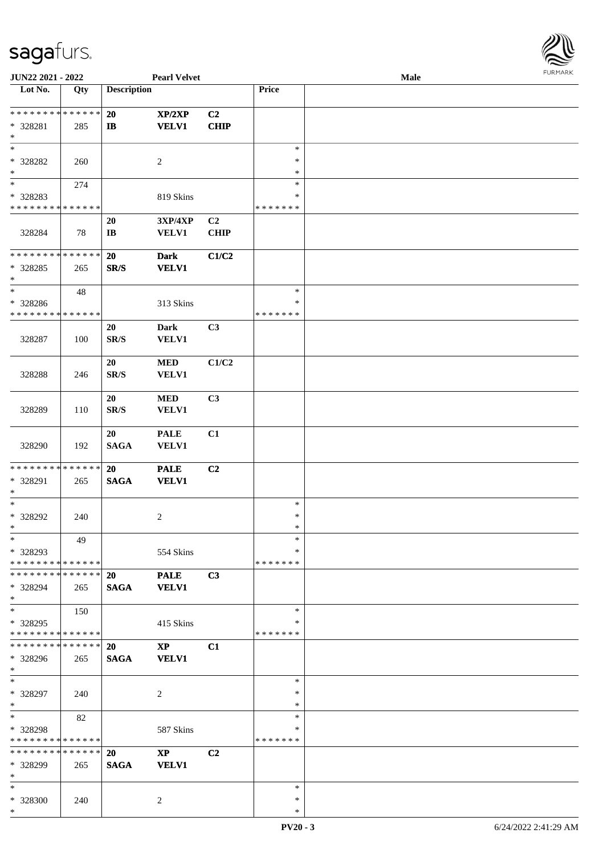

| JUN22 2021 - 2022             |             |                          | <b>Pearl Velvet</b>    |             |               | <b>Male</b> |  |
|-------------------------------|-------------|--------------------------|------------------------|-------------|---------------|-------------|--|
| Lot No.                       | Qty         | <b>Description</b>       |                        |             | Price         |             |  |
| **************                |             |                          |                        |             |               |             |  |
|                               |             | 20                       | XP/2XP                 | C2          |               |             |  |
| * 328281                      | 285         | $\mathbf{I}$             | <b>VELV1</b>           | <b>CHIP</b> |               |             |  |
| $\ast$<br>$\ast$              |             |                          |                        |             | $\ast$        |             |  |
|                               |             |                          |                        |             | $\ast$        |             |  |
| * 328282<br>$\ast$            | 260         |                          | $\sqrt{2}$             |             | $\ast$        |             |  |
| $\overline{\phantom{a}^*}$    |             |                          |                        |             | $\ast$        |             |  |
|                               | 274         |                          |                        |             | $\ast$        |             |  |
| * 328283<br>* * * * * * * *   | * * * * * * |                          | 819 Skins              |             | * * * * * * * |             |  |
|                               |             |                          |                        |             |               |             |  |
|                               |             | 20                       | 3XP/4XP                | C2          |               |             |  |
| 328284                        | 78          | $\mathbf{I}\mathbf{B}$   | <b>VELV1</b>           | <b>CHIP</b> |               |             |  |
| **************                |             | $20\,$                   | <b>Dark</b>            | C1/C2       |               |             |  |
|                               |             |                          |                        |             |               |             |  |
| * 328285<br>$\ast$            | 265         | SR/S                     | <b>VELV1</b>           |             |               |             |  |
| $\ast$                        | 48          |                          |                        |             | $\ast$        |             |  |
| * 328286                      |             |                          | 313 Skins              |             | $\ast$        |             |  |
| * * * * * * * * * * * * * *   |             |                          |                        |             | * * * * * * * |             |  |
|                               |             | 20                       | <b>Dark</b>            | C3          |               |             |  |
| 328287                        | 100         | SR/S                     | <b>VELV1</b>           |             |               |             |  |
|                               |             |                          |                        |             |               |             |  |
|                               |             | 20                       | $\bf MED$              | C1/C2       |               |             |  |
| 328288                        | 246         | SR/S                     | <b>VELV1</b>           |             |               |             |  |
|                               |             |                          |                        |             |               |             |  |
|                               |             | 20                       | $\bf MED$              | C3          |               |             |  |
| 328289                        | 110         | $\mathbf{SR}/\mathbf{S}$ | <b>VELV1</b>           |             |               |             |  |
|                               |             |                          |                        |             |               |             |  |
|                               |             | 20                       | <b>PALE</b>            | C1          |               |             |  |
| 328290                        | 192         | <b>SAGA</b>              | <b>VELV1</b>           |             |               |             |  |
|                               |             |                          |                        |             |               |             |  |
| * * * * * * * * * * * * * *   |             | 20                       | <b>PALE</b>            | C2          |               |             |  |
| * 328291                      | 265         | <b>SAGA</b>              | <b>VELV1</b>           |             |               |             |  |
| $\ast$                        |             |                          |                        |             |               |             |  |
| $\ast$                        |             |                          |                        |             | $\ast$        |             |  |
| * 328292                      | 240         |                          | $\boldsymbol{2}$       |             | $\ast$        |             |  |
| $*$                           |             |                          |                        |             | $\ast$        |             |  |
| $\ast$                        | 49          |                          |                        |             | $\ast$        |             |  |
| * 328293                      |             |                          | 554 Skins              |             | ∗             |             |  |
| * * * * * * * * * * * * * * * |             |                          |                        |             | * * * * * * * |             |  |
| * * * * * * * * * * * * * * * |             | <b>20</b>                | <b>PALE</b>            | C3          |               |             |  |
| * 328294                      | 265         | <b>SAGA</b>              | <b>VELV1</b>           |             |               |             |  |
| $\ast$                        |             |                          |                        |             |               |             |  |
| $\ast$                        | 150         |                          |                        |             | $\ast$        |             |  |
| * 328295                      |             |                          | 415 Skins              |             | ∗             |             |  |
| * * * * * * * * * * * * * *   |             |                          |                        |             | * * * * * * * |             |  |
| * * * * * * * * * * * * * *   |             | <b>20</b>                | $\mathbf{XP}$          | C1          |               |             |  |
| * 328296                      | 265         | <b>SAGA</b>              | <b>VELV1</b>           |             |               |             |  |
| $*$                           |             |                          |                        |             |               |             |  |
| $\ast$                        |             |                          |                        |             | $\ast$        |             |  |
| * 328297                      | 240         |                          | $\overline{c}$         |             | $\ast$        |             |  |
| $\ast$                        |             |                          |                        |             | $\ast$        |             |  |
| $\ast$                        | 82          |                          |                        |             | $\ast$        |             |  |
| * 328298                      |             |                          | 587 Skins              |             | $\ast$        |             |  |
| * * * * * * * * * * * * * *   |             |                          |                        |             | * * * * * * * |             |  |
| * * * * * * * * * * * * * *   |             | 20                       | $\mathbf{X}\mathbf{P}$ | C2          |               |             |  |
| * 328299                      | 265         | <b>SAGA</b>              | <b>VELV1</b>           |             |               |             |  |
| $\ast$                        |             |                          |                        |             |               |             |  |
| $\ast$                        |             |                          |                        |             | $\ast$        |             |  |
| * 328300                      | 240         |                          | 2                      |             | $\ast$        |             |  |
| $*$                           |             |                          |                        |             | $\ast$        |             |  |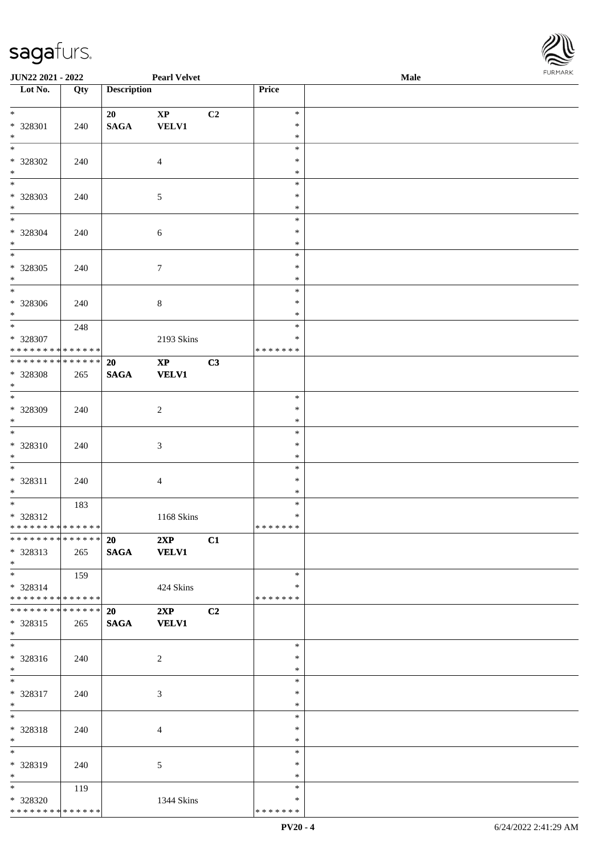

| JUN22 2021 - 2022                          |     |                    | <b>Pearl Velvet</b>    |                |               | Male |
|--------------------------------------------|-----|--------------------|------------------------|----------------|---------------|------|
| Lot No.                                    | Qty | <b>Description</b> |                        |                | Price         |      |
|                                            |     |                    |                        |                |               |      |
| $\overline{\ast}$                          |     | 20                 | $\mathbf{XP}$          | C <sub>2</sub> | $\ast$        |      |
| * 328301                                   | 240 | $\mathbf{SAGA}$    | VELV1                  |                | $\ast$        |      |
| $\ast$                                     |     |                    |                        |                | $\ast$        |      |
| $\overline{\phantom{0}}$                   |     |                    |                        |                | $\ast$        |      |
| * 328302                                   | 240 |                    | $\overline{4}$         |                | $\ast$        |      |
| $\ast$                                     |     |                    |                        |                | $\ast$        |      |
| $\overline{\phantom{0}}$                   |     |                    |                        |                | $\ast$        |      |
| * 328303                                   | 240 |                    | $\mathfrak{S}$         |                | $\ast$        |      |
| $\ast$                                     |     |                    |                        |                | $\ast$        |      |
| $\overline{\phantom{0}}$                   |     |                    |                        |                | $\ast$        |      |
| * 328304                                   | 240 |                    | 6                      |                | $\ast$        |      |
| $\ast$                                     |     |                    |                        |                | $\ast$        |      |
| $\overline{\phantom{a}^*}$                 |     |                    |                        |                | $\ast$        |      |
| $* 328305$                                 | 240 |                    | $\tau$                 |                | $\ast$        |      |
| $\ast$                                     |     |                    |                        |                | $\ast$        |      |
| $_{\ast}^{-}$                              |     |                    |                        |                | $\ast$        |      |
| * 328306                                   | 240 |                    | $8\,$                  |                | $\ast$        |      |
| $*$                                        |     |                    |                        |                | *             |      |
| $\ast$                                     | 248 |                    |                        |                | $\ast$        |      |
| * 328307                                   |     |                    | 2193 Skins             |                | ∗             |      |
| * * * * * * * * * * * * * * *              |     |                    |                        |                | * * * * * * * |      |
| **************                             |     | 20                 | $\mathbf{X}\mathbf{P}$ | C3             |               |      |
| * 328308                                   | 265 | <b>SAGA</b>        | <b>VELV1</b>           |                |               |      |
| $\ast$                                     |     |                    |                        |                |               |      |
| $\overline{\phantom{0}}$                   |     |                    |                        |                | $\ast$        |      |
| * 328309                                   | 240 |                    | $\overline{2}$         |                | $\ast$        |      |
| $*$                                        |     |                    |                        |                | $\ast$        |      |
| $\overline{\phantom{0}}$                   |     |                    |                        |                | $\ast$        |      |
| * 328310                                   | 240 |                    | $\mathfrak{Z}$         |                | $\ast$        |      |
| $*$                                        |     |                    |                        |                | $\ast$        |      |
| $\ast$                                     |     |                    |                        |                | $\ast$        |      |
| * 328311                                   | 240 |                    | $\overline{4}$         |                | $\ast$        |      |
| $*$                                        |     |                    |                        |                | $\ast$        |      |
| $*$                                        | 183 |                    |                        |                | $\ast$        |      |
| * 328312                                   |     |                    | 1168 Skins             |                | $\ast$        |      |
| **************                             |     |                    |                        |                | *******       |      |
| ******** <mark>******</mark>               |     | 20 2XP             |                        | C1             |               |      |
| * 328313                                   | 265 | SAGA VELV1         |                        |                |               |      |
| $*$                                        |     |                    |                        |                |               |      |
| $*$                                        | 159 |                    |                        |                | $\ast$        |      |
| * 328314                                   |     |                    | 424 Skins              |                | *             |      |
| * * * * * * * * * * * * * * *              |     |                    |                        |                | * * * * * * * |      |
| * * * * * * * * * * * * * * *              |     | 20                 | 2XP                    | C2             |               |      |
| * 328315                                   | 265 | <b>SAGA</b>        | <b>VELV1</b>           |                |               |      |
| $*$                                        |     |                    |                        |                |               |      |
| $\overline{\phantom{0}}$                   |     |                    |                        |                | $\ast$        |      |
| * 328316                                   | 240 |                    | $\overline{2}$         |                | $\ast$        |      |
| $*$                                        |     |                    |                        |                | $\ast$        |      |
| $*$                                        |     |                    |                        |                | $\ast$        |      |
| * 328317                                   | 240 |                    | 3                      |                | $\ast$        |      |
| $*$                                        |     |                    |                        |                | $\ast$        |      |
| $\ast$                                     |     |                    |                        |                | $\ast$        |      |
| * 328318                                   | 240 |                    | 4                      |                | $\ast$        |      |
| $*$                                        |     |                    |                        |                | $\ast$        |      |
| $\overline{\phantom{0}}$                   |     |                    |                        |                | $\ast$        |      |
| * 328319                                   | 240 |                    | 5                      |                | ∗             |      |
| $*$                                        |     |                    |                        |                | $\ast$        |      |
| $*$                                        | 119 |                    |                        |                | $\ast$        |      |
| * 328320                                   |     |                    | 1344 Skins             |                | $\ast$        |      |
| * * * * * * * * <mark>* * * * * * *</mark> |     |                    |                        |                | * * * * * * * |      |
|                                            |     |                    |                        |                |               |      |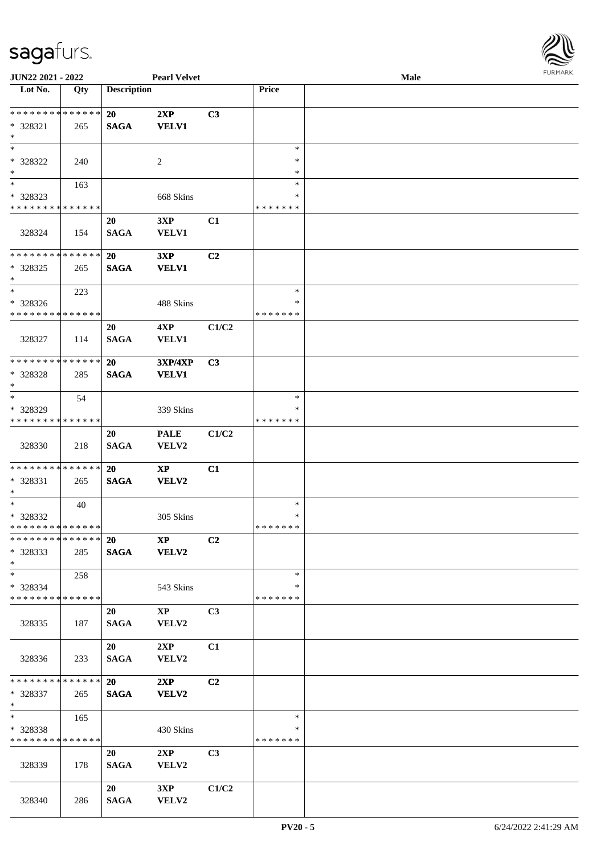

| JUN22 2021 - 2022                       |     |                    | <b>Pearl Velvet</b>    |                |               | Male |  |
|-----------------------------------------|-----|--------------------|------------------------|----------------|---------------|------|--|
| Lot No.                                 | Qty | <b>Description</b> |                        |                | Price         |      |  |
|                                         |     |                    |                        |                |               |      |  |
| ******** <mark>******</mark>            |     | <b>20</b>          | 2XP                    | C3             |               |      |  |
| * 328321                                | 265 | <b>SAGA</b>        | <b>VELV1</b>           |                |               |      |  |
| $\ast$                                  |     |                    |                        |                |               |      |  |
| $\ast$                                  |     |                    |                        |                | $\ast$        |      |  |
|                                         |     |                    |                        |                |               |      |  |
| * 328322                                | 240 |                    | 2                      |                | ∗             |      |  |
| $\ast$<br>$\overline{\phantom{a}^*}$    |     |                    |                        |                | *             |      |  |
|                                         | 163 |                    |                        |                | $\ast$        |      |  |
| * 328323                                |     |                    | 668 Skins              |                | $\ast$        |      |  |
| * * * * * * * * * * * * * *             |     |                    |                        |                | * * * * * * * |      |  |
|                                         |     | 20                 | 3XP                    | C1             |               |      |  |
| 328324                                  | 154 | <b>SAGA</b>        | <b>VELV1</b>           |                |               |      |  |
|                                         |     |                    |                        |                |               |      |  |
| * * * * * * * * * * * * * *             |     | <b>20</b>          | 3XP                    | C2             |               |      |  |
| * 328325                                | 265 | <b>SAGA</b>        | <b>VELV1</b>           |                |               |      |  |
| $\ast$                                  |     |                    |                        |                |               |      |  |
| $\ast$                                  | 223 |                    |                        |                | $\ast$        |      |  |
|                                         |     |                    |                        |                | $\ast$        |      |  |
| * 328326<br>* * * * * * * * * * * * * * |     |                    | 488 Skins              |                | * * * * * * * |      |  |
|                                         |     |                    |                        |                |               |      |  |
|                                         |     | 20                 | 4XP                    | C1/C2          |               |      |  |
| 328327                                  | 114 | <b>SAGA</b>        | <b>VELV1</b>           |                |               |      |  |
|                                         |     |                    |                        |                |               |      |  |
| * * * * * * * * * * * * * *             |     | 20                 | <b>3XP/4XP</b>         | C3             |               |      |  |
| * 328328                                | 285 | <b>SAGA</b>        | <b>VELV1</b>           |                |               |      |  |
| $\ast$                                  |     |                    |                        |                |               |      |  |
| $\ast$                                  | 54  |                    |                        |                | $\ast$        |      |  |
| * 328329                                |     |                    | 339 Skins              |                | *             |      |  |
| * * * * * * * * * * * * * *             |     |                    |                        |                | * * * * * * * |      |  |
|                                         |     | 20                 | <b>PALE</b>            | C1/C2          |               |      |  |
| 328330                                  | 218 | <b>SAGA</b>        | VELV2                  |                |               |      |  |
|                                         |     |                    |                        |                |               |      |  |
| * * * * * * * * * * * * * *             |     |                    |                        |                |               |      |  |
|                                         |     | 20                 | $\mathbf{X}\mathbf{P}$ | C1             |               |      |  |
| * 328331                                | 265 | <b>SAGA</b>        | <b>VELV2</b>           |                |               |      |  |
| $\ast$                                  |     |                    |                        |                |               |      |  |
| $\ast$                                  | 40  |                    |                        |                | $\ast$        |      |  |
| * 328332                                |     |                    | 305 Skins              |                | $\ast$        |      |  |
| **************                          |     |                    |                        |                | *******       |      |  |
| * * * * * * * * * * * * * *             |     | <b>20</b>          | $\bold{X}\bold{P}$     | C2             |               |      |  |
| * 328333                                | 285 |                    | SAGA VELV2             |                |               |      |  |
| $*$                                     |     |                    |                        |                |               |      |  |
| $*$                                     | 258 |                    |                        |                | $\ast$        |      |  |
| $* 328334$                              |     |                    | 543 Skins              |                | *             |      |  |
| * * * * * * * * * * * * * *             |     |                    |                        |                | * * * * * * * |      |  |
|                                         |     | 20                 | $\bold{XP}$            | C3             |               |      |  |
| 328335                                  | 187 | <b>SAGA</b>        | <b>VELV2</b>           |                |               |      |  |
|                                         |     |                    |                        |                |               |      |  |
|                                         |     | 20                 | 2XP                    | C1             |               |      |  |
|                                         |     |                    |                        |                |               |      |  |
| 328336                                  | 233 | <b>SAGA</b>        | VELV2                  |                |               |      |  |
| * * * * * * * * * * * * * * *           |     |                    |                        |                |               |      |  |
|                                         |     | 20                 | 2XP                    | C2             |               |      |  |
| * 328337                                | 265 | <b>SAGA</b>        | <b>VELV2</b>           |                |               |      |  |
| $*$                                     |     |                    |                        |                |               |      |  |
| $\ast$                                  | 165 |                    |                        |                | $\ast$        |      |  |
| * 328338                                |     |                    | 430 Skins              |                | $\ast$        |      |  |
| * * * * * * * * * * * * * *             |     |                    |                        |                | * * * * * * * |      |  |
|                                         |     | 20                 | 2XP                    | C <sub>3</sub> |               |      |  |
| 328339                                  | 178 | <b>SAGA</b>        | <b>VELV2</b>           |                |               |      |  |
|                                         |     |                    |                        |                |               |      |  |
|                                         |     | 20                 | 3XP                    | C1/C2          |               |      |  |
| 328340                                  | 286 | <b>SAGA</b>        | VELV2                  |                |               |      |  |
|                                         |     |                    |                        |                |               |      |  |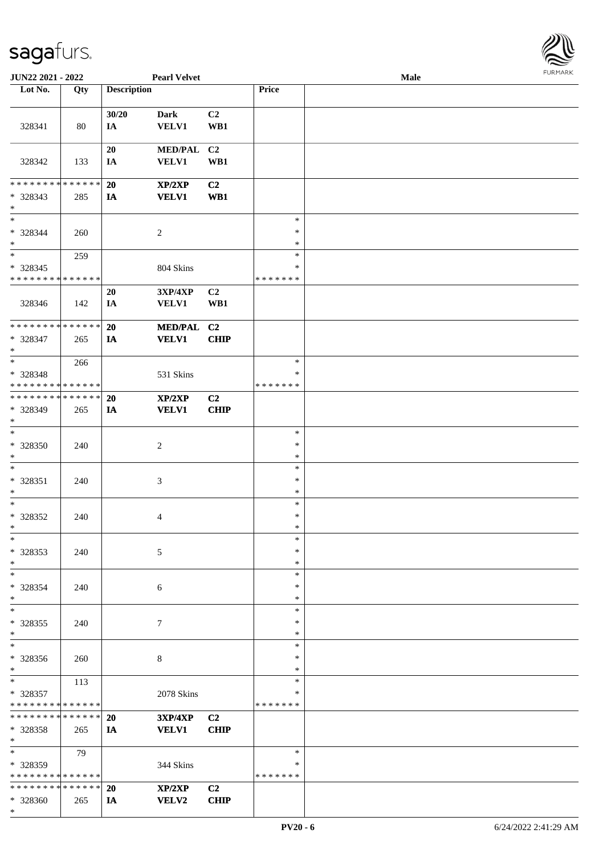\*



| JUN22 2021 - 2022                       |     |                    | <b>Pearl Velvet</b>            |                |                  | Male |  |
|-----------------------------------------|-----|--------------------|--------------------------------|----------------|------------------|------|--|
| Lot No.                                 | Qty | <b>Description</b> |                                |                | Price            |      |  |
|                                         |     |                    |                                |                |                  |      |  |
|                                         |     | 30/20              | <b>Dark</b>                    | C2             |                  |      |  |
| 328341                                  | 80  | IA                 | <b>VELV1</b>                   | WB1            |                  |      |  |
|                                         |     |                    |                                |                |                  |      |  |
|                                         |     | 20                 | <b>MED/PAL</b>                 | C <sub>2</sub> |                  |      |  |
| 328342                                  | 133 | IA                 | <b>VELV1</b>                   | WB1            |                  |      |  |
|                                         |     |                    |                                |                |                  |      |  |
| * * * * * * * * * * * * * *             |     | 20                 | XP/2XP                         | C2             |                  |      |  |
| * 328343                                | 285 | IA                 | <b>VELV1</b>                   | WB1            |                  |      |  |
| $*$                                     |     |                    |                                |                |                  |      |  |
| $\ast$                                  |     |                    |                                |                | $\ast$           |      |  |
| $* 328344$                              | 260 |                    | $\overline{c}$                 |                | $\ast$           |      |  |
| $\ast$                                  |     |                    |                                |                | $\ast$           |      |  |
| $\ast$                                  | 259 |                    |                                |                | $\ast$           |      |  |
| $* 328345$                              |     |                    | 804 Skins                      |                | $\ast$           |      |  |
| * * * * * * * * * * * * * *             |     |                    |                                |                | *******          |      |  |
|                                         |     | 20                 | 3XP/4XP                        | C2             |                  |      |  |
| 328346                                  | 142 | IA                 | <b>VELV1</b>                   | WB1            |                  |      |  |
| * * * * * * * * * * * * * *             |     |                    |                                | C <sub>2</sub> |                  |      |  |
|                                         |     | 20                 | <b>MED/PAL</b><br><b>VELV1</b> |                |                  |      |  |
| * 328347<br>$*$                         | 265 | IA                 |                                | <b>CHIP</b>    |                  |      |  |
| $*$                                     | 266 |                    |                                |                | $\ast$           |      |  |
| $* 328348$                              |     |                    | 531 Skins                      |                | ∗                |      |  |
| * * * * * * * * * * * * * *             |     |                    |                                |                | * * * * * * *    |      |  |
| * * * * * * * * * * * * * *             |     | 20                 | XP/2XP                         | C2             |                  |      |  |
| * 328349                                | 265 | IA                 | <b>VELV1</b>                   | <b>CHIP</b>    |                  |      |  |
| $*$                                     |     |                    |                                |                |                  |      |  |
| $\ast$                                  |     |                    |                                |                | $\ast$           |      |  |
| $* 328350$                              | 240 |                    | $\boldsymbol{2}$               |                | $\ast$           |      |  |
| $*$                                     |     |                    |                                |                | $\ast$           |      |  |
| $\ast$                                  |     |                    |                                |                | $\ast$           |      |  |
| * 328351                                | 240 |                    | $\mathfrak{Z}$                 |                | $\ast$           |      |  |
| $*$                                     |     |                    |                                |                | $\ast$           |      |  |
| $\ast$                                  |     |                    |                                |                | $\ast$           |      |  |
| $* 328352$                              | 240 |                    | 4                              |                | $\ast$           |      |  |
| $*$                                     |     |                    |                                |                | $\ast$           |      |  |
| $\ast$                                  |     |                    |                                |                | $\ast$           |      |  |
| * 328353                                | 240 |                    | 5                              |                | $\ast$           |      |  |
| $\ast$                                  |     |                    |                                |                | $\ast$           |      |  |
| $*$                                     |     |                    |                                |                | $\ast$           |      |  |
| * 328354                                | 240 |                    | 6                              |                | ∗                |      |  |
| $*$                                     |     |                    |                                |                | $\ast$           |      |  |
| $\ast$                                  |     |                    |                                |                | $\ast$           |      |  |
| * 328355                                | 240 |                    | 7                              |                | $\ast$           |      |  |
| $*$<br>$\ast$                           |     |                    |                                |                | $\ast$           |      |  |
|                                         |     |                    |                                |                | $\ast$           |      |  |
| * 328356                                | 260 |                    | 8                              |                | $\ast$           |      |  |
| $*$<br>$*$                              |     |                    |                                |                | $\ast$<br>$\ast$ |      |  |
|                                         | 113 |                    |                                |                | $\ast$           |      |  |
| * 328357<br>* * * * * * * * * * * * * * |     |                    | 2078 Skins                     |                | *******          |      |  |
| * * * * * * * * * * * * * * *           |     | 20                 | <b>3XP/4XP</b>                 | C2             |                  |      |  |
| * 328358                                | 265 | IA                 | <b>VELV1</b>                   | <b>CHIP</b>    |                  |      |  |
| $*$                                     |     |                    |                                |                |                  |      |  |
| $*$                                     | 79  |                    |                                |                | $\ast$           |      |  |
| * 328359                                |     |                    | 344 Skins                      |                | ∗                |      |  |
| * * * * * * * * * * * * * *             |     |                    |                                |                | * * * * * * *    |      |  |
| * * * * * * * * * * * * * * *           |     | 20                 | XP/2XP                         | C <sub>2</sub> |                  |      |  |
| * 328360                                | 265 | IA                 | <b>VELV2</b>                   | <b>CHIP</b>    |                  |      |  |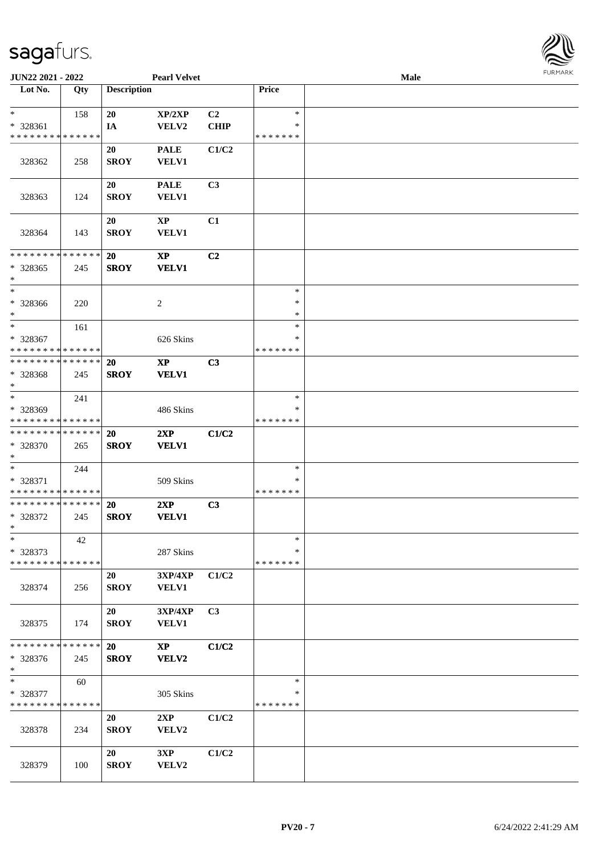

| <b>JUN22 2021 - 2022</b>                               |     |                    | <b>Pearl Velvet</b>        |                |               | Male |  |
|--------------------------------------------------------|-----|--------------------|----------------------------|----------------|---------------|------|--|
| Lot No.                                                | Qty | <b>Description</b> |                            |                | Price         |      |  |
|                                                        |     |                    |                            |                |               |      |  |
| $\ast$                                                 | 158 | 20                 | XP/2XP                     | C <sub>2</sub> | $\ast$        |      |  |
| * 328361                                               |     | IA                 | VELV2                      | <b>CHIP</b>    | ∗             |      |  |
| * * * * * * * * * * * * * *                            |     |                    |                            |                | * * * * * * * |      |  |
|                                                        |     | 20                 | <b>PALE</b>                | C1/C2          |               |      |  |
| 328362                                                 | 258 | <b>SROY</b>        | <b>VELV1</b>               |                |               |      |  |
|                                                        |     |                    |                            |                |               |      |  |
|                                                        |     | 20                 | <b>PALE</b>                | C <sub>3</sub> |               |      |  |
| 328363                                                 | 124 | <b>SROY</b>        | VELV1                      |                |               |      |  |
|                                                        |     |                    |                            |                |               |      |  |
|                                                        |     | 20                 | <b>XP</b>                  | C1             |               |      |  |
| 328364                                                 | 143 | <b>SROY</b>        | <b>VELV1</b>               |                |               |      |  |
| * * * * * * * * * * * * * *                            |     | 20                 | $\boldsymbol{\mathrm{XP}}$ | C2             |               |      |  |
| * 328365                                               | 245 | <b>SROY</b>        | <b>VELV1</b>               |                |               |      |  |
| $\ast$                                                 |     |                    |                            |                |               |      |  |
| $\ast$                                                 |     |                    |                            |                | $\ast$        |      |  |
| * 328366                                               | 220 |                    | $\overline{c}$             |                | $\ast$        |      |  |
| $\ast$                                                 |     |                    |                            |                | *             |      |  |
| $\ast$                                                 | 161 |                    |                            |                | $\ast$        |      |  |
| * 328367                                               |     |                    | 626 Skins                  |                | ∗             |      |  |
| * * * * * * * * <mark>* * * * * *</mark>               |     |                    |                            |                | * * * * * * * |      |  |
| * * * * * * * * <mark>* * * * * * *</mark>             |     | <b>20</b>          | $\mathbf{XP}$              | C3             |               |      |  |
| * 328368                                               | 245 | <b>SROY</b>        | <b>VELV1</b>               |                |               |      |  |
| $\ast$                                                 |     |                    |                            |                |               |      |  |
| $*$                                                    | 241 |                    |                            |                | $\ast$        |      |  |
| * 328369                                               |     |                    | 486 Skins                  |                | *             |      |  |
| * * * * * * * * <mark>* * * * * * *</mark>             |     |                    |                            |                | * * * * * * * |      |  |
| * * * * * * * * <mark>* * * * * *</mark>               |     | <b>20</b>          | 2XP                        | C1/C2          |               |      |  |
| * 328370                                               | 265 | <b>SROY</b>        | <b>VELV1</b>               |                |               |      |  |
| $*$                                                    |     |                    |                            |                |               |      |  |
| $*$                                                    | 244 |                    |                            |                | $\ast$<br>*   |      |  |
| * 328371<br>* * * * * * * * <mark>* * * * * * *</mark> |     |                    | 509 Skins                  |                | * * * * * * * |      |  |
| * * * * * * * * * * * * * * *                          |     | <b>20</b>          | 2XP                        | C <sub>3</sub> |               |      |  |
| * 328372                                               | 245 | <b>SROY</b>        | <b>VELV1</b>               |                |               |      |  |
| $\ast$                                                 |     |                    |                            |                |               |      |  |
| $\ast$                                                 | 42  |                    |                            |                | $\ast$        |      |  |
| * 328373                                               |     |                    | 287 Skins                  |                | ∗             |      |  |
| * * * * * * * * * * * * * *                            |     |                    |                            |                | * * * * * * * |      |  |
|                                                        |     | 20                 | 3XP/4XP                    | C1/C2          |               |      |  |
| 328374                                                 | 256 | <b>SROY</b>        | <b>VELV1</b>               |                |               |      |  |
|                                                        |     |                    |                            |                |               |      |  |
|                                                        |     | 20                 | 3XP/4XP                    | C3             |               |      |  |
| 328375                                                 | 174 | <b>SROY</b>        | <b>VELV1</b>               |                |               |      |  |
|                                                        |     |                    |                            |                |               |      |  |
| * * * * * * * * * * * * * * *                          |     | <b>20</b>          | $\mathbf{X}\mathbf{P}$     | C1/C2          |               |      |  |
| * 328376                                               | 245 | <b>SROY</b>        | VELV2                      |                |               |      |  |
| $\ast$                                                 |     |                    |                            |                |               |      |  |
| $*$                                                    | 60  |                    |                            |                | $\ast$        |      |  |
| * 328377                                               |     |                    | 305 Skins                  |                | ∗             |      |  |
| * * * * * * * * * * * * * *                            |     |                    |                            |                | * * * * * * * |      |  |
|                                                        |     | 20                 | 2XP                        | C1/C2          |               |      |  |
| 328378                                                 | 234 | <b>SROY</b>        | VELV2                      |                |               |      |  |
|                                                        |     | 20                 | 3XP                        | C1/C2          |               |      |  |
| 328379                                                 | 100 | <b>SROY</b>        | VELV2                      |                |               |      |  |
|                                                        |     |                    |                            |                |               |      |  |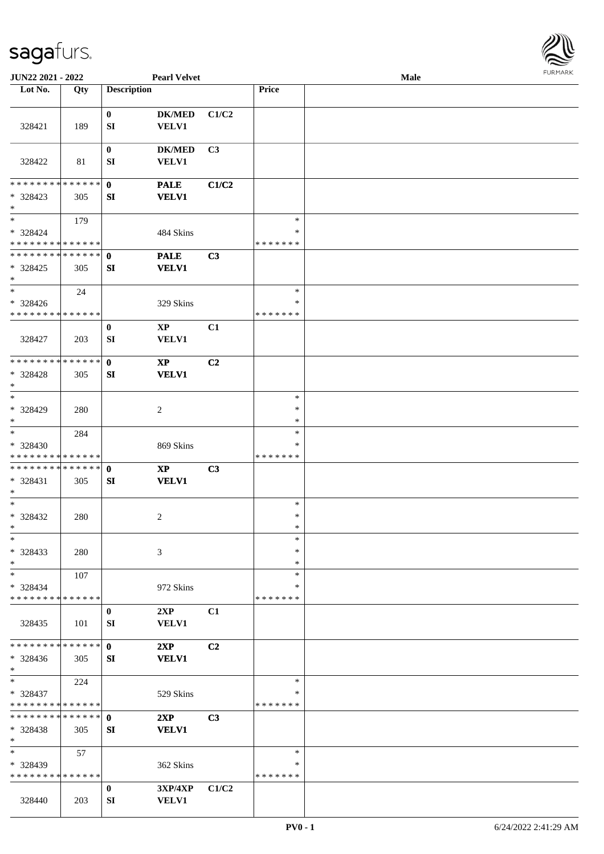

| JUN22 2021 - 2022                             |     |                    | <b>Pearl Velvet</b>        |       |               | <b>Male</b> |  |
|-----------------------------------------------|-----|--------------------|----------------------------|-------|---------------|-------------|--|
| Lot No.                                       | Qty | <b>Description</b> |                            |       | Price         |             |  |
|                                               |     |                    |                            |       |               |             |  |
|                                               |     | $\bf{0}$           | $DK/MED$                   | C1/C2 |               |             |  |
| 328421                                        | 189 | SI                 | VELV1                      |       |               |             |  |
|                                               |     |                    |                            |       |               |             |  |
|                                               |     | $\bf{0}$           | <b>DK/MED</b>              | C3    |               |             |  |
| 328422                                        | 81  | SI                 | <b>VELV1</b>               |       |               |             |  |
|                                               |     |                    |                            |       |               |             |  |
| * * * * * * * * * * * * * * *                 |     | $\mathbf 0$        | <b>PALE</b>                | C1/C2 |               |             |  |
| * 328423<br>$\ast$                            | 305 | SI                 | <b>VELV1</b>               |       |               |             |  |
| $\ast$                                        |     |                    |                            |       | $\ast$        |             |  |
| * 328424                                      | 179 |                    |                            |       | ∗             |             |  |
| * * * * * * * * * * * * * * *                 |     |                    | 484 Skins                  |       | * * * * * * * |             |  |
| **************                                |     | $\mathbf{0}$       | <b>PALE</b>                | C3    |               |             |  |
| $*328425$                                     | 305 | SI                 | <b>VELV1</b>               |       |               |             |  |
| $\ast$                                        |     |                    |                            |       |               |             |  |
| $\ast$                                        | 24  |                    |                            |       | $\ast$        |             |  |
| $* 328426$                                    |     |                    | 329 Skins                  |       | $\ast$        |             |  |
| * * * * * * * * * * * * * *                   |     |                    |                            |       | * * * * * * * |             |  |
|                                               |     | $\bf{0}$           | $\mathbf{X}\mathbf{P}$     | C1    |               |             |  |
| 328427                                        | 203 | SI                 | <b>VELV1</b>               |       |               |             |  |
|                                               |     |                    |                            |       |               |             |  |
| **************                                |     | $\mathbf{0}$       | $\boldsymbol{\mathrm{XP}}$ | C2    |               |             |  |
| * 328428                                      | 305 | SI                 | <b>VELV1</b>               |       |               |             |  |
| $\ast$                                        |     |                    |                            |       |               |             |  |
| $\ast$                                        |     |                    |                            |       | $\ast$        |             |  |
| * 328429                                      | 280 |                    | $\overline{c}$             |       | $\ast$        |             |  |
| $\ast$                                        |     |                    |                            |       | $\ast$        |             |  |
| $\ast$                                        | 284 |                    |                            |       | $\ast$        |             |  |
| * 328430                                      |     |                    | 869 Skins                  |       | ∗             |             |  |
| * * * * * * * * * * * * * *<br>************** |     |                    |                            |       | * * * * * * * |             |  |
|                                               |     | $\mathbf{0}$       | $\mathbf{X}\mathbf{P}$     | C3    |               |             |  |
| * 328431<br>$*$                               | 305 | SI                 | <b>VELV1</b>               |       |               |             |  |
| $\ast$                                        |     |                    |                            |       | $\ast$        |             |  |
| $* 328432$                                    | 280 |                    | $\overline{c}$             |       | $\ast$        |             |  |
| $*$                                           |     |                    |                            |       | $\ast$        |             |  |
| $\ast$                                        |     |                    |                            |       | $\ast$        |             |  |
| $* 328433$                                    | 280 |                    | 3                          |       | ∗             |             |  |
| $\ast$                                        |     |                    |                            |       | ∗             |             |  |
| $\ast$                                        | 107 |                    |                            |       | $\ast$        |             |  |
| * 328434                                      |     |                    | 972 Skins                  |       | ∗             |             |  |
| * * * * * * * * * * * * * *                   |     |                    |                            |       | * * * * * * * |             |  |
|                                               |     | $\bf{0}$           | 2XP                        | C1    |               |             |  |
| 328435                                        | 101 | SI                 | VELV1                      |       |               |             |  |
|                                               |     |                    |                            |       |               |             |  |
| * * * * * * * * * * * * * * *                 |     | $\mathbf{0}$       | 2XP                        | C2    |               |             |  |
| * 328436                                      | 305 | SI                 | <b>VELV1</b>               |       |               |             |  |
| $*$<br>$*$                                    |     |                    |                            |       | $\ast$        |             |  |
| * 328437                                      | 224 |                    |                            |       | ∗             |             |  |
| * * * * * * * * * * * * * *                   |     |                    | 529 Skins                  |       | * * * * * * * |             |  |
| * * * * * * * * * * * * * * *                 |     | $\mathbf{0}$       | 2XP                        | C3    |               |             |  |
| * 328438                                      | 305 | SI                 | <b>VELV1</b>               |       |               |             |  |
| $\ast$                                        |     |                    |                            |       |               |             |  |
| $\ast$                                        | 57  |                    |                            |       | $\ast$        |             |  |
| * 328439                                      |     |                    | 362 Skins                  |       | ∗             |             |  |
| * * * * * * * * * * * * * *                   |     |                    |                            |       | * * * * * * * |             |  |
|                                               |     | $\bf{0}$           | 3XP/4XP                    | C1/C2 |               |             |  |
| 328440                                        | 203 | SI                 | <b>VELV1</b>               |       |               |             |  |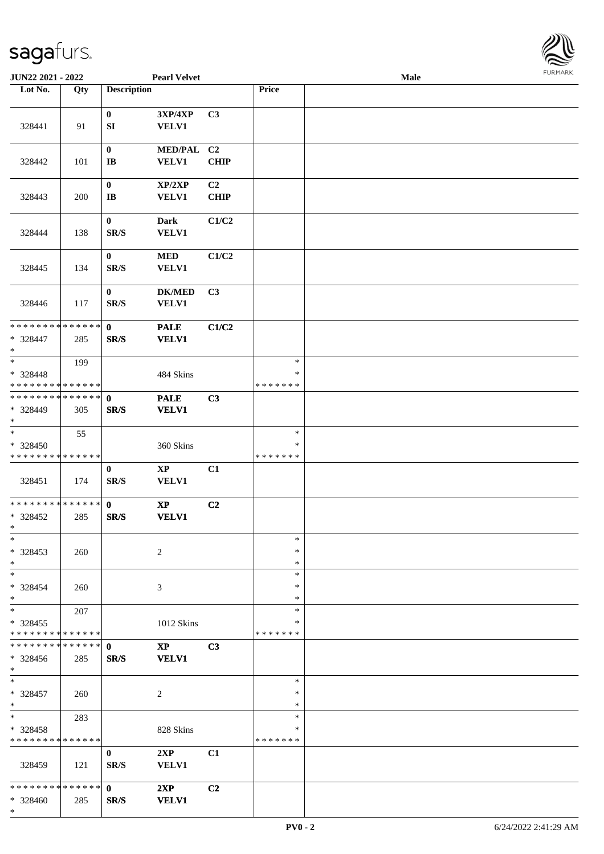

| JUN22 2021 - 2022                                   |     |                                              | <b>Pearl Velvet</b>           |                   |                                   | Male |  |
|-----------------------------------------------------|-----|----------------------------------------------|-------------------------------|-------------------|-----------------------------------|------|--|
| Lot No.                                             | Qty | <b>Description</b>                           |                               |                   | Price                             |      |  |
|                                                     |     |                                              |                               |                   |                                   |      |  |
| 328441                                              | 91  | $\bf{0}$<br>SI                               | 3XP/4XP<br>VELV1              | C3                |                                   |      |  |
| 328442                                              | 101 | $\bf{0}$<br>$\mathbf{I}\mathbf{B}$           | MED/PAL C2<br><b>VELV1</b>    | <b>CHIP</b>       |                                   |      |  |
| 328443                                              | 200 | $\boldsymbol{0}$<br>$\bf I\bf B$             | XP/2XP<br><b>VELV1</b>        | C2<br><b>CHIP</b> |                                   |      |  |
| 328444                                              | 138 | $\boldsymbol{0}$<br>$\mathbf{SR}/\mathbf{S}$ | <b>Dark</b><br>VELV1          | C1/C2             |                                   |      |  |
| 328445                                              | 134 | $\bf{0}$<br>SR/S                             | $\bf MED$<br>VELV1            | C1/C2             |                                   |      |  |
| 328446                                              | 117 | $\bf{0}$<br>$\mathbf{SR}/\mathbf{S}$         | <b>DK/MED</b><br>VELV1        | C3                |                                   |      |  |
| **************<br>* 328447<br>$*$                   | 285 | $\mathbf 0$<br>SR/S                          | <b>PALE</b><br><b>VELV1</b>   | C1/C2             |                                   |      |  |
| $\ast$<br>$* 328448$<br>* * * * * * * * * * * * * * | 199 |                                              | 484 Skins                     |                   | $\ast$<br>$\ast$<br>* * * * * * * |      |  |
| **************<br>* 328449<br>$*$                   | 305 | $\mathbf 0$<br>SR/S                          | <b>PALE</b><br><b>VELV1</b>   | C3                |                                   |      |  |
| $\ast$<br>* 328450<br>* * * * * * * * * * * * * *   | 55  |                                              | 360 Skins                     |                   | $\ast$<br>$\ast$<br>* * * * * * * |      |  |
| 328451                                              | 174 | $\bf{0}$<br>$\mathbf{SR}/\mathbf{S}$         | $\bold{XP}$<br>VELV1          | C1                |                                   |      |  |
| **************<br>$*328452$<br>$*$                  | 285 | $\mathbf{0}$<br>SR/S                         | $\bold{XP}$<br><b>VELV1</b>   | C2                |                                   |      |  |
| $*$<br>$*328453$<br>$*$                             | 260 |                                              | $\overline{2}$                |                   | $\ast$<br>∗<br>*                  |      |  |
| $*$<br>$* 328454$<br>$*$                            | 260 |                                              | 3                             |                   | $\ast$<br>*<br>*                  |      |  |
| $\ast$<br>* 328455<br>* * * * * * * * * * * * * *   | 207 |                                              | 1012 Skins                    |                   | $\ast$<br>*<br>* * * * * * *      |      |  |
| **************<br>* 328456<br>$*$                   | 285 | $\mathbf{0}$<br>SR/S                         | $\mathbf{XP}$<br><b>VELV1</b> | C3                |                                   |      |  |
| $*$<br>* 328457<br>$*$                              | 260 |                                              | $\overline{2}$                |                   | $\ast$<br>$\ast$<br>$\ast$        |      |  |
| $\ast$<br>* 328458<br>* * * * * * * * * * * * * *   | 283 |                                              | 828 Skins                     |                   | $\ast$<br>$\ast$<br>* * * * * * * |      |  |
| 328459                                              | 121 | $\bf{0}$<br>SR/S                             | 2XP<br><b>VELV1</b>           | C1                |                                   |      |  |
| * * * * * * * * * * * * * * *<br>* 328460<br>$*$    | 285 | $\mathbf{0}$<br>SR/S                         | 2XP<br><b>VELV1</b>           | C2                |                                   |      |  |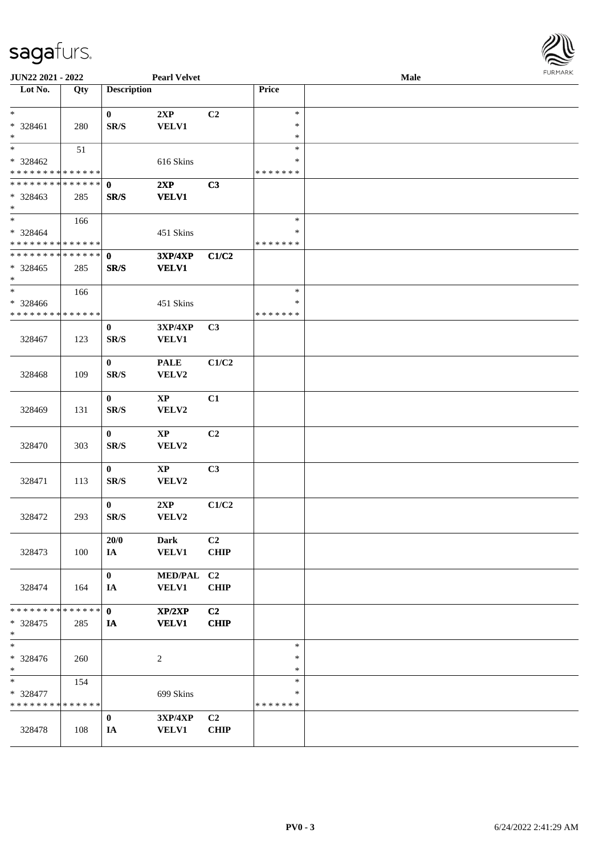

| JUN22 2021 - 2022             |        |                          | <b>Pearl Velvet</b> |                |               | Male |  |
|-------------------------------|--------|--------------------------|---------------------|----------------|---------------|------|--|
| Lot No.                       | Qty    | <b>Description</b>       |                     |                | Price         |      |  |
| $*$                           |        | $\bf{0}$                 | 2XP                 | C2             | $\ast$        |      |  |
| * 328461                      | 280    | $\mathbf{SR}/\mathbf{S}$ | <b>VELV1</b>        |                | ∗             |      |  |
| $\ast$                        |        |                          |                     |                | $\ast$        |      |  |
| $*$                           | 51     |                          |                     |                | $\ast$        |      |  |
| $* 328462$                    |        |                          | 616 Skins           |                | $\ast$        |      |  |
| * * * * * * * * * * * * * *   |        |                          |                     |                | * * * * * * * |      |  |
| * * * * * * * * * * * * * * * |        | $\mathbf{0}$             | 2XP                 | C3             |               |      |  |
| * 328463                      | 285    | SR/S                     | <b>VELV1</b>        |                |               |      |  |
| $*$                           |        |                          |                     |                |               |      |  |
| $\overline{\phantom{0}}$      | 166    |                          |                     |                | $\ast$        |      |  |
| $* 328464$                    |        |                          | 451 Skins           |                | ∗             |      |  |
| * * * * * * * * * * * * * *   |        |                          |                     |                | * * * * * * * |      |  |
| * * * * * * * * * * * * * *   |        | $\mathbf{0}$             | 3XP/4XP             | C1/C2          |               |      |  |
| * 328465                      | 285    |                          | <b>VELV1</b>        |                |               |      |  |
| $*$                           |        | SR/S                     |                     |                |               |      |  |
| $\ast$                        | 166    |                          |                     |                | $\ast$        |      |  |
| $* 328466$                    |        |                          | 451 Skins           |                | $\ast$        |      |  |
| * * * * * * * * * * * * * *   |        |                          |                     |                | * * * * * * * |      |  |
|                               |        | $\bf{0}$                 | 3XP/4XP             | C3             |               |      |  |
| 328467                        | 123    | SR/S                     | <b>VELV1</b>        |                |               |      |  |
|                               |        |                          |                     |                |               |      |  |
|                               |        | $\bf{0}$                 | <b>PALE</b>         | C1/C2          |               |      |  |
| 328468                        | 109    | SR/S                     | VELV2               |                |               |      |  |
|                               |        |                          |                     |                |               |      |  |
|                               |        | $\bf{0}$                 | $\mathbf{XP}$       | C1             |               |      |  |
| 328469                        | 131    | SR/S                     | VELV2               |                |               |      |  |
|                               |        |                          |                     |                |               |      |  |
|                               |        | $\bf{0}$                 | $\mathbf{XP}$       | C <sub>2</sub> |               |      |  |
| 328470                        | 303    | $\mathbf{SR}/\mathbf{S}$ | VELV2               |                |               |      |  |
|                               |        |                          |                     |                |               |      |  |
|                               |        | $\bf{0}$                 | $\bold{XP}$         | C3             |               |      |  |
| 328471                        | 113    | $\mathbf{SR}/\mathbf{S}$ | VELV2               |                |               |      |  |
|                               |        |                          |                     |                |               |      |  |
|                               |        | $\bf{0}$                 | 2XP                 | C1/C2          |               |      |  |
| 328472                        | 293    | $\mathbf{SR}/\mathbf{S}$ | VELV2               |                |               |      |  |
|                               |        |                          |                     |                |               |      |  |
|                               |        | 20/0                     | Dark                | C <sub>2</sub> |               |      |  |
| 328473                        | 100    | IA                       | <b>VELV1</b>        | <b>CHIP</b>    |               |      |  |
|                               |        |                          |                     |                |               |      |  |
|                               |        | $\bf{0}$                 | MED/PAL C2          |                |               |      |  |
| 328474                        | 164    | IA                       | <b>VELV1</b>        | <b>CHIP</b>    |               |      |  |
|                               |        |                          |                     |                |               |      |  |
| * * * * * * * *               | ****** | $\mathbf{0}$             | XP/2XP              | C2             |               |      |  |
| * 328475                      | 285    | IA                       | <b>VELV1</b>        | <b>CHIP</b>    |               |      |  |
| $*$                           |        |                          |                     |                |               |      |  |
| $*$                           |        |                          |                     |                | $\ast$        |      |  |
| * 328476                      | 260    |                          | $\overline{c}$      |                | $\ast$        |      |  |
| $*$                           |        |                          |                     |                | ∗             |      |  |
| $\ast$                        | 154    |                          |                     |                | $\ast$        |      |  |
| * 328477                      |        |                          | 699 Skins           |                | ∗             |      |  |
| * * * * * * * * * * * * * *   |        |                          |                     |                | * * * * * * * |      |  |
|                               |        | $\bf{0}$                 | <b>3XP/4XP</b>      | C2             |               |      |  |
| 328478                        | 108    | IA                       | <b>VELV1</b>        | <b>CHIP</b>    |               |      |  |
|                               |        |                          |                     |                |               |      |  |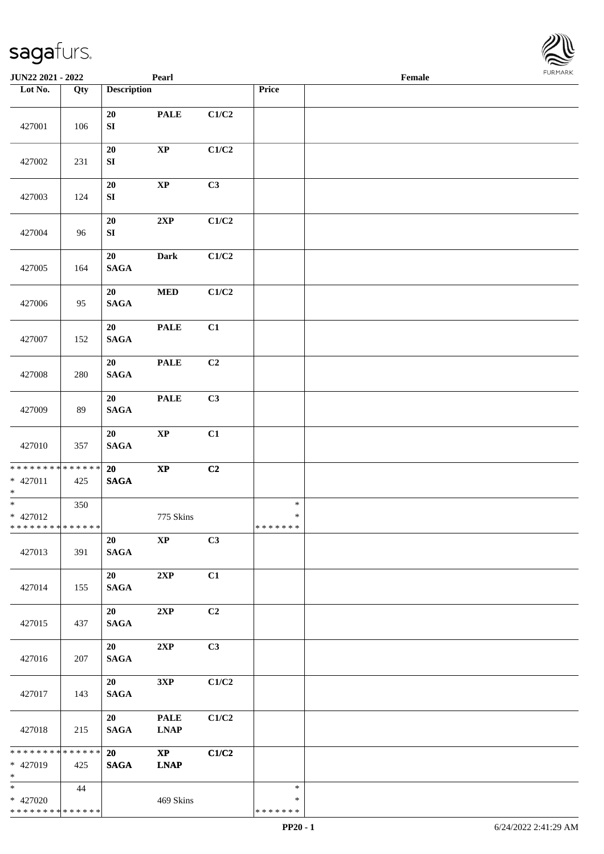\* \* \* \* \* \* \* \* \* \* \* \* \* \*

**Lot No. Qty Description** 

| 427001                                                                | 106 | 20<br>${\bf SI}$                   | <b>PALE</b>                                       | C1/C2 |                              |  |
|-----------------------------------------------------------------------|-----|------------------------------------|---------------------------------------------------|-------|------------------------------|--|
| 427002                                                                | 231 | 20<br>${\bf SI}$                   | $\bold{XP}$                                       | C1/C2 |                              |  |
| 427003                                                                | 124 | 20<br>${\bf SI}$                   | $\bold{XP}$                                       | C3    |                              |  |
| 427004                                                                | 96  | 20<br>SI                           | 2XP                                               | C1/C2 |                              |  |
| 427005                                                                | 164 | 20<br><b>SAGA</b>                  | <b>Dark</b>                                       | C1/C2 |                              |  |
| 427006                                                                | 95  | 20<br><b>SAGA</b>                  | $\bf MED$                                         | C1/C2 |                              |  |
| 427007                                                                | 152 | 20<br><b>SAGA</b>                  | <b>PALE</b>                                       | C1    |                              |  |
| 427008                                                                | 280 | 20<br><b>SAGA</b>                  | <b>PALE</b>                                       | C2    |                              |  |
| 427009                                                                | 89  | 20<br><b>SAGA</b>                  | <b>PALE</b>                                       | C3    |                              |  |
| 427010                                                                | 357 | 20<br><b>SAGA</b>                  | $\mathbf{XP}$                                     | C1    |                              |  |
| * * * * * * * * * * * * * * *<br>* 427011<br>$*$                      | 425 | 20<br><b>SAGA</b>                  | $\bold{XP}$                                       | C2    |                              |  |
| $\overline{\phantom{0}}$<br>$* 427012$<br>* * * * * * * * * * * * * * | 350 |                                    | 775 Skins                                         |       | $\ast$<br>∗<br>* * * * * * * |  |
| 427013                                                                | 391 | 20<br>$\mathbf{SAGA}$              | $\mathbf{XP}$                                     | C3    |                              |  |
| 427014                                                                | 155 | 20<br>$\mathbf{SAGA}$              | 2XP                                               | C1    |                              |  |
| 427015                                                                | 437 | 20<br><b>SAGA</b>                  | 2XP                                               | C2    |                              |  |
| 427016                                                                | 207 | 20<br><b>SAGA</b>                  | 2XP                                               | C3    |                              |  |
| 427017                                                                | 143 | 20<br><b>SAGA</b>                  | 3XP                                               | C1/C2 |                              |  |
| 427018                                                                | 215 | 20<br>$\mathbf{SAGA}$              | $\ensuremath{\mathbf{PAL}}\xspace$<br><b>LNAP</b> | C1/C2 |                              |  |
| * * * * * * * * * * * * * *<br>* 427019<br>$*$                        | 425 | 20 <sub>2</sub><br>$\mathbf{SAGA}$ | $\mathbf{X}\mathbf{P}$<br><b>LNAP</b>             | C1/C2 |                              |  |
| $\ast$<br>$* 427020$                                                  | 44  |                                    | 469 Skins                                         |       | $\ast$<br>$\ast$             |  |

Τ

**JUN22 2021 - 2022 Pearl Female**<br> **Female**<br> **Female** 

\* \* \* \* \* \* \*

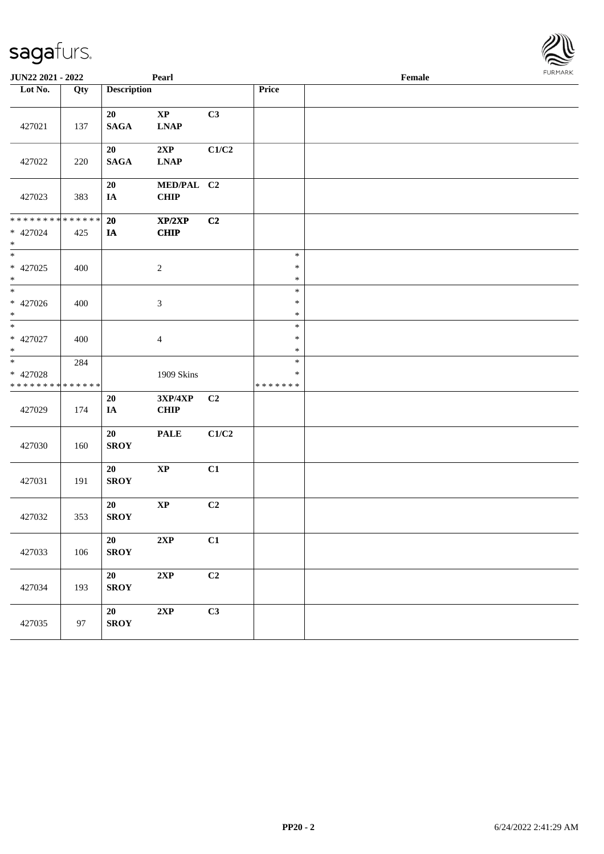| <b>JUN22 2021 - 2022</b>                                     |                    |                    | Pearl                      |                |                                   | Female | <b>I</b> OIN IMPOS |
|--------------------------------------------------------------|--------------------|--------------------|----------------------------|----------------|-----------------------------------|--------|--------------------|
| Lot No.                                                      | Qty                | <b>Description</b> |                            |                | Price                             |        |                    |
| 427021                                                       | 137                | 20<br><b>SAGA</b>  | $\bold{XP}$<br><b>LNAP</b> | C3             |                                   |        |                    |
| 427022                                                       | 220                | 20<br><b>SAGA</b>  | 2XP<br><b>LNAP</b>         | C1/C2          |                                   |        |                    |
| 427023                                                       | 383                | 20<br>IA           | MED/PAL C2<br><b>CHIP</b>  |                |                                   |        |                    |
| * * * * * * * *<br>* 427024<br>$\ast$                        | * * * * * *<br>425 | 20<br>IA           | XP/2XP<br><b>CHIP</b>      | C2             |                                   |        |                    |
| * 427025<br>$*$                                              | 400                |                    | $\sqrt{2}$                 |                | $\ast$<br>$\ast$<br>$\ast$        |        |                    |
| * 427026<br>$\ast$                                           | 400                |                    | $\mathfrak{Z}$             |                | $\ast$<br>$\ast$<br>$\ast$        |        |                    |
| $\overline{\ast}$<br>* 427027<br>$\ast$                      | 400                |                    | $\overline{4}$             |                | $\ast$<br>$\ast$<br>$\ast$        |        |                    |
| $\overline{\ast}$<br>* 427028<br>* * * * * * * * * * * * * * | 284                |                    | 1909 Skins                 |                | $\ast$<br>$\ast$<br>* * * * * * * |        |                    |
| 427029                                                       | 174                | 20<br>IA           | 3XP/4XP<br><b>CHIP</b>     | C <sub>2</sub> |                                   |        |                    |
| 427030                                                       | 160                | 20<br><b>SROY</b>  | <b>PALE</b>                | C1/C2          |                                   |        |                    |
| 427031                                                       | 191                | 20<br><b>SROY</b>  | $\bold{XP}$                | C1             |                                   |        |                    |
| 427032                                                       | 353                | 20<br><b>SROY</b>  | $\bold{XP}$                | C <sub>2</sub> |                                   |        |                    |
| 427033                                                       | 106                | 20<br><b>SROY</b>  | $2{\bf XP}$                | C1             |                                   |        |                    |
| 427034                                                       | 193                | 20<br><b>SROY</b>  | 2XP                        | C2             |                                   |        |                    |
| 427035                                                       | 97                 | 20<br><b>SROY</b>  | $2{\bf XP}$                | C3             |                                   |        |                    |

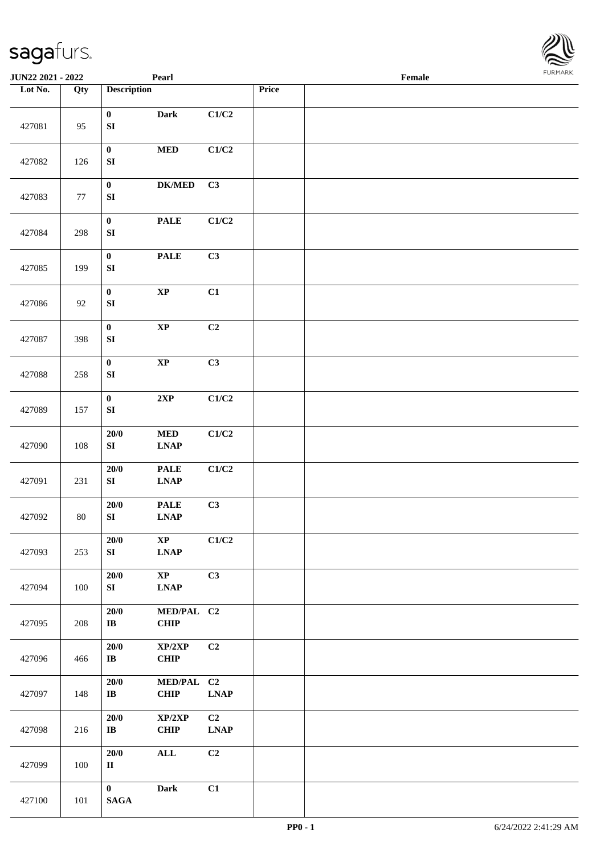

| <b>JUN22 2021 - 2022</b> |        |                                  | Pearl                                                     |                              |       | Female |  |
|--------------------------|--------|----------------------------------|-----------------------------------------------------------|------------------------------|-------|--------|--|
| Lot No.                  | Qty    | <b>Description</b>               |                                                           |                              | Price |        |  |
| 427081                   | 95     | $\bf{0}$<br>${\bf S}{\bf I}$     | <b>Dark</b>                                               | C1/C2                        |       |        |  |
| 427082                   | 126    | $\mathbf{0}$<br>${\bf S}{\bf I}$ | $\bf MED$                                                 | C1/C2                        |       |        |  |
| 427083                   | 77     | $\pmb{0}$<br>${\bf S}{\bf I}$    | $\mathbf{DK}/\mathbf{MED}$                                | C3                           |       |        |  |
| 427084                   | 298    | $\pmb{0}$<br>${\bf S}{\bf I}$    | <b>PALE</b>                                               | C1/C2                        |       |        |  |
| 427085                   | 199    | $\pmb{0}$<br>${\bf S}{\bf I}$    | <b>PALE</b>                                               | C3                           |       |        |  |
| 427086                   | 92     | $\mathbf{0}$<br>${\bf S}{\bf I}$ | $\bold{XP}$                                               | C1                           |       |        |  |
| 427087                   | 398    | $\mathbf{0}$<br>${\bf S}{\bf I}$ | $\bold{XP}$                                               | C2                           |       |        |  |
| 427088                   | 258    | $\pmb{0}$<br>${\bf S}{\bf I}$    | $\bold{XP}$                                               | C3                           |       |        |  |
| 427089                   | 157    | $\pmb{0}$<br>${\bf S}{\bf I}$    | $2{\bf XP}$                                               | C1/C2                        |       |        |  |
| 427090                   | 108    | $20/0$<br>${\bf S}{\bf I}$       | $\bf MED$<br><b>LNAP</b>                                  | C1/C2                        |       |        |  |
| 427091                   | 231    | $20/0$<br>${\bf S}{\bf I}$       | <b>PALE</b><br>$\ensuremath{\text{L}N\!AP}$               | C1/C2                        |       |        |  |
| 427092                   | $80\,$ | $20/0$<br>SI                     | <b>PALE</b><br>$\mathbf{L}\mathbf{N}\mathbf{A}\mathbf{P}$ | C3                           |       |        |  |
| 427093                   | 253    | 20/0<br>SI                       | $\mathbf{X}\mathbf{P}$<br><b>LNAP</b>                     | C1/C2                        |       |        |  |
| 427094                   | 100    | 20/0<br>SI                       | $\mathbf{X}\mathbf{P}$<br><b>LNAP</b>                     | C3                           |       |        |  |
| 427095                   | 208    | 20/0<br>$\bf{IB}$                | MED/PAL C2<br>CHIP                                        |                              |       |        |  |
| 427096                   | 466    | $20/0$<br>$\bf{IB}$              | XP/2XP<br><b>CHIP</b>                                     | C2                           |       |        |  |
| 427097                   | 148    | 20/0<br>$\bf{IB}$                | MED/PAL C2<br>CHIP                                        | $\ensuremath{\text{L}N\!AP}$ |       |        |  |
| 427098                   | 216    | 20/0<br>$\bf I\bf B$             | XP/2XP<br>CHIP                                            | C2<br><b>LNAP</b>            |       |        |  |
| 427099                   | 100    | 20/0<br>$\rm II$                 | <b>ALL</b>                                                | C2                           |       |        |  |
| 427100                   | 101    | $\mathbf{0}$<br><b>SAGA</b>      | <b>Dark</b>                                               | C1                           |       |        |  |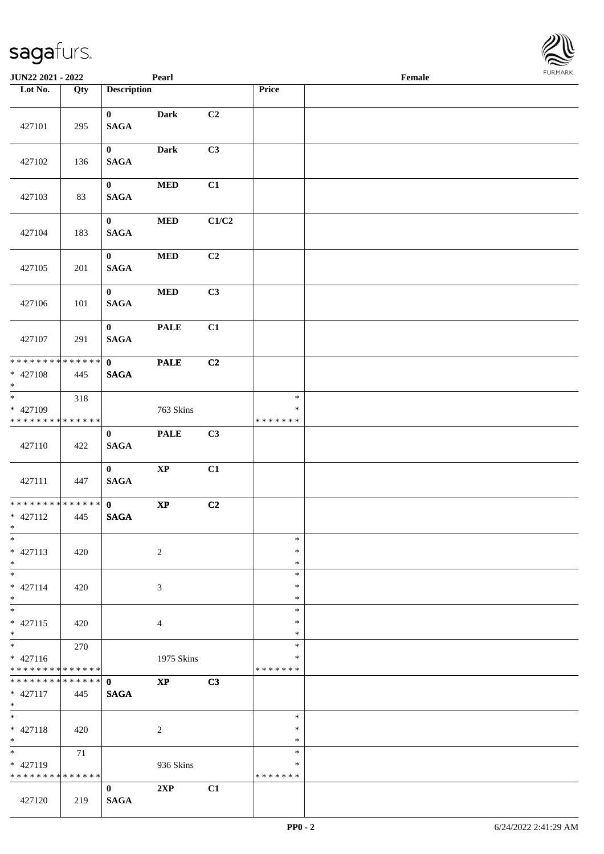| <b>JUN22 2021 - 2022</b>                                             |                    |                             | Pearl                  |       |                                   | Female |  |
|----------------------------------------------------------------------|--------------------|-----------------------------|------------------------|-------|-----------------------------------|--------|--|
| Lot No.                                                              | Qty                | <b>Description</b>          |                        |       | Price                             |        |  |
| 427101                                                               | 295                | $\mathbf{0}$<br><b>SAGA</b> | <b>Dark</b>            | C2    |                                   |        |  |
| 427102                                                               | 136                | $\bf{0}$<br><b>SAGA</b>     | Dark                   | C3    |                                   |        |  |
| 427103                                                               | 83                 | $\bf{0}$<br><b>SAGA</b>     | <b>MED</b>             | C1    |                                   |        |  |
| 427104                                                               | 183                | $\bf{0}$<br><b>SAGA</b>     | $\bf MED$              | C1/C2 |                                   |        |  |
| 427105                                                               | 201                | $\mathbf{0}$<br><b>SAGA</b> | $\bf MED$              | C2    |                                   |        |  |
| 427106                                                               | 101                | $\mathbf{0}$<br><b>SAGA</b> | $\bf MED$              | C3    |                                   |        |  |
| 427107                                                               | 291                | $\mathbf{0}$<br><b>SAGA</b> | <b>PALE</b>            | C1    |                                   |        |  |
| * * * * * * * * <mark>* * * * * * *</mark><br>* 427108<br>$\ast$     | 445                | $\mathbf{0}$<br><b>SAGA</b> | <b>PALE</b>            | C2    |                                   |        |  |
| $\overline{\ast}$<br>* 427109<br>* * * * * * * * <mark>*</mark>      | 318<br>* * * * * * |                             | 763 Skins              |       | $\ast$<br>$\ast$<br>* * * * * * * |        |  |
| 427110                                                               | 422                | $\mathbf{0}$<br><b>SAGA</b> | <b>PALE</b>            | C3    |                                   |        |  |
| 427111                                                               | 447                | $\mathbf{0}$<br><b>SAGA</b> | $\bold{XP}$            | C1    |                                   |        |  |
| * * * * * * * * <mark>* * * * * * *</mark><br>$* 427112$<br>$*$ $-$  | 445                | $\mathbf{0}$<br><b>SAGA</b> | $\bold{XP}$            | C2    |                                   |        |  |
| $\ast$<br>$* 427113$<br>$*$                                          | 420                |                             | 2                      |       | $\ast$<br>$\ast$<br>$\ast$        |        |  |
| $*$<br>$* 427114$<br>$*$                                             | 420                |                             | 3                      |       | $\ast$<br>∗<br>∗                  |        |  |
| $*$<br>$* 427115$<br>$*$                                             | 420                |                             | $\overline{4}$         |       | $\ast$<br>$\ast$<br>$\ast$        |        |  |
| $*$<br>$* 427116$<br>* * * * * * * * <mark>* * * * * * *</mark>      | 270                |                             | 1975 Skins             |       | $\ast$<br>∗<br>* * * * * * *      |        |  |
| $* 427117$<br>$*$                                                    | 445                | <b>SAGA</b>                 | $\mathbf{X}\mathbf{P}$ | C3    |                                   |        |  |
| $\overline{\mathbf{r}}$<br>$* 427118$<br>$*$                         | 420                |                             | $\overline{c}$         |       | $\ast$<br>$\ast$<br>$\ast$        |        |  |
| $\overline{\mathbf{r}}$<br>* 427119<br>* * * * * * * * * * * * * * * | 71                 |                             | 936 Skins              |       | $\ast$<br>∗<br>* * * * * * *      |        |  |
| 427120                                                               | 219                | $\bf{0}$<br><b>SAGA</b>     | 2XP                    | C1    |                                   |        |  |

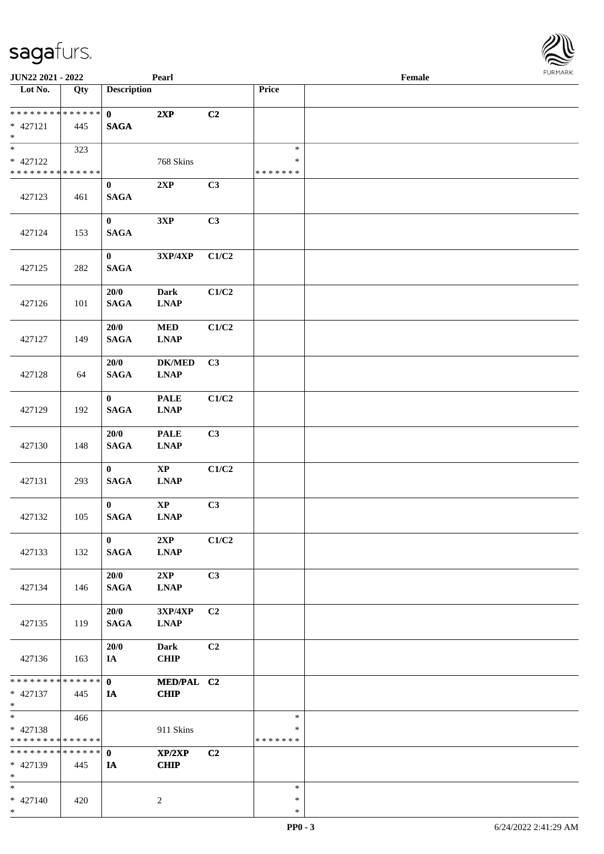\*

| <b>JUN22 2021 - 2022</b>                   |             |                    | Pearl                                                                |       |               | Female | $1 \times 1$ |
|--------------------------------------------|-------------|--------------------|----------------------------------------------------------------------|-------|---------------|--------|--------------|
| Lot No.                                    | Qty         | <b>Description</b> |                                                                      |       | Price         |        |              |
|                                            |             |                    |                                                                      |       |               |        |              |
| * * * * * * * * * * * * * * <mark>*</mark> |             | $\mathbf{0}$       | 2XP                                                                  | C2    |               |        |              |
| * 427121                                   | 445         | <b>SAGA</b>        |                                                                      |       |               |        |              |
| $\ast$<br>$\overline{\ast}$                |             |                    |                                                                      |       |               |        |              |
|                                            | 323         |                    |                                                                      |       | $\ast$        |        |              |
| * 427122                                   |             |                    | 768 Skins                                                            |       | $\ast$        |        |              |
| * * * * * * * * <mark>* * * * * * *</mark> |             |                    |                                                                      |       | * * * * * * * |        |              |
|                                            |             | $\bf{0}$           | 2XP                                                                  | C3    |               |        |              |
| 427123                                     | 461         | <b>SAGA</b>        |                                                                      |       |               |        |              |
|                                            |             |                    |                                                                      |       |               |        |              |
|                                            |             | $\bf{0}$           | 3XP                                                                  | C3    |               |        |              |
| 427124                                     | 153         | <b>SAGA</b>        |                                                                      |       |               |        |              |
|                                            |             |                    |                                                                      |       |               |        |              |
|                                            |             | $\mathbf{0}$       | $3{\bf X}{\bf P}/4{\bf X}{\bf P}$                                    | C1/C2 |               |        |              |
| 427125                                     | 282         | <b>SAGA</b>        |                                                                      |       |               |        |              |
|                                            |             |                    |                                                                      |       |               |        |              |
|                                            |             | $20/0$             | <b>Dark</b>                                                          | C1/C2 |               |        |              |
| 427126                                     | 101         | <b>SAGA</b>        | <b>LNAP</b>                                                          |       |               |        |              |
|                                            |             |                    |                                                                      |       |               |        |              |
|                                            |             | 20/0               | $\bf MED$                                                            | C1/C2 |               |        |              |
| 427127                                     | 149         | <b>SAGA</b>        | <b>LNAP</b>                                                          |       |               |        |              |
|                                            |             |                    |                                                                      |       |               |        |              |
|                                            |             | 20/0               | <b>DK/MED</b>                                                        | C3    |               |        |              |
| 427128                                     | 64          | <b>SAGA</b>        | <b>LNAP</b>                                                          |       |               |        |              |
|                                            |             |                    |                                                                      |       |               |        |              |
|                                            |             | $\bf{0}$           | <b>PALE</b>                                                          | C1/C2 |               |        |              |
| 427129                                     | 192         | <b>SAGA</b>        | <b>LNAP</b>                                                          |       |               |        |              |
|                                            |             |                    |                                                                      |       |               |        |              |
|                                            |             | 20/0               | <b>PALE</b>                                                          | C3    |               |        |              |
| 427130                                     | 148         | <b>SAGA</b>        | <b>LNAP</b>                                                          |       |               |        |              |
|                                            |             | $\bf{0}$           |                                                                      |       |               |        |              |
|                                            |             |                    | $\bold{XP}$                                                          | C1/C2 |               |        |              |
| 427131                                     | 293         | <b>SAGA</b>        | $\ensuremath{\mathbf{L}\mathbf{N}\mathbf{A}}\ensuremath{\mathbf{P}}$ |       |               |        |              |
|                                            |             | $\bf{0}$           | $\bold{XP}$                                                          | C3    |               |        |              |
| 427132                                     | 105         | $\mathbf{SAGA}$    | <b>LNAP</b>                                                          |       |               |        |              |
|                                            |             |                    |                                                                      |       |               |        |              |
|                                            |             | $\bf{0}$           | 2XP                                                                  | C1/C2 |               |        |              |
| 427133                                     | 132         | <b>SAGA</b>        | <b>LNAP</b>                                                          |       |               |        |              |
|                                            |             |                    |                                                                      |       |               |        |              |
|                                            |             | 20/0               | 2XP                                                                  | C3    |               |        |              |
| 427134                                     | 146         | <b>SAGA</b>        | <b>LNAP</b>                                                          |       |               |        |              |
|                                            |             |                    |                                                                      |       |               |        |              |
|                                            |             | 20/0               | 3XP/4XP                                                              | C2    |               |        |              |
| 427135                                     | 119         | <b>SAGA</b>        | <b>LNAP</b>                                                          |       |               |        |              |
|                                            |             |                    |                                                                      |       |               |        |              |
|                                            |             | 20/0               | <b>Dark</b>                                                          | C2    |               |        |              |
| 427136                                     | 163         | IA                 | <b>CHIP</b>                                                          |       |               |        |              |
|                                            |             |                    |                                                                      |       |               |        |              |
| * * * * * * * *                            | * * * * * * | $\mathbf{0}$       | MED/PAL C2                                                           |       |               |        |              |
| * 427137                                   | 445         | IA                 | <b>CHIP</b>                                                          |       |               |        |              |
| $*$                                        |             |                    |                                                                      |       |               |        |              |
| $*$                                        | 466         |                    |                                                                      |       | $\ast$        |        |              |
| * 427138                                   |             |                    | 911 Skins                                                            |       | *             |        |              |
| * * * * * * * * <mark>* * * * * * *</mark> |             |                    |                                                                      |       | * * * * * * * |        |              |
| * * * * * * * * <mark>* * * * * *</mark>   |             | $\mathbf{0}$       | XP/2XP                                                               | C2    |               |        |              |
| * 427139                                   | 445         | <b>IA</b>          | <b>CHIP</b>                                                          |       |               |        |              |
| $\ast$                                     |             |                    |                                                                      |       |               |        |              |
| $\ast$                                     |             |                    |                                                                      |       | $\ast$        |        |              |
| $* 427140$                                 | 420         |                    | 2                                                                    |       | $\ast$        |        |              |
| $\ast$                                     |             |                    |                                                                      |       | $\ast$        |        |              |

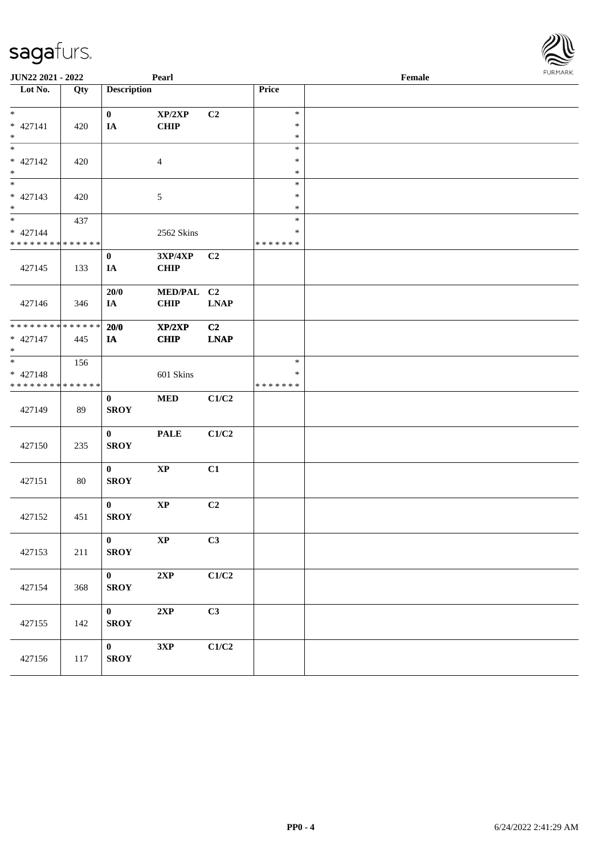| <b>JUN22 2021 - 2022</b>                   |     |                    | Pearl          |                |                  | Female | <b>FURPIARR</b> |
|--------------------------------------------|-----|--------------------|----------------|----------------|------------------|--------|-----------------|
| Lot No.                                    | Qty | <b>Description</b> |                |                | Price            |        |                 |
| $\ddot{x}$                                 |     | $\mathbf{0}$       | XP/2XP         | C2             | $\ast$           |        |                 |
| * 427141<br>$*$                            | 420 | IA                 | <b>CHIP</b>    |                | $\ast$<br>$\ast$ |        |                 |
|                                            |     |                    |                |                | $\ast$           |        |                 |
| * 427142                                   | 420 |                    | $\overline{4}$ |                | $\ast$<br>$\ast$ |        |                 |
| $*$<br>$*$                                 |     |                    |                |                | $\ast$           |        |                 |
| $* 427143$                                 | 420 |                    | $\sqrt{5}$     |                | $\ast$           |        |                 |
| $*$                                        |     |                    |                |                | $\ast$           |        |                 |
| $*$                                        | 437 |                    |                |                | $\ast$           |        |                 |
| $* 427144$                                 |     |                    | 2562 Skins     |                | $\ast$           |        |                 |
| * * * * * * * * * * * * * *                |     |                    |                |                | * * * * * * *    |        |                 |
|                                            |     | $\bf{0}$           | <b>3XP/4XP</b> | C2             |                  |        |                 |
| 427145                                     | 133 | IA                 | <b>CHIP</b>    |                |                  |        |                 |
|                                            |     | 20/0               | MED/PAL C2     |                |                  |        |                 |
| 427146                                     | 346 | IA                 | <b>CHIP</b>    | <b>LNAP</b>    |                  |        |                 |
|                                            |     |                    |                |                |                  |        |                 |
| * * * * * * * * * * * * * *                |     | 20/0               | XP/2XP         | C <sub>2</sub> |                  |        |                 |
| * 427147<br>$\ast$                         | 445 | <b>IA</b>          | <b>CHIP</b>    | <b>LNAP</b>    |                  |        |                 |
| $\overline{\ast}$                          | 156 |                    |                |                | $\ast$           |        |                 |
| * 427148                                   |     |                    | 601 Skins      |                | $\ast$           |        |                 |
| * * * * * * * * <mark>* * * * * * *</mark> |     |                    |                |                | * * * * * * *    |        |                 |
|                                            |     | $\bf{0}$           | <b>MED</b>     | C1/C2          |                  |        |                 |
| 427149                                     | 89  | <b>SROY</b>        |                |                |                  |        |                 |
|                                            |     | $\bf{0}$           | <b>PALE</b>    | C1/C2          |                  |        |                 |
| 427150                                     | 235 | <b>SROY</b>        |                |                |                  |        |                 |
|                                            |     |                    |                |                |                  |        |                 |
|                                            |     | $\bf{0}$           | $\mathbf{XP}$  | C1             |                  |        |                 |
| 427151                                     | 80  | <b>SROY</b>        |                |                |                  |        |                 |
|                                            |     | $\mathbf{0}$       | $\bold{XP}$    | C2             |                  |        |                 |
| 427152                                     | 451 | <b>SROY</b>        |                |                |                  |        |                 |
|                                            |     |                    |                |                |                  |        |                 |
|                                            |     | $\mathbf{0}$       | $\bold{XP}$    | C3             |                  |        |                 |
| 427153                                     | 211 | <b>SROY</b>        |                |                |                  |        |                 |
|                                            |     | $\mathbf{0}$       | 2XP            | C1/C2          |                  |        |                 |
| 427154                                     | 368 | <b>SROY</b>        |                |                |                  |        |                 |
|                                            |     |                    |                |                |                  |        |                 |
|                                            |     | $\mathbf{0}$       | 2XP            | C3             |                  |        |                 |
| 427155                                     | 142 | <b>SROY</b>        |                |                |                  |        |                 |
|                                            |     |                    |                |                |                  |        |                 |
|                                            |     | $\mathbf{0}$       | 3XP            | C1/C2          |                  |        |                 |
| 427156                                     | 117 | <b>SROY</b>        |                |                |                  |        |                 |
|                                            |     |                    |                |                |                  |        |                 |

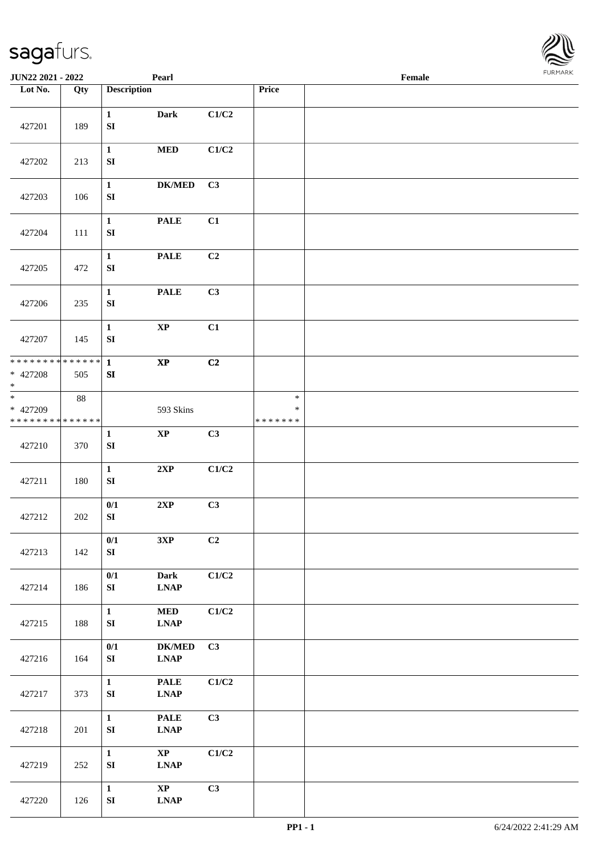| sagafurs.         |     |                           |               |       |       |  |                |  |
|-------------------|-----|---------------------------|---------------|-------|-------|--|----------------|--|
| JUN22 2021 - 2022 |     | Pearl                     |               |       |       |  | <b>FURMARK</b> |  |
| Lot No.           | Qty | <b>Description</b>        |               |       | Price |  |                |  |
| 427201            | 189 | 1<br><b>SI</b>            | <b>Dark</b>   | C1/C2 |       |  |                |  |
| 427202            | 213 | $\mathbf{1}$<br><b>SI</b> | <b>MED</b>    | C1/C2 |       |  |                |  |
| 427203            | 106 | $\mathbf{1}$<br>SI        | <b>DK/MED</b> | C3    |       |  |                |  |
| 427204            | 111 | $\mathbf{1}$<br><b>SI</b> | <b>PALE</b>   | C1    |       |  |                |  |
| 427205            | 472 | $\mathbf{1}$<br><b>SI</b> | <b>PALE</b>   | C2    |       |  |                |  |

| 427201                                          | 189 | $\mathbf{1}$<br>${\bf S}{\bf I}$ | Dark                                                                   | C1/C2          |                              |  |
|-------------------------------------------------|-----|----------------------------------|------------------------------------------------------------------------|----------------|------------------------------|--|
| 427202                                          | 213 | $\mathbf{1}$<br>${\bf S}{\bf I}$ | $\bf MED$                                                              | C1/C2          |                              |  |
| 427203                                          | 106 | $\mathbf{1}$<br>${\bf SI}$       | <b>DK/MED</b>                                                          | C3             |                              |  |
| 427204                                          | 111 | $\mathbf{1}$<br>${\bf S}{\bf I}$ | <b>PALE</b>                                                            | C1             |                              |  |
| 427205                                          | 472 | $\mathbf{1}$<br>${\bf S}{\bf I}$ | <b>PALE</b>                                                            | C2             |                              |  |
| 427206                                          | 235 | $\mathbf{1}$<br>SI               | <b>PALE</b>                                                            | C3             |                              |  |
| 427207                                          | 145 | $\mathbf{1}$<br>${\bf S}{\bf I}$ | $\bold{XP}$                                                            | C1             |                              |  |
| ******** <mark>******</mark><br>* 427208<br>$*$ | 505 | $\mathbf{1}$<br>SI               | $\bold{XP}$                                                            | C2             |                              |  |
| * 427209<br>******** <mark>******</mark>        | 88  |                                  | 593 Skins                                                              |                | $\ast$<br>∗<br>* * * * * * * |  |
| 427210                                          | 370 | $\mathbf{1}$<br>${\bf S}{\bf I}$ | $\bold{XP}$                                                            | C3             |                              |  |
| 427211                                          | 180 | $\mathbf{1}$<br>${\bf S}{\bf I}$ | 2XP                                                                    | C1/C2          |                              |  |
| 427212                                          | 202 | 0/1<br>SI                        | 2XP                                                                    | C3             |                              |  |
| 427213                                          | 142 | 0/1<br>SI                        | 3XP                                                                    | C <sub>2</sub> |                              |  |
| 427214                                          | 186 | 0/1<br>${\bf S}{\bf I}$          | <b>Dark</b><br><b>LNAP</b>                                             | C1/C2          |                              |  |
| 427215                                          | 188 | $\mathbf{1}$<br>${\bf SI}$       | $\bf MED$<br><b>LNAP</b>                                               | C1/C2          |                              |  |
| 427216                                          | 164 | 0/1<br>${\bf S}{\bf I}$          | <b>DK/MED</b><br>$\ensuremath{\text{L}N\!AP}\xspace$                   | C3             |                              |  |
| 427217                                          | 373 | $\mathbf{1}$<br>${\bf S}{\bf I}$ | <b>PALE</b><br>$\ensuremath{\text{L}N\!AP}\xspace$                     | C1/C2          |                              |  |
| 427218                                          | 201 | $\mathbf{1}$<br>${\bf S}{\bf I}$ | <b>PALE</b><br>$\mathbf{L}\mathbf{N}\mathbf{A}\mathbf{P}$              | C3             |                              |  |
| 427219                                          | 252 | $\mathbf{1}$<br>${\bf S}{\bf I}$ | $\bold{XP}$<br>$\ensuremath{\mathbf{L}\mathbf{N}\mathbf{A}\mathbf{P}}$ | C1/C2          |                              |  |
| 427220                                          | 126 | $\mathbf{1}$<br>${\bf SI}$       | $\bold{XP}$<br>$\ensuremath{\text{L}N\!AP}$                            | C3             |                              |  |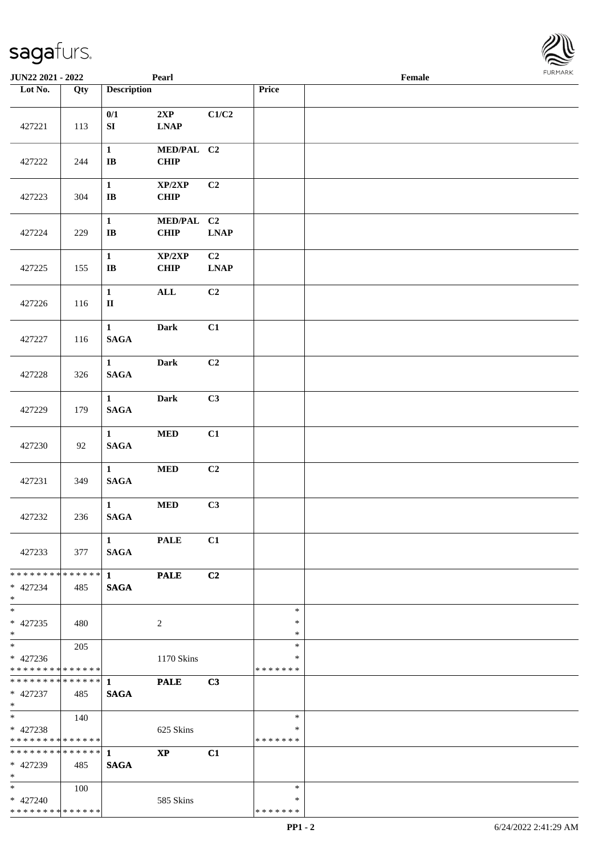| JUN22 2021 - 2022                                                     |     |                                      | Pearl                               |                               |                                   | $\ensuremath{\textnormal{\textbf{Female}}}$ | <b>FURMAR</b> |
|-----------------------------------------------------------------------|-----|--------------------------------------|-------------------------------------|-------------------------------|-----------------------------------|---------------------------------------------|---------------|
| Lot No.                                                               | Qty | <b>Description</b>                   |                                     |                               | Price                             |                                             |               |
| 427221                                                                | 113 | 0/1<br>${\bf S}{\bf I}$              | 2XP<br>$\ensuremath{\text{L}N\!AP}$ | C1/C2                         |                                   |                                             |               |
| 427222                                                                | 244 | $\mathbf{1}$<br>$\bf I\bf B$         | MED/PAL C2<br>CHIP                  |                               |                                   |                                             |               |
| 427223                                                                | 304 | $\mathbf{1}$<br>$\mathbf I\mathbf B$ | XP/2XP<br>CHIP                      | C2                            |                                   |                                             |               |
| 427224                                                                | 229 | $\mathbf{1}$<br>$\bf I\bf B$         | MED/PAL C2<br><b>CHIP</b>           | <b>LNAP</b>                   |                                   |                                             |               |
| 427225                                                                | 155 | $\mathbf{1}$<br>$\bf I\bf B$         | XP/2XP<br><b>CHIP</b>               | C <sub>2</sub><br><b>LNAP</b> |                                   |                                             |               |
| 427226                                                                | 116 | $\mathbf{1}$<br>$\rm II$             | $\mathbf{ALL}$                      | C2                            |                                   |                                             |               |
| 427227                                                                | 116 | $\mathbf{1}$<br><b>SAGA</b>          | <b>Dark</b>                         | C1                            |                                   |                                             |               |
| 427228                                                                | 326 | $\mathbf{1}$<br><b>SAGA</b>          | <b>Dark</b>                         | C2                            |                                   |                                             |               |
| 427229                                                                | 179 | $\mathbf{1}$<br>$\mathbf{SAGA}$      | <b>Dark</b>                         | C3                            |                                   |                                             |               |
| 427230                                                                | 92  | $\mathbf{1}$<br><b>SAGA</b>          | $\bf MED$                           | C1                            |                                   |                                             |               |
| 427231                                                                | 349 | $\mathbf{1}$<br><b>SAGA</b>          | $\bf MED$                           | C <sub>2</sub>                |                                   |                                             |               |
| 427232                                                                | 236 | $\mathbf{1}$<br><b>SAGA</b>          | $\bf MED$                           | C3                            |                                   |                                             |               |
| 427233                                                                | 377 | $\mathbf{1}$<br><b>SAGA</b>          | <b>PALE</b>                         | C1                            |                                   |                                             |               |
| **************<br>* 427234<br>$*$                                     | 485 | 1<br><b>SAGA</b>                     | <b>PALE</b>                         | C2                            |                                   |                                             |               |
| $\overline{\phantom{a}^*}$<br>$* 427235$<br>$*$                       | 480 |                                      | $\sqrt{2}$                          |                               | $\ast$<br>$\ast$<br>$\ast$        |                                             |               |
| $*$<br>$* 427236$<br>**************                                   | 205 |                                      | 1170 Skins                          |                               | $\ast$<br>∗<br>* * * * * * *      |                                             |               |
| * 427237<br>$*$                                                       | 485 | <b>SAGA</b>                          | <b>PALE</b>                         | C3                            |                                   |                                             |               |
| $\overline{\phantom{0}}$<br>$* 427238$<br>* * * * * * * * * * * * * * | 140 |                                      | 625 Skins                           |                               | $\ast$<br>$\ast$<br>* * * * * * * |                                             |               |
| ******** <mark>******</mark><br>* 427239<br>$*$                       | 485 | $\mathbf{1}$<br><b>SAGA</b>          | $\mathbf{X}\mathbf{P}$              | C1                            |                                   |                                             |               |
| $*$ $-$<br>$* 427240$<br>**************                               | 100 |                                      | 585 Skins                           |                               | $\ast$<br>$\ast$<br>* * * * * * * |                                             |               |

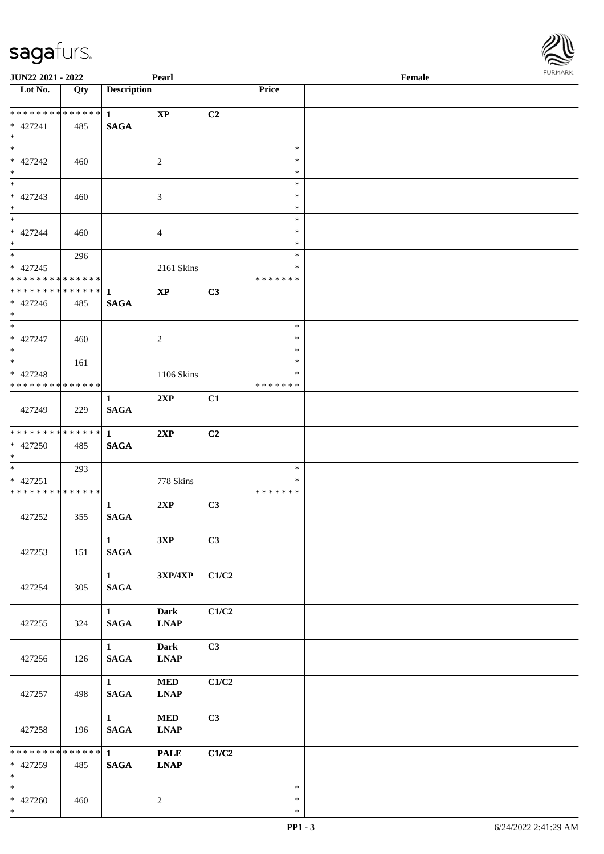| JUN22 2021 - 2022             |     |                        | Pearl                     |       |                  | Female | <b>FUNITANN</b> |
|-------------------------------|-----|------------------------|---------------------------|-------|------------------|--------|-----------------|
| Lot No.                       | Qty | <b>Description</b>     |                           |       | Price            |        |                 |
| ******** <mark>******</mark>  |     |                        |                           |       |                  |        |                 |
| $* 427241$                    | 485 | 1<br><b>SAGA</b>       | $\mathbf{X}\mathbf{P}$    | C2    |                  |        |                 |
| $*$                           |     |                        |                           |       |                  |        |                 |
| $\ast$                        |     |                        |                           |       | $\ast$           |        |                 |
| * 427242                      | 460 |                        | $\sqrt{2}$                |       | $\ast$           |        |                 |
| $*$                           |     |                        |                           |       | $\ast$           |        |                 |
| $*$                           |     |                        |                           |       | $\ast$           |        |                 |
| $* 427243$                    | 460 |                        | $\mathfrak{Z}$            |       | $\ast$           |        |                 |
| $*$                           |     |                        |                           |       | $\ast$           |        |                 |
|                               |     |                        |                           |       | $\ast$<br>$\ast$ |        |                 |
| $* 427244$<br>$*$             | 460 |                        | $\overline{4}$            |       | $\ast$           |        |                 |
|                               | 296 |                        |                           |       | $\ast$           |        |                 |
| $* 427245$                    |     |                        | 2161 Skins                |       | *                |        |                 |
| * * * * * * * * * * * * * *   |     |                        |                           |       | * * * * * * *    |        |                 |
| * * * * * * * * * * * * * * * |     | $\mathbf{1}$           | $\mathbf{XP}$             | C3    |                  |        |                 |
| $* 427246$                    | 485 | <b>SAGA</b>            |                           |       |                  |        |                 |
| $*$                           |     |                        |                           |       |                  |        |                 |
| $*$                           |     |                        |                           |       | $\ast$           |        |                 |
| $* 427247$<br>$*$             | 460 |                        | $\overline{2}$            |       | $\ast$<br>$\ast$ |        |                 |
| $*$                           | 161 |                        |                           |       | $\ast$           |        |                 |
| $* 427248$                    |     |                        | 1106 Skins                |       | $\ast$           |        |                 |
| * * * * * * * * * * * * * *   |     |                        |                           |       | *******          |        |                 |
|                               |     | $\mathbf{1}$           | 2XP                       | C1    |                  |        |                 |
| 427249                        | 229 | <b>SAGA</b>            |                           |       |                  |        |                 |
|                               |     |                        |                           |       |                  |        |                 |
| * * * * * * * * * * * * * * * |     | $\mathbf{1}$           | 2XP                       | C2    |                  |        |                 |
| * 427250                      | 485 | <b>SAGA</b>            |                           |       |                  |        |                 |
| $*$<br>$*$                    |     |                        |                           |       | $\ast$           |        |                 |
| * 427251                      | 293 |                        | 778 Skins                 |       | *                |        |                 |
| * * * * * * * * * * * * * *   |     |                        |                           |       | *******          |        |                 |
|                               |     | $\mathbf{1}$           | 2XP                       | C3    |                  |        |                 |
| 427252                        | 355 | <b>SAGA</b>            |                           |       |                  |        |                 |
|                               |     |                        |                           |       |                  |        |                 |
|                               |     | $\mathbf{1}$           | 3XP                       | C3    |                  |        |                 |
| 427253                        | 151 | <b>SAGA</b>            |                           |       |                  |        |                 |
|                               |     | $1 \quad \blacksquare$ |                           |       |                  |        |                 |
| 427254                        | 305 | <b>SAGA</b>            | $3XP/4XP$ $C1/C2$         |       |                  |        |                 |
|                               |     |                        |                           |       |                  |        |                 |
|                               |     | $1 \quad \blacksquare$ | Dark                      | C1/C2 |                  |        |                 |
| 427255                        | 324 | <b>SAGA</b>            | <b>LNAP</b>               |       |                  |        |                 |
|                               |     |                        |                           |       |                  |        |                 |
|                               |     | $1 \quad \blacksquare$ | <b>Dark</b>               | C3    |                  |        |                 |
| 427256                        | 126 | <b>SAGA</b>            | <b>LNAP</b>               |       |                  |        |                 |
|                               |     | $1 \quad \blacksquare$ |                           |       |                  |        |                 |
| 427257                        | 498 | <b>SAGA</b>            | <b>MED</b><br><b>LNAP</b> | C1/C2 |                  |        |                 |
|                               |     |                        |                           |       |                  |        |                 |
|                               |     | $\mathbf{1}$           | <b>MED</b>                | C3    |                  |        |                 |
| 427258                        | 196 | <b>SAGA</b>            | <b>LNAP</b>               |       |                  |        |                 |
|                               |     |                        |                           |       |                  |        |                 |
| ******** <mark>******</mark>  |     | $1 \quad \blacksquare$ | <b>PALE</b>               | C1/C2 |                  |        |                 |
| * 427259                      | 485 | <b>SAGA</b>            | <b>LNAP</b>               |       |                  |        |                 |
| $*$ $*$<br>$*$                |     |                        |                           |       | $\ast$           |        |                 |
| $* 427260$                    | 460 |                        | $\overline{c}$            |       | $\ast$           |        |                 |
| $*$                           |     |                        |                           |       | $\ast$           |        |                 |
|                               |     |                        |                           |       |                  |        |                 |

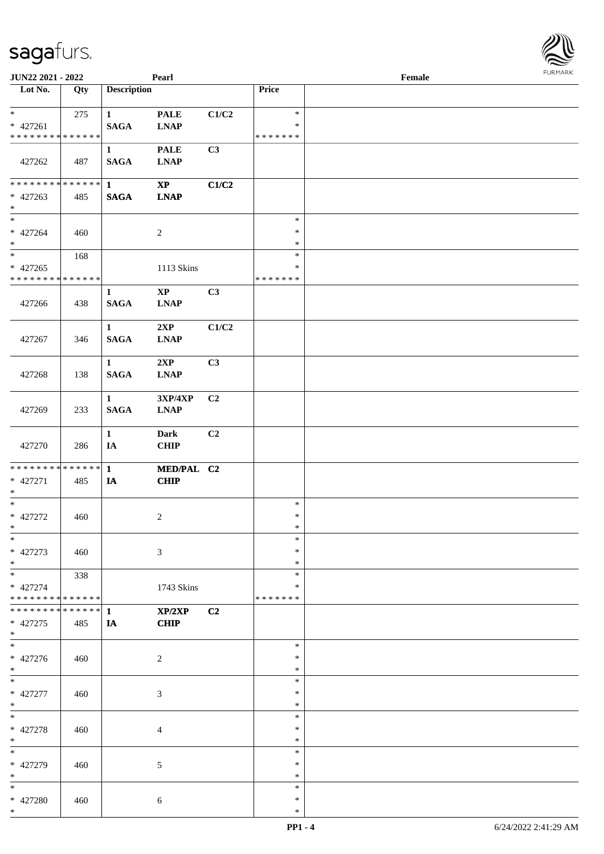| <b>JUN22 2021 - 2022</b>                                        |     |                             | Pearl                                                     |       |                                   | Female |  |
|-----------------------------------------------------------------|-----|-----------------------------|-----------------------------------------------------------|-------|-----------------------------------|--------|--|
| Lot No.                                                         | Qty | <b>Description</b>          |                                                           |       | Price                             |        |  |
| $*$<br>$* 427261$                                               | 275 | $\mathbf{1}$<br><b>SAGA</b> | <b>PALE</b><br>$\mathbf{L}\mathbf{N}\mathbf{A}\mathbf{P}$ | C1/C2 | $\ast$<br>$\ast$                  |        |  |
| * * * * * * * * * * * * * *<br>427262                           | 487 | $\mathbf{1}$<br><b>SAGA</b> | <b>PALE</b><br><b>LNAP</b>                                | C3    | * * * * * * *                     |        |  |
| * * * * * * * * * * * * * * <mark>*</mark><br>$* 427263$<br>$*$ | 485 | $\mathbf{1}$<br><b>SAGA</b> | $\bold{XP}$<br><b>LNAP</b>                                | C1/C2 |                                   |        |  |
| $*$<br>* 427264<br>$*$                                          | 460 |                             | $\overline{c}$                                            |       | $\ast$<br>$\ast$<br>$\ast$        |        |  |
| $*$<br>$* 427265$<br>* * * * * * * * <mark>* * * * * * *</mark> | 168 |                             | 1113 Skins                                                |       | $\ast$<br>$\ast$<br>* * * * * * * |        |  |
| 427266                                                          | 438 | $\mathbf{1}$<br><b>SAGA</b> | $\mathbf{X}\mathbf{P}$<br><b>LNAP</b>                     | C3    |                                   |        |  |
| 427267                                                          | 346 | $\mathbf{1}$<br><b>SAGA</b> | 2XP<br><b>LNAP</b>                                        | C1/C2 |                                   |        |  |
| 427268                                                          | 138 | $\mathbf{1}$<br><b>SAGA</b> | 2XP<br><b>LNAP</b>                                        | C3    |                                   |        |  |
| 427269                                                          | 233 | $\mathbf{1}$<br><b>SAGA</b> | 3XP/4XP<br><b>LNAP</b>                                    | C2    |                                   |        |  |
| 427270                                                          | 286 | $\mathbf{1}$<br>IA          | <b>Dark</b><br>CHIP                                       | C2    |                                   |        |  |
| * * * * * * * * <mark>* * * * * * *</mark><br>* 427271<br>$*$   | 485 | $\mathbf{1}$<br>IA          | MED/PAL C2<br><b>CHIP</b>                                 |       |                                   |        |  |
| $*$<br>* 427272<br>$*$                                          | 460 |                             | $\overline{c}$                                            |       | $\ast$<br>$\ast$<br>$\ast$        |        |  |
| $*$<br>* 427273<br>$*$                                          | 460 |                             | 3                                                         |       | $\ast$<br>$\ast$<br>$\ast$        |        |  |
| $*$ $*$<br>* 427274<br>* * * * * * * * <mark>* * * * * *</mark> | 338 |                             | 1743 Skins                                                |       | $\ast$<br>∗<br>* * * * * * *      |        |  |
| * * * * * * * * * * * * * * *<br>* 427275<br>$*$                | 485 | 1<br>IA                     | XP/2XP<br><b>CHIP</b>                                     | C2    |                                   |        |  |
| $\ast$<br>* 427276<br>$*$                                       | 460 |                             | 2                                                         |       | $\ast$<br>$\ast$<br>$\ast$        |        |  |
| $*$<br>* 427277<br>$\ast$                                       | 460 |                             | 3                                                         |       | $\ast$<br>$\ast$<br>$\ast$        |        |  |
| $*$<br>* 427278<br>$*$                                          | 460 |                             | 4                                                         |       | $\ast$<br>$\ast$<br>$\ast$        |        |  |
| $*$<br>* 427279<br>$*$                                          | 460 |                             | 5                                                         |       | $\ast$<br>$\ast$<br>$\ast$        |        |  |
| $*$<br>* 427280<br>$\ast$                                       | 460 |                             | $\sqrt{6}$                                                |       | $\ast$<br>$\ast$<br>$\ast$        |        |  |

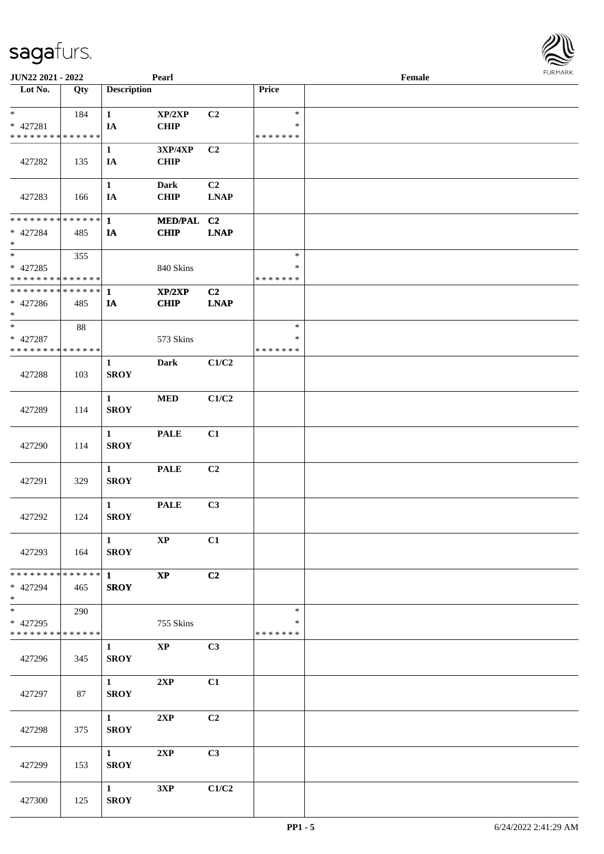| <b>JUN22 2021 - 2022</b>                               |               |                             | Pearl                      |                |               | Female | $1 \times 1 \times 1 \times 1 \times 1$ |
|--------------------------------------------------------|---------------|-----------------------------|----------------------------|----------------|---------------|--------|-----------------------------------------|
| Lot No.                                                | Qty           | <b>Description</b>          |                            |                | Price         |        |                                         |
|                                                        |               |                             |                            |                |               |        |                                         |
| $*$                                                    | 184           | $\mathbf{1}$                | XP/2XP                     | C2             | $\ast$        |        |                                         |
| $* 427281$                                             |               | IA                          | <b>CHIP</b>                |                | $\ast$        |        |                                         |
| * * * * * * * * <mark>* * * * * * *</mark>             |               |                             |                            |                | * * * * * * * |        |                                         |
|                                                        |               | $\mathbf{1}$                | 3XP/4XP                    | C2             |               |        |                                         |
| 427282                                                 | 135           | IA                          | <b>CHIP</b>                |                |               |        |                                         |
|                                                        |               | $\mathbf{1}$                |                            | C <sub>2</sub> |               |        |                                         |
| 427283                                                 |               |                             | <b>Dark</b><br><b>CHIP</b> | <b>LNAP</b>    |               |        |                                         |
|                                                        | 166           | IA                          |                            |                |               |        |                                         |
| * * * * * * * * <mark>* * * * * * *</mark>             |               | $\mathbf{1}$                | MED/PAL C2                 |                |               |        |                                         |
| * 427284                                               | 485           | IA                          | <b>CHIP</b>                | <b>LNAP</b>    |               |        |                                         |
| $\ast$                                                 |               |                             |                            |                |               |        |                                         |
| $\overline{\ast}$                                      | 355           |                             |                            |                | $\ast$        |        |                                         |
| * 427285                                               |               |                             | 840 Skins                  |                | ∗             |        |                                         |
| * * * * * * * * <mark>* * * * * * *</mark>             |               |                             |                            |                | * * * * * * * |        |                                         |
| * * * * * * * * <mark>* * * * * * *</mark>             |               | $\mathbf{1}$                | XP/2XP                     | C <sub>2</sub> |               |        |                                         |
| * 427286                                               | 485           | IA                          | <b>CHIP</b>                | <b>LNAP</b>    |               |        |                                         |
| $\ast$                                                 |               |                             |                            |                |               |        |                                         |
| $*$                                                    | 88            |                             |                            |                | $\ast$        |        |                                         |
| * 427287                                               |               |                             | 573 Skins                  |                | $\ast$        |        |                                         |
| * * * * * * * * <mark>* * * * * *</mark> *             |               |                             |                            |                | * * * * * * * |        |                                         |
|                                                        |               | $\mathbf{1}$                | <b>Dark</b>                | C1/C2          |               |        |                                         |
| 427288                                                 | 103           | <b>SROY</b>                 |                            |                |               |        |                                         |
|                                                        |               |                             |                            |                |               |        |                                         |
|                                                        |               | $\mathbf{1}$                | <b>MED</b>                 | C1/C2          |               |        |                                         |
| 427289                                                 | 114           | <b>SROY</b>                 |                            |                |               |        |                                         |
|                                                        |               |                             |                            |                |               |        |                                         |
|                                                        |               | $\mathbf{1}$<br><b>SROY</b> | <b>PALE</b>                | C1             |               |        |                                         |
| 427290                                                 | 114           |                             |                            |                |               |        |                                         |
|                                                        |               | $\mathbf{1}$                | <b>PALE</b>                | C2             |               |        |                                         |
| 427291                                                 | 329           | <b>SROY</b>                 |                            |                |               |        |                                         |
|                                                        |               |                             |                            |                |               |        |                                         |
|                                                        |               | $\mathbf{1}$                | <b>PALE</b>                | C3             |               |        |                                         |
| 427292                                                 | 124           | <b>SROY</b>                 |                            |                |               |        |                                         |
|                                                        |               |                             |                            |                |               |        |                                         |
|                                                        |               | $\mathbf{1}$                | $\bold{XP}$                | C1             |               |        |                                         |
| 427293                                                 | 164           | <b>SROY</b>                 |                            |                |               |        |                                         |
|                                                        |               |                             |                            |                |               |        |                                         |
| * * * * * * * *                                        | * * * * * * * | $1 \quad \blacksquare$      | $\mathbf{XP}$              | C2             |               |        |                                         |
| * 427294                                               | 465           | <b>SROY</b>                 |                            |                |               |        |                                         |
| $\ast$                                                 |               |                             |                            |                |               |        |                                         |
| $\overline{\ast}$                                      | 290           |                             |                            |                | $\ast$        |        |                                         |
| * 427295<br>* * * * * * * * <mark>* * * * * *</mark> * |               |                             | 755 Skins                  |                | ∗             |        |                                         |
|                                                        |               |                             |                            |                | * * * * * * * |        |                                         |
| 427296                                                 |               | $\mathbf{1}$<br><b>SROY</b> | $\mathbf{X}\mathbf{P}$     | C3             |               |        |                                         |
|                                                        | 345           |                             |                            |                |               |        |                                         |
|                                                        |               | $1 \quad \blacksquare$      | 2XP                        | C1             |               |        |                                         |
| 427297                                                 | 87            | <b>SROY</b>                 |                            |                |               |        |                                         |
|                                                        |               |                             |                            |                |               |        |                                         |
|                                                        |               | $1 -$                       | 2XP                        | C2             |               |        |                                         |
| 427298                                                 | 375           | <b>SROY</b>                 |                            |                |               |        |                                         |
|                                                        |               |                             |                            |                |               |        |                                         |
|                                                        |               | 1                           | 2XP                        | C3             |               |        |                                         |
| 427299                                                 | 153           | <b>SROY</b>                 |                            |                |               |        |                                         |
|                                                        |               |                             |                            |                |               |        |                                         |
|                                                        |               | 1                           | 3XP                        | C1/C2          |               |        |                                         |
| 427300                                                 | 125           | <b>SROY</b>                 |                            |                |               |        |                                         |
|                                                        |               |                             |                            |                |               |        |                                         |

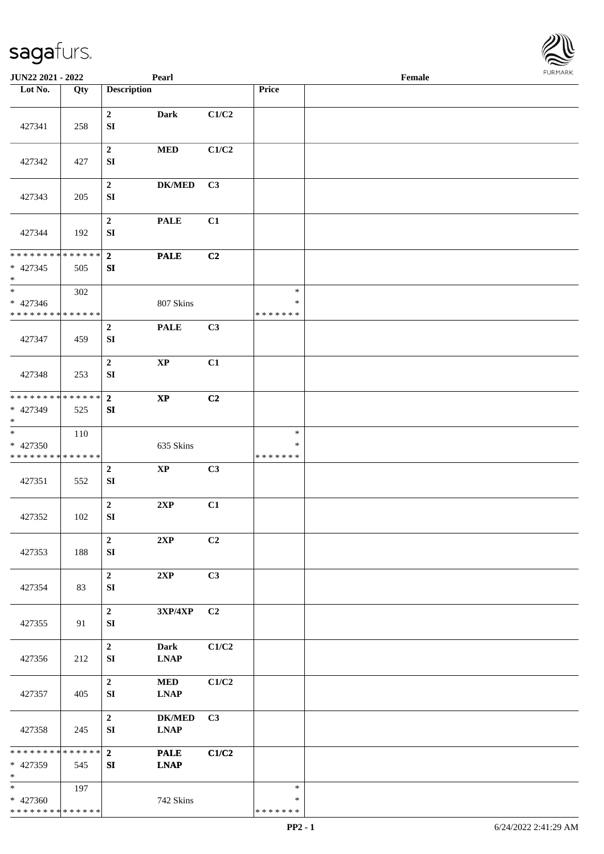

| JUN22 2021 - 2022                                                       |     |                                      | Pearl                             |                |                                   | Female |  |
|-------------------------------------------------------------------------|-----|--------------------------------------|-----------------------------------|----------------|-----------------------------------|--------|--|
| Lot No.                                                                 | Qty | <b>Description</b>                   |                                   |                | Price                             |        |  |
| 427341                                                                  | 258 | $\mathbf{2}$<br>${\bf S}{\bf I}$     | Dark                              | C1/C2          |                                   |        |  |
| 427342                                                                  | 427 | $\boldsymbol{2}$<br>${\bf S}{\bf I}$ | $\bf MED$                         | C1/C2          |                                   |        |  |
| 427343                                                                  | 205 | $\mathbf 2$<br>${\bf S}{\bf I}$      | $DK/MED$                          | C3             |                                   |        |  |
| 427344                                                                  | 192 | $\mathbf{2}$<br>${\bf SI}$           | <b>PALE</b>                       | C1             |                                   |        |  |
| * * * * * * * * * * * * * *<br>$* 427345$<br>$\ast$                     | 505 | $\overline{2}$<br>SI                 | <b>PALE</b>                       | C2             |                                   |        |  |
| $\overline{\phantom{a}^*}$<br>$* 427346$<br>* * * * * * * * * * * * * * | 302 |                                      | 807 Skins                         |                | $\ast$<br>$\ast$<br>* * * * * * * |        |  |
| 427347                                                                  | 459 | $\boldsymbol{2}$<br>${\bf S}{\bf I}$ | <b>PALE</b>                       | C3             |                                   |        |  |
| 427348                                                                  | 253 | $\boldsymbol{2}$<br>SI               | $\mathbf{XP}$                     | C1             |                                   |        |  |
| * * * * * * * * * * * * * * *<br>* 427349<br>$\ast$                     | 525 | $\overline{2}$<br>SI                 | $\bold{XP}$                       | C <sub>2</sub> |                                   |        |  |
| $\overline{\phantom{a}^*}$<br>* 427350<br>* * * * * * * * * * * * * *   | 110 |                                      | 635 Skins                         |                | $\ast$<br>*<br>* * * * * * *      |        |  |
| 427351                                                                  | 552 | $\boldsymbol{2}$<br>${\bf S}{\bf I}$ | $\bold{XP}$                       | C3             |                                   |        |  |
| 427352                                                                  | 102 | $\mathbf 2$<br>${\bf S}{\bf I}$      | 2XP                               | C1             |                                   |        |  |
| 427353                                                                  | 188 | $\overline{2}$<br>${\bf S}{\bf I}$   | 2XP                               | C2             |                                   |        |  |
| 427354                                                                  | 83  | $\mathbf 2$<br>SI                    | 2XP                               | C3             |                                   |        |  |
| 427355                                                                  | 91  | $\mathbf 2$<br>SI                    | $3{\bf X}{\bf P}/4{\bf X}{\bf P}$ | C2             |                                   |        |  |
| 427356                                                                  | 212 | $\overline{2}$<br>${\bf S}{\bf I}$   | <b>Dark</b><br><b>LNAP</b>        | C1/C2          |                                   |        |  |
| 427357                                                                  | 405 | $\mathbf 2$<br>SI                    | $\bf MED$<br><b>LNAP</b>          | C1/C2          |                                   |        |  |
| 427358                                                                  | 245 | $\overline{2}$<br>${\bf S}{\bf I}$   | <b>DK/MED</b><br><b>LNAP</b>      | C <sub>3</sub> |                                   |        |  |
| ******** <mark>******</mark><br>* 427359<br>$\ast$                      | 545 | $\overline{2}$<br>SI                 | <b>PALE</b><br><b>LNAP</b>        | C1/C2          |                                   |        |  |
| $\ast$<br>* 427360<br>* * * * * * * * * * * * * *                       | 197 |                                      | 742 Skins                         |                | $\ast$<br>$\ast$<br>* * * * * * * |        |  |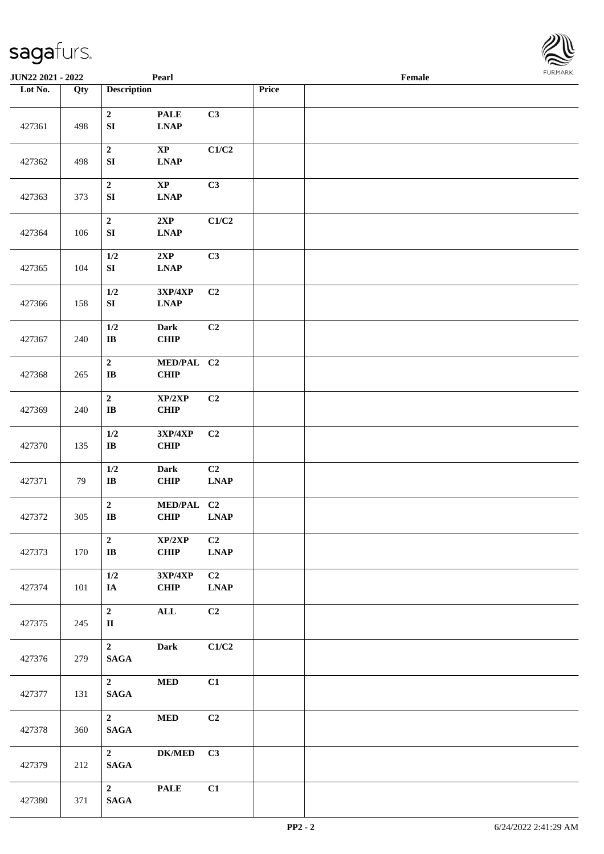| <b>JUN22 2021 - 2022</b> |     |                                   | Pearl                                                     |                                                |       | Female | <b>FURMARK</b> |
|--------------------------|-----|-----------------------------------|-----------------------------------------------------------|------------------------------------------------|-------|--------|----------------|
| Lot No.                  | Qty | <b>Description</b>                |                                                           |                                                | Price |        |                |
| 427361                   | 498 | $\mathbf 2$<br>${\bf S}{\bf I}$   | <b>PALE</b><br>$\mathbf{L}\mathbf{N}\mathbf{A}\mathbf{P}$ | C3                                             |       |        |                |
| 427362                   | 498 | $\mathbf{2}$<br>${\bf S}{\bf I}$  | $\bold{XP}$<br>$\mathbf{L}\mathbf{N}\mathbf{A}\mathbf{P}$ | C1/C2                                          |       |        |                |
| 427363                   | 373 | $\mathbf{2}$<br>${\bf S}{\bf I}$  | $\bold{XP}$<br>$\ensuremath{\text{L}N\!AP}$               | C3                                             |       |        |                |
| 427364                   | 106 | $\mathbf 2$<br>${\bf S}{\bf I}$   | 2XP<br>$\ensuremath{\text{L}N\!AP}$                       | C1/C2                                          |       |        |                |
| 427365                   | 104 | $1/2$<br>SI                       | 2XP<br>$\ensuremath{\text{L}N\!AP}$                       | C3                                             |       |        |                |
| 427366                   | 158 | $1/2$<br>${\bf S}{\bf I}$         | 3XP/4XP<br>$\ensuremath{\text{L}N\!AP}$                   | C2                                             |       |        |                |
| 427367                   | 240 | $1/2$<br>$\bf{IB}$                | <b>Dark</b><br>CHIP                                       | C2                                             |       |        |                |
| 427368                   | 265 | $\mathbf{2}$<br>$\bf I\bf B$      | MED/PAL C2<br><b>CHIP</b>                                 |                                                |       |        |                |
| 427369                   | 240 | $\mathbf{2}$<br>$\bf{IB}$         | XP/2XP<br>CHIP                                            | C <sub>2</sub>                                 |       |        |                |
| 427370                   | 135 | $1/2$<br>$\bf IB$                 | 3XP/4XP<br>CHIP                                           | C <sub>2</sub>                                 |       |        |                |
| 427371                   | 79  | $1/2$<br>$\bf{IB}$                | <b>Dark</b><br>CHIP                                       | C <sub>2</sub><br><b>LNAP</b>                  |       |        |                |
| 427372                   | 305 | $\mathbf 2$<br>$\bf IB$           | MED/PAL C2<br><b>CHIP</b>                                 | $\mathbf{L}\mathbf{N}\mathbf{A}\mathbf{P}$     |       |        |                |
| 427373                   | 170 | $\mathbf{2}$<br>$\bf IB$          | XP/2XP<br>CHIP                                            | C <sub>2</sub><br>$\ensuremath{\text{L}N\!AP}$ |       |        |                |
| 427374                   | 101 | $1/2$<br>$\mathbf{IA}$            | 3XP/4XP<br>CHIP                                           | C2<br><b>LNAP</b>                              |       |        |                |
| 427375                   | 245 | $\mathbf{2}$<br>$\mathbf{I}$      | $\mathbf{ALL}$                                            | C2                                             |       |        |                |
| 427376                   | 279 | $\mathbf{2}$<br>$\mathbf{SAGA}$   | <b>Dark</b>                                               | C1/C2                                          |       |        |                |
| 427377                   | 131 | $\mathbf{2}$<br>$\mathbf{SAGA}$   | $\bf MED$                                                 | C1                                             |       |        |                |
| 427378                   | 360 | $\overline{2}$<br>$\mathbf{SAGA}$ | $\bf MED$                                                 | C2                                             |       |        |                |
| 427379                   | 212 | $\mathbf{2}$<br>$\mathbf{SAGA}$   | ${\bf DK/MED}$                                            | C3                                             |       |        |                |
| 427380                   | 371 | $\overline{2}$<br>$\mathbf{SAGA}$ | <b>PALE</b>                                               | C1                                             |       |        |                |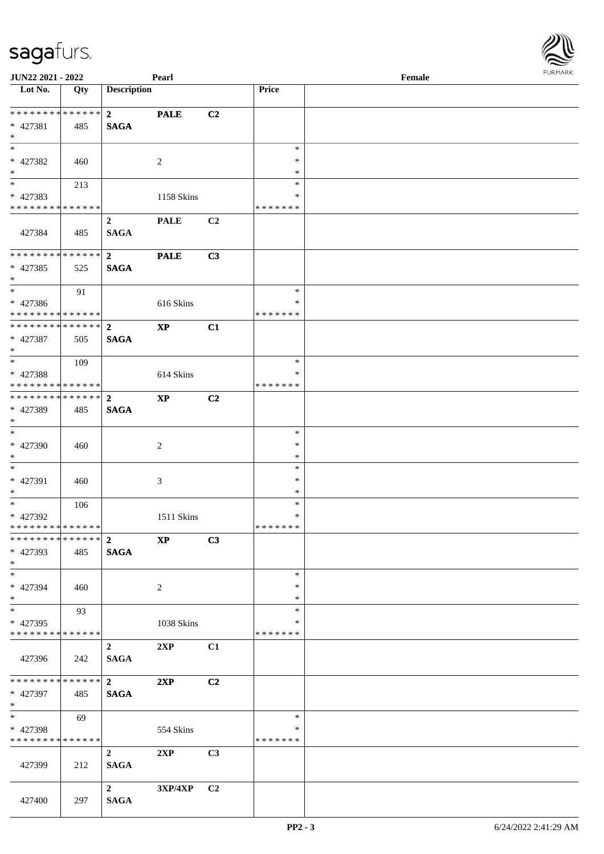| <b>JUN22 2021 - 2022</b>                   |             |                         | Pearl                  |                |                    | Female | $1 \times 1 \times 1 \times 1 \times 1$ |
|--------------------------------------------|-------------|-------------------------|------------------------|----------------|--------------------|--------|-----------------------------------------|
| Lot No.                                    | Qty         | <b>Description</b>      |                        |                | Price              |        |                                         |
|                                            |             |                         |                        |                |                    |        |                                         |
| ************* <mark>*</mark> 2             |             |                         | <b>PALE</b>            | C <sub>2</sub> |                    |        |                                         |
| * 427381                                   | 485         | <b>SAGA</b>             |                        |                |                    |        |                                         |
| $*$<br>$\frac{1}{\ast}$                    |             |                         |                        |                |                    |        |                                         |
|                                            |             |                         |                        |                | $\ast$             |        |                                         |
| * 427382                                   | 460         |                         | 2                      |                | $\ast$             |        |                                         |
| $*$<br>$\overline{\mathbf{r}}$             |             |                         |                        |                | $\ast$             |        |                                         |
|                                            | 213         |                         |                        |                | $\ast$             |        |                                         |
| * 427383<br>* * * * * * * * * * * * * * *  |             |                         | 1158 Skins             |                | ∗<br>* * * * * * * |        |                                         |
|                                            |             |                         |                        |                |                    |        |                                         |
|                                            |             | $\overline{2}$          | <b>PALE</b>            | C2             |                    |        |                                         |
| 427384                                     | 485         | <b>SAGA</b>             |                        |                |                    |        |                                         |
| * * * * * * * * * * * * * * <mark>*</mark> |             | $\overline{\mathbf{2}}$ | <b>PALE</b>            | C3             |                    |        |                                         |
| * 427385                                   | 525         | <b>SAGA</b>             |                        |                |                    |        |                                         |
| $*$                                        |             |                         |                        |                |                    |        |                                         |
| $*$                                        | 91          |                         |                        |                | $\ast$             |        |                                         |
| * 427386                                   |             |                         | 616 Skins              |                | $\ast$             |        |                                         |
| * * * * * * * * <mark>* * * * * *</mark> * |             |                         |                        |                | * * * * * * *      |        |                                         |
|                                            |             |                         | $\mathbf{X}\mathbf{P}$ | C1             |                    |        |                                         |
| * 427387                                   | 505         | <b>SAGA</b>             |                        |                |                    |        |                                         |
| $*$                                        |             |                         |                        |                |                    |        |                                         |
| $\overline{\ast}$                          | 109         |                         |                        |                | $\ast$             |        |                                         |
| * 427388                                   |             |                         | 614 Skins              |                | ∗                  |        |                                         |
| * * * * * * * * <mark>* * * * * * *</mark> |             |                         |                        |                | * * * * * * *      |        |                                         |
|                                            |             |                         | $\bold{XP}$            | C2             |                    |        |                                         |
| * 427389                                   | 485         | <b>SAGA</b>             |                        |                |                    |        |                                         |
| $\ast$                                     |             |                         |                        |                |                    |        |                                         |
| $\overline{\ast}$                          |             |                         |                        |                | $\ast$             |        |                                         |
| * 427390                                   | 460         |                         | 2                      |                | $\ast$             |        |                                         |
| $\ast$                                     |             |                         |                        |                | $\ast$             |        |                                         |
| $*$                                        |             |                         |                        |                | $\ast$             |        |                                         |
| * 427391                                   | 460         |                         | 3                      |                | $\ast$             |        |                                         |
| $*$                                        |             |                         |                        |                | $\ast$             |        |                                         |
|                                            | 106         |                         |                        |                | $\ast$             |        |                                         |
| * 427392<br>* * * * * * * * * * * * * * *  |             |                         | 1511 Skins             |                | $\ast$<br>*******  |        |                                         |
|                                            |             |                         |                        |                |                    |        |                                         |
| * 427393                                   | 485         | <b>SAGA</b>             | <b>XP</b>              | C3             |                    |        |                                         |
| $*$                                        |             |                         |                        |                |                    |        |                                         |
| $\ast$                                     |             |                         |                        |                | $\ast$             |        |                                         |
| * 427394                                   | 460         |                         | 2                      |                | ∗                  |        |                                         |
| $*$                                        |             |                         |                        |                | $\ast$             |        |                                         |
|                                            | 93          |                         |                        |                | $\ast$             |        |                                         |
| * 427395                                   |             |                         | 1038 Skins             |                | $\ast$             |        |                                         |
| * * * * * * * * * * * * * * <mark>*</mark> |             |                         |                        |                | * * * * * * *      |        |                                         |
|                                            |             | $\mathbf{2}$            | 2XP                    | C1             |                    |        |                                         |
| 427396                                     | 242         | <b>SAGA</b>             |                        |                |                    |        |                                         |
|                                            |             |                         |                        |                |                    |        |                                         |
| * * * * * * * *                            | * * * * * * | $\mathbf{2}$            | 2XP                    | C2             |                    |        |                                         |
| * 427397                                   | 485         | <b>SAGA</b>             |                        |                |                    |        |                                         |
| $*$ $-$                                    |             |                         |                        |                |                    |        |                                         |
| $*$                                        | 69          |                         |                        |                | $\ast$             |        |                                         |
| * 427398                                   |             |                         | 554 Skins              |                | *                  |        |                                         |
| * * * * * * * * * * * * * * *              |             |                         |                        |                | * * * * * * *      |        |                                         |
|                                            |             | $\overline{2}$          | 2XP                    | C <sub>3</sub> |                    |        |                                         |
| 427399                                     | 212         | <b>SAGA</b>             |                        |                |                    |        |                                         |
|                                            |             |                         |                        |                |                    |        |                                         |
|                                            |             | $\overline{\mathbf{2}}$ | $3XP/4XP$ $C2$         |                |                    |        |                                         |
| 427400                                     | 297         | <b>SAGA</b>             |                        |                |                    |        |                                         |

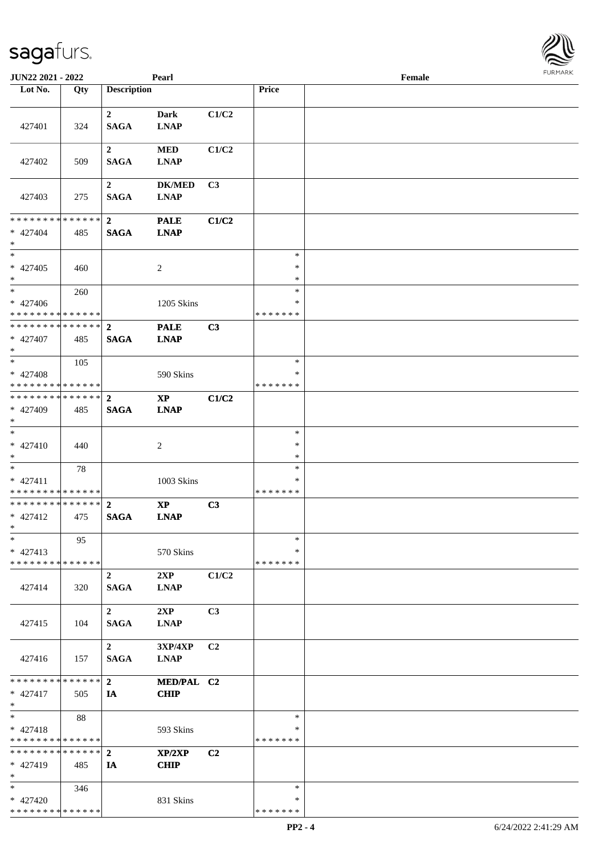| JUN22 2021 - 2022                         |     |                    | Pearl          |                |                   | Female |  |
|-------------------------------------------|-----|--------------------|----------------|----------------|-------------------|--------|--|
| Lot No.                                   | Qty | <b>Description</b> |                |                | Price             |        |  |
|                                           |     |                    |                |                |                   |        |  |
|                                           |     | $\mathbf{2}$       | <b>Dark</b>    | C1/C2          |                   |        |  |
| 427401                                    | 324 | <b>SAGA</b>        | <b>LNAP</b>    |                |                   |        |  |
|                                           |     |                    |                |                |                   |        |  |
|                                           |     | $\boldsymbol{2}$   | <b>MED</b>     | C1/C2          |                   |        |  |
| 427402                                    | 509 | <b>SAGA</b>        | <b>LNAP</b>    |                |                   |        |  |
|                                           |     |                    |                |                |                   |        |  |
|                                           |     |                    |                |                |                   |        |  |
|                                           |     | $\boldsymbol{2}$   | <b>DK/MED</b>  | C3             |                   |        |  |
| 427403                                    | 275 | <b>SAGA</b>        | <b>LNAP</b>    |                |                   |        |  |
|                                           |     |                    |                |                |                   |        |  |
| * * * * * * * * * * * * * *               |     | $\overline{2}$     | <b>PALE</b>    | C1/C2          |                   |        |  |
| $* 427404$                                | 485 | <b>SAGA</b>        | <b>LNAP</b>    |                |                   |        |  |
| $\ast$                                    |     |                    |                |                |                   |        |  |
| $\ast$                                    |     |                    |                |                | $\ast$            |        |  |
| $* 427405$                                | 460 |                    | $\sqrt{2}$     |                | $\ast$            |        |  |
| $\ast$                                    |     |                    |                |                | $\ast$            |        |  |
| $\overline{\phantom{1}}$                  | 260 |                    |                |                | $\ast$            |        |  |
| $* 427406$                                |     |                    | 1205 Skins     |                | $\ast$            |        |  |
| * * * * * * * * * * * * * * *             |     |                    |                |                | * * * * * * *     |        |  |
| **************                            |     | $\overline{2}$     | <b>PALE</b>    | C3             |                   |        |  |
| $* 427407$                                | 485 | <b>SAGA</b>        | <b>LNAP</b>    |                |                   |        |  |
| $*$                                       |     |                    |                |                |                   |        |  |
| $*$                                       | 105 |                    |                |                | $\ast$            |        |  |
| $* 427408$                                |     |                    | 590 Skins      |                | $\ast$            |        |  |
| * * * * * * * * * * * * * * *             |     |                    |                |                | *******           |        |  |
| * * * * * * * * * * * * * * *             |     | $\overline{2}$     | <b>XP</b>      | C1/C2          |                   |        |  |
| * 427409                                  | 485 | <b>SAGA</b>        | <b>LNAP</b>    |                |                   |        |  |
| $*$                                       |     |                    |                |                |                   |        |  |
| $\ast$                                    |     |                    |                |                | $\ast$            |        |  |
| $* 427410$                                |     |                    |                |                | $\ast$            |        |  |
| $*$                                       | 440 |                    | $\overline{c}$ |                | $\ast$            |        |  |
| $*$                                       |     |                    |                |                |                   |        |  |
|                                           | 78  |                    |                |                | $\ast$            |        |  |
| $* 427411$                                |     |                    | 1003 Skins     |                | $\ast$<br>******* |        |  |
| * * * * * * * * * * * * * *               |     |                    |                |                |                   |        |  |
| ******** <mark>******</mark>              |     | $\overline{2}$     | $\bold{XP}$    | C3             |                   |        |  |
| $* 427412$                                | 475 | <b>SAGA</b>        | <b>LNAP</b>    |                |                   |        |  |
| $*$                                       |     |                    |                |                |                   |        |  |
| $\ast$                                    | 95  |                    |                |                | $\ast$            |        |  |
| $* 427413$                                |     |                    | 570 Skins      |                | *                 |        |  |
| * * * * * * * * * * * * * *               |     |                    |                |                | * * * * * * *     |        |  |
|                                           |     | $\overline{2}$     | 2XP            | C1/C2          |                   |        |  |
| 427414                                    | 320 | <b>SAGA</b>        | <b>LNAP</b>    |                |                   |        |  |
|                                           |     |                    |                |                |                   |        |  |
|                                           |     | $\overline{2}$     | 2XP            | C <sub>3</sub> |                   |        |  |
| 427415                                    | 104 | <b>SAGA</b>        | <b>LNAP</b>    |                |                   |        |  |
|                                           |     |                    |                |                |                   |        |  |
|                                           |     | $\overline{2}$     | 3XP/4XP        | C2             |                   |        |  |
| 427416                                    | 157 | <b>SAGA</b>        | <b>LNAP</b>    |                |                   |        |  |
|                                           |     |                    |                |                |                   |        |  |
| * * * * * * * * * * * * * * *             |     | $\overline{2}$     | MED/PAL C2     |                |                   |        |  |
| $* 427417$                                | 505 | IA                 | <b>CHIP</b>    |                |                   |        |  |
| $*$                                       |     |                    |                |                |                   |        |  |
| $\ast$                                    | 88  |                    |                |                | $\ast$            |        |  |
| $* 427418$                                |     |                    | 593 Skins      |                | $\ast$            |        |  |
| * * * * * * * * * * * * * * *             |     |                    |                |                | * * * * * * *     |        |  |
| * * * * * * * * * * * * * * *             |     | $\overline{2}$     | XP/2XP         | C <sub>2</sub> |                   |        |  |
| $* 427419$                                | 485 | IA                 | <b>CHIP</b>    |                |                   |        |  |
| $\ast$                                    |     |                    |                |                |                   |        |  |
| $*$                                       |     |                    |                |                | $\ast$            |        |  |
|                                           | 346 |                    |                |                | $\ast$            |        |  |
| $* 427420$<br>* * * * * * * * * * * * * * |     |                    | 831 Skins      |                | * * * * * * *     |        |  |
|                                           |     |                    |                |                |                   |        |  |

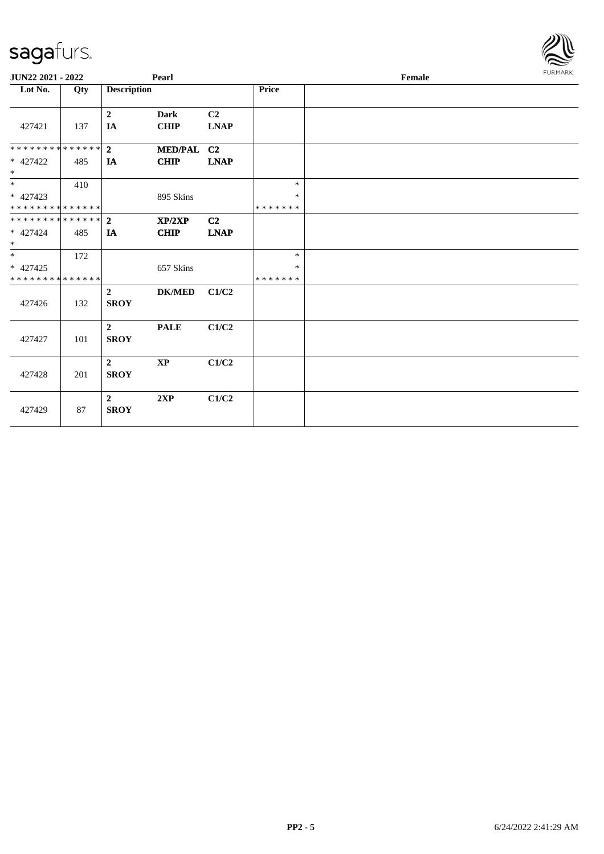| <b>JUN22 2021 - 2022</b>                                            |     |                               | Pearl                      |                   |                                   | Female | <b>FURMARK</b> |
|---------------------------------------------------------------------|-----|-------------------------------|----------------------------|-------------------|-----------------------------------|--------|----------------|
| Lot No.                                                             | Qty | <b>Description</b>            |                            |                   | Price                             |        |                |
| 427421                                                              | 137 | $\overline{2}$<br>IA          | <b>Dark</b><br><b>CHIP</b> | C2<br><b>LNAP</b> |                                   |        |                |
| * * * * * * * * <mark>* * * * * * *</mark><br>* 427422<br>$\ast$    | 485 | $\overline{2}$<br>IA          | MED/PAL C2<br><b>CHIP</b>  | <b>LNAP</b>       |                                   |        |                |
| * 427423<br>* * * * * * * * <mark>* * * * * * *</mark>              | 410 |                               | 895 Skins                  |                   | $\ast$<br>$\ast$<br>* * * * * * * |        |                |
| * * * * * * * * * * * * * * *<br>* 427424<br>$\ast$                 | 485 | $\overline{2}$<br><b>IA</b>   | XP/2XP<br><b>CHIP</b>      | C2<br><b>LNAP</b> |                                   |        |                |
| $\overline{\phantom{0}}$<br>* 427425<br>* * * * * * * * * * * * * * | 172 |                               | 657 Skins                  |                   | $\ast$<br>*<br>* * * * * * *      |        |                |
| 427426                                                              | 132 | $\overline{2}$<br><b>SROY</b> | <b>DK/MED</b>              | C1/C2             |                                   |        |                |
| 427427                                                              | 101 | $\overline{2}$<br><b>SROY</b> | <b>PALE</b>                | C1/C2             |                                   |        |                |
| 427428                                                              | 201 | $\overline{2}$<br><b>SROY</b> | $\mathbf{X}\mathbf{P}$     | C1/C2             |                                   |        |                |
| 427429                                                              | 87  | $\overline{2}$<br><b>SROY</b> | 2XP                        | C1/C2             |                                   |        |                |

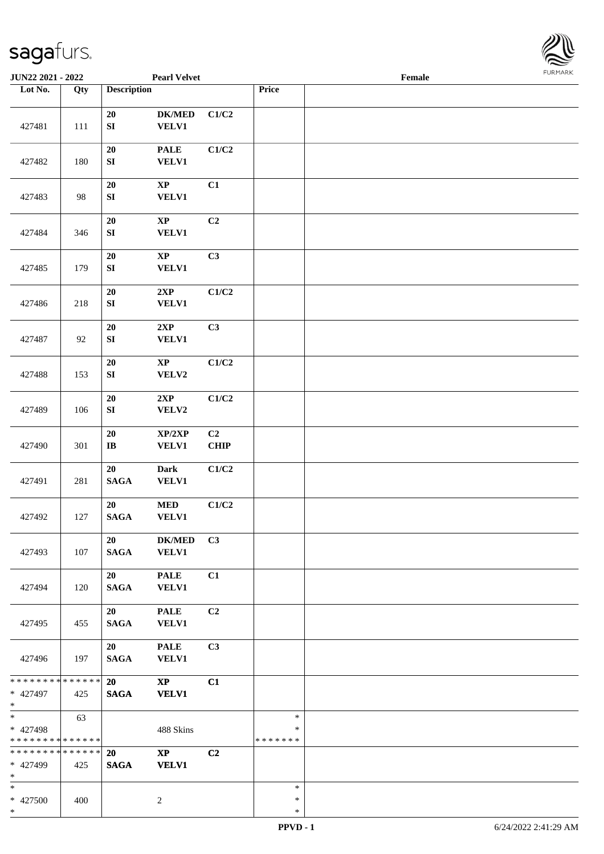

| <b>JUN22 2021 - 2022</b>                                      |                   |                                | <b>Pearl Velvet</b>                    |            |                                   | Female |  |
|---------------------------------------------------------------|-------------------|--------------------------------|----------------------------------------|------------|-----------------------------------|--------|--|
| Lot No.                                                       | $\overline{Q}$ ty | <b>Description</b>             |                                        |            | Price                             |        |  |
| 427481                                                        | 111               | ${\bf 20}$<br>${\bf S}{\bf I}$ | $DK/MED$<br><b>VELV1</b>               | C1/C2      |                                   |        |  |
| 427482                                                        | 180               | 20<br>${\bf S}{\bf I}$         | <b>PALE</b><br><b>VELV1</b>            | C1/C2      |                                   |        |  |
| 427483                                                        | 98                | $20\,$<br>SI                   | $\bold{XP}$<br><b>VELV1</b>            | C1         |                                   |        |  |
| 427484                                                        | 346               | 20<br>${\bf S}{\bf I}$         | $\bold{XP}$<br><b>VELV1</b>            | C2         |                                   |        |  |
| 427485                                                        | 179               | 20<br>${\bf SI}$               | $\bold{XP}$<br><b>VELV1</b>            | C3         |                                   |        |  |
| 427486                                                        | 218               | 20<br>${\bf SI}$               | 2XP<br><b>VELV1</b>                    | C1/C2      |                                   |        |  |
| 427487                                                        | 92                | 20<br>${\bf S}{\bf I}$         | 2XP<br><b>VELV1</b>                    | C3         |                                   |        |  |
| 427488                                                        | 153               | 20<br>${\bf SI}$               | $\mathbf{X}\mathbf{P}$<br>VELV2        | C1/C2      |                                   |        |  |
| 427489                                                        | 106               | 20<br>${\bf S}{\bf I}$         | 2XP<br>VELV2                           | C1/C2      |                                   |        |  |
| 427490                                                        | 301               | 20<br>$\bf IB$                 | XP/2XP<br><b>VELV1</b>                 | C2<br>CHIP |                                   |        |  |
| 427491                                                        | 281               | 20<br><b>SAGA</b>              | <b>Dark</b><br><b>VELV1</b>            | C1/C2      |                                   |        |  |
| 427492                                                        | 127               | 20<br><b>SAGA</b>              | $\bf MED$<br><b>VELV1</b>              | C1/C2      |                                   |        |  |
| 427493                                                        | 107               | 20<br><b>SAGA</b>              | <b>DK/MED</b><br><b>VELV1</b>          | C3         |                                   |        |  |
| 427494                                                        | 120               | 20<br><b>SAGA</b>              | <b>PALE</b><br><b>VELV1</b>            | C1         |                                   |        |  |
| 427495                                                        | 455               | 20<br><b>SAGA</b>              | <b>PALE</b><br><b>VELV1</b>            | C2         |                                   |        |  |
| 427496                                                        | 197               | 20<br><b>SAGA</b>              | <b>PALE</b><br><b>VELV1</b>            | C3         |                                   |        |  |
| * * * * * * * * <mark>* * * * * *</mark> *<br>* 427497<br>$*$ | 425               | 20<br><b>SAGA</b>              | $\mathbf{X}\mathbf{P}$<br><b>VELV1</b> | C1         |                                   |        |  |
| $*$<br>* 427498<br>* * * * * * * * * * * * * *                | 63                |                                | 488 Skins                              |            | $\ast$<br>$\ast$<br>* * * * * * * |        |  |
| * * * * * * * * * * * * * * *<br>* 427499<br>$*$              | 425               | <b>20</b><br><b>SAGA</b>       | $\mathbf{X}\mathbf{P}$<br><b>VELV1</b> | C2         |                                   |        |  |
| $*$<br>* 427500<br>$*$                                        | 400               |                                | 2                                      |            | $\ast$<br>$\ast$<br>$\ast$        |        |  |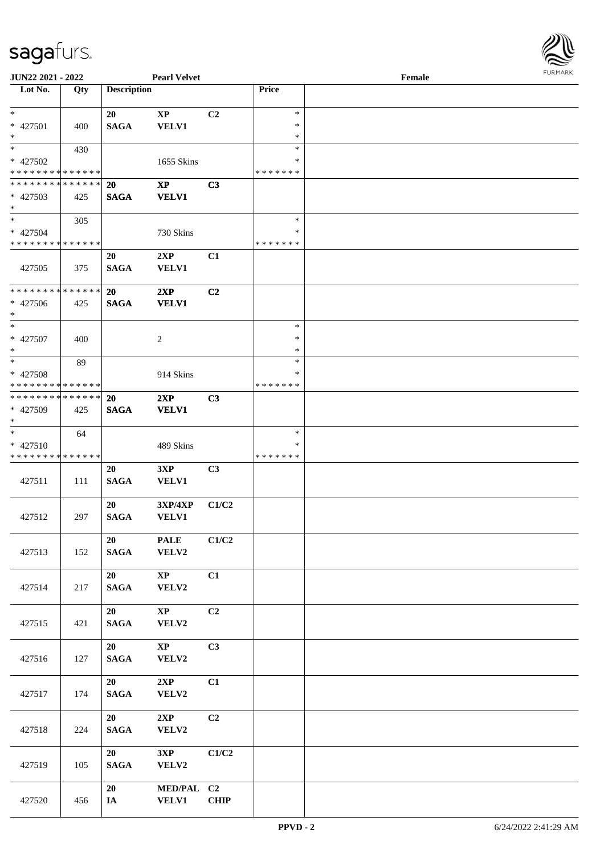

| <b>JUN22 2021 - 2022</b>    |     |                    | <b>Pearl Velvet</b>    |                |               | Female |  |
|-----------------------------|-----|--------------------|------------------------|----------------|---------------|--------|--|
| Lot No.                     | Qty | <b>Description</b> |                        |                | Price         |        |  |
|                             |     |                    |                        |                |               |        |  |
| $*$                         |     | 20                 | $\mathbf{X}\mathbf{P}$ | C2             | $\ast$        |        |  |
| * 427501                    | 400 | <b>SAGA</b>        | <b>VELV1</b>           |                | $\ast$        |        |  |
| $\ast$                      |     |                    |                        |                | $\ast$        |        |  |
| $*$                         | 430 |                    |                        |                | $\ast$        |        |  |
| * 427502                    |     |                    | 1655 Skins             |                | ∗             |        |  |
| * * * * * * * * * * * * * * |     |                    |                        |                | *******       |        |  |
| * * * * * * * * * * * * * * |     | <b>20</b>          | $\mathbf{X}\mathbf{P}$ | C3             |               |        |  |
| * 427503                    | 425 | <b>SAGA</b>        | <b>VELV1</b>           |                |               |        |  |
| $*$                         |     |                    |                        |                |               |        |  |
| $*$                         | 305 |                    |                        |                | $\ast$        |        |  |
| * 427504                    |     |                    |                        |                | $\ast$        |        |  |
| * * * * * * * * * * * * * * |     |                    | 730 Skins              |                | * * * * * * * |        |  |
|                             |     |                    |                        |                |               |        |  |
|                             |     | 20                 | 2XP                    | C1             |               |        |  |
| 427505                      | 375 | <b>SAGA</b>        | <b>VELV1</b>           |                |               |        |  |
|                             |     |                    |                        |                |               |        |  |
| * * * * * * * * * * * * * * |     | 20                 | 2XP                    | C <sub>2</sub> |               |        |  |
| $* 427506$                  | 425 | <b>SAGA</b>        | <b>VELV1</b>           |                |               |        |  |
| $*$                         |     |                    |                        |                |               |        |  |
| $*$                         |     |                    |                        |                | $\ast$        |        |  |
| * 427507                    | 400 |                    | 2                      |                | $\ast$        |        |  |
| $*$                         |     |                    |                        |                | $\ast$        |        |  |
| $*$                         | 89  |                    |                        |                | $\ast$        |        |  |
| * 427508                    |     |                    | 914 Skins              |                | ∗             |        |  |
| * * * * * * * * * * * * * * |     |                    |                        |                | *******       |        |  |
| * * * * * * * * * * * * * * |     | <b>20</b>          | 2XP                    | C <sub>3</sub> |               |        |  |
| * 427509                    | 425 | <b>SAGA</b>        | <b>VELV1</b>           |                |               |        |  |
| $*$                         |     |                    |                        |                |               |        |  |
| $*$                         | 64  |                    |                        |                | $\ast$        |        |  |
|                             |     |                    |                        |                | ∗             |        |  |
| $* 427510$                  |     |                    | 489 Skins              |                |               |        |  |
| * * * * * * * * * * * * * * |     |                    |                        |                | * * * * * * * |        |  |
|                             |     | 20                 | 3XP                    | C3             |               |        |  |
| 427511                      | 111 | <b>SAGA</b>        | VELV1                  |                |               |        |  |
|                             |     |                    |                        |                |               |        |  |
|                             |     | 20                 | 3XP/4XP                | C1/C2          |               |        |  |
| 427512                      | 297 | <b>SAGA</b>        | <b>VELV1</b>           |                |               |        |  |
|                             |     |                    |                        |                |               |        |  |
|                             |     | 20                 | <b>PALE</b>            | C1/C2          |               |        |  |
| 427513                      | 152 | <b>SAGA</b>        | VELV2                  |                |               |        |  |
|                             |     |                    |                        |                |               |        |  |
|                             |     | 20                 | $\mathbf{XP}$          | C1             |               |        |  |
| 427514                      | 217 | <b>SAGA</b>        | VELV2                  |                |               |        |  |
|                             |     |                    |                        |                |               |        |  |
|                             |     | 20                 | $\mathbf{X}\mathbf{P}$ | C2             |               |        |  |
| 427515                      | 421 | $\mathbf{SAGA}$    | VELV2                  |                |               |        |  |
|                             |     |                    |                        |                |               |        |  |
|                             |     | 20                 | $\mathbf{X}\mathbf{P}$ | C3             |               |        |  |
|                             |     |                    |                        |                |               |        |  |
| 427516                      | 127 | $\mathbf{SAGA}$    | VELV2                  |                |               |        |  |
|                             |     |                    |                        |                |               |        |  |
|                             |     | 20                 | 2XP                    | C1             |               |        |  |
| 427517                      | 174 | $\mathbf{SAGA}$    | VELV2                  |                |               |        |  |
|                             |     |                    |                        |                |               |        |  |
|                             |     | 20                 | 2XP                    | C2             |               |        |  |
| 427518                      | 224 | $\mathbf{SAGA}$    | VELV2                  |                |               |        |  |
|                             |     |                    |                        |                |               |        |  |
|                             |     | 20                 | 3XP                    | C1/C2          |               |        |  |
| 427519                      | 105 | <b>SAGA</b>        | VELV2                  |                |               |        |  |
|                             |     |                    |                        |                |               |        |  |
|                             |     | 20                 | <b>MED/PAL</b>         | C <sub>2</sub> |               |        |  |
| 427520                      | 456 | IA                 | <b>VELV1</b>           | <b>CHIP</b>    |               |        |  |
|                             |     |                    |                        |                |               |        |  |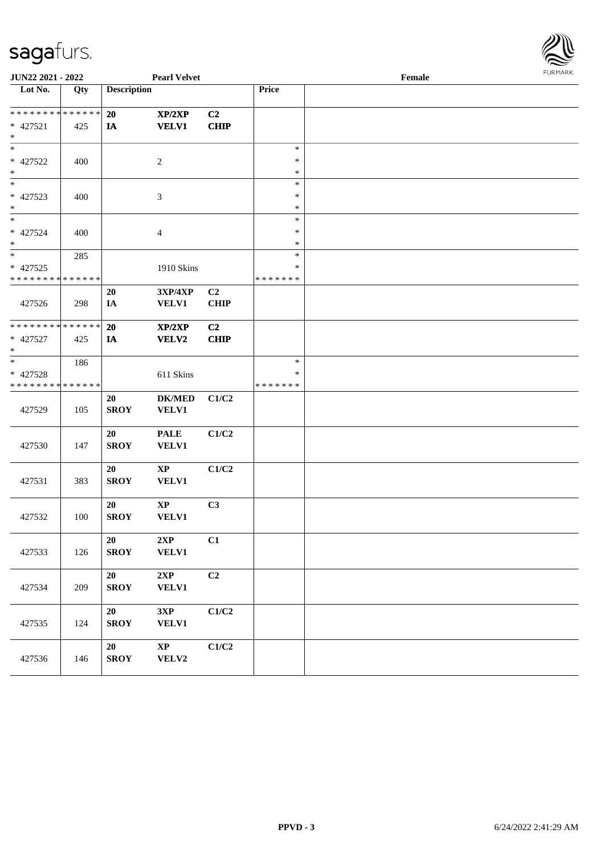

| JUN22 2021 - 2022                                 |     |                    | <b>Pearl Velvet</b>                    |                               |                                   | <b>FURPIARA</b> |  |
|---------------------------------------------------|-----|--------------------|----------------------------------------|-------------------------------|-----------------------------------|-----------------|--|
| Lot No.                                           | Qty | <b>Description</b> |                                        |                               | Price                             |                 |  |
| * * * * * * * * * * * * * *<br>* 427521<br>$*$    | 425 | 20<br>IA           | XP/2XP<br><b>VELV1</b>                 | C2<br><b>CHIP</b>             |                                   |                 |  |
| $*$<br>* 427522<br>$*$                            | 400 |                    | 2                                      |                               | $\ast$<br>$\ast$<br>$\ast$        |                 |  |
| $*$<br>* 427523<br>$*$                            | 400 |                    | 3                                      |                               | $\ast$<br>$\ast$<br>$\ast$        |                 |  |
| * 427524<br>$*$                                   | 400 |                    | $\overline{4}$                         |                               | $\ast$<br>$\ast$<br>$\ast$        |                 |  |
| * 427525<br>* * * * * * * * * * * * * *           | 285 |                    | 1910 Skins                             |                               | $\ast$<br>$\ast$<br>* * * * * * * |                 |  |
| 427526                                            | 298 | 20<br>IA           | 3XP/4XP<br><b>VELV1</b>                | C <sub>2</sub><br><b>CHIP</b> |                                   |                 |  |
| * * * * * * * * * * * * * *<br>* 427527<br>$\ast$ | 425 | 20<br>IA           | XP/2XP<br>VELV2                        | C <sub>2</sub><br><b>CHIP</b> |                                   |                 |  |
| $*$<br>* 427528<br>* * * * * * * * * * * * * *    | 186 |                    | 611 Skins                              |                               | $\ast$<br>$\ast$<br>* * * * * * * |                 |  |
| 427529                                            | 105 | 20<br><b>SROY</b>  | <b>DK/MED</b><br><b>VELV1</b>          | C1/C2                         |                                   |                 |  |
| 427530                                            | 147 | 20<br><b>SROY</b>  | <b>PALE</b><br><b>VELV1</b>            | C1/C2                         |                                   |                 |  |
| 427531                                            | 383 | 20<br><b>SROY</b>  | $\mathbf{X}\mathbf{P}$<br><b>VELV1</b> | C1/C2                         |                                   |                 |  |
| 427532                                            | 100 | 20<br><b>SROY</b>  | $\bold{XP}$<br><b>VELV1</b>            | C3                            |                                   |                 |  |
| 427533                                            | 126 | 20<br><b>SROY</b>  | 2XP<br><b>VELV1</b>                    | C1                            |                                   |                 |  |
| 427534                                            | 209 | 20<br><b>SROY</b>  | 2XP<br><b>VELV1</b>                    | C2                            |                                   |                 |  |
| 427535                                            | 124 | 20<br><b>SROY</b>  | 3XP<br><b>VELV1</b>                    | C1/C2                         |                                   |                 |  |
| 427536                                            | 146 | 20<br><b>SROY</b>  | $\mathbf{X}\mathbf{P}$<br><b>VELV2</b> | C1/C2                         |                                   |                 |  |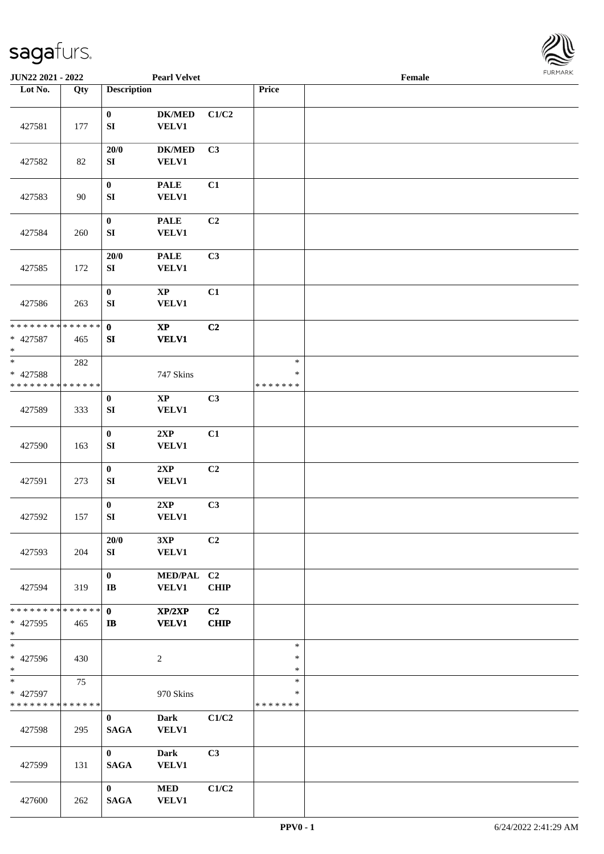

| JUN22 2021 - 2022                                 |     |                                        | <b>Pearl Velvet</b>           |                   |                                   | Female |  |
|---------------------------------------------------|-----|----------------------------------------|-------------------------------|-------------------|-----------------------------------|--------|--|
| Lot No.                                           | Qty | <b>Description</b>                     |                               |                   | Price                             |        |  |
|                                                   |     |                                        |                               |                   |                                   |        |  |
| 427581                                            | 177 | $\mathbf{0}$<br>${\bf SI}$             | <b>DK/MED</b><br><b>VELV1</b> | C1/C2             |                                   |        |  |
| 427582                                            | 82  | 20/0<br>SI                             | <b>DK/MED</b><br><b>VELV1</b> | C3                |                                   |        |  |
| 427583                                            | 90  | $\pmb{0}$<br>${\bf S}{\bf I}$          | <b>PALE</b><br><b>VELV1</b>   | C1                |                                   |        |  |
| 427584                                            | 260 | $\pmb{0}$<br>${\bf SI}$                | <b>PALE</b><br><b>VELV1</b>   | C2                |                                   |        |  |
| 427585                                            | 172 | 20/0<br>SI                             | <b>PALE</b><br><b>VELV1</b>   | C3                |                                   |        |  |
| 427586                                            | 263 | $\pmb{0}$<br>${\bf SI}$                | $\bold{XP}$<br><b>VELV1</b>   | C1                |                                   |        |  |
| * * * * * * * * * * * * * *<br>* 427587<br>$\ast$ | 465 | $\mathbf 0$<br>SI                      | $\bold{XP}$<br><b>VELV1</b>   | C2                |                                   |        |  |
| $\ast$<br>* 427588<br>* * * * * * * * * * * * * * | 282 |                                        | 747 Skins                     |                   | $\ast$<br>$\ast$<br>* * * * * * * |        |  |
| 427589                                            | 333 | $\pmb{0}$<br>${\bf S}{\bf I}$          | $\mathbf{XP}$<br><b>VELV1</b> | C3                |                                   |        |  |
| 427590                                            | 163 | $\mathbf{0}$<br>${\bf S}{\bf I}$       | 2XP<br><b>VELV1</b>           | C1                |                                   |        |  |
| 427591                                            | 273 | $\mathbf{0}$<br>${\bf SI}$             | 2XP<br><b>VELV1</b>           | C2                |                                   |        |  |
| 427592                                            | 157 | $\pmb{0}$<br>${\bf SI}$                | 2XP<br><b>VELV1</b>           | C3                |                                   |        |  |
| 427593                                            | 204 | 20/0<br>SI                             | 3XP<br><b>VELV1</b>           | C2                |                                   |        |  |
| 427594                                            | 319 | $\mathbf{0}$<br>$\mathbf{I}\mathbf{B}$ | MED/PAL C2<br><b>VELV1</b>    | <b>CHIP</b>       |                                   |        |  |
| * * * * * * * * * * * * * * *<br>* 427595<br>$*$  | 465 | $\mathbf{0}$<br>$\mathbf{I}$           | XP/2XP<br><b>VELV1</b>        | C2<br><b>CHIP</b> |                                   |        |  |
| $\overline{\ast}$<br>* 427596<br>$*$              | 430 |                                        | $\overline{c}$                |                   | $\ast$<br>$\ast$<br>$\ast$        |        |  |
| $*$<br>* 427597<br>* * * * * * * * * * * * * *    | 75  |                                        | 970 Skins                     |                   | $\ast$<br>$\ast$<br>*******       |        |  |
| 427598                                            | 295 | $\mathbf{0}$<br><b>SAGA</b>            | Dark<br><b>VELV1</b>          | C1/C2             |                                   |        |  |
| 427599                                            | 131 | $\mathbf{0}$<br><b>SAGA</b>            | <b>Dark</b><br><b>VELV1</b>   | C3                |                                   |        |  |
| 427600                                            | 262 | $\mathbf{0}$<br><b>SAGA</b>            | <b>MED</b><br><b>VELV1</b>    | C1/C2             |                                   |        |  |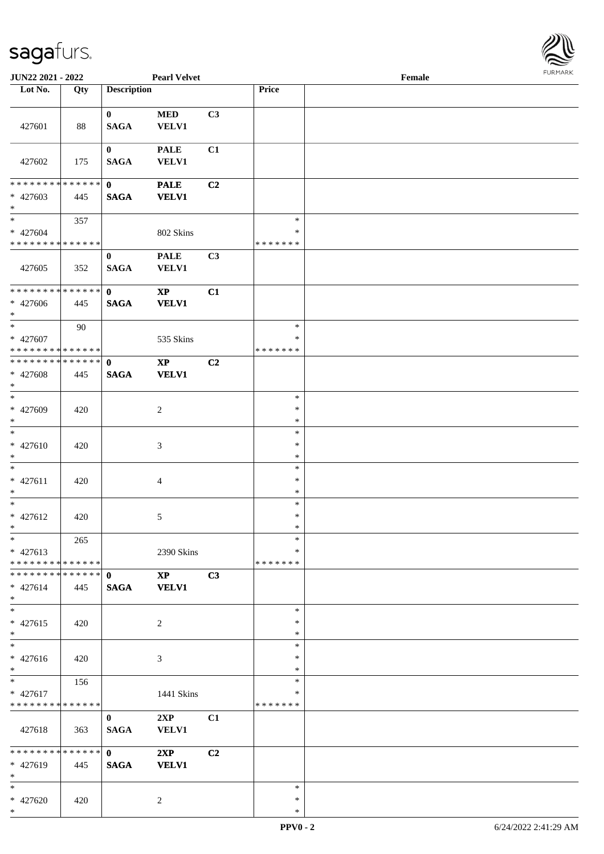

| JUN22 2021 - 2022                                    |     |                             | <b>Pearl Velvet</b>                    |                |                             | Female |  |
|------------------------------------------------------|-----|-----------------------------|----------------------------------------|----------------|-----------------------------|--------|--|
| Lot No.                                              | Qty | <b>Description</b>          |                                        |                | Price                       |        |  |
| 427601                                               | 88  | $\bf{0}$<br><b>SAGA</b>     | $\bf MED$<br>VELV1                     | C3             |                             |        |  |
| 427602                                               | 175 | $\bf{0}$<br><b>SAGA</b>     | <b>PALE</b><br><b>VELV1</b>            | C1             |                             |        |  |
| * * * * * * * * * * * * * * *<br>* 427603<br>$*$     | 445 | $\mathbf{0}$<br><b>SAGA</b> | <b>PALE</b><br><b>VELV1</b>            | C2             |                             |        |  |
| $*$<br>* 427604<br>* * * * * * * * * * * * * *       | 357 |                             | 802 Skins                              |                | $\ast$<br>$\ast$<br>******* |        |  |
| 427605                                               | 352 | $\bf{0}$<br><b>SAGA</b>     | <b>PALE</b><br><b>VELV1</b>            | C3             |                             |        |  |
| ******** <mark>******</mark><br>$* 427606$<br>$*$    | 445 | $\mathbf{0}$<br><b>SAGA</b> | $\mathbf{X}\mathbf{P}$<br><b>VELV1</b> | C1             |                             |        |  |
| $*$<br>* 427607<br>* * * * * * * * * * * * * * *     | 90  |                             | 535 Skins                              |                | $\ast$<br>$\ast$<br>******* |        |  |
| * * * * * * * * * * * * * * *<br>* 427608<br>$*$     | 445 | $\mathbf{0}$<br><b>SAGA</b> | $\mathbf{X}\mathbf{P}$<br><b>VELV1</b> | C <sub>2</sub> |                             |        |  |
| $*$<br>* 427609<br>$*$                               | 420 |                             | $\overline{c}$                         |                | $\ast$<br>$\ast$<br>$\ast$  |        |  |
| $*$<br>$* 427610$<br>$*$                             | 420 |                             | $\mathfrak{Z}$                         |                | $\ast$<br>$\ast$<br>$\ast$  |        |  |
| $*$<br>$* 427611$<br>$*$                             | 420 |                             | 4                                      |                | $\ast$<br>$\ast$<br>$\ast$  |        |  |
| $*$<br>* 427612<br>$*$                               | 420 |                             | 5                                      |                | $\ast$<br>$\ast$<br>$\ast$  |        |  |
| $*$<br>$* 427613$<br>* * * * * * * * * * * * * * *   | 265 |                             | 2390 Skins                             |                | $\ast$<br>$\ast$<br>******* |        |  |
| * * * * * * * * * * * * * * *<br>$* 427614$<br>$*$   | 445 | $\mathbf{0}$<br><b>SAGA</b> | $\bold{X}\bold{P}$<br><b>VELV1</b>     | C3             |                             |        |  |
| $*$<br>$* 427615$<br>$*$<br>$\overline{\phantom{0}}$ | 420 |                             | 2                                      |                | $\ast$<br>$\ast$<br>$\ast$  |        |  |
| $* 427616$<br>$*$                                    | 420 |                             | 3                                      |                | $\ast$<br>$\ast$<br>$\ast$  |        |  |
| $*$<br>* 427617<br>* * * * * * * * * * * * * * *     | 156 |                             | 1441 Skins                             |                | $\ast$<br>$\ast$<br>******* |        |  |
| 427618                                               | 363 | $\mathbf{0}$<br><b>SAGA</b> | 2XP<br><b>VELV1</b>                    | C1             |                             |        |  |
| ******** <mark>******</mark><br>* 427619<br>$*$      | 445 | $\mathbf{0}$<br><b>SAGA</b> | 2XP<br><b>VELV1</b>                    | C2             |                             |        |  |
| $*$<br>* 427620<br>$*$                               | 420 |                             | 2                                      |                | $\ast$<br>$\ast$<br>$\ast$  |        |  |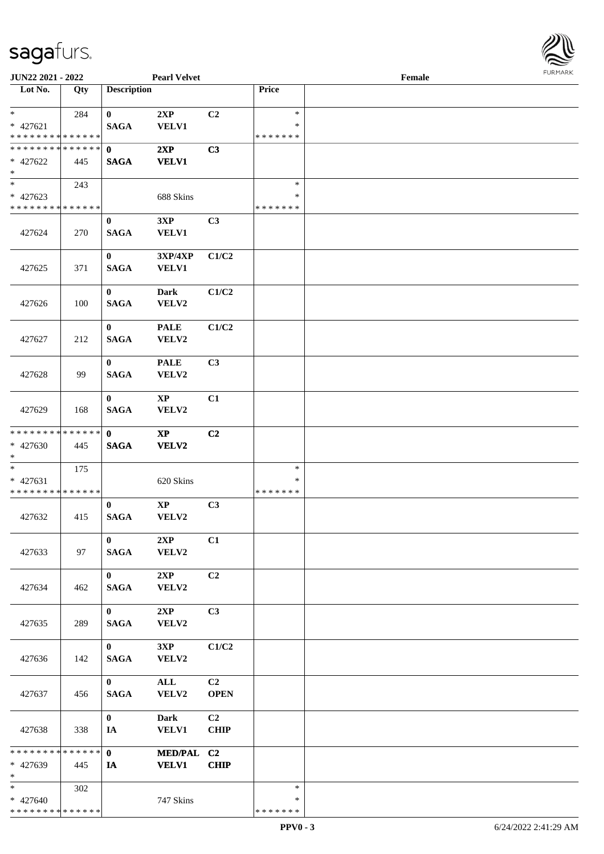

| JUN22 2021 - 2022                                                     |     |                             | <b>Pearl Velvet</b>             |                   |                                   | Female |  |
|-----------------------------------------------------------------------|-----|-----------------------------|---------------------------------|-------------------|-----------------------------------|--------|--|
| Lot No.                                                               | Qty | <b>Description</b>          |                                 |                   | Price                             |        |  |
| $\ast$<br>$* 427621$<br>* * * * * * * * * * * * * *                   | 284 | $\bf{0}$<br><b>SAGA</b>     | 2XP<br><b>VELV1</b>             | C2                | $\ast$<br>$\ast$<br>* * * * * * * |        |  |
| * * * * * * * * * * * * * *<br>$* 427622$<br>$\ast$                   | 445 | $\mathbf 0$<br><b>SAGA</b>  | 2XP<br><b>VELV1</b>             | C3                |                                   |        |  |
| $\overline{\phantom{0}}$<br>$* 427623$<br>* * * * * * * * * * * * * * | 243 |                             | 688 Skins                       |                   | $\ast$<br>$\ast$<br>* * * * * * * |        |  |
| 427624                                                                | 270 | $\bf{0}$<br><b>SAGA</b>     | 3XP<br><b>VELV1</b>             | C3                |                                   |        |  |
| 427625                                                                | 371 | $\bf{0}$<br><b>SAGA</b>     | 3XP/4XP<br>VELV1                | C1/C2             |                                   |        |  |
| 427626                                                                | 100 | $\bf{0}$<br><b>SAGA</b>     | <b>Dark</b><br>VELV2            | C1/C2             |                                   |        |  |
| 427627                                                                | 212 | $\bf{0}$<br><b>SAGA</b>     | <b>PALE</b><br>VELV2            | C1/C2             |                                   |        |  |
| 427628                                                                | 99  | $\bf{0}$<br><b>SAGA</b>     | <b>PALE</b><br>VELV2            | C3                |                                   |        |  |
| 427629                                                                | 168 | $\bf{0}$<br><b>SAGA</b>     | $\mathbf{X}\mathbf{P}$<br>VELV2 | C1                |                                   |        |  |
| ******** <mark>******</mark><br>* 427630<br>$*$                       | 445 | $\mathbf{0}$<br><b>SAGA</b> | $\bold{XP}$<br><b>VELV2</b>     | C2                |                                   |        |  |
| $\ast$<br>$* 427631$<br>* * * * * * * * * * * * * *                   | 175 |                             | 620 Skins                       |                   | $\ast$<br>$\ast$<br>* * * * * * * |        |  |
| 427632                                                                | 415 | $\bf{0}$<br><b>SAGA</b>     | $\mathbf{X}\mathbf{P}$<br>VELV2 | C3                |                                   |        |  |
| 427633                                                                | 97  | $\bf{0}$<br><b>SAGA</b>     | 2XP<br>VELV2                    | C1                |                                   |        |  |
| 427634                                                                | 462 | $\mathbf{0}$<br><b>SAGA</b> | 2XP<br>VELV2                    | C2                |                                   |        |  |
| 427635                                                                | 289 | $\mathbf{0}$<br><b>SAGA</b> | 2XP<br>VELV2                    | C3                |                                   |        |  |
| 427636                                                                | 142 | $\mathbf{0}$<br><b>SAGA</b> | 3XP<br>VELV2                    | C1/C2             |                                   |        |  |
| 427637                                                                | 456 | $\mathbf{0}$<br><b>SAGA</b> | $\mathbf{ALL}$<br><b>VELV2</b>  | C2<br><b>OPEN</b> |                                   |        |  |
| 427638                                                                | 338 | $\bf{0}$<br>IA              | <b>Dark</b><br><b>VELV1</b>     | C2<br><b>CHIP</b> |                                   |        |  |
| * * * * * * * * * * * * * *<br>* 427639<br>$*$                        | 445 | $\mathbf{0}$<br>IA          | MED/PAL C2<br><b>VELV1</b>      | <b>CHIP</b>       |                                   |        |  |
| $*$<br>* 427640<br>* * * * * * * * * * * * * *                        | 302 |                             | 747 Skins                       |                   | $\ast$<br>∗<br>* * * * * * *      |        |  |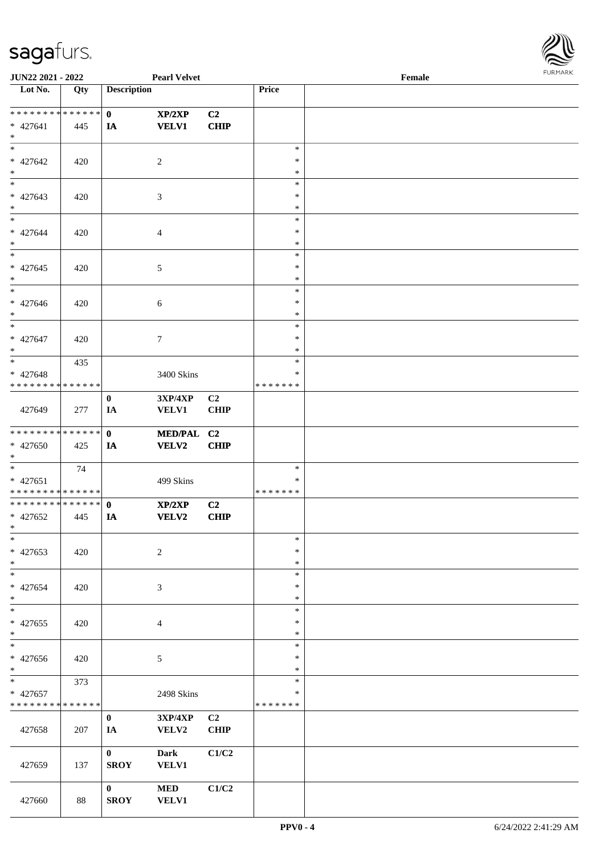

| JUN22 2021 - 2022                       |     |                    | <b>Pearl Velvet</b> |                |                  | Female | 1.9151111515 |
|-----------------------------------------|-----|--------------------|---------------------|----------------|------------------|--------|--------------|
| $\overline{\phantom{1}}$ Lot No.        | Qty | <b>Description</b> |                     |                | Price            |        |              |
|                                         |     |                    |                     |                |                  |        |              |
| ******** <mark>******</mark>            |     | $\mathbf{0}$       | XP/2XP              | C2             |                  |        |              |
| * 427641<br>$*$                         | 445 | IA                 | <b>VELV1</b>        | <b>CHIP</b>    |                  |        |              |
| $*$                                     |     |                    |                     |                | $\ast$           |        |              |
| * 427642                                | 420 |                    | $\overline{c}$      |                | $\ast$           |        |              |
| $*$                                     |     |                    |                     |                | $\ast$           |        |              |
|                                         |     |                    |                     |                | $\ast$           |        |              |
| $* 427643$                              | 420 |                    | 3                   |                | $\ast$           |        |              |
| $*$                                     |     |                    |                     |                | $\ast$           |        |              |
| $*$                                     |     |                    |                     |                | $\ast$           |        |              |
| $* 427644$                              | 420 |                    | $\overline{4}$      |                | $\ast$           |        |              |
| $*$                                     |     |                    |                     |                | $\ast$           |        |              |
| $\overline{\phantom{0}}$                |     |                    |                     |                | $\ast$           |        |              |
| $* 427645$                              | 420 |                    | 5                   |                | $\ast$           |        |              |
| $*$<br>$\overline{\phantom{0}}$         |     |                    |                     |                | $\ast$<br>$\ast$ |        |              |
| $* 427646$                              | 420 |                    | $\boldsymbol{6}$    |                | $\ast$           |        |              |
| $*$                                     |     |                    |                     |                | $\ast$           |        |              |
| $\overline{\ast}$                       |     |                    |                     |                | $\ast$           |        |              |
| * 427647                                | 420 |                    | 7                   |                | $\ast$           |        |              |
| $*$                                     |     |                    |                     |                | *                |        |              |
| $*$                                     | 435 |                    |                     |                | $\ast$           |        |              |
| $* 427648$                              |     |                    | 3400 Skins          |                | ∗                |        |              |
| * * * * * * * * * * * * * *             |     |                    |                     |                | * * * * * * *    |        |              |
|                                         |     | $\bf{0}$           | 3XP/4XP             | C <sub>2</sub> |                  |        |              |
| 427649                                  | 277 | IA                 | <b>VELV1</b>        | <b>CHIP</b>    |                  |        |              |
| * * * * * * * * * * * * * * *           |     | $\mathbf{0}$       | MED/PAL C2          |                |                  |        |              |
| * 427650                                | 425 | IA                 | <b>VELV2</b>        | <b>CHIP</b>    |                  |        |              |
| $*$                                     |     |                    |                     |                |                  |        |              |
| $*$                                     | 74  |                    |                     |                | $\ast$           |        |              |
| $* 427651$                              |     |                    | 499 Skins           |                | $\ast$           |        |              |
| * * * * * * * * * * * * * *             |     |                    |                     |                | * * * * * * *    |        |              |
| * * * * * * * * * * * * * * *           |     | $\mathbf{0}$       | XP/2XP              | C2             |                  |        |              |
| $* 427652$                              | 445 | IA                 | <b>VELV2</b>        | CHIP           |                  |        |              |
| $*$ $*$                                 |     |                    |                     |                |                  |        |              |
| $\ast$                                  |     |                    |                     |                | $\ast$<br>$\ast$ |        |              |
| $* 427653$<br>$*$                       | 420 |                    | $\boldsymbol{2}$    |                | $\ast$           |        |              |
| $\ast$                                  |     |                    |                     |                | $\ast$           |        |              |
| $* 427654$                              | 420 |                    | 3                   |                | $\ast$           |        |              |
| $*$                                     |     |                    |                     |                | $\ast$           |        |              |
| $\ast$                                  |     |                    |                     |                | $\ast$           |        |              |
| * 427655                                | 420 |                    | 4                   |                | ∗                |        |              |
| $*$                                     |     |                    |                     |                | $\ast$           |        |              |
| $\ast$                                  |     |                    |                     |                | $\ast$           |        |              |
| * 427656                                | 420 |                    | 5                   |                | $\ast$           |        |              |
| $*$<br>$\ast$                           |     |                    |                     |                | $\ast$           |        |              |
|                                         | 373 |                    |                     |                | ∗<br>*           |        |              |
| * 427657<br>* * * * * * * * * * * * * * |     |                    | 2498 Skins          |                | * * * * * * *    |        |              |
|                                         |     | $\bf{0}$           | <b>3XP/4XP</b>      | C2             |                  |        |              |
| 427658                                  | 207 | IA                 | VELV2               | <b>CHIP</b>    |                  |        |              |
|                                         |     |                    |                     |                |                  |        |              |
|                                         |     | $\mathbf{0}$       | <b>Dark</b>         | C1/C2          |                  |        |              |
| 427659                                  | 137 | <b>SROY</b>        | <b>VELV1</b>        |                |                  |        |              |
|                                         |     |                    |                     |                |                  |        |              |
|                                         |     | $\bf{0}$           | <b>MED</b>          | C1/C2          |                  |        |              |
| 427660                                  | 88  | <b>SROY</b>        | <b>VELV1</b>        |                |                  |        |              |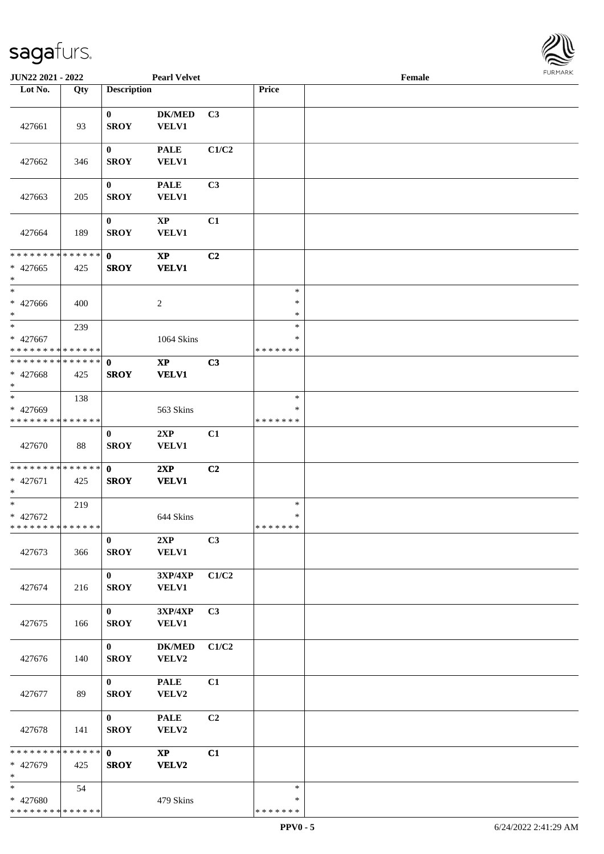

| JUN22 2021 - 2022                                    |     |                             | <b>Pearl Velvet</b>                               |                |                                   | Female |  |
|------------------------------------------------------|-----|-----------------------------|---------------------------------------------------|----------------|-----------------------------------|--------|--|
| Lot No.                                              | Qty | <b>Description</b>          |                                                   |                | Price                             |        |  |
| 427661                                               | 93  | $\bf{0}$<br><b>SROY</b>     | <b>DK/MED</b><br><b>VELV1</b>                     | C3             |                                   |        |  |
| 427662                                               | 346 | $\bf{0}$<br><b>SROY</b>     | <b>PALE</b><br><b>VELV1</b>                       | C1/C2          |                                   |        |  |
| 427663                                               | 205 | $\bf{0}$<br><b>SROY</b>     | <b>PALE</b><br>VELV1                              | C <sub>3</sub> |                                   |        |  |
| 427664                                               | 189 | $\bf{0}$<br><b>SROY</b>     | $\bold{XP}$<br><b>VELV1</b>                       | C1             |                                   |        |  |
| ******** <mark>******</mark><br>$* 427665$<br>$\ast$ | 425 | $\mathbf{0}$<br><b>SROY</b> | $\bold{XP}$<br><b>VELV1</b>                       | C2             |                                   |        |  |
| $\ast$<br>$* 427666$<br>$\ast$                       | 400 |                             | $\overline{c}$                                    |                | $\ast$<br>$\ast$<br>$\ast$        |        |  |
| $\ast$<br>* 427667<br>* * * * * * * * * * * * * *    | 239 |                             | 1064 Skins                                        |                | $\ast$<br>*<br>* * * * * * *      |        |  |
| * * * * * * * * * * * * * * *<br>* 427668<br>$\ast$  | 425 | $\mathbf{0}$<br><b>SROY</b> | $\mathbf{XP}$<br><b>VELV1</b>                     | C3             |                                   |        |  |
| $_{\ast}$<br>* 427669<br>* * * * * * * * * * * * * * | 138 |                             | 563 Skins                                         |                | $\ast$<br>∗<br>* * * * * * *      |        |  |
| 427670                                               | 88  | $\bf{0}$<br><b>SROY</b>     | 2XP<br><b>VELV1</b>                               | C1             |                                   |        |  |
| **************<br>* 427671<br>$\ast$                 | 425 | $\mathbf{0}$<br><b>SROY</b> | 2XP<br><b>VELV1</b>                               | C2             |                                   |        |  |
| $\ast$<br>$* 427672$<br>**************               | 219 |                             | 644 Skins                                         |                | $\ast$<br>$\ast$<br>* * * * * * * |        |  |
| 427673                                               | 366 | $\bf{0}$<br><b>SROY</b>     | 2XP<br><b>VELV1</b>                               | C3             |                                   |        |  |
| 427674                                               | 216 | $\mathbf{0}$<br><b>SROY</b> | $3{\bf X}{\bf P}/4{\bf X}{\bf P}$<br><b>VELV1</b> | C1/C2          |                                   |        |  |
| 427675                                               | 166 | $\mathbf{0}$<br><b>SROY</b> | 3XP/4XP<br><b>VELV1</b>                           | C <sub>3</sub> |                                   |        |  |
| 427676                                               | 140 | $\mathbf{0}$<br><b>SROY</b> | <b>DK/MED</b><br>VELV2                            | C1/C2          |                                   |        |  |
| 427677                                               | 89  | $\mathbf{0}$<br><b>SROY</b> | <b>PALE</b><br>VELV2                              | C1             |                                   |        |  |
| 427678                                               | 141 | $\mathbf{0}$<br><b>SROY</b> | <b>PALE</b><br>VELV2                              | C <sub>2</sub> |                                   |        |  |
| ******** <mark>******</mark><br>* 427679<br>$\ast$   | 425 | $\mathbf{0}$<br><b>SROY</b> | $\mathbf{X}\mathbf{P}$<br><b>VELV2</b>            | C1             |                                   |        |  |
| $*$<br>* 427680<br>* * * * * * * * * * * * * *       | 54  |                             | 479 Skins                                         |                | $\ast$<br>∗<br>* * * * * * *      |        |  |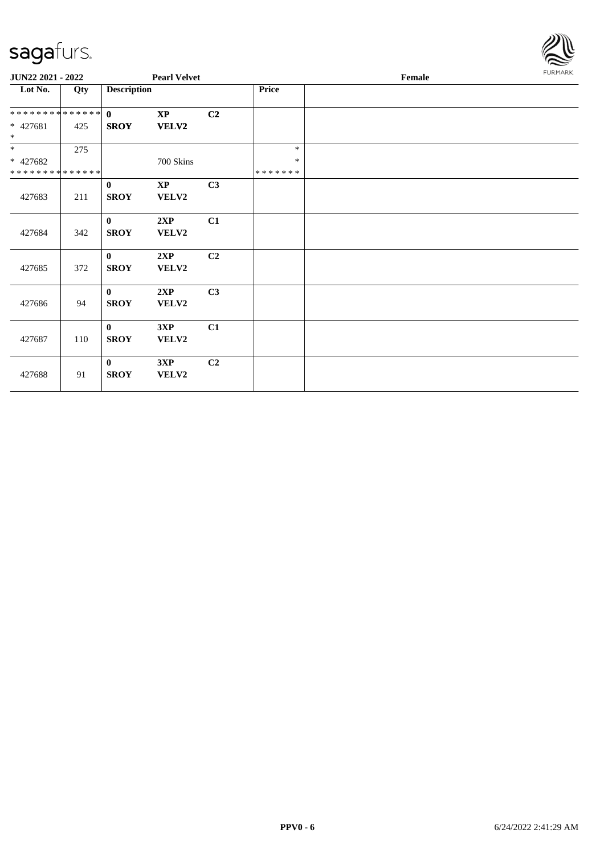

| JUN22 2021 - 2022            |     | <b>Pearl Velvet</b> |                        |                |               | Female | FURMARK |
|------------------------------|-----|---------------------|------------------------|----------------|---------------|--------|---------|
| Lot No.                      | Qty | <b>Description</b>  |                        |                | Price         |        |         |
| ******** <mark>******</mark> |     | $\mathbf{0}$        | $\mathbf{X}\mathbf{P}$ | C <sub>2</sub> |               |        |         |
| $* 427681$<br>$*$            | 425 | <b>SROY</b>         | <b>VELV2</b>           |                |               |        |         |
| $\overline{\phantom{0}}$     | 275 |                     |                        |                | $\ast$        |        |         |
| * 427682                     |     |                     | 700 Skins              |                | $\ast$        |        |         |
| * * * * * * * * * * * * * *  |     |                     |                        |                | * * * * * * * |        |         |
|                              |     | $\bf{0}$            | $\mathbf{X}\mathbf{P}$ | C <sub>3</sub> |               |        |         |
| 427683                       | 211 | <b>SROY</b>         | VELV2                  |                |               |        |         |
|                              |     | $\mathbf{0}$        | 2XP                    | C1             |               |        |         |
| 427684                       | 342 | <b>SROY</b>         | VELV2                  |                |               |        |         |
|                              |     | $\mathbf{0}$        | 2XP                    | C <sub>2</sub> |               |        |         |
| 427685                       | 372 | <b>SROY</b>         | VELV2                  |                |               |        |         |
|                              |     | $\mathbf{0}$        | 2XP                    | C3             |               |        |         |
| 427686                       | 94  | <b>SROY</b>         | VELV2                  |                |               |        |         |
|                              |     | $\mathbf{0}$        | 3XP                    | C1             |               |        |         |
| 427687                       | 110 | <b>SROY</b>         | VELV2                  |                |               |        |         |
|                              |     | $\mathbf{0}$        | 3XP                    | C <sub>2</sub> |               |        |         |
| 427688                       | 91  | <b>SROY</b>         | VELV2                  |                |               |        |         |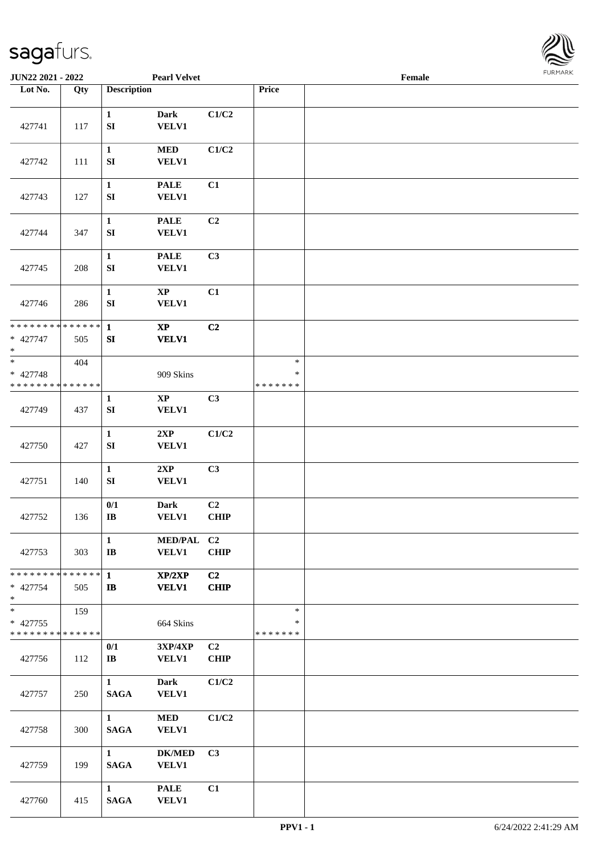

| JUN22 2021 - 2022                                                   |     |                                        | <b>Pearl Velvet</b>                    |                               |                                   | Female |  |
|---------------------------------------------------------------------|-----|----------------------------------------|----------------------------------------|-------------------------------|-----------------------------------|--------|--|
| Lot No.                                                             | Qty | <b>Description</b>                     |                                        |                               | Price                             |        |  |
| 427741                                                              | 117 | $\mathbf{1}$<br>${\bf S}{\bf I}$       | Dark<br><b>VELV1</b>                   | C1/C2                         |                                   |        |  |
| 427742                                                              | 111 | $\mathbf{1}$<br>SI                     | <b>MED</b><br><b>VELV1</b>             | C1/C2                         |                                   |        |  |
| 427743                                                              | 127 | $\mathbf{1}$<br>SI                     | <b>PALE</b><br><b>VELV1</b>            | C1                            |                                   |        |  |
| 427744                                                              | 347 | $\mathbf{1}$<br>SI                     | <b>PALE</b><br><b>VELV1</b>            | C2                            |                                   |        |  |
| 427745                                                              | 208 | $\mathbf{1}$<br>SI                     | <b>PALE</b><br><b>VELV1</b>            | C3                            |                                   |        |  |
| 427746                                                              | 286 | $\mathbf{1}$<br>${\bf S}{\bf I}$       | $\bold{XP}$<br><b>VELV1</b>            | C1                            |                                   |        |  |
| * * * * * * * * * * * * * * *<br>* 427747<br>$\ast$                 | 505 | $\mathbf{1}$<br>${\bf S}{\bf I}$       | $\mathbf{XP}$<br><b>VELV1</b>          | C2                            |                                   |        |  |
| $\overline{\phantom{0}}$<br>* 427748<br>* * * * * * * * * * * * * * | 404 |                                        | 909 Skins                              |                               | $\ast$<br>$\ast$<br>* * * * * * * |        |  |
| 427749                                                              | 437 | $\mathbf{1}$<br>SI                     | $\mathbf{X}\mathbf{P}$<br><b>VELV1</b> | C3                            |                                   |        |  |
| 427750                                                              | 427 | $\mathbf{1}$<br>${\bf S}{\bf I}$       | 2XP<br><b>VELV1</b>                    | C1/C2                         |                                   |        |  |
| 427751                                                              | 140 | $\mathbf{1}$<br>SI                     | 2XP<br><b>VELV1</b>                    | C3                            |                                   |        |  |
| 427752                                                              | 136 | 0/1<br>$\bf{IB}$                       | Dark<br><b>VELV1</b>                   | C <sub>2</sub><br><b>CHIP</b> |                                   |        |  |
| 427753                                                              | 303 | $\mathbf{1}$<br>$\mathbf{I}\mathbf{B}$ | MED/PAL C2<br><b>VELV1</b>             | <b>CHIP</b>                   |                                   |        |  |
| * * * * * * * * <mark>* * * * * * *</mark><br>* 427754<br>$*$       | 505 | $\mathbf{1}$<br>$\mathbf{I}$ <b>B</b>  | XP/2XP<br><b>VELV1</b>                 | C2<br><b>CHIP</b>             |                                   |        |  |
| $*$<br>* 427755<br>* * * * * * * * * * * * * *                      | 159 |                                        | 664 Skins                              |                               | $\ast$<br>∗<br>*******            |        |  |
| 427756                                                              | 112 | 0/1<br>$\mathbf{I} \mathbf{B}$         | 3XP/4XP<br><b>VELV1</b>                | C <sub>2</sub><br><b>CHIP</b> |                                   |        |  |
| 427757                                                              | 250 | $\mathbf{1}$<br><b>SAGA</b>            | <b>Dark</b><br><b>VELV1</b>            | C1/C2                         |                                   |        |  |
| 427758                                                              | 300 | $\mathbf{1}$<br><b>SAGA</b>            | <b>MED</b><br><b>VELV1</b>             | C1/C2                         |                                   |        |  |
| 427759                                                              | 199 | $\mathbf{1}$<br><b>SAGA</b>            | <b>DK/MED</b><br><b>VELV1</b>          | C3                            |                                   |        |  |
| 427760                                                              | 415 | $\mathbf{1}$<br><b>SAGA</b>            | <b>PALE</b><br><b>VELV1</b>            | C1                            |                                   |        |  |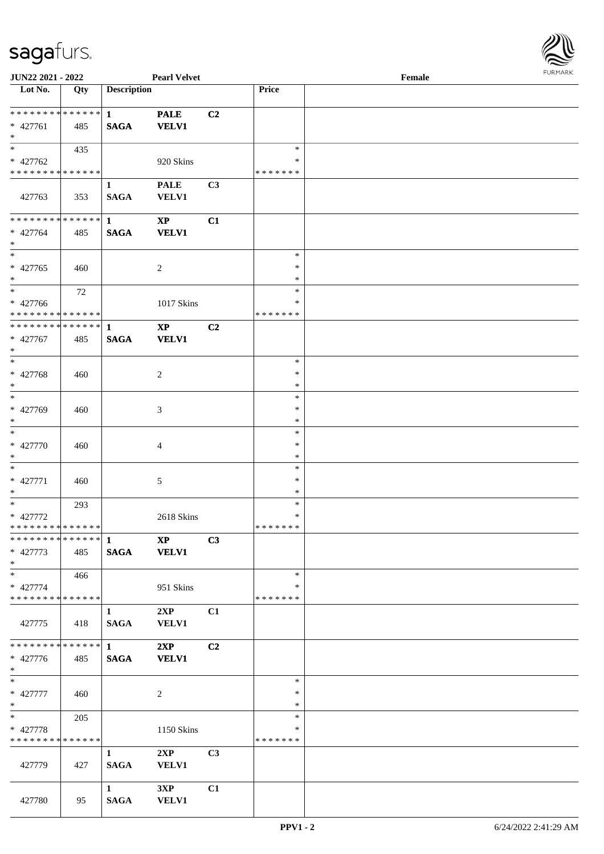

| JUN22 2021 - 2022                         |     |                    | <b>Pearl Velvet</b> |                |                  | Female |  |
|-------------------------------------------|-----|--------------------|---------------------|----------------|------------------|--------|--|
| Lot No.                                   | Qty | <b>Description</b> |                     |                | Price            |        |  |
|                                           |     |                    |                     |                |                  |        |  |
| ******** <mark>******</mark>              |     | $\mathbf{1}$       | <b>PALE</b>         | C <sub>2</sub> |                  |        |  |
| $* 427761$                                | 485 | <b>SAGA</b>        | <b>VELV1</b>        |                |                  |        |  |
| $\ast$<br>$*$                             |     |                    |                     |                |                  |        |  |
|                                           | 435 |                    |                     |                | $\ast$<br>∗      |        |  |
| * 427762<br>* * * * * * * * * * * * * *   |     |                    | 920 Skins           |                | * * * * * * *    |        |  |
|                                           |     |                    |                     |                |                  |        |  |
|                                           |     | 1                  | <b>PALE</b>         | C3             |                  |        |  |
| 427763                                    | 353 | <b>SAGA</b>        | <b>VELV1</b>        |                |                  |        |  |
| * * * * * * * * * * * * * *               |     | $\mathbf{1}$       | $\bold{XP}$         | C1             |                  |        |  |
| * 427764                                  | 485 | <b>SAGA</b>        | <b>VELV1</b>        |                |                  |        |  |
| $*$                                       |     |                    |                     |                |                  |        |  |
| $*$                                       |     |                    |                     |                | $\ast$           |        |  |
| $* 427765$                                | 460 |                    | 2                   |                | $\ast$           |        |  |
| $*$                                       |     |                    |                     |                | $\ast$           |        |  |
| $*$                                       | 72  |                    |                     |                | $\ast$           |        |  |
| * 427766                                  |     |                    | 1017 Skins          |                | $\ast$           |        |  |
| * * * * * * * * * * * * * *               |     |                    |                     |                | * * * * * * *    |        |  |
| * * * * * * * * * * * * * *               |     | $\mathbf{1}$       | $\bold{XP}$         | C <sub>2</sub> |                  |        |  |
| $* 427767$                                | 485 | <b>SAGA</b>        | <b>VELV1</b>        |                |                  |        |  |
| $*$                                       |     |                    |                     |                |                  |        |  |
| $*$                                       |     |                    |                     |                | $\ast$           |        |  |
| * 427768                                  | 460 |                    | 2                   |                | $\ast$           |        |  |
| $*$                                       |     |                    |                     |                | $\ast$           |        |  |
| $*$                                       |     |                    |                     |                | $\ast$           |        |  |
| * 427769                                  | 460 |                    | 3                   |                | $\ast$           |        |  |
| $*$                                       |     |                    |                     |                | $\ast$           |        |  |
| $\ast$                                    |     |                    |                     |                | $\ast$           |        |  |
| $* 427770$                                | 460 |                    | 4                   |                | $\ast$           |        |  |
| $*$                                       |     |                    |                     |                | $\ast$           |        |  |
| $\ast$                                    |     |                    |                     |                | $\ast$           |        |  |
| $* 427771$                                | 460 |                    | $\sqrt{5}$          |                | $\ast$           |        |  |
| $*$<br>$*$                                |     |                    |                     |                | $\ast$           |        |  |
|                                           | 293 |                    |                     |                | $\ast$<br>$\ast$ |        |  |
| $* 427772$<br>* * * * * * * * * * * * * * |     |                    | 2618 Skins          |                | *******          |        |  |
| ************** 1                          |     |                    | <b>XP</b>           | C3             |                  |        |  |
| $* 427773$                                | 485 | <b>SAGA</b>        | <b>VELV1</b>        |                |                  |        |  |
| $*$                                       |     |                    |                     |                |                  |        |  |
| $*$                                       | 466 |                    |                     |                | $\ast$           |        |  |
| * 427774                                  |     |                    | 951 Skins           |                | *                |        |  |
| * * * * * * * * * * * * * *               |     |                    |                     |                | *******          |        |  |
|                                           |     | 1                  | 2XP                 | C1             |                  |        |  |
| 427775                                    | 418 | <b>SAGA</b>        | <b>VELV1</b>        |                |                  |        |  |
|                                           |     |                    |                     |                |                  |        |  |
| ******** <mark>******</mark>              |     | $\mathbf 1$        | 2XP                 | C <sub>2</sub> |                  |        |  |
| * 427776                                  | 485 | <b>SAGA</b>        | <b>VELV1</b>        |                |                  |        |  |
| $*$                                       |     |                    |                     |                |                  |        |  |
| $*$                                       |     |                    |                     |                | $\ast$           |        |  |
| * 427777                                  | 460 |                    | 2                   |                | $\ast$           |        |  |
| $*$                                       |     |                    |                     |                | $\ast$           |        |  |
| $*$ $-$                                   | 205 |                    |                     |                | $\ast$           |        |  |
| * 427778                                  |     |                    | 1150 Skins          |                | $\ast$           |        |  |
| * * * * * * * * * * * * * *               |     |                    |                     |                | * * * * * * *    |        |  |
|                                           |     | $\mathbf{1}$       | 2XP                 | C3             |                  |        |  |
| 427779                                    | 427 | <b>SAGA</b>        | <b>VELV1</b>        |                |                  |        |  |
|                                           |     |                    |                     |                |                  |        |  |
|                                           |     | $\mathbf{1}$       | 3XP                 | C1             |                  |        |  |
| 427780                                    | 95  | <b>SAGA</b>        | <b>VELV1</b>        |                |                  |        |  |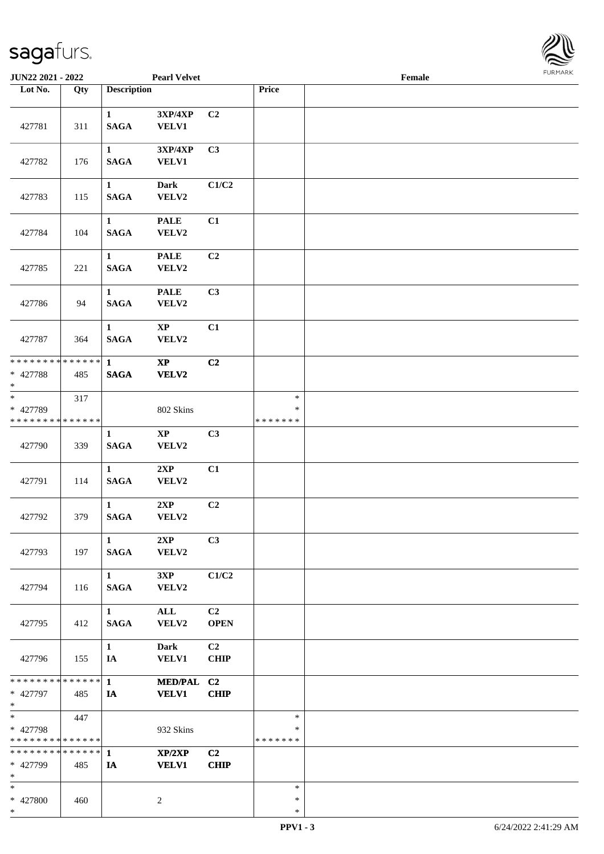

| JUN22 2021 - 2022                                                   |     |                                 | <b>Pearl Velvet</b>             |                               |                                   | Female |  |
|---------------------------------------------------------------------|-----|---------------------------------|---------------------------------|-------------------------------|-----------------------------------|--------|--|
| Lot No.                                                             | Qty | <b>Description</b>              |                                 |                               | Price                             |        |  |
| 427781                                                              | 311 | $\mathbf{1}$<br>$\mathbf{SAGA}$ | 3XP/4XP<br><b>VELV1</b>         | C <sub>2</sub>                |                                   |        |  |
| 427782                                                              | 176 | $\mathbf{1}$<br><b>SAGA</b>     | 3XP/4XP<br><b>VELV1</b>         | C3                            |                                   |        |  |
| 427783                                                              | 115 | $\mathbf{1}$<br><b>SAGA</b>     | Dark<br>VELV2                   | C1/C2                         |                                   |        |  |
| 427784                                                              | 104 | $\mathbf{1}$<br><b>SAGA</b>     | <b>PALE</b><br>VELV2            | C1                            |                                   |        |  |
| 427785                                                              | 221 | $\mathbf{1}$<br><b>SAGA</b>     | <b>PALE</b><br>VELV2            | C2                            |                                   |        |  |
| 427786                                                              | 94  | $\mathbf{1}$<br><b>SAGA</b>     | <b>PALE</b><br>VELV2            | C3                            |                                   |        |  |
| 427787                                                              | 364 | $\mathbf{1}$<br><b>SAGA</b>     | $\mathbf{XP}$<br>VELV2          | C1                            |                                   |        |  |
| * * * * * * * * * * * * * * *<br>* 427788<br>$*$                    | 485 | $\mathbf{1}$<br><b>SAGA</b>     | $\mathbf{XP}$<br>VELV2          | C2                            |                                   |        |  |
| $\overline{\phantom{0}}$<br>* 427789<br>* * * * * * * * * * * * * * | 317 |                                 | 802 Skins                       |                               | $\ast$<br>$\ast$<br>* * * * * * * |        |  |
| 427790                                                              | 339 | $\mathbf{1}$<br>$\mathbf{SAGA}$ | $\mathbf{X}\mathbf{P}$<br>VELV2 | C3                            |                                   |        |  |
| 427791                                                              | 114 | $\mathbf{1}$<br><b>SAGA</b>     | 2XP<br>VELV2                    | C1                            |                                   |        |  |
| 427792                                                              | 379 | $\mathbf{1}$<br>$\mathbf{SAGA}$ | 2XP<br>VELV2                    | C2                            |                                   |        |  |
| 427793                                                              | 197 | $\mathbf{1}$<br><b>SAGA</b>     | 2XP<br>VELV2                    | C3                            |                                   |        |  |
| 427794                                                              | 116 | $\mathbf{1}$<br><b>SAGA</b>     | 3XP<br>VELV2                    | C1/C2                         |                                   |        |  |
| 427795                                                              | 412 | $1 \quad$<br><b>SAGA</b>        | ALL<br>VELV2                    | C <sub>2</sub><br><b>OPEN</b> |                                   |        |  |
| 427796                                                              | 155 | $\mathbf{1}$<br>IA              | <b>Dark</b><br><b>VELV1</b>     | C2<br><b>CHIP</b>             |                                   |        |  |
| * 427797<br>$*$                                                     | 485 | <b>IA</b>                       | MED/PAL C2<br><b>VELV1</b>      | <b>CHIP</b>                   |                                   |        |  |
| $*$<br>* 427798<br>* * * * * * * * * * * * * *                      | 447 |                                 | 932 Skins                       |                               | $\ast$<br>$\ast$<br>* * * * * * * |        |  |
| * * * * * * * * * * * * * * *<br>* 427799<br>$*$                    | 485 | $\mathbf{1}$<br>IA              | XP/2XP<br><b>VELV1</b>          | C <sub>2</sub><br><b>CHIP</b> |                                   |        |  |
| $*$<br>* 427800<br>$\ast$                                           | 460 |                                 | 2                               |                               | $\ast$<br>$\ast$<br>$\ast$        |        |  |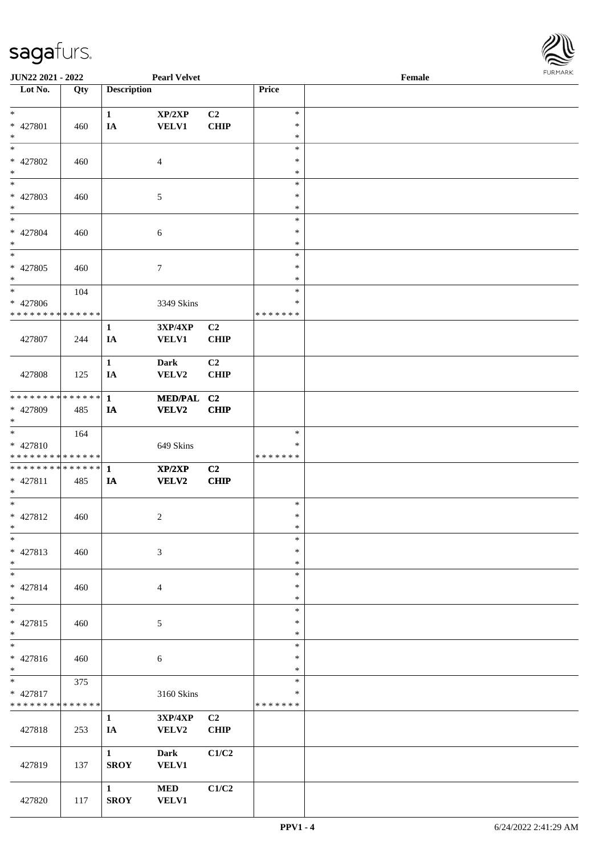

| <b>JUN22 2021 - 2022</b>                   |     |                             | <b>Pearl Velvet</b> |                |               | Female |  |
|--------------------------------------------|-----|-----------------------------|---------------------|----------------|---------------|--------|--|
| Lot No.                                    | Qty | <b>Description</b>          |                     |                | Price         |        |  |
|                                            |     |                             |                     |                |               |        |  |
| $\ast$                                     |     | $\mathbf{1}$                | XP/2XP              | C <sub>2</sub> | $\ast$        |        |  |
| * 427801                                   | 460 | IA                          | <b>VELV1</b>        | <b>CHIP</b>    | $\ast$        |        |  |
| $*$                                        |     |                             |                     |                | $\ast$        |        |  |
|                                            |     |                             |                     |                | $\ast$        |        |  |
| * 427802                                   | 460 |                             | $\overline{4}$      |                | $\ast$        |        |  |
| $\ast$                                     |     |                             |                     |                | $\ast$        |        |  |
| $\overline{\phantom{0}}$                   |     |                             |                     |                | $\ast$        |        |  |
| * 427803                                   | 460 |                             | 5                   |                | $\ast$        |        |  |
| $*$                                        |     |                             |                     |                | $\ast$        |        |  |
| $\ddot{x}$                                 |     |                             |                     |                | $\ast$        |        |  |
| * 427804                                   | 460 |                             | 6                   |                | $\ast$        |        |  |
| $*$                                        |     |                             |                     |                | $\ast$        |        |  |
| $_{*}$                                     |     |                             |                     |                | $\ast$        |        |  |
| * 427805                                   | 460 |                             | $7\phantom{.0}$     |                | $\ast$        |        |  |
| $\ast$                                     |     |                             |                     |                | $\ast$        |        |  |
| $*$                                        | 104 |                             |                     |                | $\ast$        |        |  |
| * 427806                                   |     |                             | 3349 Skins          |                | $\ast$        |        |  |
| * * * * * * * * * * * * * *                |     |                             |                     |                | * * * * * * * |        |  |
|                                            |     | $\mathbf{1}$                | 3XP/4XP             | C <sub>2</sub> |               |        |  |
| 427807                                     | 244 | IA                          | <b>VELV1</b>        | <b>CHIP</b>    |               |        |  |
|                                            |     |                             |                     |                |               |        |  |
|                                            |     | $\mathbf{1}$                | Dark                | C <sub>2</sub> |               |        |  |
| 427808                                     | 125 | IA                          | VELV2               | <b>CHIP</b>    |               |        |  |
|                                            |     |                             |                     |                |               |        |  |
| * * * * * * * * * * * * * *                |     | $\mathbf{1}$                | <b>MED/PAL</b>      | C2             |               |        |  |
| * 427809                                   | 485 |                             | VELV2               | <b>CHIP</b>    |               |        |  |
| $*$                                        |     | IA                          |                     |                |               |        |  |
| $\ast$                                     | 164 |                             |                     |                | $\ast$        |        |  |
| $* 427810$                                 |     |                             | 649 Skins           |                | ∗             |        |  |
| * * * * * * * * <mark>* * * * * * *</mark> |     |                             |                     |                | *******       |        |  |
| * * * * * * * * * * * * * * <mark>*</mark> |     | $\mathbf{1}$                | XP/2XP              | C2             |               |        |  |
| $* 427811$                                 | 485 | IA                          | VELV2               | <b>CHIP</b>    |               |        |  |
| $*$                                        |     |                             |                     |                |               |        |  |
| $*$                                        |     |                             |                     |                | $\ast$        |        |  |
| * 427812                                   | 460 |                             | $\overline{c}$      |                | $\ast$        |        |  |
| $*$ $-$                                    |     |                             |                     |                | $\ast$        |        |  |
| $*$                                        |     |                             |                     |                | $\ast$        |        |  |
| * 427813                                   | 460 |                             | 3                   |                | $\ast$        |        |  |
| $*$                                        |     |                             |                     |                | $\ast$        |        |  |
| $*$                                        |     |                             |                     |                | $\ast$        |        |  |
| * 427814                                   | 460 |                             | $\overline{4}$      |                | $\ast$        |        |  |
| $*$                                        |     |                             |                     |                | $\ast$        |        |  |
|                                            |     |                             |                     |                | $\ast$        |        |  |
| * 427815                                   |     |                             |                     |                | $\ast$        |        |  |
| $*$                                        | 460 |                             | 5                   |                | $\ast$        |        |  |
| $_{*}$                                     |     |                             |                     |                | $\ast$        |        |  |
|                                            |     |                             |                     |                | $\ast$        |        |  |
| * 427816<br>$*$                            | 460 |                             | 6                   |                | $\ast$        |        |  |
|                                            | 375 |                             |                     |                | $\ast$        |        |  |
| * 427817                                   |     |                             |                     |                | $\ast$        |        |  |
| * * * * * * * * * * * * * *                |     |                             | 3160 Skins          |                | *******       |        |  |
|                                            |     | $\mathbf{1}$                |                     | C2             |               |        |  |
| 427818                                     | 253 |                             | 3XP/4XP             | <b>CHIP</b>    |               |        |  |
|                                            |     | IA                          | VELV2               |                |               |        |  |
|                                            |     | $\mathbf{1}$                |                     | C1/C2          |               |        |  |
|                                            |     |                             | <b>Dark</b>         |                |               |        |  |
| 427819                                     | 137 | <b>SROY</b>                 | <b>VELV1</b>        |                |               |        |  |
|                                            |     |                             | <b>MED</b>          | C1/C2          |               |        |  |
| 427820                                     | 117 | $\mathbf{1}$<br><b>SROY</b> | <b>VELV1</b>        |                |               |        |  |
|                                            |     |                             |                     |                |               |        |  |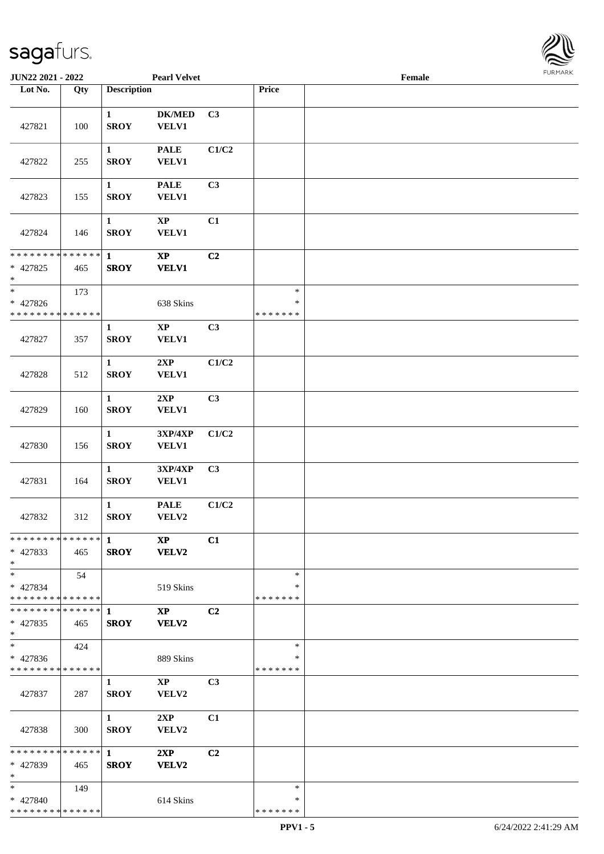

| JUN22 2021 - 2022                                  |     |                             | <b>Pearl Velvet</b>                    |                |                                   | Female |  |
|----------------------------------------------------|-----|-----------------------------|----------------------------------------|----------------|-----------------------------------|--------|--|
| Lot No.                                            | Qty | <b>Description</b>          |                                        |                | Price                             |        |  |
| 427821                                             | 100 | $\mathbf{1}$<br><b>SROY</b> | <b>DK/MED</b><br><b>VELV1</b>          | C3             |                                   |        |  |
| 427822                                             | 255 | $\mathbf{1}$<br><b>SROY</b> | <b>PALE</b><br><b>VELV1</b>            | C1/C2          |                                   |        |  |
| 427823                                             | 155 | $\mathbf{1}$<br><b>SROY</b> | <b>PALE</b><br><b>VELV1</b>            | C <sub>3</sub> |                                   |        |  |
| 427824                                             | 146 | $\mathbf{1}$<br><b>SROY</b> | $\bold{XP}$<br><b>VELV1</b>            | C1             |                                   |        |  |
| **************<br>$* 427825$<br>$\ast$             | 465 | $\mathbf{1}$<br><b>SROY</b> | $\bold{XP}$<br><b>VELV1</b>            | C2             |                                   |        |  |
| $\ast$<br>* 427826<br>* * * * * * * * * * * * * *  | 173 |                             | 638 Skins                              |                | $\ast$<br>$\ast$<br>* * * * * * * |        |  |
| 427827                                             | 357 | $\mathbf{1}$<br><b>SROY</b> | $\bold{XP}$<br><b>VELV1</b>            | C3             |                                   |        |  |
| 427828                                             | 512 | $\mathbf{1}$<br><b>SROY</b> | 2XP<br><b>VELV1</b>                    | C1/C2          |                                   |        |  |
| 427829                                             | 160 | $\mathbf{1}$<br><b>SROY</b> | 2XP<br><b>VELV1</b>                    | C <sub>3</sub> |                                   |        |  |
| 427830                                             | 156 | $\mathbf{1}$<br><b>SROY</b> | 3XP/4XP<br><b>VELV1</b>                | C1/C2          |                                   |        |  |
| 427831                                             | 164 | $\mathbf{1}$<br><b>SROY</b> | 3XP/4XP<br><b>VELV1</b>                | C3             |                                   |        |  |
| 427832                                             | 312 | $\mathbf{1}$<br><b>SROY</b> | <b>PALE</b><br>VELV2                   | C1/C2          |                                   |        |  |
| $* 427833$<br>$*$                                  | 465 | <b>SROY</b>                 | <b>XP</b><br><b>VELV2</b>              | C1             |                                   |        |  |
| $*$<br>$* 427834$<br>* * * * * * * * * * * * * * * | 54  |                             | 519 Skins                              |                | $\ast$<br>∗<br>* * * * * * *      |        |  |
| ************** 1<br>$* 427835$<br>$*$              | 465 | <b>SROY</b>                 | $\mathbf{X}\mathbf{P}$<br><b>VELV2</b> | C <sub>2</sub> |                                   |        |  |
| $\ast$<br>* 427836<br>* * * * * * * * * * * * * *  | 424 |                             | 889 Skins                              |                | $\ast$<br>∗<br>* * * * * * *      |        |  |
| 427837                                             | 287 | $\mathbf{1}$<br><b>SROY</b> | $\mathbf{X}\mathbf{P}$<br>VELV2        | C <sub>3</sub> |                                   |        |  |
| 427838                                             | 300 | $\mathbf{1}$<br><b>SROY</b> | 2XP<br>VELV2                           | C1             |                                   |        |  |
| ************** 1<br>* 427839<br>$*$                | 465 | <b>SROY</b>                 | 2XP<br><b>VELV2</b>                    | C <sub>2</sub> |                                   |        |  |
| $*$<br>* 427840<br>* * * * * * * * * * * * * *     | 149 |                             | 614 Skins                              |                | $\ast$<br>∗<br>* * * * * * *      |        |  |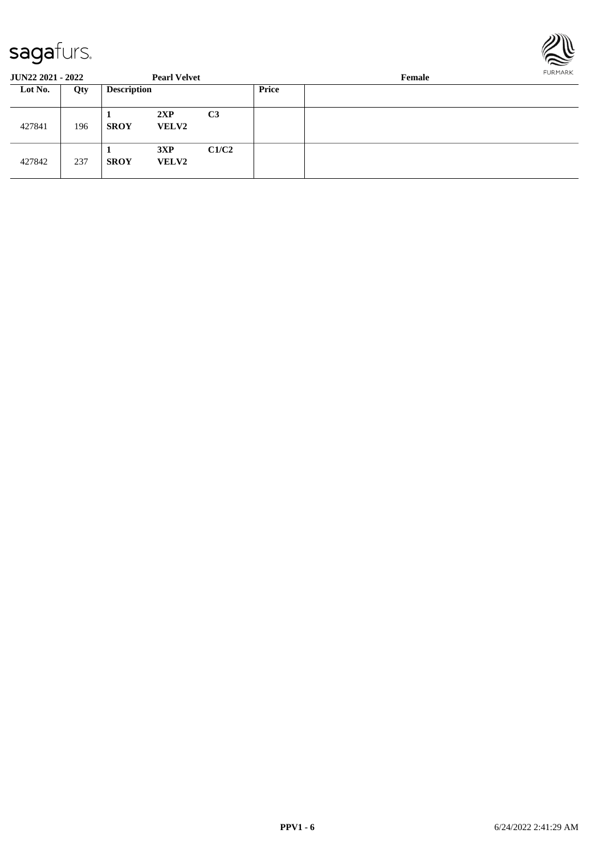

| <b>JUN22 2021 - 2022</b> |     |                    | <b>Pearl Velvet</b> |                | Female       |  |  |  |  |
|--------------------------|-----|--------------------|---------------------|----------------|--------------|--|--|--|--|
| Lot No.                  | Qty | <b>Description</b> |                     |                | <b>Price</b> |  |  |  |  |
| 427841                   | 196 | <b>SROY</b>        | 2XP<br><b>VELV2</b> | C <sub>3</sub> |              |  |  |  |  |
| 427842                   | 237 | <b>SROY</b>        | 3XP<br><b>VELV2</b> | C1/C2          |              |  |  |  |  |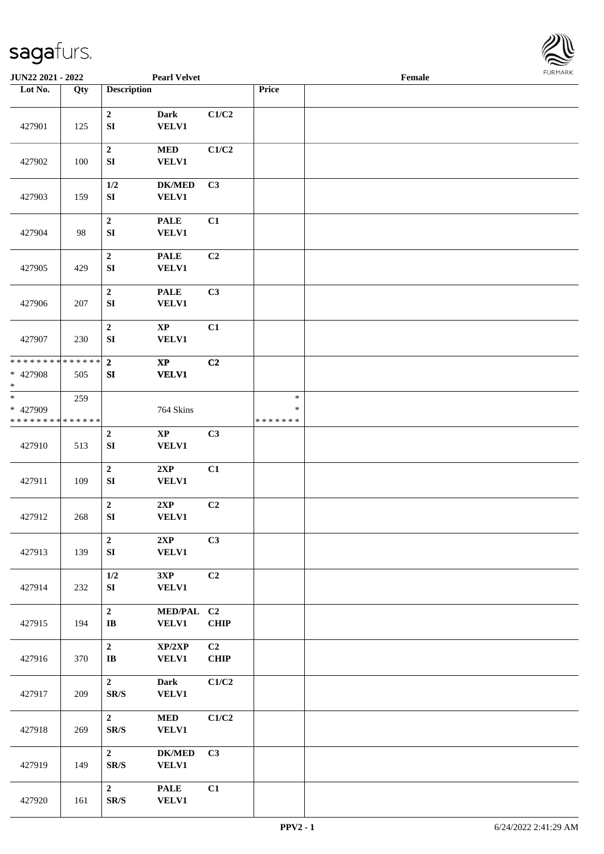

| <b>JUN22 2021 - 2022</b>              |                        |                                      | <b>Pearl Velvet</b>                    |             |                                   | Female |  |
|---------------------------------------|------------------------|--------------------------------------|----------------------------------------|-------------|-----------------------------------|--------|--|
| Lot No.                               | Qty                    | <b>Description</b>                   |                                        |             | Price                             |        |  |
| 427901                                | 125                    | $\mathbf{2}$<br>${\bf S}{\bf I}$     | <b>Dark</b><br><b>VELV1</b>            | C1/C2       |                                   |        |  |
| 427902                                | 100                    | $\boldsymbol{2}$<br>${\bf SI}$       | <b>MED</b><br><b>VELV1</b>             | C1/C2       |                                   |        |  |
| 427903                                | 159                    | $1/2$<br>${\bf S}{\bf I}$            | <b>DK/MED</b><br>VELV1                 | C3          |                                   |        |  |
| 427904                                | 98                     | $\boldsymbol{2}$<br>SI               | <b>PALE</b><br><b>VELV1</b>            | C1          |                                   |        |  |
| 427905                                | 429                    | $\mathbf 2$<br>SI                    | <b>PALE</b><br>VELV1                   | C2          |                                   |        |  |
| 427906                                | 207                    | $\boldsymbol{2}$<br>SI               | <b>PALE</b><br>VELV1                   | C3          |                                   |        |  |
| 427907                                | 230                    | $\mathbf 2$<br>SI                    | $\mathbf{X}\mathbf{P}$<br><b>VELV1</b> | C1          |                                   |        |  |
| * * * * * * * *<br>* 427908<br>$\ast$ | $* * * * * * *$<br>505 | $\overline{2}$<br>SI                 | $\mathbf{X}\mathbf{P}$<br><b>VELV1</b> | C2          |                                   |        |  |
| $_{*}$<br>* 427909<br>* * * * * * * * | 259<br>* * * * * *     |                                      | 764 Skins                              |             | $\ast$<br>$\ast$<br>* * * * * * * |        |  |
| 427910                                | 513                    | $\mathbf 2$<br>SI                    | $\bold{XP}$<br><b>VELV1</b>            | C3          |                                   |        |  |
| 427911                                | 109                    | $\overline{2}$<br>SI                 | 2XP<br><b>VELV1</b>                    | C1          |                                   |        |  |
| 427912                                | 268                    | $\mathbf 2$<br>SI                    | 2XP<br><b>VELV1</b>                    | C2          |                                   |        |  |
| 427913                                | 139                    | $\boldsymbol{2}$<br>${\bf S}{\bf I}$ | 2XP<br><b>VELV1</b>                    | C3          |                                   |        |  |
| 427914                                | 232                    | 1/2<br>${\bf S}{\bf I}$              | 3XP<br>VELV1                           | C2          |                                   |        |  |
| 427915                                | 194                    | $\mathbf{2}$<br>IB                   | MED/PAL C2<br><b>VELV1</b>             | <b>CHIP</b> |                                   |        |  |
| 427916                                | 370                    | $\mathbf{2}$<br>IB                   | XP/2XP<br><b>VELV1</b>                 | C2<br>CHIP  |                                   |        |  |
| 427917                                | 209                    | $\overline{2}$<br>SR/S               | <b>Dark</b><br><b>VELV1</b>            | C1/C2       |                                   |        |  |
| 427918                                | 269                    | $\overline{2}$<br>SR/S               | $\bf MED$<br><b>VELV1</b>              | C1/C2       |                                   |        |  |
| 427919                                | 149                    | $\overline{2}$<br>SR/S               | $DK/MED$<br><b>VELV1</b>               | C3          |                                   |        |  |
| 427920                                | 161                    | $\overline{2}$<br>SR/S               | <b>PALE</b><br><b>VELV1</b>            | C1          |                                   |        |  |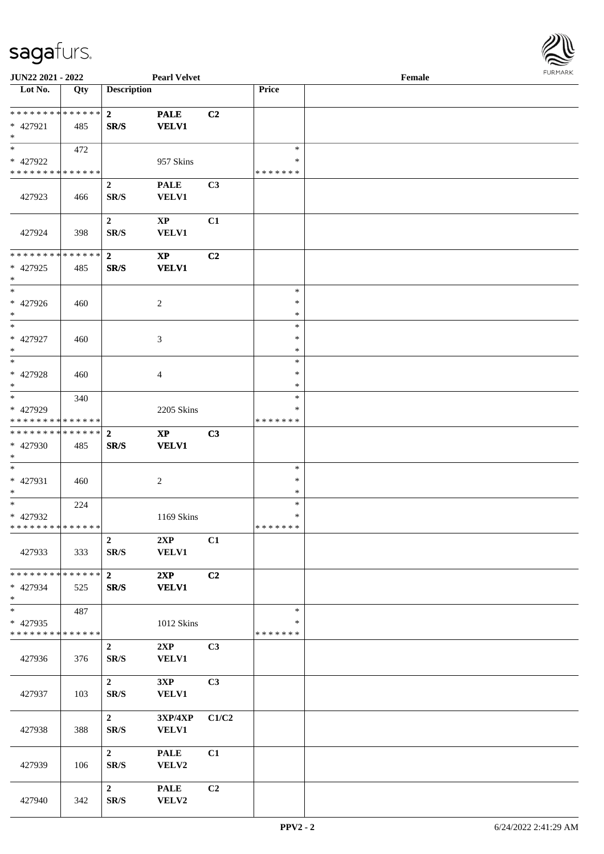

| JUN22 2021 - 2022                       |     |                          | <b>Pearl Velvet</b>         |                |                         | Female |  |
|-----------------------------------------|-----|--------------------------|-----------------------------|----------------|-------------------------|--------|--|
| Lot No.                                 | Qty | <b>Description</b>       |                             |                | Price                   |        |  |
| ******** <mark>******</mark>            |     | $\overline{2}$           | <b>PALE</b>                 | C2             |                         |        |  |
| * 427921                                | 485 | SR/S                     | <b>VELV1</b>                |                |                         |        |  |
| $*$                                     |     |                          |                             |                |                         |        |  |
| $*$                                     | 472 |                          |                             |                | $\ast$                  |        |  |
| * 427922                                |     |                          | 957 Skins                   |                | ∗                       |        |  |
| * * * * * * * * * * * * * *             |     |                          |                             |                | * * * * * * *           |        |  |
| 427923                                  | 466 | $\boldsymbol{2}$<br>SR/S | <b>PALE</b><br>VELV1        | C3             |                         |        |  |
|                                         |     |                          |                             |                |                         |        |  |
|                                         |     | $\mathbf{2}$             | $\mathbf{XP}$               | C1             |                         |        |  |
| 427924                                  | 398 | SR/S                     | <b>VELV1</b>                |                |                         |        |  |
| * * * * * * * * * * * * * *             |     |                          |                             |                |                         |        |  |
| * 427925                                | 485 | $\overline{2}$<br>SR/S   | $\bold{XP}$<br><b>VELV1</b> | C <sub>2</sub> |                         |        |  |
| $\ast$                                  |     |                          |                             |                |                         |        |  |
| $*$                                     |     |                          |                             |                | $\ast$                  |        |  |
| $* 427926$                              | 460 |                          | 2                           |                | $\ast$                  |        |  |
| $*$                                     |     |                          |                             |                | $\ast$                  |        |  |
| $\ast$<br>* 427927                      |     |                          |                             |                | $\ast$<br>$\ast$        |        |  |
| $*$                                     | 460 |                          | 3                           |                | $\ast$                  |        |  |
| $\ast$                                  |     |                          |                             |                | $\ast$                  |        |  |
| * 427928                                | 460 |                          | 4                           |                | $\ast$                  |        |  |
| $*$                                     |     |                          |                             |                | *                       |        |  |
| $*$                                     | 340 |                          |                             |                | $\ast$                  |        |  |
| * 427929<br>* * * * * * * * * * * * * * |     |                          | 2205 Skins                  |                | ∗<br>* * * * * * *      |        |  |
| * * * * * * * * * * * * * * *           |     | $\overline{2}$           | $\bold{XP}$                 | C3             |                         |        |  |
| * 427930                                | 485 | $\mathbf{SR}/\mathbf{S}$ | <b>VELV1</b>                |                |                         |        |  |
| $*$                                     |     |                          |                             |                |                         |        |  |
| $*$                                     |     |                          |                             |                | $\ast$                  |        |  |
| * 427931<br>$*$                         | 460 |                          | $\boldsymbol{2}$            |                | $\ast$<br>$\ast$        |        |  |
| $*$                                     | 224 |                          |                             |                | $\ast$                  |        |  |
| * 427932                                |     |                          | 1169 Skins                  |                | $\ast$                  |        |  |
| ******** <mark>******</mark>            |     |                          |                             |                | *******                 |        |  |
|                                         |     | $\overline{2}$           | 2XP                         | C1             |                         |        |  |
| 427933                                  | 333 | SR/S                     | <b>VELV1</b>                |                |                         |        |  |
| * * * * * * * * * * * * * * *           |     | $\overline{2}$           | 2XP                         | C2             |                         |        |  |
| $* 427934$                              | 525 | SR/S                     | <b>VELV1</b>                |                |                         |        |  |
| $*$                                     |     |                          |                             |                |                         |        |  |
| $\ast$                                  | 487 |                          |                             |                | $\ast$                  |        |  |
| * 427935<br>* * * * * * * * * * * * * * |     |                          | 1012 Skins                  |                | $\ast$<br>* * * * * * * |        |  |
|                                         |     | $\overline{2}$           | 2XP                         | C3             |                         |        |  |
| 427936                                  | 376 | SR/S                     | <b>VELV1</b>                |                |                         |        |  |
|                                         |     |                          |                             |                |                         |        |  |
|                                         |     | $\overline{2}$           | 3XP                         | C3             |                         |        |  |
| 427937                                  | 103 | $\mathbf{SR}/\mathbf{S}$ | <b>VELV1</b>                |                |                         |        |  |
|                                         |     | $\overline{2}$           | 3XP/4XP                     | C1/C2          |                         |        |  |
| 427938                                  | 388 | $\mathbf{SR}/\mathbf{S}$ | <b>VELV1</b>                |                |                         |        |  |
|                                         |     |                          |                             |                |                         |        |  |
|                                         |     | $\overline{2}$           | <b>PALE</b>                 | C1             |                         |        |  |
| 427939                                  | 106 | $\mathbf{SR}/\mathbf{S}$ | VELV2                       |                |                         |        |  |
|                                         |     | $\boldsymbol{2}$         | <b>PALE</b>                 | C <sub>2</sub> |                         |        |  |
| 427940                                  | 342 | SR/S                     | VELV2                       |                |                         |        |  |
|                                         |     |                          |                             |                |                         |        |  |